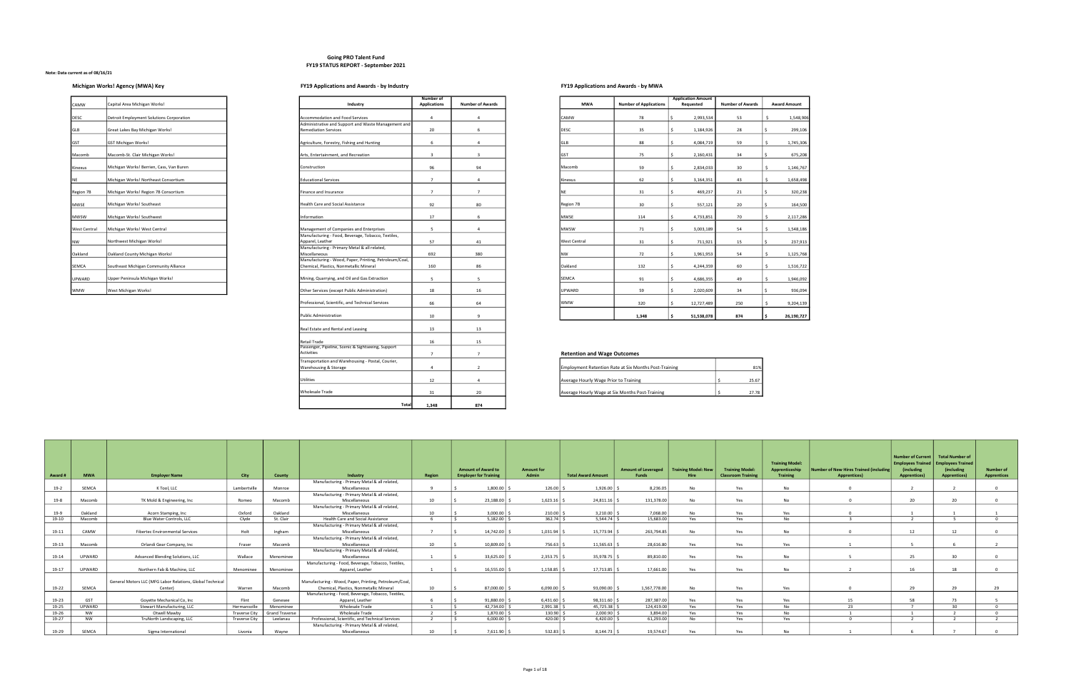### Going PRO Talent Fund FY19 STATUS REPORT - September 2021

# Michigan Works! Agency (MWA) Key **FY19** Applications and Awards - by Industry FY19 Applications and Awards - by MWA

## Note: Data current as of 08/16/21

| CAMW                | Capital Area Michigan Works!             | Industry                                                             |
|---------------------|------------------------------------------|----------------------------------------------------------------------|
| <b>DESC</b>         | Detroit Employment Solutions Corporation | Accommodation and Food Service                                       |
| GLB                 | Great Lakes Bay Michigan Works!          | Administrative and Support and \<br><b>Remediation Services</b>      |
| GST                 | <b>GST Michigan Works!</b>               | Agriculture, Forestry, Fishing and                                   |
| Macomb              | Macomb-St. Clair Michigan Works!         | Arts, Entertainment, and Recreati                                    |
| Kinexus             | Michigan Works! Berrien, Cass, Van Buren | Construction                                                         |
| <b>NE</b>           | Michigan Works! Northeast Consortium     | <b>Educational Services</b>                                          |
| Region 7B           | Michigan Works! Region 7B Consortium     | Finance and Insurance                                                |
| <b>MWSE</b>         | Michigan Works! Southeast                | Health Care and Social Assistance                                    |
| <b>MWSW</b>         | Michigan Works! Southwest                | Information                                                          |
| <b>West Central</b> | Michigan Works! West Central             | Management of Companies and E                                        |
| <b>NW</b>           | Northwest Michigan Works!                | Manufacturing - Food, Beverage,<br>Apparel, Leather                  |
| Oakland             | Oakland County Michigan Works!           | Manufacturing - Primary Metal &<br>Miscellaneous                     |
| <b>SEMCA</b>        | Southeast Michigan Community Alliance    | Manufacturing - Wood, Paper, Pr<br>Chemical, Plastics, Nonmetallic M |
| <b>UPWARD</b>       | Upper Peninsula Michigan Works!          | Mining, Quarrying, and Oil and Ga                                    |
| <b>WMW</b>          | West Michigan Works!                     | Other Services (except Public Adn                                    |

|              |                                          |                                                               | Number of           |                         |              |                               | <b>Application Amount</b> |                         |                     |
|--------------|------------------------------------------|---------------------------------------------------------------|---------------------|-------------------------|--------------|-------------------------------|---------------------------|-------------------------|---------------------|
| CAMW         | Capital Area Michigan Works!             | Industry                                                      | <b>Applications</b> | <b>Number of Awards</b> | <b>MWA</b>   | <b>Number of Applications</b> | Requested                 | <b>Number of Awards</b> | <b>Award Amount</b> |
| DESC         | Detroit Employment Solutions Corporation | Accommodation and Food Services                               |                     | $\overline{4}$          | CAMW         | 78                            | 2,993,534                 | 53                      | 1,548,906           |
|              |                                          | Administrative and Support and Waste Management and           |                     |                         |              |                               |                           |                         |                     |
| GLB          | Great Lakes Bay Michigan Works!          | <b>Remediation Services</b>                                   | 20                  | 6                       | DESC         | 35                            | 1,184,926                 | 28                      | 299,106             |
| GST          | <b>GST Michigan Works!</b>               | Agriculture, Forestry, Fishing and Hunting                    | 6                   | $\overline{4}$          | GLB          | 88                            | 4,084,719                 | 59                      | 1,745,306           |
| Macomb       | Macomb-St. Clair Michigan Works!         | Arts, Entertainment, and Recreation                           | $\overline{3}$      | $\overline{\mathbf{3}}$ | GST          | 75                            | 2,160,431                 | 34                      | 675,208             |
| Kinexus      | Michigan Works! Berrien, Cass, Van Buren | Construction                                                  | 96                  | 94                      | Macomb       | 59                            | 2,834,033                 | 30                      | 1,146,767           |
| NE           | Michigan Works! Northeast Consortium     | <b>Educational Services</b>                                   | $\overline{7}$      | $\overline{4}$          | Kinexus      | 62                            | 3,164,351                 | 43                      | 1,658,498           |
| Region 7B    | Michigan Works! Region 7B Consortium     | Finance and Insurance                                         | $\overline{7}$      | $\overline{7}$          | ΝE           | 31                            | 469,237                   | 21                      | 320,238             |
| MWSE         | Michigan Works! Southeast                | Health Care and Social Assistance                             | 92                  | 80                      | Region 7B    | 30                            | 557,121                   | 20                      | 164,500             |
| MWSW         | Michigan Works! Southwest                | Information                                                   | 17                  | 6                       | MWSE         | 114                           | 4,733,851                 | 70                      | 2,117,286           |
| West Central | Michigan Works! West Central             | Management of Companies and Enterprises                       | $\overline{5}$      | $\overline{4}$          | <b>MWSW</b>  | 71                            | 3,003,189                 | 54                      | 1,548,186           |
|              |                                          | Manufacturing - Food, Beverage, Tobacco, Textiles,            |                     |                         |              |                               |                           |                         |                     |
| NW           | Northwest Michigan Works!                | Apparel, Leather                                              | 57                  | 41                      | West Central | 31                            | 711,921                   | 15                      | 237,913             |
| Oakland      | Oakland County Michigan Works!           | Manufacturing - Primary Metal & all related,<br>Miscellaneous | 692                 | 380                     | NW           | 72                            | 1,961,953                 | 54                      | 1,125,768           |
|              |                                          | Manufacturing - Wood, Paper, Printing, Petroleum/Coal,        |                     |                         |              |                               |                           |                         |                     |
| SEMCA        | Southeast Michigan Community Alliance    | Chemical, Plastics, Nonmetallic Mineral                       | 160                 | 86                      | Oakland      | 132                           | 4,244,359                 | 60                      | 1,516,722           |
| UPWARD       | Upper Peninsula Michigan Works!          | Mining, Quarrying, and Oil and Gas Extraction                 | -5                  | -5                      | <b>SEMCA</b> | 91                            | 4,686,355                 | 49                      | 1,946,092           |
| WMW          | West Michigan Works!                     | Other Services (except Public Administration)                 | 18                  | 16                      | UPWARD       | 59                            | 2,020,609                 | 34                      | 936,094             |
|              |                                          | Professional, Scientific, and Technical Services              | 66                  | 64                      | <b>WMW</b>   | 320                           | 12,727,489                | 250                     | 9,204,139           |
|              |                                          | <b>Public Administration</b>                                  |                     |                         |              |                               |                           |                         |                     |
|              |                                          |                                                               | 10                  | 9                       |              | 1,348                         | 51,538,078                | 874                     | 26,190,727          |

|                                                                            | Number of           |                         |                                       |                                                              | <b>Application Amount</b> |                         |
|----------------------------------------------------------------------------|---------------------|-------------------------|---------------------------------------|--------------------------------------------------------------|---------------------------|-------------------------|
| Industry                                                                   | <b>Applications</b> | <b>Number of Awards</b> | <b>MWA</b>                            | <b>Number of Applications</b>                                | Requested                 | <b>Number of Awards</b> |
| Accommodation and Food Services                                            | 4                   | 4                       | CAMW                                  | 78                                                           | \$<br>2,993,534           | 53                      |
| Administrative and Support and Waste Management and                        |                     |                         |                                       |                                                              |                           |                         |
| <b>Remediation Services</b>                                                | 20                  | 6                       | DESC                                  | 35                                                           | \$<br>1,184,926           | 28                      |
| Agriculture, Forestry, Fishing and Hunting                                 | 6                   | 4                       | GLB                                   | 88                                                           | \$<br>4,084,719           | 59                      |
| Arts, Entertainment, and Recreation                                        | 3                   | $\overline{\mathbf{3}}$ | GST                                   | 75                                                           | \$<br>2,160,431           | 34                      |
| Construction                                                               | 96                  | 94                      | Macomb                                | 59                                                           | \$<br>2,834,033           | 30                      |
| <b>Educational Services</b>                                                | $\overline{7}$      | 4                       | Kinexus                               | 62                                                           | \$<br>3,164,351           | 43                      |
| Finance and Insurance                                                      | $\overline{7}$      | $\overline{7}$          | <b>NE</b>                             | 31                                                           | \$<br>469,237             | 21                      |
| Health Care and Social Assistance                                          | 92                  | 80                      | Region 7B                             | 30                                                           | \$<br>557,121             | 20                      |
| Information                                                                | 17                  | 6                       | <b>MWSE</b>                           | 114                                                          | \$<br>4,733,851           | 70                      |
| Management of Companies and Enterprises                                    | 5                   | $\overline{4}$          | <b>MWSW</b>                           | 71                                                           | \$<br>3,003,189           | 54                      |
| Manufacturing - Food, Beverage, Tobacco, Textiles,                         |                     |                         |                                       |                                                              |                           |                         |
| Apparel, Leather                                                           | 57                  | 41                      | <b>West Central</b>                   | 31                                                           | \$<br>711,921             | 15                      |
| Manufacturing - Primary Metal & all related,<br>Miscellaneous              | 692                 | 380                     | <b>NW</b>                             | 72                                                           | \$<br>1,961,953           | 54                      |
| Manufacturing - Wood, Paper, Printing, Petroleum/Coal,                     |                     |                         |                                       |                                                              |                           |                         |
| Chemical, Plastics, Nonmetallic Mineral                                    | 160                 | 86                      | Oakland                               | 132                                                          | \$<br>4,244,359           | 60                      |
|                                                                            |                     |                         |                                       |                                                              |                           |                         |
| Mining, Quarrying, and Oil and Gas Extraction                              | 5                   | 5                       | <b>SEMCA</b>                          | 91                                                           | \$<br>4,686,355           | 49                      |
| Other Services (except Public Administration)                              | 18                  | 16                      | UPWARD                                | 59                                                           | \$<br>2,020,609           | 34                      |
| Professional, Scientific, and Technical Services                           | 66                  | 64                      | <b>WMW</b>                            | 320                                                          | \$<br>12,727,489          | 250                     |
| <b>Public Administration</b>                                               | 10                  | 9                       |                                       | 1,348                                                        | \$<br>51,538,078          | 874                     |
| Real Estate and Rental and Leasing                                         | 13                  | 13                      |                                       |                                                              |                           |                         |
| Retail Trade                                                               | 16                  | 15                      |                                       |                                                              |                           |                         |
| Passenger, Pipeline, Scenic & Sightseeing, Support<br>Activities           | $\overline{7}$      | $\overline{7}$          | <b>Retention and Wage Outcomes</b>    |                                                              |                           |                         |
| Transportation and Warehousing - Postal, Courier,<br>Warehousing & Storage | 4                   | $\overline{2}$          |                                       | <b>Employment Retention Rate at Six Months Post-Training</b> |                           | 81%                     |
| Utilities                                                                  | 12                  | 4                       | Average Hourly Wage Prior to Training |                                                              |                           | \$<br>25.67             |
| <b>Wholesale Trade</b>                                                     | 31                  | 20                      |                                       | Average Hourly Wage at Six Months Post-Training              |                           | \$<br>27.78             |
| Total                                                                      | 1.348               | 874                     |                                       |                                                              |                           |                         |

| Award# | <b>MWA</b>    | <b>Employer Name</b>                                      | City                 | County                | Industry                                                               | Region          | <b>Amount of Award to</b><br><b>Employer for Training</b> | <b>Amount for</b><br>Admin | <b>Total Award Amount</b> | Amount of Leveraged   Training Model: New<br>Funds | <b>Hire</b> | <b>Training Model:</b><br><b>Classroom Training</b> | <b>Training Model:</b><br>Apprenticeship<br><b>Training</b> | Number of New Hires Trained (including<br><b>Apprentices</b> ) | <b>Number of Current</b><br><b>Employees Trained</b><br><i><b>(including)</b></i><br><b>Apprentices</b> ) | <b>Total Number of</b><br><b>Employees Trained</b><br>(including<br><b>Apprentices</b> ) | <b>Number of</b><br><b>Apprentices</b> |
|--------|---------------|-----------------------------------------------------------|----------------------|-----------------------|------------------------------------------------------------------------|-----------------|-----------------------------------------------------------|----------------------------|---------------------------|----------------------------------------------------|-------------|-----------------------------------------------------|-------------------------------------------------------------|----------------------------------------------------------------|-----------------------------------------------------------------------------------------------------------|------------------------------------------------------------------------------------------|----------------------------------------|
| $19-2$ | SEMCA         | K Tool, LLC                                               | Lambertville         | Monroe                | Manufacturing - Primary Metal & all related,<br>Miscellaneous          |                 | 1.800.00                                                  | 126.00                     | 1.926.00                  | 8.236.05                                           | No          | Yes                                                 | N <sub>o</sub>                                              |                                                                |                                                                                                           |                                                                                          |                                        |
| 19-8   | Macomb        | TK Mold & Engineering, Inc.                               | Romeo                | Macomb                | Manufacturing - Primary Metal & all related,<br>Miscellaneous          | 10              | 23,188.00                                                 | 1,623.16                   | 24,811.16                 | 131,378.00                                         | No          | Yes                                                 | <b>No</b>                                                   |                                                                | 20                                                                                                        | 20                                                                                       |                                        |
| 19-9   | Oakland       | Acorn Stamping, Inc.                                      | Oxford               | Oakland               | Manufacturing - Primary Metal & all related,<br>Miscellaneous          | 10 <sup>1</sup> | 3.000.00                                                  | 210.00                     | 3.210.00                  | 7.068.00                                           | <b>No</b>   | Yes                                                 | Yes                                                         |                                                                |                                                                                                           |                                                                                          |                                        |
| 19-10  | Macomb        | Blue Water Controls, LLC                                  | Clyde                | St. Clair             | Health Care and Social Assistance                                      |                 | 5,182.00                                                  | 362.74                     | 5.544.74                  | 15.683.00                                          | Yes         | Yes                                                 | No                                                          |                                                                |                                                                                                           |                                                                                          |                                        |
|        |               |                                                           |                      |                       | Manufacturing - Primary Metal & all related,                           |                 |                                                           |                            |                           |                                                    |             |                                                     |                                                             |                                                                |                                                                                                           |                                                                                          |                                        |
| 19-11  | CAMW          | <b>Fibertec Environmental Services</b>                    | Holt                 | Ingham                | Miscellaneous                                                          |                 | 14.742.00                                                 | 1.031.94                   | 15.773.94                 | 263.794.85                                         | No          | Yes                                                 | N <sub>0</sub>                                              |                                                                | 12                                                                                                        | 12                                                                                       |                                        |
| 19-13  | Macomb        | Orlandi Gear Company, Inc                                 | Fraser               | Macomb                | Manufacturing - Primary Metal & all related,<br>Miscellaneous          | 10              | 10,809.00                                                 | 756.63                     | 11,565.63                 | 28,616.80                                          | Yes         | Yes                                                 | Yes                                                         |                                                                |                                                                                                           |                                                                                          |                                        |
| 19-14  | <b>UPWARD</b> | Advanced Blending Solutions, LLC                          | Wallace              | Menominee             | Manufacturing - Primary Metal & all related,<br>Miscellaneous          |                 | 33,625.00                                                 | 2.353.75                   | 35.978.75                 | 89.810.00                                          | Yes         | Yes                                                 | No.                                                         |                                                                | 25                                                                                                        | 30                                                                                       |                                        |
| 19-17  | <b>UPWARD</b> | Northern Fab & Machine, LLC                               | Menominee            | Menominee             | Manufacturing - Food, Beverage, Tobacco, Textiles,<br>Apparel, Leather |                 | 16.555.00                                                 | 1.158.85                   | 17.713.85                 | 17.661.00                                          | Yes         | Yes                                                 | N <sub>0</sub>                                              |                                                                | 16                                                                                                        | 18                                                                                       |                                        |
|        |               | General Motors LLC (MFG Labor Relations, Global Technical |                      |                       | Manufacturing - Wood, Paper, Printing, Petroleum/Coal,                 |                 |                                                           |                            |                           |                                                    |             |                                                     |                                                             |                                                                |                                                                                                           |                                                                                          |                                        |
| 19-22  | SEMCA         | Center)                                                   | Warren               | Macomb                | Chemical, Plastics, Nonmetallic Mineral                                | 10 <sup>1</sup> | 87,000.00                                                 | 6.090.00                   | 93.090.00                 | 1.567.778.00                                       | <b>No</b>   | Yes                                                 | Yes                                                         |                                                                | 29                                                                                                        | 29                                                                                       | 29                                     |
|        |               |                                                           |                      |                       | Manufacturing - Food, Beverage, Tobacco, Textiles,                     |                 |                                                           |                            |                           |                                                    |             |                                                     |                                                             |                                                                |                                                                                                           |                                                                                          |                                        |
| 19-23  | GST           | Goyette Mechanical Co, Inc                                | Flint                | Genesee               | Apparel, Leather                                                       |                 | 91,880.00                                                 | 6,431.60                   | 98,311.60 \$              | 287,387.00                                         | Yes         | Yes                                                 | Yes                                                         | 15                                                             | 58                                                                                                        | 73                                                                                       |                                        |
| 19-25  | <b>UPWARD</b> | Stewart Manufacturing, LLC                                | Hermansville         | Menominee             | Wholesale Trade                                                        |                 | 42,734.00                                                 | 2,991.38                   | 45,725.38                 | 124.419.00                                         | Yes         | Yes                                                 | No.                                                         | 23                                                             |                                                                                                           | $30 -$                                                                                   |                                        |
| 19-26  | <b>NW</b>     | Otwell Mawby                                              | <b>Traverse City</b> | <b>Grand Traverse</b> | Wholesale Trade                                                        |                 | 1.870.00                                                  | 130.90                     | 2.000.90                  | 3.894.00                                           | Yes         | Yes                                                 | No                                                          |                                                                |                                                                                                           |                                                                                          |                                        |
| 19-27  | NW            | TruNorth Landscaping, LLC                                 | <b>Traverse City</b> | Leelanau              | Professional, Scientific, and Technical Services                       |                 | 6,000.00                                                  | 420.00                     | 6,420.00                  | 61,293.00                                          | No          | Yes                                                 | Yes                                                         |                                                                |                                                                                                           |                                                                                          |                                        |
| 19-29  | SEMCA         | Sigma International                                       | Livonia              | Wavne                 | Manufacturing - Primary Metal & all related,<br>Miscellaneous          | 10 <sup>1</sup> | 7.611.90                                                  | 532.83                     | 8.144.73                  | 19.574.67                                          | Yes         | Yes                                                 | No.                                                         |                                                                |                                                                                                           |                                                                                          |                                        |

| <b>Retention and Wage Outcomes</b>                           |       |
|--------------------------------------------------------------|-------|
|                                                              |       |
| <b>Employment Retention Rate at Six Months Post-Training</b> | 81%   |
|                                                              |       |
| Average Hourly Wage Prior to Training                        | 25.67 |
|                                                              |       |
| Average Hourly Wage at Six Months Post-Training              | 27.78 |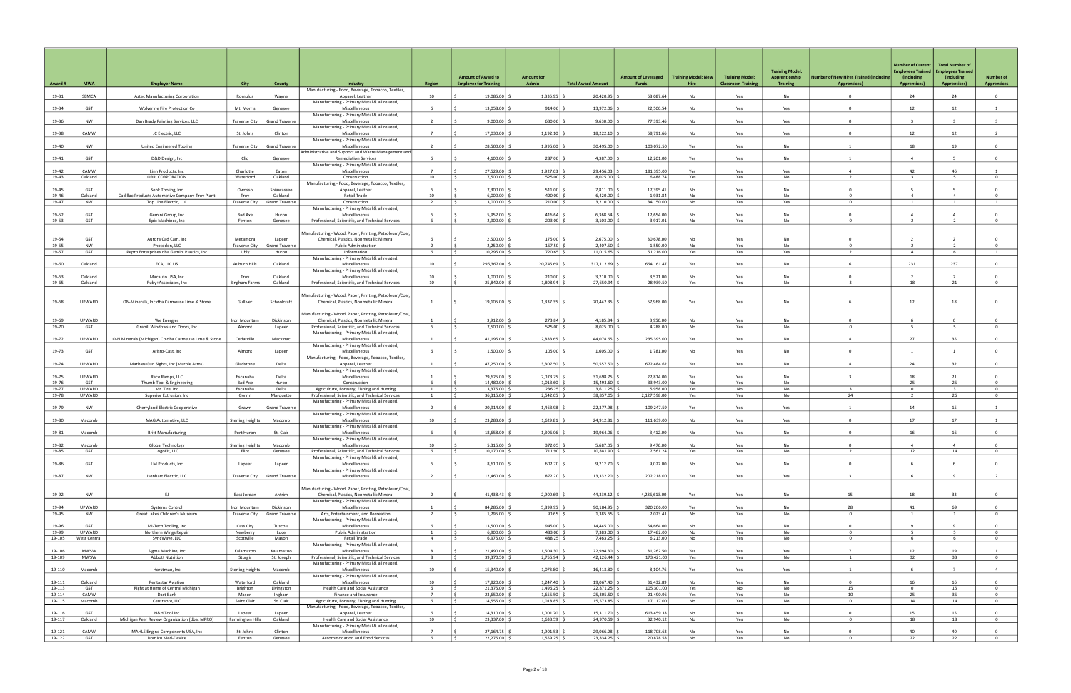|                  |                     |                                                                      |                              |                                             |                                                                                                   |                                  |                                                           |                            |                           |                                     | <b>Training Model: New</b> |                                                     | <b>Training Model:</b>            |                                                                      | <b>Number of Current</b><br><b>Employees Trained</b> | <b>Total Number of</b><br><b>Employees Trained</b> |                                        |
|------------------|---------------------|----------------------------------------------------------------------|------------------------------|---------------------------------------------|---------------------------------------------------------------------------------------------------|----------------------------------|-----------------------------------------------------------|----------------------------|---------------------------|-------------------------------------|----------------------------|-----------------------------------------------------|-----------------------------------|----------------------------------------------------------------------|------------------------------------------------------|----------------------------------------------------|----------------------------------------|
| Award #          | <b>MWA</b>          | <b>Employer Name</b>                                                 | City                         | County                                      | Industry                                                                                          | Region                           | <b>Amount of Award to</b><br><b>Employer for Training</b> | <b>Amount for</b><br>Admin | <b>Total Award Amount</b> | <b>Amount of Leveraged</b><br>Funds | Hire                       | <b>Training Model:</b><br><b>Classroom Training</b> | Apprenticeship<br><b>Training</b> | <b>Jumber of New Hires Trained (including</b><br><b>Apprentices)</b> | (including<br><b>Apprentices)</b>                    | (including<br><b>Apprentices)</b>                  | <b>Number of</b><br><b>Apprentices</b> |
| 19-31            | SEMCA               | Aztec Manufacturing Corporation                                      | Romulus                      | Wayne                                       | Manufacturing - Food, Beverage, Tobacco, Textiles,<br>Apparel, Leather                            | 10                               | 19,085.00                                                 | 1,335.95                   | 20,420.95                 | 58,087.64                           | No                         | Yes                                                 | No                                | $\Omega$                                                             | 24                                                   | 24                                                 | $\mathbf{0}$                           |
| 19-34            | GST                 | Wolverine Fire Protection Co                                         | Mt. Morris                   | Genesee                                     | Manufacturing - Primary Metal & all related,<br>Miscellaneous                                     |                                  | 13,058.00                                                 | 914.06                     | 13,972.06                 | 22,500.54                           | <b>No</b>                  | Yes                                                 | Yes                               | $\Omega$                                                             | 12                                                   | 12                                                 | 1                                      |
| 19-36            | <b>NW</b>           | Dan Brady Painting Services, LLC                                     | <b>Traverse City</b>         | <b>Grand Traverse</b>                       | Manufacturing - Primary Metal & all related,<br>Miscellaneous                                     | $\overline{2}$                   | 9,000.00                                                  | 630.00                     | 9,630.00                  | 77,393.46                           | <b>No</b>                  | Yes                                                 | Yes                               | $\Omega$                                                             | $\overline{3}$                                       | $\overline{3}$                                     | $\overline{\mathbf{3}}$                |
| 19-38            | CAMW                |                                                                      |                              | Clinton                                     | Manufacturing - Primary Metal & all related,                                                      | $\overline{7}$                   | 17,030.00                                                 | 1,192.10                   | 18,222.10                 | 58,791.66                           | No                         |                                                     |                                   | $\Omega$                                                             | 12                                                   | 12                                                 | $\overline{2}$                         |
|                  |                     | JC Electric, LLC                                                     | St. Johns                    |                                             | Miscellaneous<br>Manufacturing - Primary Metal & all related,                                     |                                  |                                                           |                            |                           |                                     |                            | Yes                                                 | Yes                               |                                                                      |                                                      |                                                    |                                        |
| 19-40            | NW                  | United Engineered Tooling                                            | <b>Traverse City</b>         | <b>Grand Traverse</b>                       | Miscellaneous<br>Administrative and Support and Waste Management and                              | $\overline{2}$                   | 28,500.00                                                 | 1,995.00                   | 30,495.00                 | 103,072.50                          | Yes                        | Yes                                                 | No                                |                                                                      | 18                                                   | 19                                                 | $\Omega$                               |
| 19-41            | GST                 | D&D Design, Inc                                                      | Clio                         | Genesee                                     | <b>Remediation Services</b><br>Manufacturing - Primary Metal & all related,                       |                                  | 4,100.00                                                  | 287.00                     | 4,387.00                  | 12,201.00                           | Yes                        | Yes                                                 | No                                |                                                                      | $\overline{a}$                                       |                                                    | $\overline{0}$                         |
| 19-42<br>19-43   | CAMW<br>Oakland     | Linn Products, Inc<br>ORRI CORPORATION                               | Charlotte<br>Waterford       | Eaton<br>Oakland                            | Miscellaneous<br>Construction                                                                     | 10                               | 27,529.00<br>7,500.00                                     | 1,927.03<br>525.00         | 29,456.03<br>8,025.00     | 181,395.00<br>6,488.74              | Yes<br>Yes                 | Yes<br>Yes                                          | Yes<br>No                         | $\overline{2}$                                                       | 42<br>$\mathbf{R}$                                   | 46<br>-5                                           | $\Omega$                               |
|                  |                     |                                                                      |                              |                                             | Manufacturing - Food, Beverage, Tobacco, Textiles,                                                |                                  |                                                           |                            |                           |                                     |                            |                                                     |                                   |                                                                      |                                                      |                                                    |                                        |
| 19-45<br>19-46   | GST<br>Oakland      | Senk Tooling, Inc<br>Cadillac Products Automotive Company-Troy Plant | Owosso<br>Troy               | Shiawassee<br>Oakland                       | Apparel, Leather<br>Retail Trade                                                                  | 10                               | 7,300.00<br>6,000,00                                      | 511.00<br>420.00           | 7,811.00<br>6,420.00      | 17,395.41<br>1,931.84               | <b>No</b><br>No            | Yes<br>Yes                                          | No<br>No                          | $\Omega$<br>$\Omega$                                                 | -5<br>$\overline{4}$                                 | $\overline{4}$                                     | $^{\circ}$<br>$\Omega$                 |
| 19-47            | NW                  | Top Line Electric, LLC                                               | Traverse City                | <b>Grand Traverse</b>                       | Construction<br>Manufacturing - Primary Metal & all related,                                      | $\overline{2}$                   | $3,000.00$ \$                                             | $210.00$ \$                | 3,210.00                  | 34,150.00                           | No                         | Yes                                                 | Yes                               | $^{\circ}$                                                           | 1                                                    | 1                                                  | $\mathbf{1}$                           |
| 19-52            | GST                 | Gemini Group, Inc                                                    | Bad Axe                      | Huron                                       | Miscellaneous                                                                                     |                                  | 5,952.00                                                  | 416.64                     | 6,368.64                  | 12,654.00                           | No                         | Yes                                                 | No                                | $\Omega$                                                             | $\Delta$                                             | $\Delta$                                           | $\Omega$                               |
| 19-53            | GST                 | Epic Machince, Inc.                                                  | Fenton                       | Genesee                                     | Professional, Scientific, and Technical Services                                                  | - 6                              | 2,900.00                                                  | $203.00$ \$                | 3,103.00                  | 3,917.01                            | No                         | Yes                                                 | No                                | $\Omega$                                                             | $\overline{2}$                                       | $\overline{2}$                                     | $\overline{0}$                         |
| 19-54            | GST                 | Aurora Cad Cam, Inc                                                  | Metamora                     | Lapeer                                      | Manufacturing - Wood, Paper, Printing, Petroleum/Coal,<br>Chemical, Plastics, Nonmetallic Mineral |                                  | 2,500.00                                                  | 175.00                     | 2,675.00                  | 30,678.00                           | <b>No</b>                  | Yes                                                 | No                                |                                                                      |                                                      |                                                    | $\overline{0}$                         |
| 19-55<br>19-57   | NW<br>GST           | Photodon, LLC<br>Pepro Enterprises dba Gemini Plastics, Inc.         | Traverse City                | <b>Grand Traverse</b><br>Huron              | <b>Public Administration</b><br>Information                                                       | $\overline{2}$<br>- 6            | 2,250.00<br>I S.<br>10,295.00 \$                          | 157.50<br>720.65 \$        | 2,407.50<br>11,015.65     | 1,550.00<br>51,216.00               | No<br>Yes                  | Yes<br>Yes                                          | No<br>Yes                         | $\Omega$<br>$\overline{2}$                                           | $\overline{2}$<br>$\overline{4}$                     | 2<br>6                                             | $\overline{0}$<br>$\mathbf{1}$         |
|                  |                     |                                                                      | Ubly                         |                                             | Manufacturing - Primary Metal & all related,                                                      |                                  |                                                           |                            |                           |                                     |                            |                                                     |                                   |                                                                      |                                                      |                                                    |                                        |
| 19-60            | Oakland             | FCA, LLC US                                                          | Auburn Hills                 | Oakland                                     | Miscellaneous<br>Manufacturing - Primary Metal & all related,                                     | 10                               | 296,367.00                                                | 20,745.69                  | 317,112.69                | 664,161.47                          | Yes                        | Yes                                                 | No                                |                                                                      | 231                                                  | 237                                                | $\overline{0}$                         |
| 19-63<br>19-65   | Oakland<br>Oakland  | Macauto USA, Inc<br>Ruby+Associates, Inc                             | Troy<br><b>Bingham Farms</b> | Oakland<br>Oakland                          | Miscellaneous<br>Professional, Scientific, and Technical Services                                 | 10<br>10                         | 3,000.00<br>25,842.00                                     | 210.00<br>1,808.94         | 3,210.00<br>27,650.94     | 3,521.00<br>28,939.50               | No<br>Yes                  | Yes<br>Yes                                          | No<br>No                          | $\Omega$                                                             | $\overline{2}$<br>18                                 | 21                                                 | $\overline{0}$<br>$^{\circ}$           |
|                  |                     |                                                                      |                              |                                             |                                                                                                   |                                  |                                                           |                            |                           |                                     |                            |                                                     |                                   |                                                                      |                                                      |                                                    |                                        |
| 19-68            | UPWARD              | ON-Minerals, Inc dba Carmeuse Lime & Stone                           | Gulliver                     | Schoolcraft                                 | Manufacturing - Wood, Paper, Printing, Petroleum/Coal,<br>Chemical, Plastics, Nonmetallic Mineral | $\overline{1}$                   | 19,105.00                                                 | 1,337.35                   | 20,442.35                 | 57,968.00                           | Yes                        | Yes                                                 | No                                |                                                                      | 12                                                   | 18                                                 | $\mathbf{0}$                           |
|                  |                     |                                                                      |                              |                                             | Manufacturing - Wood, Paper, Printing, Petroleum/Coal,                                            |                                  |                                                           |                            |                           |                                     |                            |                                                     |                                   |                                                                      |                                                      |                                                    |                                        |
| 19-69            | UPWARD              | We Energies                                                          | Iron Mountain                | Dickinson                                   | Chemical, Plastics, Nonmetallic Mineral                                                           |                                  | 3,912.00                                                  | 273.84                     | 4,185.84                  | 3,950.00                            | <b>No</b>                  | Yes                                                 | <b>No</b>                         |                                                                      |                                                      |                                                    |                                        |
| 19-70            | GST                 | Grabill Windows and Doors, Inc.                                      | Almont                       | Lapeer                                      | Professional, Scientific, and Technical Services<br>Manufacturing - Primary Metal & all related,  | - 6                              | 7,500.00 \$<br>I S.                                       | $525.00$ \ \$              | 8,025.00                  | 4,288.00                            | No                         | Yes                                                 | No                                | $\Omega$                                                             | 5                                                    | 5                                                  | $\overline{0}$                         |
| 19-72            | UPWARD              | O-N Minerals (Michigan) Co dba Carmeuse Lime & Stone                 | Cedarville                   | Mackinac                                    | Miscellaneous<br>Manufacturing - Primary Metal & all related,                                     |                                  | 41,195.00                                                 | 2,883.65                   | 44,078.65                 | 235,395.00                          | Yes                        | Yes                                                 | <b>No</b>                         |                                                                      | 27                                                   | 35                                                 | $\Omega$                               |
| 19-73            | GST                 | Aristo-Cast, Inc                                                     | Almont                       | Lapeer                                      | Miscellaneous                                                                                     | - 6                              | 1,500.00                                                  | 105.00                     | 1,605.00                  | 1,781.00                            | No                         | Yes                                                 | No                                | $\Omega$                                                             | $\overline{1}$                                       |                                                    | $\mathbf{0}$                           |
| 19-74            | UPWARD              | Marbles Gun Sights, Inc (Marble Arms)                                | Gladstone                    | Delta                                       | Manufacturing - Food, Beverage, Tobacco, Textiles,<br>Apparel, Leather                            | $\overline{1}$                   | 47,250.00                                                 | 3,307.50                   | 50,557.50                 | 672,484.62                          | Yes                        | Yes                                                 | No                                | 8                                                                    | 24                                                   | 32                                                 | $\overline{0}$                         |
| 19-75            | UPWARD              | Race Ramps, LLC                                                      | Escanaba                     | Delta                                       | Manufacturing - Primary Metal & all related,<br>Miscellaneous                                     | $\overline{1}$                   | 29,625.00                                                 | 2,073.75                   | 31,698.75                 | 22,814.00                           | Yes                        | Yes                                                 | No                                | $\overline{3}$                                                       | 18                                                   | 21                                                 | $\Omega$                               |
| 19-76            | GST                 | Thumb Tool & Engineering                                             | Bad Axe                      | Huron                                       | Construction                                                                                      | 6                                | I S<br>14,480.00   9                                      | 1,013.60                   | 15,493.60                 | 33,943.00                           | No                         | Yes                                                 | No                                |                                                                      | 25                                                   | 25                                                 | $^{\circ}$                             |
| 19-77<br>19-78   | UPWARD<br>UPWARD    | Mr. Tire, Inc<br>Superior Extrusion, Inc.                            | Escanaba<br>Gwinn            | Delta<br>Marquette                          | Agriculture, Forestry, Fishing and Hunting<br>Professional, Scientific, and Technical Services    | - 1<br>$\overline{1}$            | $3,375.00$ $\frac{6}{5}$<br>36,315.00                     | 236.25<br>2,542.05         | 3,611.25<br>38,857.05     | 5,958.00<br>2,127,598.00            | Yes<br>Yes                 | No<br>Yes                                           | No<br>No                          | 3<br>24                                                              | $^{\circ}$<br>$\overline{2}$                         | 3<br>26                                            | $^{\circ}$<br>$\Omega$                 |
| 19-79            | NW                  | Cherryland Electric Cooperative                                      | Grawn                        | Grand Traverse                              | Manufacturing - Primary Metal & all related,<br>Miscellaneous                                     |                                  | 20,914.00                                                 | 1,463.98                   | 22,377.98                 | 109,247.59                          | Yes                        | Yes                                                 | Yes                               |                                                                      | 14                                                   | 15                                                 | $\overline{1}$                         |
|                  |                     |                                                                      |                              |                                             | Manufacturing - Primary Metal & all related,                                                      |                                  |                                                           |                            |                           |                                     |                            |                                                     |                                   |                                                                      |                                                      |                                                    |                                        |
| 19-80            | Macomb              | MAG Automotive, LLC                                                  | <b>Sterling Heights</b>      | Macomb                                      | Miscellaneous<br>Manufacturing - Primary Metal & all related,                                     | 10                               | 23,283.00                                                 | 1,629.81                   | 24,912.81                 | 111,639.00                          | <b>No</b>                  | Yes                                                 | Yes                               | $\Omega$                                                             | 17                                                   | 17                                                 | <sup>1</sup>                           |
| 19-81            | Macomb              | <b>Britt Manufacturing</b>                                           | Port Huron                   | St. Clair                                   | Miscellaneous<br>Manufacturing - Primary Metal & all related,                                     |                                  | 18,658.00                                                 | 1,306.06                   | 19,964.06                 | 3,412.00                            | No                         | Yes                                                 | No                                | $\Omega$                                                             | 16                                                   | 16                                                 | $\Omega$                               |
| 19-82            | Macomb              | Global Technology                                                    | <b>Sterling Heights</b>      | Macomb                                      | Miscellaneous                                                                                     | 10                               | $5,315.00$ \$                                             | 372.05                     | 5,687.05                  | 9,476.00                            | No                         | Yes                                                 | No                                |                                                                      | $\overline{4}$                                       | $\Delta$                                           |                                        |
| 19-85            | GST                 | LogoFit, LLC                                                         | Flint                        | Genesee                                     | Professional, Scientific, and Technical Services<br>Manufacturing - Primary Metal & all related,  | 6                                | 10,170.00 \$                                              | 711.90 \$                  | 10,881.90                 | 7,561.24                            | Yes                        | Yes                                                 | No                                | 2                                                                    | 12                                                   | 14                                                 | $\overline{0}$                         |
| 19-86            | GST                 | LM Products, Inc                                                     | Lapeer                       | Lapeer                                      | Miscellaneous<br>Manufacturing - Primary Metal & all related,                                     | - 6                              | $8,610.00$ $\frac{6}{5}$                                  | $602.70$ \$                | 9,212.70                  | 9,022.00                            | No                         | Yes                                                 | No                                | $\mathbf 0$                                                          | 6                                                    | 6                                                  | $\overline{0}$                         |
| 19-87            | NW                  | Isenhart Electric, LLC                                               |                              | Traverse City   Grand Traverse              | Miscellaneous                                                                                     | $\overline{2}$                   | 12,460.00 \$                                              | 872.20 \$                  | 13,332.20                 | 202,218.00                          | Yes                        | Yes                                                 | Yes                               | $\overline{\mathbf{3}}$                                              | 6                                                    | 9                                                  | $\overline{2}$                         |
|                  |                     |                                                                      |                              |                                             | Manufacturing - Wood, Paper, Printing, Petroleum/Coal,                                            |                                  |                                                           |                            |                           |                                     |                            |                                                     |                                   |                                                                      |                                                      |                                                    |                                        |
| 19-92            | NW                  | EJ.                                                                  | East Jordan                  | Antrim                                      | Chemical, Plastics, Nonmetallic Mineral<br>Manufacturing - Primary Metal & all related,           | $\overline{2}$                   | $41,438.43$ \$                                            | 2,900.69                   | 44,339.12                 | 4,286,613.00                        | Yes                        | Yes                                                 | No                                | 15                                                                   | 18                                                   | 33                                                 | $\overline{0}$                         |
| 19-94<br>19-95   | UPWARD<br><b>NW</b> | <b>Systems Control</b><br>Great Lakes Children's Museum              | Iron Mountain                | Dickinson<br>Traverse City   Grand Traverse | Miscellaneous<br>Arts, Entertainment, and Recreation                                              | $\overline{1}$<br>$\overline{2}$ | 84,285.00<br>$1,295.00$ \$<br>IS.                         | 5,899.95<br>$90.65$ \$     | 90,184.95<br>1,385.65     | 320,206.00<br>2,023.41              | Yes<br>No                  | Yes<br>Yes                                          | No<br>No                          | 28<br>$\overline{0}$                                                 | 41<br>$\overline{1}$                                 | 69<br>1                                            | $\overline{0}$<br>$\overline{0}$       |
|                  |                     |                                                                      |                              |                                             | Manufacturing - Primary Metal & all related,                                                      |                                  |                                                           |                            |                           |                                     |                            |                                                     |                                   |                                                                      |                                                      |                                                    |                                        |
| 19-96<br>19-99   | GST<br>UPWARD       | MI-Tech Tooling, Inc<br>Northern Wings Repair                        | Cass City<br>Newberry        | Tuscola<br>Luce                             | Miscellaneous<br><b>Public Administration</b>                                                     | -6<br>$\mathbf{1}$               | 13,500.00 \$<br>$6,900.00$ \$<br>IS.                      | 945.00<br>$483.00$ \$      | 14,445.00<br>7,383.00     | 54,664.00<br>17,482.00              | No<br>No                   | Yes<br>Yes                                          | No<br>No                          | $\Omega$<br>$\mathbf{0}$                                             | $\mathbf{q}$<br>5 <sup>5</sup>                       | 9<br>5 <sup>5</sup>                                | $\overline{0}$<br>$\overline{0}$       |
| 19-105           | West Central        | SyncWave, LLC                                                        | Scottville                   | Mason                                       | Retail Trade                                                                                      | $\overline{4}$                   | $6,975.00$ \$                                             | $488.25$ \$                | 7,463.25                  | 6,213.00                            | No                         | Yes                                                 | No                                | $\mathbf 0$                                                          | - 6                                                  | 6                                                  | $\overline{0}$                         |
| 19-106           | MWSW                | Sigma Machine, Inc                                                   | Kalamazoo                    | Kalamazoo                                   | Manufacturing - Primary Metal & all related,<br>Miscellaneous                                     | 8                                | 21,490.00 \$                                              | 1,504.30                   | 22,994.30                 | 81,262.50                           | Yes                        | Yes                                                 | Yes                               | $\overline{7}$                                                       | 12                                                   | 19                                                 | 1                                      |
| 19-109           | MWSW                | <b>Abbott Nutrition</b>                                              | Sturgis                      | St. Joseph                                  | Professional, Scientific, and Technical Services                                                  | 8                                | 39,370.50 \$                                              | $2,755.94$ \$              | 42,126.44                 | 173,421.00                          | Yes                        | Yes                                                 | No                                | $\mathbf{1}$                                                         | 32                                                   | 33                                                 | $\overline{0}$                         |
| 19-110           | Macomb              | Horstman, Inc                                                        | <b>Sterling Heights</b>      | Macomb                                      | Manufacturing - Primary Metal & all related,<br>Miscellaneous                                     | 10                               | $15,340.00$ \$                                            | $1,073.80$ $\mid$ 3        | 16,413.80                 | 8,104.76                            | Yes                        | Yes                                                 | Yes                               | $\overline{1}$                                                       | -6                                                   | $\overline{7}$                                     | $\overline{4}$                         |
| 19-111           | Oakland             | Pentastar Aviation                                                   | Waterford                    | Oakland                                     | Manufacturing - Primary Metal & all related,<br>Miscellaneous                                     | 10                               | 17,820.00 \$                                              | 1,247.40                   | 19,067.40                 | 31,432.89                           | No                         | Yes                                                 | No                                | $\mathbf 0$                                                          | 16                                                   | 16                                                 | $\overline{0}$                         |
| 19-113           | GST                 | Right at Home of Central Michigan                                    | Brighton                     | Livingston                                  | Health Care and Social Assistance                                                                 | - 6                              | 21,375.00 \$<br>IS.                                       | $1,496.25$ \$              | 22,871.25                 | 105,301.00                          | Yes                        | No                                                  | No                                | 15                                                                   | $\mathbf{0}$                                         | 15                                                 | $\overline{0}$                         |
| 19-114           | CAMW                | Dart Bank                                                            | Mason                        | Ingham                                      | Finance and Insurance                                                                             | $\overline{7}$                   | $23,650.00$ \$                                            | 1,655.50                   | 25,305.50                 | 21,490.96                           | Yes                        | Yes                                                 | No                                | 10                                                                   | 25                                                   | 35                                                 | $\overline{0}$                         |
| 19-115           | Macomb              | Centraore, LLC                                                       | Saint Clair                  | St. Clair                                   | Agriculture, Forestry, Fishing and Hunting<br>Manufacturing - Food, Beverage, Tobacco, Textiles,  | 6                                | 14,555.00 \$                                              | $1,018.85$ \$              | 15,573.85                 | 17,117.00                           | No                         | Yes                                                 | No                                | $\overline{0}$                                                       | 14                                                   | 14                                                 | $\overline{0}$                         |
| 19-116<br>19-117 | GST<br>Oakland      | H&H Tool Inc<br>Michigan Peer Review Organization (dba: MPRO)        | Lapeer<br>Farmington Hills   | Lapeer<br>Oakland                           | Apparel, Leather<br>Health Care and Social Assistance                                             | 10                               | $14,310.00$ $\mid$ \$<br>23,337.00 \$                     | 1,001.70<br>$1,633.59$ \$  | 15,311.70<br>24,970.59    | 613,459.33<br>32,940.12             | No<br>No                   | Yes<br>Yes                                          | No<br>No                          | $\mathbf 0$<br>$\Omega$                                              | 15<br>18                                             | 15<br>18                                           | $\Omega$<br>$\overline{0}$             |
|                  |                     |                                                                      |                              |                                             | Manufacturing - Primary Metal & all related,                                                      |                                  |                                                           |                            |                           |                                     |                            |                                                     |                                   |                                                                      |                                                      |                                                    |                                        |
| 19-121<br>19-122 | CAMW<br>GST         | MAHLE Engine Components USA, Inc<br>Domico Med-Device                | St. Johns<br>Fenton          | Clinton<br>Genesee                          | Miscellaneous<br>Accommodation and Food Services                                                  | $\overline{7}$<br>6              | 27,164.75<br>22,275.00 \$<br>IS.                          | 1,901.53<br>$1,559.25$ \$  | 29,066.28<br>23,834.25    | 118,708.63<br>20,878.58             | No<br>No                   | Yes<br>Yes                                          | No<br>No                          | $\mathbf 0$<br>$\Omega$                                              | 40<br>22                                             | 40<br>22                                           | $\overline{0}$<br>$\overline{0}$       |
|                  |                     |                                                                      |                              |                                             |                                                                                                   |                                  |                                                           |                            |                           |                                     |                            |                                                     |                                   |                                                                      |                                                      |                                                    |                                        |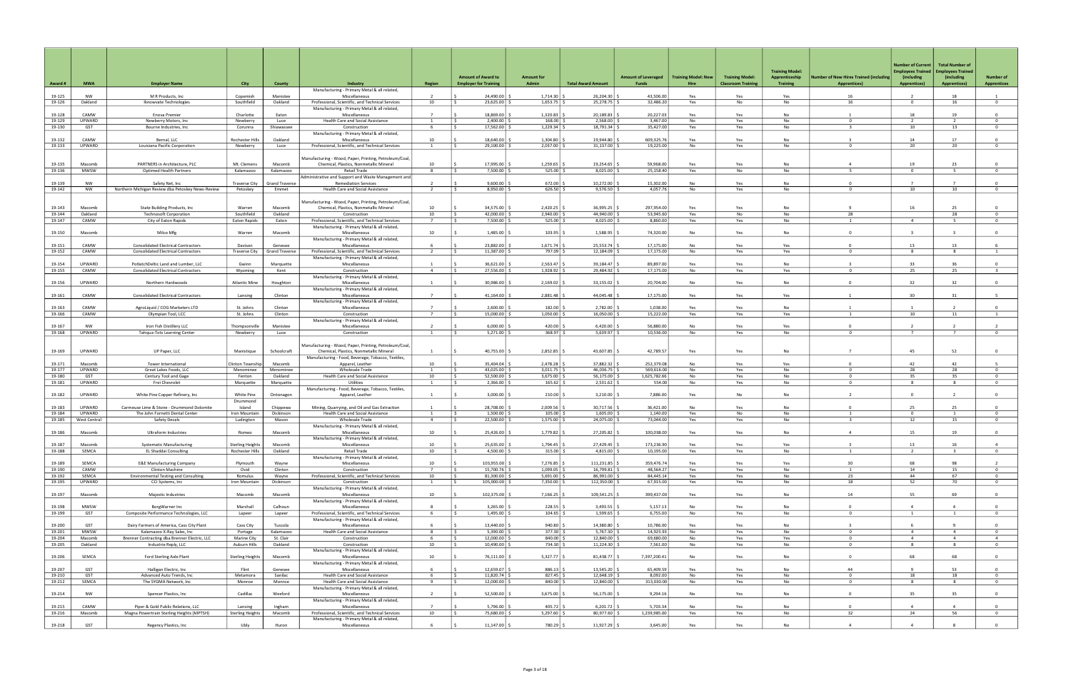| Award #          | <b>MWA</b>             | <b>Employer Name</b>                                            | <b>City</b>                                | County                | Industry                                                                                          | <b>Region</b>                    | <b>Amount of Award to</b><br><b>Employer for Training</b> | <b>Amount for</b><br>Admin   | <b>Total Award Amount</b> | <b>Amount of Leveraged</b><br>Funds | <b>Training Model: New</b><br>Hire | <b>Training Model:</b><br><b>Classroom Training</b> | <b>Training Model:</b><br>Apprenticeship<br><b>Training</b> | umber of New Hires Trained (including<br><b>Apprentices)</b> | <b>Number of Current</b><br><b>Imployees Trained</b><br>(including<br><b>Apprentices)</b> | <b>Total Number of</b><br><b>Employees Trained</b><br>(including<br><b>Apprentices)</b> | <b>Number of</b><br><b>Apprentices</b> |
|------------------|------------------------|-----------------------------------------------------------------|--------------------------------------------|-----------------------|---------------------------------------------------------------------------------------------------|----------------------------------|-----------------------------------------------------------|------------------------------|---------------------------|-------------------------------------|------------------------------------|-----------------------------------------------------|-------------------------------------------------------------|--------------------------------------------------------------|-------------------------------------------------------------------------------------------|-----------------------------------------------------------------------------------------|----------------------------------------|
|                  |                        |                                                                 |                                            |                       | Manufacturing - Primary Metal & all related,                                                      |                                  |                                                           |                              |                           |                                     |                                    |                                                     |                                                             |                                                              |                                                                                           |                                                                                         |                                        |
| 19-125<br>19-126 | <b>NW</b><br>Oakland   | M R Products, Inc<br>Iknowvate Technologies                     | Copemish<br>Southfield                     | Manistee<br>Oakland   | Miscellaneous<br>Professional, Scientific, and Technical Services                                 | $\overline{2}$<br>10             | 24,490.00<br>$23,625.00$ \$                               | 1,714.30<br>1,653.75         | 26,204.30<br>25,278.75    | 43,506.00<br>32,486.20              | Yes<br>Yes                         | Yes<br>No                                           | Yes<br>No                                                   | 16<br>16                                                     | $\overline{2}$<br>$\overline{0}$                                                          | 18<br>16                                                                                | $\overline{1}$<br>$\overline{0}$       |
|                  |                        |                                                                 |                                            |                       | Manufacturing - Primary Metal & all related,                                                      |                                  |                                                           |                              |                           |                                     |                                    |                                                     |                                                             |                                                              |                                                                                           |                                                                                         |                                        |
| 19-128           | CAMW                   | Enova Premier                                                   | Charlotte                                  | Eaton                 | Miscellaneous                                                                                     | $\overline{7}$                   | 18,869,00                                                 | $1,320.83$ :                 | 20,189.83                 | 20,227.03                           | Yes                                | Yes                                                 | <b>No</b>                                                   |                                                              | 18                                                                                        | 19                                                                                      | $\Omega$                               |
| 19-129           | UPWARD                 | Newberry Motors, Inc.                                           | Newberry                                   | Luce                  | Health Care and Social Assistance                                                                 | $\overline{1}$                   | $2,400.00$ $\mid$ 9                                       | $168.00$ \$                  | 2,568.00                  | 3,467.00                            | No                                 | Yes                                                 | No                                                          | $^{\circ}$                                                   | 2                                                                                         | 2                                                                                       | $^{\circ}$                             |
| 19-130           | GST                    | Bourne Industries, Inc.                                         | Corunna                                    | Shiawassee            | Construction                                                                                      |                                  | 17,562.00                                                 | 1,229.34                     | 18,791.34                 | 35,427.00                           | Yes                                | Yes                                                 | No                                                          | $\mathbf{B}$                                                 | 10                                                                                        | 13                                                                                      | $\overline{0}$                         |
| 19-132           | CAMW                   |                                                                 | <b>Rochester Hills</b>                     | Oakland               | Manufacturing - Primary Metal & all related,<br>Miscellaneous                                     | 10                               | 18.640.00                                                 | 1,304.80                     | 19,944.80                 | 609.325.76                          |                                    |                                                     | <b>No</b>                                                   |                                                              | 14                                                                                        | 17                                                                                      | $\mathbf{0}$                           |
| 19-133           | UPWARD                 | Bernal, LLC<br>Louisiana Pacific Corporation                    | Newberry                                   | Luce                  | Professional, Scientific, and Technical Services                                                  | $\overline{1}$                   | 29,100.00                                                 | 2,037.00                     | 31,137.00                 | 19,225.00                           | Yes<br>No                          | Yes<br>Yes                                          | No                                                          | $\Omega$                                                     | 20                                                                                        | 20                                                                                      | $\overline{0}$                         |
|                  |                        |                                                                 |                                            |                       |                                                                                                   |                                  |                                                           |                              |                           |                                     |                                    |                                                     |                                                             |                                                              |                                                                                           |                                                                                         |                                        |
|                  |                        |                                                                 |                                            |                       | Manufacturing - Wood, Paper, Printing, Petroleum/Coal,                                            |                                  |                                                           |                              |                           |                                     |                                    |                                                     |                                                             |                                                              |                                                                                           |                                                                                         |                                        |
| 19-135           | Macomb                 | PARTNERS in Architecture, PLC                                   | Mt. Clemens                                | Macomb                | Chemical, Plastics, Nonmetallic Mineral                                                           | 10                               | 17.995.00                                                 | 1,259.65                     | 19,254.65                 | 59.968.00                           | Yes                                | Yes                                                 | <b>No</b>                                                   | $\Delta$                                                     | 19                                                                                        | 23                                                                                      | $\Omega$                               |
| 19-136           | MWSW                   | <b>Optimed Health Partners</b>                                  | Kalamazoo                                  | Kalamazoo             | Retail Trade<br>Administrative and Support and Waste Management and                               | 8                                | 7,500.00 \$                                               | $525.00$ \$                  | 8,025.00                  | 25,158.40                           | Yes                                | No                                                  | No                                                          | -5.                                                          | $\Omega$                                                                                  | 5 <sup>5</sup>                                                                          | $\circ$                                |
| 19-139           | <b>NW</b>              | Safety Net, Inc                                                 | <b>Traverse City</b>                       | <b>Grand Traverse</b> | <b>Remediation Services</b>                                                                       |                                  | 9.600.00                                                  | 672.00                       | 10,272.00                 | 15,302.00                           | No                                 | Yes                                                 | No                                                          | $\Omega$                                                     | $\overline{7}$                                                                            |                                                                                         | $\Omega$                               |
| 19-142           | <b>NW</b>              | Northern Michigan Review dba Petoskey News-Review               | Petoskey                                   | Emmet                 | Health Care and Social Assistance                                                                 | $\overline{2}$                   | $8,950.00$ \$                                             | $626.50$ \$                  | 9,576.50                  | 4,057.76                            | No                                 | Yes                                                 | No                                                          | $\Omega$                                                     | 10                                                                                        | 10                                                                                      | $\overline{0}$                         |
|                  |                        |                                                                 |                                            |                       |                                                                                                   |                                  |                                                           |                              |                           |                                     |                                    |                                                     |                                                             |                                                              |                                                                                           |                                                                                         |                                        |
|                  |                        |                                                                 |                                            |                       | Manufacturing - Wood, Paper, Printing, Petroleum/Coal,                                            | 10                               |                                                           |                              |                           |                                     |                                    |                                                     |                                                             |                                                              |                                                                                           |                                                                                         | $\Omega$                               |
| 19-143<br>19-144 | Macomb<br>Oakland      | State Building Products, Inc<br><b>Technosoft Corporation</b>   | Warren<br>Southfield                       | Macomb<br>Oakland     | Chemical, Plastics, Nonmetallic Mineral<br>Construction                                           | 10                               | 34,575.00<br>42.000.00                                    | 2,420.25<br>2,940.00         | 36,995.25<br>44.940.00    | 297,954.00<br>53,945.60             | Yes<br>Yes                         | Yes<br>No                                           | <b>No</b><br>No                                             | 28                                                           | 16                                                                                        | 25<br>28                                                                                | $\Omega$                               |
| 19-147           | CAMW                   | City of Eaton Rapids                                            | Eaton Rapids                               | Eaton                 | Professional, Scientific, and Technical Services                                                  | $\overline{7}$                   | $7,500.00$ $\mid$ \$                                      | $525.00$ $\frac{2}{5}$       | 8,025.00                  | 8,860.00                            | Yes                                | Yes                                                 | No                                                          | $\mathbf{1}$                                                 | $\overline{4}$                                                                            | -5                                                                                      | $^{\circ}$                             |
|                  |                        |                                                                 |                                            |                       | Manufacturing - Primary Metal & all related,                                                      |                                  |                                                           |                              |                           |                                     |                                    |                                                     |                                                             |                                                              |                                                                                           |                                                                                         |                                        |
| 19-150           | Macomb                 | Milco Mfg                                                       | Warren                                     | Macomb                | Miscellaneous                                                                                     | 10                               | 1,485.00                                                  | 103.95                       | 1,588.95                  | 74,320.00                           | No                                 | Yes                                                 | No                                                          | $\Omega$                                                     |                                                                                           |                                                                                         | $\overline{0}$                         |
| 19-151           | CAMW                   | <b>Consolidated Electrical Contractors</b>                      | Davison                                    | Genesee               | Manufacturing - Primary Metal & all related,<br>Miscellaneous                                     |                                  | 23,882.00                                                 | 1,671.74                     | 25,553.74                 | 17,175.00                           | <b>No</b>                          | Yes                                                 | Yes                                                         |                                                              | 13                                                                                        | 13                                                                                      | 6                                      |
| 19-152           | CAMW                   | <b>Consolidated Electrical Contractors</b>                      | <b>Traverse City</b>                       | <b>Grand Traverse</b> | Professional, Scientific, and Technical Services                                                  | $\overline{2}$                   | 11,387.00                                                 | 797.09                       | 12,184.09                 | 17,175.00                           | No                                 | Yes                                                 | Yes                                                         | $\Omega$                                                     | 8                                                                                         | 8                                                                                       |                                        |
|                  |                        |                                                                 |                                            |                       | Manufacturing - Primary Metal & all related,                                                      |                                  |                                                           |                              |                           |                                     |                                    |                                                     |                                                             |                                                              |                                                                                           |                                                                                         |                                        |
| 19-154           | UPWARD                 | PotlatchDeltic Land and Lumber, LLC                             | Gwinn                                      | Marquette             | Miscellaneous                                                                                     |                                  | 36.621.00                                                 | 2.563.47                     | 39.184.47                 | 89.897.00                           | Yes                                | Yes                                                 | <b>No</b>                                                   |                                                              | 33                                                                                        | 36                                                                                      | $\Omega$                               |
| 19-155           | CAMW                   | <b>Consolidated Electrical Contractors</b>                      | Wyoming                                    | Kent                  | Construction                                                                                      | $\overline{4}$                   | 27,556.00                                                 | 1,928.92                     | 29,484.92                 | 17,175.00                           | No                                 | Yes                                                 | Yes                                                         | $\Omega$                                                     | 25                                                                                        | 25                                                                                      | 3                                      |
| 19-156           | UPWARD                 | Northern Hardwoods                                              | <b>Atlantic Mine</b>                       | Houghton              | Manufacturing - Primary Metal & all related,<br>Miscellaneous                                     | $\overline{1}$                   | 30.986.00                                                 | 2,169.02                     | 33,155.02                 | 20.704.00                           | No                                 | Yes                                                 | No                                                          | $\Omega$                                                     | 32                                                                                        | 32                                                                                      | $\Omega$                               |
|                  |                        |                                                                 |                                            |                       | Manufacturing - Primary Metal & all related,                                                      |                                  |                                                           |                              |                           |                                     |                                    |                                                     |                                                             |                                                              |                                                                                           |                                                                                         |                                        |
| 19-161           | CAMW                   | <b>Consolidated Electrical Contractors</b>                      | Lansing                                    | Clinton               | Miscellaneous                                                                                     | $\overline{7}$                   | 41,164.00                                                 | 2,881.48                     | 44,045.48                 | 17.175.00                           | Yes                                | Yes                                                 | Yes                                                         |                                                              | 30                                                                                        | 31                                                                                      | $\overline{5}$                         |
|                  |                        |                                                                 |                                            |                       | Manufacturing - Primary Metal & all related,                                                      |                                  |                                                           |                              |                           |                                     |                                    |                                                     |                                                             |                                                              |                                                                                           |                                                                                         |                                        |
| 19-163<br>19-166 | CAMW<br>CAMW           | AgroLiquid / COG Marketers LTD                                  | St. Johns<br>St. Johns                     | Clinton<br>Clinton    | Miscellaneous                                                                                     | $\overline{7}$                   | 2,600.00<br>15,000,00                                     | 182.00<br>1.050.00           | 2,782.00<br>16.050.00     | 1,038.00<br>15.222.00               | Yes<br>Yes                         | Yes<br>Yes                                          | <b>No</b><br>Yes                                            |                                                              | 10                                                                                        | 11                                                                                      | $\Omega$<br>$\overline{1}$             |
|                  |                        | Olympian Tool, LCC                                              |                                            |                       | Construction<br>Manufacturing - Primary Metal & all related,                                      |                                  |                                                           |                              |                           |                                     |                                    |                                                     |                                                             |                                                              |                                                                                           |                                                                                         |                                        |
| 19-167           | NW                     | Iron Fish Distillery LLC                                        | Thompsonville                              | Manistee              | Miscellaneous                                                                                     |                                  | 6,000.00                                                  | 420.00                       | 6,420.00                  | 56,880.00                           | No                                 | Yes                                                 | Yes                                                         |                                                              |                                                                                           |                                                                                         |                                        |
| 19-168           | UPWARD                 | Tahqua-Tots Learning Center                                     | Newberry                                   | Luce                  | Construction                                                                                      | $\overline{1}$                   | 5,271.00                                                  | $368.97$ \$                  | 5,639.97                  | 10.536.00                           | No                                 | Yes                                                 | <b>No</b>                                                   | $\Omega$                                                     | $\overline{7}$                                                                            | $\overline{7}$                                                                          | $\Omega$                               |
|                  |                        |                                                                 |                                            |                       |                                                                                                   |                                  |                                                           |                              |                           |                                     |                                    |                                                     |                                                             |                                                              |                                                                                           |                                                                                         |                                        |
| 19-169           | UPWARD                 | UP Paper, LLC                                                   | Manistique                                 | Schoolcraft           | Manufacturing - Wood, Paper, Printing, Petroleum/Coal,<br>Chemical, Plastics, Nonmetallic Mineral | $\overline{1}$                   | 40,755.00                                                 | 2,852.85                     | 43,607.85                 | 42,789.57                           | Yes                                | Yes                                                 | No                                                          |                                                              | 45                                                                                        | 52                                                                                      | $\overline{0}$                         |
|                  |                        |                                                                 |                                            |                       | Manufacturing - Food, Beverage, Tobacco, Textiles,                                                |                                  |                                                           |                              |                           |                                     |                                    |                                                     |                                                             |                                                              |                                                                                           |                                                                                         |                                        |
| 19-171           | Macomb                 | <b>Tower International</b>                                      | Clinton Township                           | Macomb                | Apparel, Leather                                                                                  | 10                               | 35.404.04                                                 | 2,478.28                     | 37,882.32                 | 252,379.08                          | <b>No</b>                          | Yes                                                 | Yes                                                         |                                                              | 42                                                                                        | 42                                                                                      |                                        |
| 19-177           | UPWARD                 | Great Lakes Foods, LLC                                          | Menominee                                  | Menominee             | <b>Wholesale Trade</b>                                                                            | $\overline{1}$                   | 43,025.00 \$                                              | 3,011.75                     | 46,036.75                 | 569,616.00                          | No                                 | Yes                                                 | No                                                          | $^{\circ}$                                                   | 28                                                                                        | 28                                                                                      | $\overline{0}$                         |
| 19-180<br>19-181 | GST<br>UPWARD          | Century Tool and Gage<br>Frei Chevrolet                         | Fenton<br>Marquette                        | Oakland<br>Marquette  | Health Care and Social Assistance<br>Utilities                                                    | 10<br>$\overline{1}$             | 52,500.00<br>2,366.00                                     | 3,675.00<br>165.62           | 56,175.00<br>2,531.62     | 1,625,782.66<br>554.00              | No<br>No                           | Yes<br>Yes                                          | No<br>No                                                    | 0<br>$\Omega$                                                | 35<br>-8                                                                                  | 35<br>$\mathbf{8}$                                                                      | $\mathbf{0}$<br>$\Omega$               |
|                  |                        |                                                                 |                                            |                       | Manufacturing - Food, Beverage, Tobacco, Textiles,                                                |                                  |                                                           |                              |                           |                                     |                                    |                                                     |                                                             |                                                              |                                                                                           |                                                                                         |                                        |
| 19-182           | UPWARD                 | White Pine Copper Refinery, Inc                                 | White Pine                                 | Ontonagon             | Apparel, Leather                                                                                  |                                  | 3,000.00                                                  | 210.00                       | 3,210.00                  | 7,886.00                            | Yes                                | No                                                  | No                                                          |                                                              | $\Omega$                                                                                  |                                                                                         | $\overline{0}$                         |
|                  |                        |                                                                 | Drummond                                   |                       |                                                                                                   |                                  |                                                           |                              |                           |                                     |                                    |                                                     |                                                             |                                                              |                                                                                           |                                                                                         |                                        |
| 19-183           | UPWARD                 | Carmeuse Lime & Stone - Drummond Dolomite                       | Island                                     | Chippewa              | Mining, Quarrying, and Oil and Gas Extraction                                                     | $\overline{1}$                   | 28,708.00                                                 | 2,009.56                     | 30,717.56                 | 36.421.00                           | <b>No</b>                          | Yes                                                 | <b>No</b>                                                   | $\Omega$                                                     | 25                                                                                        | 25                                                                                      | $\Omega$                               |
| 19-184<br>19-185 | UPWARD<br>West Central | The John Fornetti Dental Center<br>Safety Decals                | Iron Mountain<br>Ludington                 | Dickinson<br>Mason    | Health Care and Social Assistance<br><b>Wholesale Trade</b>                                       | $\overline{1}$<br>$\overline{4}$ | 1,500.00<br>22,500.00                                     | 105.00<br>1,575.00           | 1,605.00<br>24,075.00     | 1,140.00<br>73,044.00               | Yes<br>Yes                         | No<br>Yes                                           | No<br>No                                                    | $\overline{1}$<br>-3                                         | $\overline{0}$<br>12                                                                      | 1<br>15                                                                                 | $\overline{0}$<br>$^{\circ}$           |
|                  |                        |                                                                 |                                            |                       | Manufacturing - Primary Metal & all related,                                                      |                                  |                                                           |                              |                           |                                     |                                    |                                                     |                                                             |                                                              |                                                                                           |                                                                                         |                                        |
| 19-186           | Macomb                 | Ultraform Industries                                            | Romeo                                      | Macomb                | Miscellaneous                                                                                     | 10                               | 25,426.00                                                 | 1,779.82                     | 27,205.82                 | 100.038.00                          | Yes                                | Yes                                                 | <b>No</b>                                                   | $\mathbf{A}$                                                 | 15                                                                                        | 19                                                                                      | $\Omega$                               |
|                  |                        |                                                                 |                                            |                       | Manufacturing - Primary Metal & all related,                                                      |                                  |                                                           |                              |                           |                                     |                                    |                                                     |                                                             |                                                              |                                                                                           |                                                                                         |                                        |
| 19-187<br>19-188 | Macomb<br>SEMCA        | <b>Systematic Manufacturing</b><br><b>EL Shaddai Consulting</b> | <b>Sterling Heights</b><br>Rochester Hills | Macomb<br>Oakland     | Miscellaneous<br>Retail Trade                                                                     | 10<br>10                         | 25,635.00<br>$4,500.00$ \ \;                              | $1,794.45$ \$<br>$315.00$ \$ | 27,429.45<br>4,815.00     | 173,236.90<br>10,195.00             | Yes<br>Yes                         | Yes<br>Yes                                          | Yes<br>No                                                   | 1                                                            | 13<br>$\overline{2}$                                                                      | 16<br>$\overline{\mathbf{3}}$                                                           | $\mathbf{0}$                           |
|                  |                        |                                                                 |                                            |                       | Manufacturing - Primary Metal & all related,                                                      |                                  |                                                           |                              |                           |                                     |                                    |                                                     |                                                             |                                                              |                                                                                           |                                                                                         |                                        |
| 19-189           | SEMCA                  | <b>E&amp;E Manufacturing Company</b>                            | Plymouth                                   | Wayne                 | Miscellaneous                                                                                     | 10                               | 103,955.00 \$                                             | 7,276.85 \$                  | 111,231.85                | 359,476.74                          | Yes                                | Yes                                                 | Yes                                                         | 30                                                           | 68                                                                                        | 98                                                                                      | $\overline{2}$                         |
| 19-190           | CAMW                   | Clinton Machine                                                 | Ovid                                       | Clinton               | Construction                                                                                      | $\overline{7}$                   | 15,700.76 \$                                              | 1,099.05                     | 16,799.81                 | 48,564.27                           | Yes                                | Yes                                                 | No                                                          | <sup>1</sup>                                                 | 14                                                                                        | 15                                                                                      | $^{\circ}$                             |
| 19-192           | SEMCA<br>UPWARD        | <b>Environmental Testing and Consulting</b>                     | Romulus<br>Iron Mountain                   | Wayne                 | Professional, Scientific, and Technical Services                                                  | 10<br>$\overline{1}$             | $81,300.00$ :<br>105,000.00 \$                            | 5,691.00<br>7,350.00 \$      | 86,991.00                 | 84,445.14                           | Yes                                | Yes                                                 | No                                                          | 23                                                           | 44                                                                                        | 67                                                                                      | $\overline{0}$<br>$\overline{0}$       |
| 19-195           |                        | CCI Systems, Inc                                                |                                            | Dickinson             | Construction<br>Manufacturing - Primary Metal & all related,                                      |                                  |                                                           |                              | 112,350.00                | 67,915.00                           | Yes                                | Yes                                                 | No                                                          | 18                                                           | 52                                                                                        | 70                                                                                      |                                        |
| 19-197           | Macomb                 | Majestic Industries                                             | Macomb                                     | Macomb                | Miscellaneous                                                                                     | 10                               | 102,375.00                                                | 7,166.25                     | 109,541.25                | 399,437.00                          | Yes                                | Yes                                                 | No                                                          | 14                                                           | 55                                                                                        | 69                                                                                      | $\overline{0}$                         |
|                  |                        |                                                                 |                                            |                       | Manufacturing - Primary Metal & all related,                                                      |                                  |                                                           |                              |                           |                                     |                                    |                                                     |                                                             |                                                              |                                                                                           |                                                                                         |                                        |
| 19-198           | <b>MWSW</b>            | BorgWarner Inc                                                  | Marshall                                   | Calhoun               | Miscellaneous                                                                                     |                                  | 3,265.00                                                  | $228.55$ \$                  | 3,493.55                  | 5,157.13                            | No                                 | Yes                                                 | No                                                          | $\Omega$                                                     | $\overline{4}$                                                                            | $\overline{4}$                                                                          | $\overline{0}$                         |
| 19-199           | GST                    | Composite Performance Technologies, LLC                         | Lapeer                                     | Lapeer                | Professional, Scientific, and Technical Services<br>Manufacturing - Primary Metal & all related,  | - 6                              | $1,495.00$ \$                                             | $104.65$ \$                  | 1,599.65                  | 6,755.00                            | No                                 | Yes                                                 | No                                                          | $\mathbf{0}$                                                 | $\overline{1}$                                                                            | <sup>1</sup>                                                                            | $\overline{0}$                         |
| 19-200           | GST                    | Dairy Farmers of America, Cass City Plant                       | Cass City                                  | Tuscola               | Miscellaneous                                                                                     |                                  | 13,440.00                                                 | $940.80$ \$                  | 14,380.80                 | 10,786.00                           | Yes                                | Yes                                                 | No                                                          |                                                              |                                                                                           |                                                                                         | $\Omega$                               |
| 19-201           | <b>MWSW</b>            | Kalamazoo X-Ray Sales, Inc.                                     | Portage                                    | Kalamazoo             | Health Care and Social Assistance                                                                 | 8                                | $5.390.00$ S                                              | $377.30$ \$                  | 5,767.30                  | 14.925.93                           | No                                 | Yes                                                 | No                                                          | $\Omega$                                                     | $\overline{4}$                                                                            | $\overline{4}$                                                                          | $\overline{0}$                         |
| 19-204           | Macomb                 | Brenner Contracting dba Brenner Electric, LLC                   | Marine City                                | St. Clair             | Construction                                                                                      | 6                                | 12,000.00 \$                                              | $840.00$ \$                  | 12,840.00                 | 69,680.00                           | No                                 | Yes                                                 | Yes                                                         | $\mathbf{O}$                                                 | $\overline{4}$                                                                            | $\overline{4}$                                                                          | $\overline{4}$                         |
| 19-205           | Oakland                | Industrie Reply, LLC                                            | Auburn Hills                               | Oakland               | Construction                                                                                      | 10                               | 10,490.00                                                 | 734.30                       | 11,224.30                 | 7,561.00                            | No                                 | Yes                                                 | No                                                          | $^{\circ}$                                                   | 8                                                                                         | 8                                                                                       | $\overline{0}$                         |
| 19-206           | SEMCA                  | Ford Sterling Axle Plant                                        | <b>Sterling Heights</b>                    | Macomb                | Manufacturing - Primary Metal & all related,<br>Miscellaneous                                     | 10                               | 76,111.00                                                 | $5,327.77$ \$                | 81,438.77                 | 7,397,200.41                        | No                                 | Yes                                                 | No                                                          | $\Omega$                                                     | 68                                                                                        | 68                                                                                      | $\mathbf{0}$                           |
|                  |                        |                                                                 |                                            |                       | Manufacturing - Primary Metal & all related,                                                      |                                  |                                                           |                              |                           |                                     |                                    |                                                     |                                                             |                                                              |                                                                                           |                                                                                         |                                        |
| 19-207           | GST                    | Halligan Electric, Inc                                          | Flint                                      | Genesee               | Miscellaneous                                                                                     | - 6                              | 12,659.07 \$                                              | 886.13                       | 13,545.20                 | 65,409.59                           | Yes                                | Yes                                                 | No                                                          | 44                                                           | $\mathbf{q}$                                                                              | 53                                                                                      | $\overline{0}$                         |
| 19-210           | GST                    | Advanced Auto Trends, Inc                                       | Metamora                                   | Sanilac               | Health Care and Social Assistance                                                                 | - 6                              | 11,820.74 \$                                              | $827.45$ \$                  | 12,648.19                 | 8,092.00                            | No                                 | Yes                                                 | No                                                          | $\mathbf 0$                                                  | 18                                                                                        | 18                                                                                      | $\overline{0}$                         |
| 19-212           | SEMCA                  | The SYGMA Network, Inc.                                         | Monroe                                     | Monroe                | Health Care and Social Assistance<br>Manufacturing - Primary Metal & all related,                 | $\mathbf{q}$                     | $12,000.00$ \ \;                                          | $840.00$ \$                  | 12,840.00                 | 313,030.00                          | No                                 | Yes                                                 | No                                                          | $\Omega$                                                     | 8                                                                                         | 8                                                                                       | $\overline{0}$                         |
| 19-214           | NW                     | Spencer Plastics, Inc                                           | Cadillac                                   | Wexford               | Miscellaneous                                                                                     | 2                                | $52,500.00$ :                                             | $3,675.00$ \$                | 56,175.00                 | 9,294.16                            | No                                 | Yes                                                 | No                                                          | $\circ$                                                      | 35                                                                                        | 35                                                                                      | $\overline{0}$                         |
|                  |                        |                                                                 |                                            |                       | Manufacturing - Primary Metal & all related,                                                      |                                  |                                                           |                              |                           |                                     |                                    |                                                     |                                                             |                                                              |                                                                                           |                                                                                         |                                        |
| 19-215           | CAMW                   | Piper & Gold Public Relations, LLC                              | Lansing                                    | Ingham                | Miscellaneous                                                                                     | $\overline{7}$                   | 5.796.00                                                  | $405.72$ S                   | 6,201.72                  | 5.703.34                            | No                                 | Yes                                                 | <b>No</b>                                                   | $\Omega$                                                     | $\overline{4}$                                                                            | $\overline{4}$                                                                          | $\overline{0}$                         |
| 19-216           | Macomb                 | Magna Powertrain Sterling Heights (MPTSH)                       | Sterling Heights                           | Macomb                | Professional, Scientific, and Technical Services                                                  | 10                               | 75,680.00 \$                                              | $5,297.60$ \$                | 80,977.60                 | 1,239,985.00                        | Yes                                | Yes                                                 | No                                                          | 32                                                           | 24                                                                                        | 56                                                                                      | $\overline{0}$                         |
| 19-218           | GST                    | Regency Plastics, Inc                                           | Ubly                                       | Huron                 | Manufacturing - Primary Metal & all related,<br>Miscellaneous                                     | -6                               | 11,147.00 \$                                              | 780.29 \$                    | 11,927.29 \$              | 3,645.00                            | Yes                                | Yes                                                 | No                                                          | $\overline{4}$                                               | $\overline{a}$                                                                            | 8                                                                                       | $\overline{0}$                         |
|                  |                        |                                                                 |                                            |                       |                                                                                                   |                                  |                                                           |                              |                           |                                     |                                    |                                                     |                                                             |                                                              |                                                                                           |                                                                                         |                                        |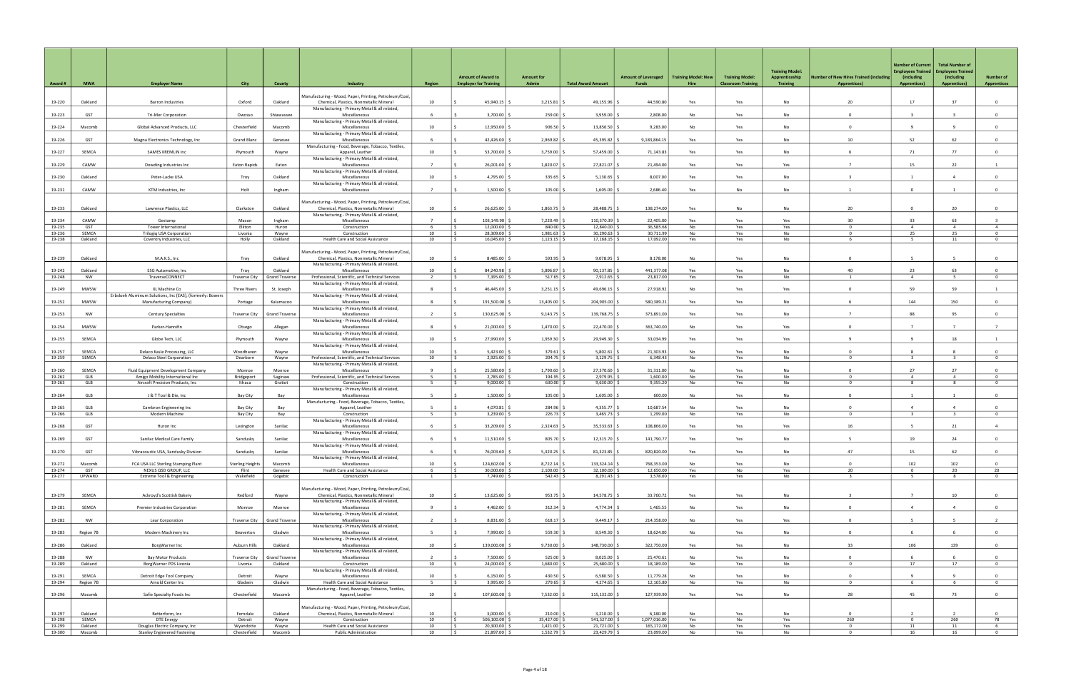| Award #          | <b>MWA</b>         | <b>Employer Name</b>                                                                | City                             | County                | Industry                                                                                         | <b>Region</b>      | <b>Amount of Award to</b><br><b>Employer for Training</b> | <b>Amount for</b><br>Admin       | <b>Total Award Amount</b>      | <b>Amount of Leveraged</b><br>Funds | <b>Training Model: New</b><br>Hire | <b>Training Model:</b><br><b>Classroom Training</b> | <b>Training Model:</b><br>Apprenticeship<br><b>Training</b> | <b>Iumber of New Hires Trained (including</b><br><b>Apprentices)</b> | <b>Number of Current</b><br><b>Imployees Trained</b><br>(including<br><b>Apprentices)</b> | <b>Total Number of</b><br><b>Employees Trained</b><br>(including<br><b>Apprentices)</b> | <b>Number of</b><br><b>Apprentices</b> |
|------------------|--------------------|-------------------------------------------------------------------------------------|----------------------------------|-----------------------|--------------------------------------------------------------------------------------------------|--------------------|-----------------------------------------------------------|----------------------------------|--------------------------------|-------------------------------------|------------------------------------|-----------------------------------------------------|-------------------------------------------------------------|----------------------------------------------------------------------|-------------------------------------------------------------------------------------------|-----------------------------------------------------------------------------------------|----------------------------------------|
|                  |                    |                                                                                     |                                  |                       | Manufacturing - Wood, Paper, Printing, Petroleum/Coal,                                           |                    |                                                           |                                  |                                |                                     |                                    |                                                     |                                                             |                                                                      |                                                                                           |                                                                                         |                                        |
| 19-220           | Oakland            | <b>Barron Industries</b>                                                            | Oxford                           | Oakland               | Chemical, Plastics, Nonmetallic Mineral<br>Manufacturing - Primary Metal & all related,          | 10                 | 45,940.15                                                 | 3,215.81                         | 49,155.96                      | 44.590.80                           | Yes                                | Yes                                                 | No                                                          | 20                                                                   | 17                                                                                        | 37                                                                                      | $\overline{0}$                         |
| 19-223           | GST                | <b>Tri-Mer Corporation</b>                                                          | Owosso                           | Shiawassee            | Miscellaneous<br>Manufacturing - Primary Metal & all related,                                    |                    | 3,700.00                                                  | 259.00                           | 3,959.00                       | 2,808.00                            | No                                 | Yes                                                 | No                                                          | $\Omega$                                                             |                                                                                           |                                                                                         | $\Omega$                               |
| 19-224           | Macomb             | Global Advanced Products, LLC                                                       | Chesterfield                     | Macomb                | Miscellaneous<br>Manufacturing - Primary Metal & all related,                                    | 10                 | 12,950.00                                                 | 906.50                           | 13,856.50                      | 9,283.00                            | No                                 | Yes                                                 | No                                                          | $\Omega$                                                             | $\overline{9}$                                                                            | 9                                                                                       | $\overline{0}$                         |
| 19-226           | GST                | Magna Electronics Technology, Inc                                                   | Grand Blanc                      | Genesee               | Miscellaneous<br>Manufacturing - Food, Beverage, Tobacco, Textiles,                              | -6                 | 42,426.00                                                 | 2,969.82                         | 45,395.82                      | 9,183,864.15                        | Yes                                | Yes                                                 | <b>No</b>                                                   | 10                                                                   | 52                                                                                        | 62                                                                                      | $\overline{0}$                         |
| 19-227           | SEMCA              | <b>SAMES KREMLIN Inc</b>                                                            | Plymouth                         | Wayne                 | Apparel, Leather                                                                                 | 10                 | 53,700.00                                                 | 3,759.00                         | 57,459.00                      | 71,143.83                           | Yes                                | Yes                                                 | No                                                          |                                                                      | 71                                                                                        | 77                                                                                      | $\mathbf{0}$                           |
| 19-229           | CAMW               | Dowding Industries Inc                                                              | <b>Eaton Rapids</b>              | Eaton                 | Manufacturing - Primary Metal & all related,<br>Miscellaneous                                    | $\overline{7}$     | 26,001.00                                                 | 1,820.07                         | 27,821.07                      | 21,494.00                           | Yes                                | Yes                                                 | Yes                                                         | $\overline{7}$                                                       | 15                                                                                        | 22                                                                                      | $\overline{1}$                         |
| 19-230           | Oakland            | Peter-Lacke USA                                                                     | Troy                             | Oakland               | Manufacturing - Primary Metal & all related,<br>Miscellaneous                                    | 10                 | 4,795.00                                                  | 335.65                           | 5,130.65                       | 8,007.00                            | Yes                                | Yes                                                 | <b>No</b>                                                   |                                                                      |                                                                                           | $\mathbf{A}$                                                                            | $\Omega$                               |
| 19-231           | CAMW               | KTM Industries, Inc                                                                 | Holt                             | Ingham                | Manufacturing - Primary Metal & all related,<br>Miscellaneous                                    | $\overline{7}$     | 1,500.00                                                  | $105.00$   \$                    | 1,605.00                       | 2,686.40                            | Yes                                | No                                                  | No                                                          |                                                                      | $^{\circ}$                                                                                |                                                                                         | $\overline{0}$                         |
|                  |                    |                                                                                     |                                  |                       | Manufacturing - Wood, Paper, Printing, Petroleum/Coal,                                           |                    |                                                           |                                  |                                |                                     |                                    |                                                     |                                                             |                                                                      |                                                                                           |                                                                                         |                                        |
| 19-233           | Oakland            | Lawrence Plastics, LLC                                                              | Clarkston                        | Oakland               | Chemical, Plastics, Nonmetallic Mineral<br>Manufacturing - Primary Metal & all related,          | 10                 | 26,625.00                                                 | 1,863.75                         | 28,488.75                      | 138,274.00                          | Yes                                | No                                                  | No                                                          | 20                                                                   | $\Omega$                                                                                  | 20                                                                                      | $\overline{0}$                         |
| 19-234           | CAMW               | Gestamp                                                                             | Mason                            | Ingham                | Miscellaneous                                                                                    | $\overline{7}$     | 103,149.90   9                                            | 7,220.49                         | 110,370.39                     | 22,405.00                           | Yes                                | Yes                                                 | Yes                                                         | 30                                                                   | 33                                                                                        | 63                                                                                      |                                        |
| 19-235<br>19-236 | GST<br>SEMCA       | Tower International<br><b>Trilogiq USA Corporation</b>                              | Elkton<br>Livonia                | Huron<br>Wayne        | Construction<br>Construction                                                                     | -6<br>10           | 12,000.00 \$<br>ΙŚ<br>28,309.00                           | $840.00$ :<br>1,981.63           | 12.840.00<br>30,290.63         | 36.585.68<br>30,711.99              | No<br>No                           | Yes<br>Yes                                          | Yes<br>No                                                   | $\Omega$<br>$^{\circ}$                                               | $\overline{4}$<br>25                                                                      | $\overline{4}$<br>25                                                                    | $\overline{4}$<br>$^{\circ}$           |
| 19-238           | Oakland            | Coventry Industries, LLC                                                            | Holly                            | Oakland               | Health Care and Social Assistance                                                                | 10                 | 16,045.00 \$<br>IS.                                       | $1,123.15$ \$                    | 17,168.15                      | 17,092.00                           | Yes                                | Yes                                                 | No                                                          | -6                                                                   | - 5                                                                                       | 11                                                                                      | $\overline{0}$                         |
|                  |                    |                                                                                     |                                  |                       | Manufacturing - Wood, Paper, Printing, Petroleum/Coal,                                           |                    |                                                           |                                  |                                |                                     |                                    |                                                     |                                                             |                                                                      |                                                                                           |                                                                                         |                                        |
| 19-239           | Oakland            | M.A.K.S., Inc                                                                       | Troy                             | Oakland               | Chemical, Plastics, Nonmetallic Mineral                                                          | 10                 | 8,485.00                                                  | 593.95                           | 9,078.95                       | 8,178.00                            | No                                 | Yes                                                 | No                                                          | $\Omega$                                                             | -5                                                                                        |                                                                                         | $\overline{0}$                         |
| 19-242           | Oakland            | <b>ESG Automotive, Inc.</b>                                                         | Troy                             | Oakland               | Manufacturing - Primary Metal & all related,<br>Miscellaneous                                    | 10                 | 84.240.98                                                 | 5.896.87                         | 90,137.85                      | 441.377.08                          | Yes                                | Yes                                                 | <b>No</b>                                                   | 40                                                                   | 23                                                                                        | 63                                                                                      | $\Omega$                               |
| 19-248           | NW                 | TraverseCONNECT                                                                     | <b>Traverse City</b>             | <b>Grand Traverse</b> | Professional, Scientific, and Technical Services<br>Manufacturing - Primary Metal & all related, | $\overline{2}$     | 7,395.00 \$<br>I S.                                       | $517.65$ \$                      | 7,912.65                       | 23,817.00                           | Yes                                | Yes                                                 | No                                                          | $\mathbf{1}$                                                         | $\overline{4}$                                                                            | 5                                                                                       | $\overline{0}$                         |
| 19-249           | MWSW               | XL Machine Co                                                                       | <b>Three Rivers</b>              | St. Joseph            | Miscellaneous                                                                                    | - 8                | 46,445.00                                                 | 3,251.15                         | 49,696.15                      | 27,918.92                           | No                                 | Yes                                                 | Yes                                                         | $\Omega$                                                             | 59                                                                                        | 59                                                                                      | <sup>1</sup>                           |
| 19-252           | MWSW               | Erbsloeh Aluminum Solutions, Inc (EAS), (formerly: Bowers<br>Manufacturing Company) | Portage                          | Kalamazoo             | Manufacturing - Primary Metal & all related,<br>Miscellaneous                                    | 8                  | 191,500.00                                                | 13,405.00                        | 204,905.00                     | 580,389.21                          | Yes                                | Yes                                                 | No                                                          |                                                                      | 144                                                                                       | 150                                                                                     | $\mathbf{0}$                           |
| 19-253           | NW                 | <b>Century Specialties</b>                                                          | <b>Traverse City</b>             | <b>Grand Traverse</b> | Manufacturing - Primary Metal & all related,<br>Miscellaneous                                    | $\overline{2}$     | 130,625.00                                                | 9,143.75                         | 139,768.75                     | 373,891.00                          | Yes                                | Yes                                                 | No                                                          | $\overline{7}$                                                       | 88                                                                                        | 95                                                                                      | $\overline{0}$                         |
| 19-254           | <b>MWSW</b>        | Parker-Hannifin                                                                     | Otsego                           | Allegan               | Manufacturing - Primary Metal & all related,<br>Miscellaneous                                    | $\mathbf{R}$       | 21,000.00                                                 | 1,470.00                         | 22,470.00                      | 363,740.00                          | No                                 | Yes                                                 | Yes                                                         | $\Omega$                                                             | $\overline{7}$                                                                            | $\overline{7}$                                                                          | $\overline{7}$                         |
| 19-255           | SEMCA              | Globe Tech, LLC                                                                     | Plymouth                         | Wayne                 | Manufacturing - Primary Metal & all related,<br>Miscellaneous                                    | 10                 | 27,990.00                                                 | 1,959.30                         | 29,949.30                      | 33,034.99                           | Yes                                | Yes                                                 | Yes                                                         |                                                                      | -9                                                                                        | 18                                                                                      |                                        |
|                  |                    |                                                                                     |                                  |                       | Manufacturing - Primary Metal & all related,                                                     |                    |                                                           |                                  |                                |                                     |                                    |                                                     |                                                             |                                                                      |                                                                                           |                                                                                         |                                        |
| 19-257<br>19-259 | SEMCA<br>SEMCA     | Delaco Kasle Processing, LLC<br>Delaco Steel Corporation                            | Woodhaven<br>Dearborn            | Wavne<br>Wayne        | Miscellaneous<br>Professional, Scientific, and Technical Services                                | 10<br>10           | 5.423.00<br>$2,925.00$ \ \$                               | 379.61 5<br>204.75               | 5.802.61<br>3,129.75           | 21.303.93<br>6,348.43               | No<br>No                           | Yes<br>Yes                                          | <b>No</b><br>No                                             | $\Omega$<br>$\Omega$                                                 | 8<br>$\overline{\mathbf{3}}$                                                              | 8<br>$\overline{\mathbf{3}}$                                                            | $\Omega$<br>$\overline{0}$             |
|                  |                    |                                                                                     |                                  |                       | Manufacturing - Primary Metal & all related,                                                     |                    |                                                           |                                  |                                |                                     |                                    |                                                     |                                                             |                                                                      |                                                                                           |                                                                                         |                                        |
| 19-260<br>19-262 | SEMCA<br>GLB       | Fluid Equipment Development Company<br>Amigo Mobility International Inc             | Monroe<br>Bridgeport             | Monroe<br>Saginaw     | Miscellaneous<br>Professional, Scientific, and Technical Services                                | $\mathbf{q}$<br>-5 | 25,580.00<br>2,785.00<br>ΙŚ                               | 1,790.60<br>194.95               | 27,370.60<br>2,979.95          | 31,311.00<br>1.600.00               | <b>No</b><br>No                    | Yes<br>Yes                                          | N <sub>0</sub><br>No                                        | $\Omega$                                                             | 27<br>$\overline{4}$                                                                      | 27<br>$\overline{4}$                                                                    | $\Omega$<br>$\Omega$                   |
| 19-263           | GLB                | Aircraft Precision Products, Inc                                                    | Ithaca                           | Gratiot               | Construction                                                                                     | 5                  | 9,000.00                                                  | 630.00                           | 9,630.00                       | 9,355.20                            | No                                 | Yes                                                 | No                                                          | $^{\circ}$                                                           | 8                                                                                         | 8                                                                                       | $^{\circ}$                             |
| 19-264           | GLB                | J & T Tool & Die, Inc                                                               | Bay City                         | Bay                   | Manufacturing - Primary Metal & all related,<br>Miscellaneous                                    | -5                 | 1,500.00                                                  | 105.00                           | 1,605.00                       | 600.00                              | No                                 | Yes                                                 | No                                                          | $\Omega$                                                             | $\overline{1}$                                                                            | $\overline{1}$                                                                          | $\overline{0}$                         |
|                  |                    |                                                                                     |                                  |                       | Manufacturing - Food, Beverage, Tobacco, Textiles,                                               |                    |                                                           |                                  |                                |                                     |                                    |                                                     |                                                             |                                                                      |                                                                                           |                                                                                         | $\Omega$                               |
| 19-265<br>19-266 | GLB<br>GLB         | Cambron Engineering Inc<br>Modern Machine                                           | Bay City<br>Bay City             | Bay<br>Bay            | Apparel, Leather<br>Construction                                                                 | -5<br>- 5          | 4,070.81<br>3,239.00                                      | 284.96<br>226.73                 | 4,355.77<br>3,465.73           | 10.687.54<br>1,299.00               | No<br>No                           | Yes<br>Yes                                          | <b>No</b><br>No                                             | $\Omega$<br>$\Omega$                                                 | $\mathbf{B}$                                                                              | 3                                                                                       | $^{\circ}$                             |
| 19-268           | GST                | Huron Inc                                                                           | Lexington                        | Sanilac               | Manufacturing - Primary Metal & all related,<br>Miscellaneous                                    | - 6                | 33.209.00                                                 | 2.324.63                         | 35.533.63                      | 108.866.00                          | Yes                                | Yes                                                 | Yes                                                         | 16                                                                   | $-5$                                                                                      | 21                                                                                      | $\overline{4}$                         |
| 19-269           | GST                | Sanilac Medical Care Family                                                         | Sandusky                         | Sanilac               | Manufacturing - Primary Metal & all related,<br>Miscellaneous                                    |                    | 11,510.00                                                 | 805.70                           | 12,315.70                      | 141,790.77                          | Yes                                | Yes                                                 | No.                                                         |                                                                      | 19                                                                                        | 24                                                                                      |                                        |
| 19-270           | GST                | Vibracoustic USA, Sandusky Division                                                 | Sandusky                         | Sanilac               | Manufacturing - Primary Metal & all related,<br>Miscellaneous                                    | -6                 | 76,003.60 \$                                              | 5,320.25                         | 81,323.85                      | 820,820.00                          | Yes                                | Yes                                                 | No                                                          | 47                                                                   | 15                                                                                        | 62                                                                                      | $\overline{0}$                         |
|                  |                    |                                                                                     |                                  |                       | Manufacturing - Primary Metal & all related,                                                     |                    |                                                           |                                  |                                |                                     |                                    |                                                     |                                                             |                                                                      |                                                                                           |                                                                                         |                                        |
| 19-272<br>19-274 | Macomb<br>GST      | FCA USA LLC Sterling Stamping Plant<br>NEXUS QSD GROUP, LLC                         | <b>Sterling Heights</b><br>Flint | Macomb<br>Genesee     | Miscellaneous<br>Health Care and Social Assistance                                               | 10<br>- 6          | 124,602.00 \$<br>30,000.00 \$<br>IS.                      | 8,722.14<br>2,100.00             | 133,324.14<br>32,100.00        | 768,353.00<br>12,650.00             | No<br>Yes                          | Yes<br>No                                           | No<br>Yes                                                   | $\Omega$<br>20                                                       | 102<br>$\mathbf 0$                                                                        | 102<br>20                                                                               | $\overline{0}$<br>20                   |
| 19-277           | UPWARD             | <b>Extreme Tool &amp; Engineering</b>                                               | Wakefield                        | Gogebic               | Construction                                                                                     | $\mathbf{1}$       | 7,749.00 \$                                               | $542.43$ \$                      | 8,291.43                       | 3,578.00                            | Yes                                | Yes                                                 | No                                                          | $\overline{3}$                                                       | -5                                                                                        | 8                                                                                       | $\overline{0}$                         |
|                  |                    |                                                                                     |                                  |                       | Manufacturing - Wood, Paper, Printing, Petroleum/Coal,                                           |                    |                                                           |                                  |                                |                                     |                                    |                                                     |                                                             |                                                                      |                                                                                           |                                                                                         |                                        |
| 19-279           | SEMCA              | Ackroyd's Scottish Bakery                                                           | Redford                          | Wayne                 | Chemical, Plastics, Nonmetallic Mineral<br>Manufacturing - Primary Metal & all related,          | 10                 | 13,625.00                                                 | 953.75                           | 14,578.75                      | 33,760.72                           | Yes                                | Yes                                                 | No                                                          | $\overline{z}$                                                       | $\overline{7}$                                                                            | 10                                                                                      | $\overline{0}$                         |
| 19-281           | SEMCA              | Premier Industries Corporation                                                      | Monroe                           | Monroe                | Miscellaneous                                                                                    | $\mathbf{q}$       | $4,462.00$ \$                                             | $312.34$ \$                      | 4,774.34                       | 1,465.55                            | No                                 | Yes                                                 | No                                                          | $\mathbf 0$                                                          | $\overline{4}$                                                                            | $\overline{4}$                                                                          | $\overline{0}$                         |
| 19-282           | NW                 | Lear Corporation                                                                    | Traverse City                    | <b>Grand Traverse</b> | Manufacturing - Primary Metal & all related,<br>Miscellaneous                                    | $\overline{2}$     | 8,831.00 \$                                               | $618.17$ \$                      | $9,449.17$ \$                  | 214,358.00                          | No                                 | Yes                                                 | Yes                                                         | $\overline{0}$                                                       | 5                                                                                         | 5                                                                                       | $\overline{2}$                         |
| 19-283           | Region 7B          | Modern Machinery Inc                                                                | Beaverton                        | Gladwin               | Manufacturing - Primary Metal & all related,<br>Miscellaneous                                    |                    | 7,990.00                                                  | 559.30                           | 8,549.30                       | 18,624.00                           | No                                 | Yes                                                 | No                                                          | $\Omega$                                                             | 6                                                                                         | 6                                                                                       | $\overline{0}$                         |
| 19-286           | Oakland            | BorgWarner Inc                                                                      | Auburn Hills                     | Oakland               | Manufacturing - Primary Metal & all related,<br>Miscellaneous                                    | 10                 | 139,000.00                                                | 9,730.00                         | 148,730.00                     | 322,750.00                          | Yes                                | Yes                                                 | No                                                          | 33                                                                   | 106                                                                                       | 139                                                                                     | $\overline{0}$                         |
| 19-288           | NW                 | <b>Bay Motor Products</b>                                                           | <b>Traverse City</b>             | <b>Grand Traverse</b> | Manufacturing - Primary Metal & all related,<br>Miscellaneous                                    | $\overline{2}$     | 7,500.00 \$                                               | $525.00$ \ \$                    | $8,025.00$ \ 3                 | 25,470.61                           | No                                 | Yes                                                 | No                                                          | $\Omega$                                                             | 6                                                                                         | 6.                                                                                      | $\overline{0}$                         |
| 19-289           | Oakland            | BorgWarner PDS Livonia                                                              | Livonia                          | Oakland               | Construction                                                                                     | 10                 | 24,000.00 \$                                              | 1,680.00 \$                      | 25,680.00                      | 18,189.00                           | No                                 | Yes                                                 | No                                                          | $^{\circ}$                                                           | 17                                                                                        | 17                                                                                      | $\overline{0}$                         |
|                  |                    |                                                                                     |                                  |                       | Manufacturing - Primary Metal & all related,                                                     |                    |                                                           |                                  |                                |                                     |                                    |                                                     |                                                             |                                                                      |                                                                                           |                                                                                         |                                        |
| 19-291<br>19-294 | SEMCA<br>Region 7B | Detroit Edge Tool Company<br>Arnold Center Inc                                      | Detroit<br>Gladwin               | Wayne<br>Gladwin      | Miscellaneous<br>Health Care and Social Assistance                                               | 10<br>5            | $6,150.00$ \$<br>$3,995.00$ \$                            | 430.50 $\vert$ \$<br>$279.65$ \$ | $6,580.50$ \$<br>$4,274.65$ \$ | 11,779.28<br>12,165.80              | No<br>No                           | Yes<br>Yes                                          | No<br>No                                                    | $\Omega$<br>$\circ$                                                  | $\overline{9}$<br>6                                                                       | 9<br>6                                                                                  | $\overline{0}$<br>$\overline{0}$       |
|                  |                    |                                                                                     |                                  |                       | Manufacturing - Food, Beverage, Tobacco, Textiles,                                               |                    |                                                           |                                  |                                |                                     |                                    |                                                     |                                                             |                                                                      |                                                                                           |                                                                                         |                                        |
| 19-296           | Macomb             | Safie Specialty Foods Inc                                                           | Chesterfield                     | Macomb                | Apparel, Leather                                                                                 | 10                 | 107,600.00 \$                                             | 7,532.00                         | 115,132.00                     | 127,939.90                          | Yes                                | Yes                                                 | No                                                          | 28                                                                   | 45                                                                                        | 73                                                                                      | $\overline{0}$                         |
|                  |                    |                                                                                     |                                  |                       | Manufacturing - Wood, Paper, Printing, Petroleum/Coal,                                           |                    |                                                           |                                  |                                |                                     |                                    |                                                     |                                                             |                                                                      |                                                                                           |                                                                                         |                                        |
| 19-297           | Oakland            | Betterform, Inc                                                                     | Ferndale                         | Oakland               | Chemical, Plastics, Nonmetallic Mineral                                                          | 10                 | $3,000.00$ \$                                             | 210.00                           | 3,210.00                       | 6,180.00                            | No                                 | Yes                                                 | No                                                          | $\mathbf 0$                                                          | $\overline{z}$                                                                            | $\overline{2}$                                                                          | $\overline{0}$                         |
| 19-298<br>19-299 | SEMCA<br>Oakland   | DTE Energy<br>Douglas Electric Company, Inc                                         | Detroit<br>Wyandotte             | Wayne<br>Wayne        | Construction<br>Health Care and Social Assistance                                                | 10<br>10           | $506,100.00$ \$<br>$20,300.00$ \$<br>I S                  | 35,427.00<br>$1,421.00$ :        | 541,527.00<br>21,721.00        | 1,077,016.00<br>165,172.00          | Yes<br>No                          | No<br>Yes                                           | Yes<br>Yes                                                  | 260<br>$\Omega$                                                      | $\mathbf 0$<br>11                                                                         | 260<br>11                                                                               | 78<br>6                                |
| 19-300           | Macomb             | <b>Stanley Engineered Fastening</b>                                                 | Chesterfield                     | Macomb                | Public Administration                                                                            | 10                 | 21,897.00 \$<br>$\vert$ \$                                | $1,532.79$ \$                    | 23,429.79 \$                   | 23,099.00                           | No                                 | Yes                                                 | No                                                          | $\overline{0}$                                                       | 16                                                                                        | 16                                                                                      | $\overline{0}$                         |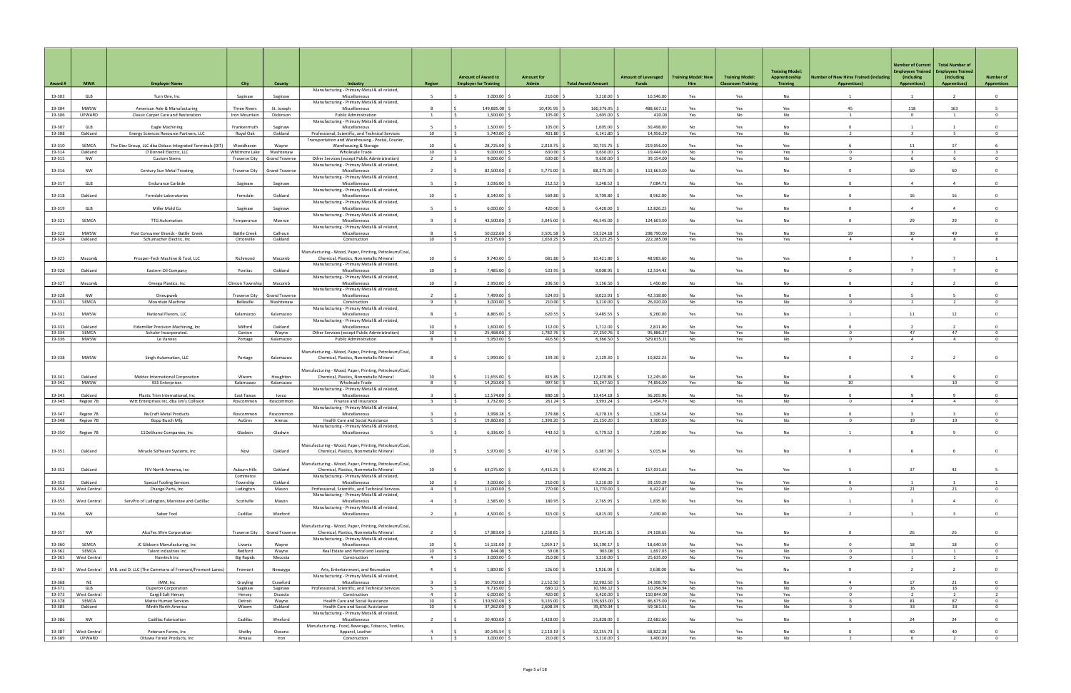|                  |                        |                                                                               |                                   |                       |                                                                                                   |                          | <b>Amount of Award to</b>                                    | <b>Amount for</b>         |                               | <b>Amount of Leveraged</b> | <b>Training Model: New</b> | <b>Training Model:</b>   | <b>Training Model:</b><br>Apprenticeship | <b>Number of New Hires Trained (including</b> | <b>Number of Current</b><br><b>Employees Trained</b><br>(including | <b>Total Number of</b><br><b>Employees Trained</b><br>(including | <b>Number of</b>                 |
|------------------|------------------------|-------------------------------------------------------------------------------|-----------------------------------|-----------------------|---------------------------------------------------------------------------------------------------|--------------------------|--------------------------------------------------------------|---------------------------|-------------------------------|----------------------------|----------------------------|--------------------------|------------------------------------------|-----------------------------------------------|--------------------------------------------------------------------|------------------------------------------------------------------|----------------------------------|
| Award #          | <b>MWA</b>             | <b>Employer Name</b>                                                          | City                              | County                | <b>Industry</b><br>Manufacturing - Primary Metal & all related,                                   | Region                   | <b>Employer for Training</b>                                 | Admin                     | <b>Total Award Amount</b>     | <b>Funds</b>               | Hire                       | <b>Classroom Trainin</b> | <b>Training</b>                          | <b>Apprentices)</b>                           | <b>Apprentices)</b>                                                | <b>Apprentices)</b>                                              | <b>Apprentices</b>               |
| 19-303           | GLB                    | Turn One, Inc                                                                 | Saginaw                           | Saginaw               | Miscellaneous                                                                                     | -5                       | 3,000.00                                                     | 210.00                    | 3,210.00                      | 10,546.00                  | Yes                        | Yes                      | No                                       |                                               | $\overline{1}$                                                     | $\overline{2}$                                                   | $\overline{0}$                   |
| 19-304           | MWSW                   | American Axle & Manufacturing                                                 | <b>Three Rivers</b>               | St. Joseph            | Manufacturing - Primary Metal & all related,<br>Miscellaneous                                     | -8                       | 149,885.00                                                   | 10,491.95                 | 160,376.95                    | 488,667.1                  | Yes                        | Yes                      | Yes                                      | 45                                            | 118                                                                | 163                                                              |                                  |
| 19-306           | UPWARD                 | Classic Carpet Care and Restoration                                           | Iron Mountain                     | Dickinson             | <b>Public Administration</b>                                                                      | $\overline{1}$           | 1,500.00                                                     | 105.00                    | 1,605.00                      | 420.00                     | Yes                        | No                       | No                                       | $\mathbf{1}$                                  | $\Omega$                                                           | 1                                                                | $\overline{0}$                   |
| 19-307           | GLB                    | Eagle Machining                                                               | Frankenmuth                       | Saginaw               | Manufacturing - Primary Metal & all related,<br>Miscellaneous                                     | -5                       | $1,500.00$ :                                                 | 105.00                    | $1,605.00$ $\degree$          | 30,498.00                  | No                         | Yes                      | No                                       | $\Omega$                                      | $\overline{1}$                                                     |                                                                  | $\Omega$                         |
| 19-308           | Oakland                | Energy Sciences Resource Partners, LLC                                        | Royal Oak                         | Oakland               | Professional, Scientific, and Technical Services                                                  | 10                       | 5,740.00                                                     | 401.80                    | 6,141.80                      | 14,956.29                  | Yes                        | Yes                      | No                                       |                                               |                                                                    |                                                                  | $\overline{0}$                   |
| 19-310           | SEMCA                  | The Diez Group, LLC dba Delaco Integrated Terminals (DIT)                     | Woodhaven                         | Wayne                 | Transportation and Warehousing - Postal, Courier,<br>Warehousing & Storage                        | 10                       | 28,725.00                                                    | 2,010.75                  | 30,735.75 \$                  | 219,056.00                 | Yes                        | Yes                      | Yes                                      |                                               | 11                                                                 | 17                                                               |                                  |
| 19-314           | Oakland                | O'Donnell Electric, LLC                                                       | Whitmore Lake                     | Washtenaw             | Wholesale Trade                                                                                   | 10                       | 9,000.00<br>l S                                              | 630.00                    | 9,630.00                      | 19,444.00                  | No                         | Yes                      | Yes                                      | $\Omega$                                      |                                                                    |                                                                  | $\overline{3}$                   |
| 19-315           | NW                     | <b>Custom Stems</b>                                                           | <b>Traverse City</b>              | <b>Grand Traverse</b> | Other Services (except Public Administration)<br>Manufacturing - Primary Metal & all related,     | $\overline{2}$           | 9,000.00<br>ΙŚ.                                              | 630.00                    | 9,630.00                      | 39,154.00                  | No                         | Yes                      | No                                       | $\Omega$                                      | - 6                                                                | 6                                                                | $\overline{0}$                   |
| 19-316           | <b>NW</b>              | Century Sun Metal Treating                                                    | <b>Traverse City</b>              | <b>Grand Traverse</b> | Miscellaneous                                                                                     |                          | 82,500.00                                                    | 5,775.00                  | 88,275.00                     | 113,663.00                 | <b>No</b>                  | Yes                      | <b>No</b>                                | $\Omega$                                      | 60                                                                 | 60                                                               | $\Omega$                         |
| 19-317           | GLB                    | <b>Endurance Carbide</b>                                                      | Saginaw                           | Saginaw               | Manufacturing - Primary Metal & all related,<br>Miscellaneous                                     | - 5                      | 3,036.00                                                     | 212.52                    | 3,248.52                      | 7,084.73                   | No                         | Yes                      | No                                       | $\mathbf{0}$                                  | $\overline{4}$                                                     | $\overline{a}$                                                   | $\mathbf{0}$                     |
|                  |                        |                                                                               |                                   |                       | Manufacturing - Primary Metal & all related,                                                      |                          |                                                              |                           |                               |                            |                            |                          |                                          | $\Omega$                                      |                                                                    |                                                                  |                                  |
| 19-318           | Oakland                | Ferndale Laboratories                                                         | Ferndale                          | Oakland               | Miscellaneous<br>Manufacturing - Primary Metal & all related,                                     | 10                       | 8,140.00                                                     | 569.80                    | 8.709.80                      | 8,962.00                   | <b>No</b>                  | Yes                      | <b>No</b>                                |                                               | 16                                                                 | 16                                                               | $\overline{0}$                   |
| 19-319           | GLB                    | Miller Mold Co                                                                | Saginaw                           | Saginaw               | Miscellaneous                                                                                     | - 5                      | 6,000.00                                                     | 420.00                    | 6,420.00                      | 12,826.25                  | No                         | Yes                      | No                                       | $\mathbf 0$                                   | 4                                                                  | $\Delta$                                                         | $\Omega$                         |
| 19-321           | SEMCA                  | <b>TTG Automation</b>                                                         | Temperance                        | Monroe                | Manufacturing - Primary Metal & all related,<br>Miscellaneous                                     | $\overline{9}$           | 43,500.00                                                    | 3,045.00                  | 46,545.00                     | 124,603.00                 | <b>No</b>                  | Yes                      | <b>No</b>                                | $\Omega$                                      | 29                                                                 | 29                                                               | $\Omega$                         |
|                  |                        |                                                                               |                                   |                       | Manufacturing - Primary Metal & all related,                                                      |                          |                                                              |                           |                               |                            |                            |                          |                                          |                                               | 30                                                                 |                                                                  | $\Omega$                         |
| 19-323<br>19-324 | MWSW<br>Oakland        | Post Consumer Brands - Battle Creek<br>Schumacher Electric, Inc               | <b>Battle Creek</b><br>Ortonville | Calhoun<br>Oakland    | Miscellaneous<br>Construction                                                                     | -8<br>10                 | 50,022.60<br>23,575.00 \$<br>I S                             | 3,501.58<br>$1,650.25$ \$ | 53,524.18<br>25,225.25 \$     | 298,790.00<br>222,285.00   | Yes<br>Yes                 | Yes<br>Yes               | No<br>Yes                                | 19<br>$\overline{4}$                          | $\overline{4}$                                                     | 49<br>8                                                          | 8                                |
|                  |                        |                                                                               |                                   |                       | Manufacturing - Wood, Paper, Printing, Petroleum/Coal,                                            |                          |                                                              |                           |                               |                            |                            |                          |                                          |                                               |                                                                    |                                                                  |                                  |
| 19-325           | Macomb                 | Prosper-Tech Machine & Tool, LLC                                              | Richmond                          | Macomb                | Chemical, Plastics, Nonmetallic Mineral                                                           | 10                       | 9,740.00                                                     | 681.80                    | 10,421.80                     | 48,983.60                  | No                         | Yes                      | Yes                                      | $^{\circ}$                                    | $\overline{7}$                                                     |                                                                  |                                  |
| 19-326           | Oakland                | Eastern Oil Company                                                           | Pontiac                           | Oakland               | Manufacturing - Primary Metal & all related,<br>Miscellaneous                                     | 10                       | 7,485.00   9                                                 | 523.95                    | 8,008.95                      | 12,534.43                  | <b>No</b>                  | Yes                      | <b>No</b>                                | $\Omega$                                      | $7^{\circ}$                                                        | $\overline{7}$                                                   | $\overline{0}$                   |
|                  |                        |                                                                               |                                   |                       | Manufacturing - Primary Metal & all related,                                                      |                          |                                                              |                           |                               |                            |                            |                          |                                          |                                               |                                                                    |                                                                  |                                  |
| 19-327           | Macomb                 | Omega Plastics, Inc.                                                          | Inton Township                    | Macomb                | Miscellaneous<br>Manufacturing - Primary Metal & all related,                                     | 10                       | 2,950.00                                                     | 206.50                    | 3,156.50                      | 1,450.00                   | No                         | Yes                      | No                                       | $^{\circ}$                                    | $\overline{2}$                                                     |                                                                  | $\Omega$                         |
| 19-328           | NW                     | Oneupweb                                                                      | <b>Traverse City</b>              | <b>Grand Traverse</b> | Miscellaneous                                                                                     | $\overline{\phantom{a}}$ | 7,499.00                                                     | 524.93                    | 8,023.93                      | 42,318.00                  | <b>No</b>                  | Yes                      | <b>No</b>                                | $\Omega$                                      |                                                                    |                                                                  | $\Omega$                         |
| 19-331           | SEMCA                  | Mountain Machine                                                              | Belleville                        | Washtenaw             | Construction<br>Manufacturing - Primary Metal & all related,                                      | -9                       | 3,000.00                                                     | 210.00                    | 3,210.00                      | 26,020.00                  | No                         | Yes                      | No                                       |                                               |                                                                    |                                                                  | $\mathbf{0}$                     |
| 19-332           | MWSW                   | National Flavors, LLC                                                         | Kalamazoo                         | Kalamazoo             | Miscellaneous                                                                                     | -8                       | 8,865.00                                                     | 620.55                    | 9,485.55                      | 6,260.00                   | Yes                        | Yes                      | No                                       |                                               | 11                                                                 | 12                                                               | $\Omega$                         |
| 19-333           | Oakland                | Eidemiller Precision Machining, Inc.                                          | Milford                           | Oakland               | Manufacturing - Primary Metal & all related,<br>Miscellaneous                                     | 10                       | 1.600.00                                                     | 112.00                    | 1,712.00                      | 2,811.00                   | <b>No</b>                  | Yes                      | <b>No</b>                                |                                               |                                                                    |                                                                  | $\Omega$                         |
| 19-334           | SEMCA                  | Schuler Incorporated.                                                         | Canton                            | Wayne                 | Other Services (except Public Administration)                                                     | 10                       | $\vert$ \$<br>25,468.00                                      | 1,782.76                  | 27,250.76                     | 95,886.2                   | No                         | Yes                      | No                                       | $^{\circ}$                                    | 47                                                                 | 47                                                               | $\overline{0}$                   |
| 19-336           | MWSW                   | Le Vannes                                                                     | Portage                           | Kalamazoo             | Public Administration                                                                             | - 8                      | 5,950.00                                                     | 416.50                    | 6,366.50                      | 529,635.2                  | No                         | Yes                      | No                                       | $\Omega$                                      | $\overline{4}$                                                     | $\overline{4}$                                                   | $\overline{0}$                   |
| 19-338           | <b>MWSW</b>            | Singh Automation, LLC                                                         | Portage                           | Kalamazoo             | Manufacturing - Wood, Paper, Printing, Petroleum/Coal,<br>Chemical, Plastics, Nonmetallic Mineral | 8                        | $1,990.00$ \$                                                | 139.30                    | $2,129.30$ \$                 | 10,822.25                  | No                         | Yes                      | No                                       | $^{\circ}$                                    | $\overline{2}$                                                     |                                                                  | $\overline{0}$                   |
|                  |                        |                                                                               |                                   |                       | Manufacturing - Wood, Paper, Printing, Petroleum/Coal,                                            |                          |                                                              |                           |                               |                            |                            |                          |                                          |                                               |                                                                    |                                                                  |                                  |
| 19-341           | Oakland                | Mektec International Corporation                                              | Wixom                             | Houghton              | Chemical, Plastics, Nonmetallic Mineral                                                           | 10 <sup>1</sup>          | 11,655.00<br>IS.                                             | 815.85                    | 12,470.85                     | 12,245.00<br>74,856.00     | No                         | Yes                      | No<br>No                                 | $\Omega$                                      |                                                                    | 10                                                               |                                  |
| 19-342           | MWSW                   | <b>KSS Enterprises</b>                                                        | Kalamazoo                         | Kalamazoo             | Wholesale Trade<br>Manufacturing - Primary Metal & all related,                                   | 8                        | 14,250.00                                                    | 997.50                    | 15,247.50                     |                            | Yes                        | No                       |                                          | 10                                            |                                                                    |                                                                  | $\overline{0}$                   |
| 19-343<br>19-345 | Oakland<br>Region 7B   | Plastic Trim International, Inc.<br>Witt Enterprises Inc, dba Jim's Collision | East Tawas<br>Roscommon           | losco<br>Roscommon    | Miscellaneous<br>Finance and Insurance                                                            | $\overline{\mathbf{3}}$  | 12,574.00<br>l \$<br>$3,732.00$ \$                           | 880.18<br>$261.24$ \$     | 13,454.18<br>$3,993.24$ \$    | 36,205.96<br>1,454.79      | <b>No</b><br>No            | Yes<br>Yes               | <b>No</b><br>No                          | $\Omega$<br>$\Omega$                          | $\mathbf{q}$<br>$\overline{4}$                                     | $\overline{4}$                                                   | $\Omega$<br>$\overline{0}$       |
|                  |                        |                                                                               |                                   |                       | Manufacturing - Primary Metal & all related,                                                      |                          |                                                              |                           |                               |                            |                            |                          |                                          |                                               |                                                                    |                                                                  |                                  |
| 19-347<br>19-348 | Region 7B<br>Region 7B | <b>NuCraft Metal Products</b><br>Bopp Busch Mfg                               | Roscommon<br>AuGres               | Roscommon<br>Arenac   | Miscellaneous<br>Health Care and Social Assistance                                                | - 5                      | 3,998.28<br>19,860.00<br>IS.                                 | 279.88<br>1,390.20        | 4,278.16<br>21,250.20 \$      | 1,326.54<br>3,300.00       | <b>No</b><br>No            | Yes<br>Yes               | <b>No</b><br><b>No</b>                   | $\Omega$<br>$\Omega$                          | 19                                                                 | 19                                                               | $\Omega$<br>$\overline{0}$       |
|                  |                        |                                                                               |                                   |                       | Manufacturing - Primary Metal & all related,                                                      |                          |                                                              |                           |                               |                            |                            |                          |                                          |                                               |                                                                    |                                                                  |                                  |
| 19-350           | Region 7B              | 11DeShano Companies, Inc                                                      | Gladwin                           | Gladwin               | Miscellaneous                                                                                     | -5                       | 6,336.00                                                     | 443.52                    | 6,779.52                      | 7,239.00                   | Yes                        | Yes                      | No                                       |                                               |                                                                    |                                                                  |                                  |
|                  |                        |                                                                               |                                   |                       | Manufacturing - Wood, Paper, Printing, Petroleum/Coal,                                            |                          |                                                              |                           |                               |                            |                            |                          |                                          |                                               |                                                                    |                                                                  |                                  |
| 19-351           | Oakland                | Miracle Software Systems, Inc.                                                | Novi                              | Oakland               | Chemical, Plastics, Nonmetallic Mineral                                                           | 10                       | 5,970.00                                                     | 417.90                    | $6,387.90$ \$                 | 5,015.04                   | No                         | Yes                      | No                                       | $\overline{0}$                                | -6                                                                 | 6                                                                | $\overline{0}$                   |
|                  |                        |                                                                               |                                   |                       | Manufacturing - Wood, Paper, Printing, Petroleum/Coal,                                            |                          |                                                              |                           |                               |                            |                            |                          |                                          |                                               |                                                                    |                                                                  |                                  |
| 19-352           | Oakland                | FEV North America, Inc.                                                       | Auburn Hills<br>Commerce          | Oakland               | Chemical, Plastics, Nonmetallic Mineral<br>Manufacturing - Primary Metal & all related,           | 10                       | 63,075.00                                                    | 4,415.25                  | 67,490.25 \$                  | 157,031.63                 | Yes                        | Yes                      | Yes                                      | -5                                            | 37                                                                 | 42                                                               | 5                                |
| 19-353           | Oakland                | <b>Special Tooling Services</b>                                               | Township                          | Oakland               | Miscellaneous                                                                                     | 10                       | 3,000.00                                                     | 210.00                    | 3,210.00                      | 39,159.29                  | No                         | Yes                      | Yes                                      | $^{\circ}$                                    |                                                                    |                                                                  |                                  |
| 19-354           | West Central           | Change Parts, Inc                                                             | Ludington                         | Mason                 | Professional, Scientific, and Technical Services<br>Manufacturing - Primary Metal & all related,  | $\overline{4}$           | 11,000.00<br>IS.                                             | 770.00 \$                 | 11,770.00 \$                  | 6,422.87                   | No                         | Yes                      | No                                       | $\mathbf{0}$                                  | 21                                                                 | 21                                                               | $\overline{0}$                   |
| 19-355           | West Central           | ServPro of Ludington, Manistee and Cadillac                                   | Scottville                        | Mason                 | Miscellaneous                                                                                     | $\overline{4}$           | 2,585.00                                                     | $180.95$ \$               | $2,765.95$ \$                 | 1,835.00                   | Yes                        | Yes                      | No                                       | 1                                             | $\overline{3}$                                                     | $\overline{4}$                                                   | $\overline{0}$                   |
| 19-356           | NW                     | Saber Tool                                                                    | Cadillac                          | Wexford               | Manufacturing - Primary Metal & all related,<br>Miscellaneous                                     | 2                        | 4,500.00 $\frac{2}{3}$                                       | 315.00                    | 4,815.00 \$                   | 7,430.00                   | Yes                        | Yes                      | No                                       | $\overline{2}$                                | $\mathbf{1}$                                                       | $\overline{\mathbf{3}}$                                          | $\overline{0}$                   |
|                  |                        |                                                                               |                                   |                       |                                                                                                   |                          |                                                              |                           |                               |                            |                            |                          |                                          |                                               |                                                                    |                                                                  |                                  |
| 19-357           | NW                     | AlcoTec Wire Corporation                                                      | <b>Traverse City</b>              | <b>Grand Traverse</b> | Manufacturing - Wood, Paper, Printing, Petroleum/Coal,<br>Chemical, Plastics, Nonmetallic Mineral | $\overline{2}$           | 17,983.00                                                    | 1,258.81                  | 19,241.81 \$                  | 24,108.65                  | No                         | Yes                      | No                                       | $\overline{0}$                                | 26                                                                 | 26                                                               | $\overline{0}$                   |
|                  |                        |                                                                               |                                   |                       | Manufacturing - Primary Metal & all related,                                                      |                          |                                                              |                           |                               |                            |                            |                          |                                          |                                               |                                                                    |                                                                  |                                  |
| 19-360<br>19-362 | SEMCA<br>SEMCA         | JC Gibbons Manufacturing, Inc<br>Talent industries Inc                        | Livonia<br>Redford                | Wayne<br>Wayne        | Miscellaneous<br>Real Estate and Rental and Leasing                                               | 10<br>10                 | 15,131.00<br>$\vert$ \$<br>$844.00$ \$                       | 1,059.17<br>$59.08$ \$    | $16,190.17$ \$<br>$903.08$ \$ | 18,640.59<br>1,697.05      | <b>No</b><br>No            | Yes<br>Yes               | <b>No</b><br>No                          | $\mathbf{O}$<br>$\mathbf{0}$                  | 18<br>1                                                            | 18<br>$\mathbf{1}$                                               | $\overline{0}$<br>$\overline{0}$ |
| 19-365           | West Central           | Hamtech Inc                                                                   | <b>Big Rapids</b>                 | Mecosta               | Construction                                                                                      | $\sim$                   | $3,000.00$ $\frac{1}{2}$<br>I \$                             | $210.00$ \$               | $3,210.00$ \$                 | 25,635.00                  | No                         | Yes                      | Yes                                      | $\mathbf 0$                                   | 1                                                                  | $\mathbf{1}$                                                     | $\mathbf{1}$                     |
| 19-367           | West Central           | M.B. and D. LLC (The Commons of Fremont/Fremont Lanes)                        | Fremont                           | Newaygo               | Arts, Entertainment, and Recreation                                                               | $\overline{4}$           | $1,800.00$ \$                                                | $126.00$ \$               | $1,926.00$ \$                 | 3,638.00                   | No                         | Yes                      | No                                       | $\overline{0}$                                | $\overline{2}$                                                     | $\overline{2}$                                                   | $\overline{0}$                   |
|                  |                        |                                                                               |                                   |                       | Manufacturing - Primary Metal & all related,                                                      | $\mathbf{R}$             |                                                              |                           |                               |                            |                            |                          |                                          |                                               |                                                                    |                                                                  |                                  |
| 19-368<br>19-371 | <b>NE</b><br>GLB       | IMM, Inc<br><b>Duperon Corporation</b>                                        | Grayling<br>Saginaw               | Crawford<br>Saginaw   | Miscellaneous<br>Professional, Scientific, and Technical Services                                 | 5                        | 30,750.00<br>9,716.00<br>$\mathsf{S}$                        | 2,152.50<br>$680.12$ \$   | 32,902.50<br>$10,396.12$ \$   | 24,308.70<br>10,296.94     | Yes<br>No                  | Yes<br>Yes               | No<br>No                                 | $\overline{4}$<br>$\overline{0}$              | 17<br>16                                                           | 21<br>16                                                         | $\overline{0}$<br>$\overline{0}$ |
| 19-373           | West Central           | Cargill Salt Hersey                                                           | Hersey                            | Osceola               | Construction                                                                                      | $\overline{4}$           | $6,000.00$ :<br>l \$                                         | $420.00$ \$               | 6,420.00                      | 110,844.00                 | No                         | Yes                      | Yes                                      | $\overline{0}$                                | $\overline{2}$                                                     | $\overline{2}$                                                   | $\overline{2}$                   |
| 19-378<br>19-385 | SEMCA<br>Oakland       | Matrix Human Services<br>Minth North America                                  | Detroit<br>Wixom                  | Wayne<br>Oakland      | Health Care and Social Assistance<br>Health Care and Social Assistance                            | 10<br>10                 | $\vert$ \$<br>130,500.00 \$<br>37,262.00 \$<br>$\frac{1}{2}$ | 9,135.00<br>$2,608.34$ \$ | 139,635.00 \$<br>39,870.34 \$ | 86,675.00<br>59,161.51     | Yes<br>No                  | Yes<br>Yes               | No<br>No                                 | 6<br>$\mathbf{0}$                             | 81<br>33                                                           | 87<br>33                                                         | $\overline{0}$<br>$\overline{0}$ |
|                  |                        |                                                                               |                                   |                       | Manufacturing - Primary Metal & all related,                                                      |                          |                                                              |                           |                               |                            |                            |                          |                                          |                                               |                                                                    |                                                                  |                                  |
| 19-386           | <b>NW</b>              | Cadillac Fabrication                                                          | Cadillac                          | Wexford               | Miscellaneous<br>Manufacturing - Food, Beverage, Tobacco, Textiles,                               | $\overline{2}$           | 20,400.00                                                    | 1,428.00                  | 21,828.00                     | 22,682.60                  | <b>No</b>                  | Yes                      | <b>No</b>                                | $\Omega$                                      | 24                                                                 | 24                                                               | $\overline{0}$                   |
| 19-387           | West Central           | Peterson Farms, Inc                                                           | Shelby                            | Oceana                | Apparel, Leather                                                                                  | $\overline{4}$           | 30,145.54                                                    | 2,110.19                  | 32,255.73                     | 68,822.28                  | No                         | Yes                      | No                                       | $\mathbf{0}$                                  | 40                                                                 | 40                                                               | $\overline{0}$                   |
| 19-389           | UPWARD                 | Ottawa Forest Products, Inc                                                   | Amasa                             | Iron                  | Construction                                                                                      | $\mathbf{1}$             | $3,000.00$ \$<br>$\sqrt{5}$                                  | $210.00$ \$               | $3,210.00$ \$                 | 3,400.00                   | Yes                        | No                       | No                                       | $\overline{2}$                                | $\overline{0}$                                                     | $\overline{2}$                                                   | $\overline{0}$                   |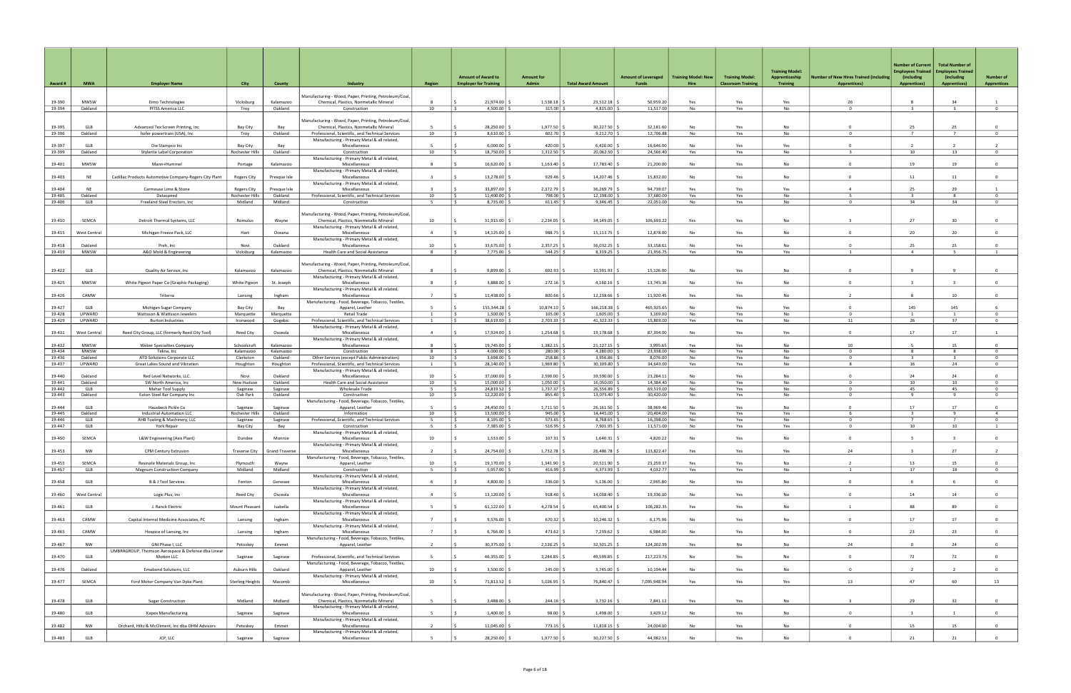|                  |                      |                                                                  |                                |                         |                                                                                                   |                                  | <b>Amount of Award to</b>    |                              |                           |                                     | <b>Training Model: New</b> |                                                     | <b>Training Model:</b>            |                                                              | <b>Number of Current</b><br>mployees Trained | <b>Total Number of</b><br><b>Employees Trained</b> |                                        |
|------------------|----------------------|------------------------------------------------------------------|--------------------------------|-------------------------|---------------------------------------------------------------------------------------------------|----------------------------------|------------------------------|------------------------------|---------------------------|-------------------------------------|----------------------------|-----------------------------------------------------|-----------------------------------|--------------------------------------------------------------|----------------------------------------------|----------------------------------------------------|----------------------------------------|
| Award #          | <b>MWA</b>           | <b>Employer Name</b>                                             | City                           | <b>County</b>           | Industry                                                                                          | Region                           | <b>Employer for Training</b> | <b>Amount for</b><br>Admin   | <b>Total Award Amount</b> | <b>Amount of Leveraged</b><br>Funds | Hire                       | <b>Training Model:</b><br><b>Classroom Training</b> | Apprenticeship<br><b>Training</b> | umber of New Hires Trained (including<br><b>Apprentices)</b> | (including<br><b>Apprentices)</b>            | (including<br><b>Apprentices)</b>                  | <b>Number of</b><br><b>Apprentices</b> |
| 19-390           | <b>MWSW</b>          | Eimo Technologies                                                | Vicksburg                      | Kalamazoo               | Manufacturing - Wood, Paper, Printing, Petroleum/Coal,<br>Chemical, Plastics, Nonmetallic Mineral | -8                               | 21,974.00                    | 1,538.18                     | 23,512.18                 | 50,959.20                           | Yes                        | Yes                                                 | Yes                               | 26                                                           | 8                                            | 34                                                 |                                        |
| 19-394           | Oakland              | PITSS America LLC                                                | Troy                           | Oakland                 | Construction                                                                                      | 10                               | 4,500.00                     | $315.00$ \$                  | 4,815.00                  | 11,517.00                           | No                         | Yes                                                 | No                                | $^{\circ}$                                                   | $\overline{\mathbf{3}}$                      | 3                                                  | $\overline{0}$                         |
|                  |                      |                                                                  |                                |                         | Manufacturing - Wood, Paper, Printing, Petroleum/Coal,                                            |                                  |                              |                              |                           |                                     |                            |                                                     |                                   |                                                              |                                              |                                                    |                                        |
| 19-395<br>19-396 | GLB<br>Oakland       | Advanced Tex Screen Printing, Inc<br>hofer powertrain (USA), Inc | Bay City<br>Troy               | Bay<br>Oakland          | Chemical, Plastics, Nonmetallic Mineral<br>Professional, Scientific, and Technical Services       | 10                               | 28,250.00<br>$8.610.00$ S    | 1,977.50<br>$602.70$ \$      | 30,227.50<br>9,212.70     | 32,181.60<br>12.706.88              | No<br>No                   | Yes<br>Yes                                          | No<br>No                          | $\Omega$                                                     | 25<br>$\overline{7}$                         | 25<br>$\overline{7}$                               | $^{\circ}$<br>$\Omega$                 |
| 19-397           | GLB                  | Die Stampco Inc                                                  | Bay City                       | Bay                     | Manufacturing - Primary Metal & all related,<br>Miscellaneous                                     |                                  | 6,000.00                     | 420.00                       | 6,420.00                  | 16.646.00                           | <b>No</b>                  | Yes                                                 | Yes                               |                                                              | $\overline{2}$                               |                                                    |                                        |
| 19-399           | Oakland              | <b>Stylerite Label Corporation</b>                               | Rochester Hills                | Oakland                 | Construction<br>Manufacturing - Primary Metal & all related,                                      | 10                               | 18,750.00 \$                 | $1,312.50$ \$                | 20,062.50                 | 24,566.40                           | Yes                        | Yes                                                 | No                                | $\mathbf{B}$                                                 | 10                                           | 13                                                 | $\mathbf{0}$                           |
| 19-401           | <b>MWSW</b>          | Mann+Hummel                                                      | Portage                        | Kalamazoo               | Miscellaneous<br>Manufacturing - Primary Metal & all related.                                     | $\mathbf{R}$                     | 16,620.00                    | 1,163.40                     | 17,783.40                 | 21,200.00                           | No                         | Yes                                                 | <b>No</b>                         | $\Omega$                                                     | 19                                           | 19                                                 | $\Omega$                               |
| 19-403           | NE                   | Cadillac Products Automotive Company-Rogers City Plant           | Rogers City                    | Presque Isle            | Miscellaneous<br>Manufacturing - Primary Metal & all related,                                     |                                  | 13,278.00                    | 929.46                       | 14,207.46                 | 15,832.00                           | No                         | Yes                                                 | No                                | $\Omega$                                                     | 11                                           | 11                                                 | $\overline{0}$                         |
| 19-404<br>19-405 | <b>NE</b><br>Oakland | Carmeuse Lime & Stone<br>Dataspeed                               | Rogers City<br>Rochester Hills | Presque Isle<br>Oakland | Miscellaneous<br>Professional, Scientific, and Technical Services                                 | $\overline{3}$<br>10             | 33.897.00<br>11,400.00       | 2,372.79<br>798.00           | 36.269.79<br>12,198.00    | 94.739.07<br>37,680.00              | Yes<br>Yes                 | Yes<br>Yes                                          | Yes<br>No                         | $\mathbf{A}$<br>-5                                           | 25<br>$\overline{\mathbf{3}}$                | 29<br>8                                            | $\overline{1}$<br>$\overline{0}$       |
| 19-406           | GLB                  | Freeland Steel Erectors, Inc.                                    | Midland                        | Midland                 | Construction                                                                                      | -5                               | 8,735.00                     | $611.45$ \$                  | 9,346.45                  | 22,051.00                           | No                         | Yes                                                 | No                                | $\Omega$                                                     | 34                                           | 34                                                 | $\mathbf{0}$                           |
|                  |                      |                                                                  |                                |                         | Manufacturing - Wood, Paper, Printing, Petroleum/Coal,                                            |                                  |                              |                              |                           |                                     |                            |                                                     |                                   |                                                              |                                              |                                                    |                                        |
| 19-410           | SEMCA                | Detroit Thermal Systems, LLC                                     | Romulus                        | Wayne                   | Chemical, Plastics, Nonmetallic Mineral<br>Manufacturing - Primary Metal & all related,           | 10                               | 31,915.00                    | 2,234.05                     | 34,149.05                 | 106,693.22                          | Yes                        | Yes                                                 | <b>No</b>                         |                                                              | 27                                           | 30                                                 | $^{\circ}$                             |
| 19-415           | West Central         | Michigan Freeze Pack, LLC                                        | Hart                           | Oceana                  | Miscellaneous<br>Manufacturing - Primary Metal & all related,                                     | $\overline{4}$                   | 14,125.00                    | 988.75                       | 15,113.75                 | 12,878.00                           | No                         | Yes                                                 | No                                | $\Omega$                                                     | 20                                           | 20                                                 | $\overline{0}$                         |
| 19-418<br>19-419 | Oakland<br>MWSW      | Preh, Inc<br>A&O Mold & Engineering                              | Novi<br>Vicksburg              | Oakland<br>Kalamazoo    | Miscellaneous<br>Health Care and Social Assistance                                                | 10<br>8                          | 33,675.00<br>7,775.00        | 2,357.25<br>$544.25$ \$      | 36,032.25<br>8,319.25     | 33,158.61<br>21,956.75              | No<br>Yes                  | Yes<br>Yes                                          | No<br>Yes                         | $\Omega$                                                     | 25<br>$\overline{4}$                         | 25<br>-5                                           | $\overline{0}$<br><sup>1</sup>         |
|                  |                      |                                                                  |                                |                         | Manufacturing - Wood, Paper, Printing, Petroleum/Coal,                                            |                                  |                              |                              |                           |                                     |                            |                                                     |                                   |                                                              |                                              |                                                    |                                        |
| 19-422           | GLB                  | Quality Air Service, Inc.                                        | Kalamazoo                      | Kalamazoo               | Chemical, Plastics, Nonmetallic Mineral                                                           | -8                               | 9,899.00                     | 692.93                       | 10,591.93                 | 15,126.00                           | No                         | Yes                                                 | No                                | $\Omega$                                                     | $\mathbf{q}$                                 | 9                                                  | $\overline{0}$                         |
| 19-425           | <b>MWSW</b>          | White Pigeon Paper Co (Graphic Packaging)                        | White Pigeon                   | St. Joseph              | Manufacturing - Primary Metal & all related,<br>Miscellaneous                                     | 8                                | 3.888.00                     | 272.16                       | 4,160.16                  | 13,745.36                           | No                         | Yes                                                 | No                                | $\Omega$                                                     | $\mathbf{R}$                                 | $\mathbf{R}$                                       | $\overline{0}$                         |
| 19-426           | CAMW                 | Triterra                                                         | Lansing                        | Ingham                  | Manufacturing - Primary Metal & all related,<br>Miscellaneous                                     | $\overline{7}$                   | 11,438.00                    | 800.66                       | 12,238.66                 | 11,920.45                           | Yes                        | Yes                                                 | No                                | $\overline{2}$                                               | 8                                            | 10                                                 | $\overline{0}$                         |
| 19-427           | GLB                  | Michigan Sugar Company                                           | Bay City                       | Bay                     | Manufacturing - Food, Beverage, Tobacco, Textiles,<br>Apparel, Leather                            |                                  | 155,344.28                   | 10,874.10                    | 166,218.38                | 465,925.65                          | No                         | Yes                                                 | Yes                               |                                                              | 145                                          | 145                                                |                                        |
| 19-428<br>19-429 | UPWARD<br>UPWARD     | Wattsson & Wattsson Jewelers<br><b>Burton Industries</b>         | Marquette<br>Ironwood          | Marquette<br>Gogebic    | Retail Trade<br>Professional, Scientific, and Technical Services                                  | $\overline{1}$<br>$\overline{1}$ | 1,500.00<br>38,619.00 \$     | $105.00$ \$<br>$2,703.33$ \$ | 1,605.00<br>41,322.33     | 3,169.00<br>15,803.00               | No<br>Yes                  | Yes<br>Yes                                          | No<br>No                          | $\Omega$<br>11                                               | $\overline{1}$<br>26                         | $\overline{1}$<br>37                               | $\Omega$<br>$\overline{0}$             |
|                  |                      |                                                                  |                                |                         | Manufacturing - Primary Metal & all related,                                                      | $\Delta$                         |                              |                              |                           | 87.394.00                           |                            |                                                     |                                   | $\Omega$                                                     | 17                                           |                                                    | $\overline{1}$                         |
| 19-431           | West Central         | Reed City Group, LLC (formerly Reed City Tool)                   | <b>Reed City</b>               | Osceola                 | Miscellaneous<br>Manufacturing - Primary Metal & all related,                                     |                                  | 17,924.00                    | 1,254.68                     | 19,178.68                 |                                     | No                         | Yes                                                 | Yes                               |                                                              |                                              | 17                                                 |                                        |
| 19-432<br>19-434 | MWSW<br>MWSW         | Weber Specialties Company<br>Tekna, Inc                          | Schoolcraft<br>Kalamazoo       | Kalamazoo<br>Kalamazoo  | Miscellaneous<br>Construction                                                                     | -8<br>$\mathbf{R}$               | 19,745.00  <br>4,000.00      | 1,382.15<br>280.00           | 21,127.15<br>4,280.00     | 3,995.65<br>23,938.00               | Yes<br>No                  | Yes<br>Yes                                          | No<br>No                          | 10<br>$\Omega$                                               | -8                                           | 15<br>8                                            | $\Omega$<br>$\Omega$                   |
| 19-436           | Oakland              | ATD Solutions Corporate LLC                                      | Clarkston                      | Oakland                 | Other Services (except Public Administration)                                                     | 10                               | $3,698.00$ \ 3               | $258.86$ \$                  | 3,956.86                  | 8.076.00                            | No                         | Yes                                                 | No                                | $\Omega$                                                     | $\overline{\mathbf{3}}$                      | $\overline{\mathbf{3}}$                            | $\overline{0}$                         |
| 19-437           | UPWARD               | Great Lakes Sound and Vibration                                  | Houghton                       | Houghton                | Professional, Scientific, and Technical Services<br>Manufacturing - Primary Metal & all related,  | $\overline{1}$                   | 28,140.00                    | 1,969.80                     | 30,109.80                 | 34,643.00                           | Yes                        | Yes                                                 | No                                | 8                                                            | 16                                           | 24                                                 | $\overline{0}$                         |
| 19-440           | Oakland              | Red Level Networks, LLC.                                         | Novi                           | Oakland                 | Miscellaneous                                                                                     | 10                               | 37,000.00                    | 2,590.00                     | 39,590.00                 | 23,284.11                           | No                         | Yes                                                 | No                                | $\Omega$                                                     | 24                                           | 24                                                 | $\overline{0}$                         |
| 19-441<br>19-442 | Oakland<br>GLB       | SW North America, Inc<br>Mahar Tool Supply                       | New Hudson<br>Saginaw          | Oakland<br>Saginaw      | Health Care and Social Assistance<br><b>Wholesale Trade</b>                                       | 10<br>-5                         | 15,000.00<br>24,819.52       | 1,050.00<br>$1,737.37$ \$    | 16,050.00<br>26,556.89    | 14,384.40<br>69,519.00              | No<br>No                   | Yes<br>Yes                                          | No<br>No                          | $^{\circ}$<br>$^{\circ}$                                     | 10<br>45                                     | 10<br>45                                           | $\Omega$<br>$\circ$                    |
| 19-443           | Oakland              | Eaton Steel Bar Company Inc                                      | Oak Park                       | Oakland                 | Construction                                                                                      | 10                               | 12,220.00                    | 855.40                       | 13,075.40                 | 30,420.00                           | No                         | Yes                                                 | No                                | $\mathbf{0}$                                                 | -9                                           | 9                                                  | $\overline{0}$                         |
| 19-444           | GLB                  | Hausbeck Pickle Co                                               |                                |                         | Manufacturing - Food, Beverage, Tobacco, Textiles,<br>Apparel, Leather                            | -5                               | 24,450.00                    | 1,711.50                     | 26,161.50                 | 38.969.46                           | No                         | Yes                                                 | <b>No</b>                         | $\Omega$                                                     | 17                                           | 17                                                 | $\Omega$                               |
| 19-445           | Oakland              | <b>Industrial Automation LLC</b>                                 | Saginaw<br>Rochester Hills     | Saginaw<br>Oakland      | Information                                                                                       | 10                               | 13,500.00                    | 945.00                       | 14,445.00                 | 20,404.00                           | Yes                        | Yes                                                 | Yes                               | 6                                                            | $\overline{\mathbf{3}}$                      | 9                                                  | $\overline{4}$                         |
| 19-446           | GLB                  | AHB Tooling & Machinery, LLC                                     | Saginaw                        | Saginaw                 | Professional, Scientific, and Technical Services                                                  |                                  | 8,195.00                     | 573.65                       | 8,768.65                  | 16,398.00                           | No                         | Yes                                                 | No                                | $^{\circ}$                                                   | $\overline{7}$                               | $\overline{7}$                                     | $\mathbf 0$                            |
| 19-447           | GLB                  | York Repair                                                      | Bay City                       | Bay                     | Construction<br>Manufacturing - Primary Metal & all related,                                      | - 5                              | 7,385.00 \$                  | $516.95$ \$                  | 7,901.95                  | 11,571.00                           | No                         | Yes                                                 | Yes                               | $^{\circ}$                                                   | 10                                           | 10                                                 | $\overline{1}$                         |
| 19-450           | SEMCA                | L&W Engineering (Axis Plant)                                     | Dundee                         | Monroe                  | Miscellaneous                                                                                     |                                  | $1,533.00$ \$                | $107.31$ \$                  | 1,640.31                  | 4,820.22                            | NO.                        | Yes.                                                | NO.                               |                                                              |                                              |                                                    |                                        |
| 19-453           | <b>NW</b>            | <b>CPM Century Extrusion</b>                                     | <b>Traverse City</b>           | <b>Grand Traverse</b>   | Manufacturing - Primary Metal & all related,<br>Miscellaneous                                     | $\overline{2}$                   | 24,754.00                    | 1,732.78                     | 26,486.78                 | 113,822.47                          | Yes                        | Yes                                                 | Yes                               | 24                                                           | $\mathbf{R}$                                 | 27                                                 |                                        |
| 19-455           | SEMCA                | Resinate Materials Group, Inc.                                   | Plymouth                       | Wayne                   | Manufacturing - Food, Beverage, Tobacco, Textiles,<br>Apparel, Leather                            | 10                               | 19,170.00 \$                 | $1,341.90$ \$                | 20,511.90                 | 23,259.37                           | Yes                        | Yes                                                 | No                                | $\overline{2}$                                               | 13                                           | 15                                                 | $\overline{0}$                         |
| 19-457           | GLB                  | Magnum Construction Company                                      | Midland                        | Midland                 | Construction<br>Manufacturing - Primary Metal & all related,                                      | 5                                | $5,957.00$ \$                | $416.99$ \$                  | 6,373.99                  | 4,032.77                            | Yes                        | Yes                                                 | No                                | 1                                                            | 17                                           | 18                                                 | $\mathbf 0$                            |
| 19-458           | GLB                  | B & J Tool Services                                              | Fenton                         | Genesee                 | Miscellaneous<br>Manufacturing - Primary Metal & all related,                                     | - 6                              | $4,800.00$ \ 3               | $336.00$ \$                  | 5,136.00                  | 2,965.80                            | No                         | Yes                                                 | No                                | $\mathbf{0}$                                                 | -6                                           | 6                                                  | $\overline{0}$                         |
| 19-460           | West Central         | Logic Plus, Inc                                                  | Reed City                      | Osceola                 | Miscellaneous                                                                                     | $\overline{4}$                   | $13,120.00$ \$               | $918.40$ \$                  | 14,038.40                 | 19,336.00                           | No                         | Yes                                                 | No                                | $\overline{0}$                                               | 14                                           | 14                                                 | $\overline{0}$                         |
| 19-461           | GLB                  | J. Ranck Electric                                                | Mount Pleasant                 | Isabella                | Manufacturing - Primary Metal & all related,<br>Miscellaneous                                     |                                  | $61,122.00$ \$               | $4,278.54$ \$                | 65,400.54 \$              | 106,282.35                          | Yes                        | Yes                                                 | No                                | 1                                                            | 88                                           | 89                                                 | $\overline{0}$                         |
| 19-463           | CAMW                 | Capital Internal Medicine Associates, PC                         | Lansing                        | Ingham                  | Manufacturing - Primary Metal & all related,<br>Miscellaneous                                     | $7^{\circ}$                      | 9,576.00                     | $670.32$ \$                  | 10,246.32                 | 6,175.96                            | No                         | Yes                                                 | No                                | $\circ$                                                      | 17                                           | 17                                                 | $\overline{0}$                         |
| 19-465           | CAMW                 | Hospice of Lansing, Inc                                          | Lansing                        | Ingham                  | Manufacturing - Primary Metal & all related,<br>Miscellaneous                                     | $\overline{7}$                   | 6,766.00                     | $473.62$ \$                  | 7,239.62                  | 6,984.00                            | No                         | Yes                                                 | No                                | $\mathbf 0$                                                  | 23                                           | 23                                                 | $\overline{0}$                         |
| 19-467           | NW                   | GNI Phase I, LLC                                                 | Petoskey                       | Emmet                   | Manufacturing - Food, Beverage, Tobacco, Textiles,<br>Apparel, Leather                            | 2                                | $30,375.00$ \$               | $2,126.25$ \$                | 32,501.25                 | 124,202.99                          | Yes                        | No                                                  | No                                | 24                                                           | $\overline{0}$                               | 24                                                 | $\overline{0}$                         |
| 19-470           | GLB                  | UMBRAGROUP, Thomson Aerospace & Defense dba Linear<br>Motion LLC | Saginaw                        | Saginaw                 | Professional, Scientific, and Technical Services                                                  | -5                               | $46,355.00$ \$               | $3,244.85$ \$                | 49,599.85                 | 217,223.76                          | No                         | Yes                                                 | No                                | $\mathbf{0}$                                                 | 72                                           | 72                                                 | $\overline{0}$                         |
| 19-476           | Oakland              | <b>Emabond Solutions, LLC</b>                                    | Auburn Hills                   | Oakland                 | Manufacturing - Food, Beverage, Tobacco, Textiles,<br>Apparel, Leather                            | 10                               | 3,500.00                     | $245.00$ \$                  | 3,745.00                  | 10,194.44                           | No                         | Yes                                                 | No                                | $\circ$                                                      | $\overline{2}$                               | 2                                                  | $\overline{0}$                         |
|                  |                      |                                                                  |                                |                         | Manufacturing - Primary Metal & all related,                                                      |                                  |                              |                              |                           |                                     |                            |                                                     |                                   |                                                              |                                              |                                                    |                                        |
| 19-477           | SEMCA                | Ford Motor Company Van Dyke Plant                                | <b>Sterling Heights</b>        | Macomb                  | Miscellaneous                                                                                     | 10                               | 71,813.52 \$                 | 5,026.95                     | 76,840.47                 | 7,095,948.94                        | Yes                        | Yes                                                 | Yes                               | 13                                                           | 47                                           | 60                                                 | 13                                     |
| 19-478           | GLB                  | Sugar Construction                                               | Midland                        | Midland                 | Manufacturing - Wood, Paper, Printing, Petroleum/Coal,<br>Chemical, Plastics, Nonmetallic Mineral | -5                               | 3,488.00                     | $244.16$ \$                  | 3,732.16                  | 7,841.12                            | Yes                        | Yes                                                 | No                                | $\overline{3}$                                               | 29                                           | 32                                                 | $\overline{0}$                         |
| 19-480           | GLB                  | <b>Kapex Manufacturing</b>                                       | Saginaw                        | Saginaw                 | Manufacturing - Primary Metal & all related,<br>Miscellaneous                                     | 5 <sup>5</sup>                   | $1,400.00$ \ \;              | $98.00$ \$                   | 1,498.00                  | 3,429.12                            | No                         | Yes                                                 | No                                | $\mathbf{0}$                                                 | $\mathbf{1}$                                 | 1                                                  | $\overline{0}$                         |
| 19-482           | NW                   | Orchard, Hiltz & McCliment, Inc dba OHM Advisors                 | Petoskey                       | Emmet                   | Manufacturing - Primary Metal & all related,<br>Miscellaneous                                     | $\overline{2}$                   | $11,045.00$ $\mid$           | $773.15$ \$                  | 11,818.15                 | 24,004.00                           | No                         | Yes                                                 | No                                | $\circ$                                                      | 15                                           | 15                                                 | $\overline{0}$                         |
| 19-483           | GLB                  | JCP, LLC                                                         | Saginaw                        | Saginaw                 | Manufacturing - Primary Metal & all related,<br>Miscellaneous                                     | 5                                | 28,250.00 \$                 | $1,977.50$ \$                | 30,227.50 \$              | 44,982.53                           | No                         | Yes                                                 | No                                | $\mathbf 0$                                                  | 21                                           | 21                                                 | $\overline{0}$                         |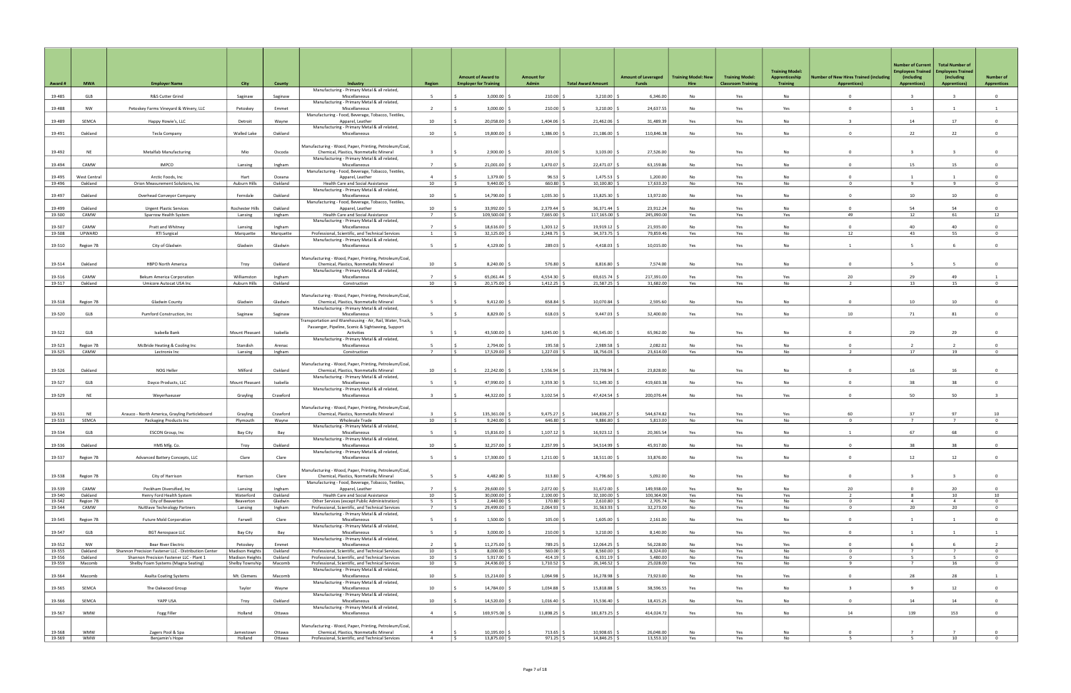|                  |                      |                                                                                                  |                                    |                     |                                                                                                      |                                   |                                                           |                            |                           |                                     |                                    |                                                     | <b>Training Model:</b>            |                                                                      | <b>Number of Current</b><br><b>Employees Trained</b> | <b>Total Number of</b><br><b>Employees Trained</b> |                                        |
|------------------|----------------------|--------------------------------------------------------------------------------------------------|------------------------------------|---------------------|------------------------------------------------------------------------------------------------------|-----------------------------------|-----------------------------------------------------------|----------------------------|---------------------------|-------------------------------------|------------------------------------|-----------------------------------------------------|-----------------------------------|----------------------------------------------------------------------|------------------------------------------------------|----------------------------------------------------|----------------------------------------|
| Award #          | <b>MWA</b>           | <b>Employer Name</b>                                                                             | City                               | County              | Industry                                                                                             | <b>Region</b>                     | <b>Amount of Award to</b><br><b>Employer for Training</b> | <b>Amount for</b><br>Admin | <b>Total Award Amount</b> | <b>Amount of Leveraged</b><br>Funds | <b>Training Model: New</b><br>Hire | <b>Training Model:</b><br><b>Classroom Training</b> | Apprenticeship<br><b>Training</b> | <b>Number of New Hires Trained (including</b><br><b>Apprentices)</b> | (including<br><b>Apprentices)</b>                    | (including<br><b>Apprentices)</b>                  | <b>Number of</b><br><b>Apprentices</b> |
| 19-485           | GLB                  | R&S Cutter Grind                                                                                 | Saginaw                            | Saginaw             | Manufacturing - Primary Metal & all related,<br>Miscellaneous                                        | -5                                | 3,000.00                                                  | 210.00                     | 3,210.00                  | 6,346.00                            | No                                 | Yes                                                 | <b>No</b>                         | $\Omega$                                                             |                                                      | $\overline{3}$                                     | $\overline{0}$                         |
| 19-488           | NW                   | Petoskey Farms Vineyard & Winery, LLC                                                            | Petoskey                           | Emmet               | Manufacturing - Primary Metal & all related,<br>Miscellaneous                                        |                                   | 3,000.00                                                  | 210.00                     | 3,210.00                  | 24,637.55                           | No                                 | Yes                                                 | Yes                               | $^{\circ}$                                                           | -1                                                   |                                                    |                                        |
| 19-489           | SEMCA                | Happy Howie's, LLC                                                                               | Detroit                            | Wayne               | Manufacturing - Food, Beverage, Tobacco, Textiles,<br>Apparel, Leather                               | 10                                | 20,058.00                                                 | 1,404.06                   | 21,462.06                 | 31,489.39                           | Yes                                | Yes                                                 | <b>No</b>                         | $\mathbf{R}$                                                         | 14                                                   | 17                                                 | $\overline{0}$                         |
| 19-491           | Oakland              | Tecla Company                                                                                    | Walled Lake                        | Oakland             | Manufacturing - Primary Metal & all related,<br>Miscellaneous                                        | 10                                | 19,800.00                                                 | 1,386.00                   | 21,186.00                 | 110,846.38                          | No                                 | Yes                                                 | No                                | $^{\circ}$                                                           | 22                                                   | 22                                                 | $\overline{0}$                         |
|                  |                      |                                                                                                  |                                    |                     |                                                                                                      |                                   |                                                           |                            |                           |                                     |                                    |                                                     |                                   |                                                                      |                                                      |                                                    |                                        |
| 19-492           | <b>NE</b>            | <b>Metalfab Manufacturing</b>                                                                    | Mio                                | Oscoda              | Manufacturing - Wood, Paper, Printing, Petroleum/Coal,<br>Chemical, Plastics, Nonmetallic Mineral    |                                   | 2,900.00                                                  | 203.00                     | 3,103.00                  | 27,526.00                           | No                                 | Yes                                                 | No                                | $\Omega$                                                             |                                                      |                                                    | $\Omega$                               |
| 19-494           | CAMW                 | <b>IMPCO</b>                                                                                     | Lansing                            | Ingham              | Manufacturing - Primary Metal & all related,<br>Miscellaneous                                        | $\overline{7}$                    | 21,001.00                                                 | 1,470.07                   | 22,471.07                 | 63,159.86                           | No                                 | Yes                                                 | No                                | $\Omega$                                                             | 15                                                   | 15                                                 | $\overline{0}$                         |
| 19-495           | <b>West Central</b>  | Arctic Foods, Inc                                                                                | Hart                               | Oceana              | Manufacturing - Food, Beverage, Tobacco, Textiles,<br>Apparel, Leather                               | $\Delta$                          | 1.379.00                                                  | 96.53                      | 1.475.53                  | 1.200.00                            | No                                 | Yes                                                 | <b>No</b>                         | $\Omega$                                                             | $\overline{1}$                                       |                                                    | $\Omega$                               |
| 19-496           | Oakland              | Orion Measurement Solutions, Inc.                                                                | Auburn Hills                       | Oakland             | Health Care and Social Assistance<br>Manufacturing - Primary Metal & all related,                    | 10                                | 9,440.00                                                  | 660.80                     | 10,100.80                 | 17,633.20                           | No                                 | Yes                                                 | No                                | $^{\circ}$                                                           | 9                                                    | 9                                                  | $\mathbf{0}$                           |
| 19-497           | Oakland              | Overhead Conveyor Company                                                                        | Ferndale                           | Oakland             | Miscellaneous<br>Manufacturing - Food, Beverage, Tobacco, Textiles,                                  | 10                                | 14,790.00                                                 | 1,035.30                   | 15,825.30                 | 13,972.00                           | No                                 | Yes                                                 | <b>No</b>                         | $\Omega$                                                             | 10                                                   | 10                                                 | $\overline{0}$                         |
| 19-499           | Oakland              | <b>Urgent Plastic Services</b>                                                                   | Rochester Hills                    | Oakland             | Apparel, Leather                                                                                     | 10 <sup>1</sup><br>$\overline{7}$ | 33,992.00                                                 | 2,379.44                   | 36,371.44                 | 23,912.24                           | <b>No</b>                          | Yes                                                 | <b>No</b>                         | $\Omega$                                                             | 54                                                   | 54                                                 | $\Omega$                               |
| 19-500           | CAMW                 | Sparrow Health System                                                                            | Lansing                            | Ingham              | Health Care and Social Assistance<br>Manufacturing - Primary Metal & all related,                    |                                   | 109,500.00 \$                                             | 7,665.00                   | 117,165.00                | 245,090.00                          | Yes                                | Yes                                                 | Yes                               | 49                                                                   | 12                                                   | 61                                                 | 12                                     |
| 19-507<br>19-508 | CAMW<br>UPWARD       | Pratt and Whitney<br>RTI Surgical                                                                | Lansing<br>Marquette               | Ingham<br>Marquette | Miscellaneous<br>Professional, Scientific, and Technical Services                                    | $\overline{7}$<br><sup>1</sup>    | 18.616.00<br>32,125.00                                    | 1,303.12<br>2,248.75       | 19,919.12<br>34,373.75    | 21,935.00<br>79,859.46              | <b>No</b><br>Yes                   | Yes<br>Yes                                          | <b>No</b><br>No                   | $\Omega$<br>12                                                       | 40<br>43                                             | 40<br>55                                           | $\Omega$<br>$\overline{0}$             |
| 19-510           | Region 7B            | City of Gladwin                                                                                  | Gladwin                            | Gladwin             | Manufacturing - Primary Metal & all related,<br>Miscellaneous                                        | $\sim$                            | 4,129.00                                                  | 289.03                     | 4,418.03                  | 10,015.00                           | Yes                                | Yes                                                 | <b>No</b>                         |                                                                      |                                                      |                                                    | $\overline{0}$                         |
|                  |                      |                                                                                                  |                                    |                     | Manufacturing - Wood, Paper, Printing, Petroleum/Coal,                                               |                                   |                                                           |                            |                           |                                     |                                    |                                                     |                                   |                                                                      |                                                      |                                                    |                                        |
| 19-514           | Oakland              | <b>HBPO North America</b>                                                                        | Troy                               | Oakland             | Chemical, Plastics, Nonmetallic Mineral                                                              | 10                                | 8,240.00                                                  | 576.80                     | 8,816.80                  | 7,574.00                            | No                                 | Yes                                                 | No                                | $\Omega$                                                             | $\overline{a}$                                       | 5 <sup>5</sup>                                     | $\overline{0}$                         |
| 19-516           | CAMW                 | Bekum America Corporation                                                                        | Williamston                        | Ingham              | Manufacturing - Primary Metal & all related,<br>Miscellaneous                                        |                                   | 65,061.44                                                 | 4,554.30                   | 69,615.74                 | 217,391.00                          | Yes                                | Yes                                                 | Yes                               | 20                                                                   | 29                                                   | 49                                                 |                                        |
| 19-517           | Oakland              | Umicore Autocat USA Inc                                                                          | Auburn Hills                       | Oakland             | Construction                                                                                         | 10                                | 20,175.00 \$                                              | $1,412.25$ \$              | 21,587.25 \$              | 31,682.00                           | Yes                                | Yes                                                 | No                                | 2                                                                    | 13                                                   | 15                                                 | $\overline{0}$                         |
| 19-518           | Region 7B            | Gladwin County                                                                                   | Gladwin                            | Gladwin             | Manufacturing - Wood, Paper, Printing, Petroleum/Coal,<br>Chemical, Plastics, Nonmetallic Mineral    | -5                                | 9,412.00                                                  | 658.84                     | 10,070.84                 | 2,595.60                            | No                                 | Yes                                                 | No                                | $\Omega$                                                             | 10                                                   | 10                                                 | $\mathbf{0}$                           |
| 19-520           | GLB                  | Pumford Construction, Inc.                                                                       |                                    |                     | Manufacturing - Primary Metal & all related,<br>Miscellaneous                                        |                                   | 8,829.00                                                  | 618.03                     | 9,447.03                  | 32,400.00                           | Yes                                | Yes                                                 | No                                | 10                                                                   | 71                                                   | 81                                                 | $\Omega$                               |
|                  |                      |                                                                                                  | Saginaw                            | Saginaw             | ransportation and Warehousing - Air, Rail, Water, Truck,                                             |                                   |                                                           |                            |                           |                                     |                                    |                                                     |                                   |                                                                      |                                                      |                                                    |                                        |
| 19-522           | GLB                  | Isabella Bank                                                                                    | Mount Pleasant                     | Isabella            | Passenger, Pipeline, Scenic & Sightseeing, Support<br>Activities                                     | -5                                | 43,500.00                                                 | 3,045.00                   | 46,545.00                 | 65,962.00                           | No                                 | Yes                                                 | No                                | $\Omega$                                                             | 29                                                   | 29                                                 | $\overline{0}$                         |
| 19-523           | Region 7B            | McBride Heating & Cooling Inc                                                                    | Standish                           | Arenac              | Manufacturing - Primary Metal & all related,<br>Miscellaneous                                        |                                   | 2,794.00                                                  | 195.58                     | 2,989.58                  | 2,082.02                            | No                                 | Yes                                                 | No                                | $\circ$                                                              |                                                      |                                                    |                                        |
| 19-525           | CAMW                 | Lectronix Inc                                                                                    | Lansing                            | Ingham              | Construction                                                                                         | $\overline{7}$                    | 17,529.00 \$                                              | 1,227.03                   | 18,756.03                 | 23,614.00                           | Yes                                | Yes                                                 | No                                | $\overline{2}$                                                       | 17                                                   | 19                                                 | $\overline{0}$                         |
|                  | Oakland              | NOG Heller                                                                                       | Milford                            | Oakland             | Manufacturing - Wood, Paper, Printing, Petroleum/Coal,<br>Chemical, Plastics, Nonmetallic Mineral    | 10                                |                                                           |                            | 23,798.94                 | 23,828.00                           | <b>No</b>                          |                                                     | <b>No</b>                         | $\Omega$                                                             |                                                      | 16                                                 | $\overline{0}$                         |
| 19-526           |                      |                                                                                                  |                                    |                     | Manufacturing - Primary Metal & all related,                                                         |                                   | 22,242.00                                                 | 1,556.94                   |                           |                                     |                                    | Yes                                                 |                                   |                                                                      | 16                                                   |                                                    |                                        |
| 19-527           | GLB                  | Dayco Products, LLC                                                                              | Mount Pleasant                     | Isabella            | Miscellaneous<br>Manufacturing - Primary Metal & all related,                                        | -5                                | 47,990.00                                                 | 3,359.30                   | 51,349.30                 | 419,603.38                          | No                                 | Yes                                                 | No                                | $\mathbf{0}$                                                         | 38                                                   | 38                                                 | $\Omega$                               |
| 19-529           | <b>NE</b>            | Weyerhaeuser                                                                                     | Grayling                           | Crawford            | Miscellaneous                                                                                        | $\overline{3}$                    | 44,322.00                                                 | 3,102.54                   | 47,424.54                 | 200,076.44                          | No                                 | Yes                                                 | Yes                               | $^{\circ}$                                                           | 50                                                   | 50                                                 | $\overline{\mathbf{3}}$                |
| 19-531           | NE                   | Arauco - North America, Grayling Particleboard                                                   | Grayling                           | Crawford            | Manufacturing - Wood, Paper, Printing, Petroleum/Coal,<br>Chemical, Plastics, Nonmetallic Mineral    |                                   | 135,361.00                                                | 9,475.27                   | 144,836.27                | 544,674.82                          | Yes                                | Yes                                                 | Yes                               | 60                                                                   | 37                                                   | 97                                                 | 10                                     |
| 19-533           | SEMCA                | Packaging Products Inc                                                                           | Plymouth                           | Wayne               | <b>Wholesale Trade</b>                                                                               | 10                                | 9,240.00                                                  | 646.80                     | 9,886.80                  | 5,813.00                            | No                                 | Yes                                                 | No                                | $\Omega$                                                             | $\overline{7}$                                       | $\overline{7}$                                     | $\overline{0}$                         |
| 19-534           | GLB                  | ESCON Group, Inc                                                                                 | Bay City                           | Bay                 | Manufacturing - Primary Metal & all related,<br>Miscellaneous                                        | -5                                | 15,816.00                                                 | 1,107.12                   | 16,923.12                 | 20,365.54                           | Yes                                | Yes                                                 | No                                |                                                                      | 67                                                   | 68                                                 |                                        |
| 19-536           | Oakland              | HMS Mfg. Co.                                                                                     | Troy                               | Oakland             | Manufacturing - Primary Metal & all related,<br>Miscellaneous                                        | 10                                | 32,257.00 \$                                              | 2,257.99                   | 34,514.99                 | 45,917.00                           | No                                 | Yes                                                 | No                                | $^{\circ}$                                                           | 38                                                   | 38                                                 | $\Omega$                               |
| 19-537           | Region 7B            | Advanced Battery Concepts, LLC                                                                   | Clare                              | Clare               | Manufacturing - Primary Metal & all related,<br>Miscellaneous                                        | -5.                               | 17,300.00   9                                             | 1,211.00                   | 18,511.00                 | 33,876.00                           | No                                 | Yes                                                 | No                                | $\overline{0}$                                                       | 12                                                   | 12                                                 | $\overline{0}$                         |
|                  |                      |                                                                                                  |                                    |                     | Manufacturing - Wood, Paper, Printing, Petroleum/Coal,                                               |                                   |                                                           |                            |                           |                                     |                                    |                                                     |                                   |                                                                      |                                                      |                                                    |                                        |
| 19-538           | Region 7B            | City of Harrison                                                                                 | Harrison                           | Clare               | Chemical, Plastics, Nonmetallic Mineral<br>Manufacturing - Food, Beverage, Tobacco, Textiles,        | -5                                | 4,482.80                                                  | 313.80                     | 4,796.60                  | 5,092.00                            | No                                 | Yes                                                 | <b>No</b>                         | $\Omega$                                                             | $\overline{\mathbf{a}}$                              |                                                    | $\overline{0}$                         |
| 19-539           | CAMW                 | Peckham Diversified, Inc                                                                         | Lansing                            | Ingham              | Apparel, Leather<br>Health Care and Social Assistance                                                | 10                                | 29,600.00                                                 | 2,072.00                   | 31,672.00                 | 149,938.00<br>100.364.00            | Yes                                | No                                                  | No                                | 20<br>$\overline{2}$                                                 | $\overline{0}$<br>8                                  | 20                                                 | $\Omega$                               |
| 19-540<br>19-542 | Oakland<br>Region 7B | Henry Ford Health System<br>City of Beaverton                                                    | Waterford<br>Beaverton             | Oakland<br>Gladwin  | Other Services (except Public Administration)                                                        | -5                                | $30,000.00$ \$<br>$2,440.00$ \$                           | 2,100.00<br>$170.80$ \$    | 32,100.00<br>$2,610.80$ : | 2,705.74                            | Yes<br>No                          | Yes<br>Yes                                          | Yes<br>No                         | $\mathbf 0$                                                          | $\overline{4}$                                       | 10<br>$\overline{4}$                               | 10<br>$\overline{0}$                   |
| 19-544           | CAMW                 | NuWave Technology Partners                                                                       | Lansing                            | Ingham              | Professional, Scientific, and Technical Services<br>Manufacturing - Primary Metal & all related,     | 7                                 | 29,499.00 \$<br>ΙŚ                                        | $2,064.93$ \$              | 31,563.93                 | 32,273.00                           | No                                 | Yes                                                 | No                                | $\mathbf{0}$                                                         | 20                                                   | 20                                                 | $\overline{0}$                         |
| 19-545           | Region 7B            | <b>Future Mold Corporation</b>                                                                   | Farwell                            | Clare               | Miscellaneous<br>Manufacturing - Primary Metal & all related,                                        |                                   | $1,500.00$ \$                                             | $105.00$ \$                | $1,605.00$ \$             | 2,161.00                            | No                                 | Yes                                                 | No                                | $\overline{0}$                                                       |                                                      |                                                    | $\overline{0}$                         |
| 19-547           | GLB                  | <b>BGT Aerospace LLC</b>                                                                         | <b>Bay City</b>                    | Bay                 | Miscellaneous                                                                                        | -5                                | $3,000.00$ $\frac{2}{3}$                                  | $210.00$ \$                | $3,210.00$ :              | 8,140.00                            | No                                 | Yes                                                 | Yes                               | $\overline{0}$                                                       | 1                                                    | 1                                                  | 1                                      |
| 19-552           | <b>NW</b>            | Bear River Electric                                                                              | Petoskey                           | Emmet               | Manufacturing - Primary Metal & all related,<br>Miscellaneous                                        | $\overline{2}$                    | 11,275.00 \$                                              | 789.25                     | 12,064.25                 | 56,228.00                           | No                                 | Yes                                                 | Yes                               | $\Omega$                                                             | -6                                                   |                                                    |                                        |
| 19-555<br>19-556 | Oakland<br>Oakland   | Shannon Precision Fastener LLC - Distribution Center<br>Shannon Precision Fastener LLC - Plant 1 | Madison Heights<br>Madison Heights | Oakland<br>Oakland  | Professional, Scientific, and Technical Services<br>Professional, Scientific, and Technical Services | 10<br>10                          | $8,000.00$ \$<br>5,917.00                                 | $560.00$ \$<br>414.19      | $8,560.00$ \$<br>6,331.19 | 8,324.00<br>5,480.00                | No<br>No                           | Yes<br>Yes                                          | No<br>No                          | $\mathbf{0}$<br>$^{\circ}$                                           | $\overline{7}$<br>- 5                                | $\overline{7}$<br>5                                | $\overline{0}$<br>$\overline{0}$       |
| 19-559           | Macomb               | Shelby Foam Systems (Magna Seating)                                                              | Shelby Township                    | Macomb              | Professional, Scientific, and Technical Services                                                     | 10                                | 24,436.00 \$<br>I S.                                      | $1,710.52$ \$              | 26,146.52 \$              | 25,028.00                           | Yes                                | Yes                                                 | No                                | 9                                                                    | $\overline{7}$                                       | 16                                                 | $\overline{0}$                         |
| 19-564           | Macomb               | Axalta Coating Systems                                                                           | Mt. Clemens                        | Macomb              | Manufacturing - Primary Metal & all related,<br>Miscellaneous                                        | 10 <sup>1</sup>                   | 15,214.00                                                 | 1,064.98                   | 16,278.98                 | 73,923.00                           | No                                 | Yes                                                 | Yes                               | $\mathbf{0}$                                                         | 28                                                   | 28                                                 | $\overline{1}$                         |
| 19-565           | SEMCA                | The Oakwood Group                                                                                | Taylor                             | Wayne               | Manufacturing - Primary Metal & all related,<br>Miscellaneous                                        | 10                                | 14,784.00 \$                                              | 1,034.88                   | 15,818.88 \$              | 38,596.55                           | Yes                                | Yes                                                 | No                                |                                                                      | $\overline{9}$                                       | 12                                                 | $\overline{0}$                         |
| 19-566           | SEMCA                | YAPP USA                                                                                         | Troy                               | Oakland             | Manufacturing - Primary Metal & all related,<br>Miscellaneous                                        | 10                                | 14,520.00 \$                                              | $1,016.40$ \$              | 15,536.40 \$              | 18,415.25                           | No                                 | Yes                                                 | No                                | $\overline{0}$                                                       | 14                                                   | 14                                                 | $\overline{0}$                         |
| 19-567           | <b>WMW</b>           | Fogg Filler                                                                                      | Holland                            | Ottawa              | Manufacturing - Primary Metal & all related,<br>Miscellaneous                                        | $\overline{4}$                    | 169,975.00                                                | 11,898.25                  | 181,873.25                | 414,024.72                          | Yes                                | Yes                                                 | No                                | 14                                                                   | 139                                                  | 153                                                | $\overline{0}$                         |
|                  |                      |                                                                                                  |                                    |                     |                                                                                                      |                                   |                                                           |                            |                           |                                     |                                    |                                                     |                                   |                                                                      |                                                      |                                                    |                                        |
| 19-568           | <b>WMW</b>           | Zagers Pool & Spa                                                                                | Jamestown                          | Ottawa              | Manufacturing - Wood, Paper, Printing, Petroleum/Coal,<br>Chemical, Plastics, Nonmetallic Mineral    | $\overline{4}$                    | 10,195.00                                                 | 713.65                     | 10,908.65                 | 26,048.00                           | No                                 | Yes                                                 | No                                | $\overline{0}$                                                       | $\overline{7}$                                       | $\overline{7}$                                     | $\overline{0}$                         |
| 19-569           | <b>WMW</b>           | Benjamin's Hope                                                                                  | Holland                            | Ottawa              | Professional, Scientific, and Technical Services                                                     | $\overline{4}$                    | 13,875.00 \$<br>I S                                       | $971.25$ \$                | 14,846.25 \$              | 13,553.10                           | Yes                                | Yes                                                 | No                                | - 5                                                                  | 5                                                    | 10                                                 | $\overline{0}$                         |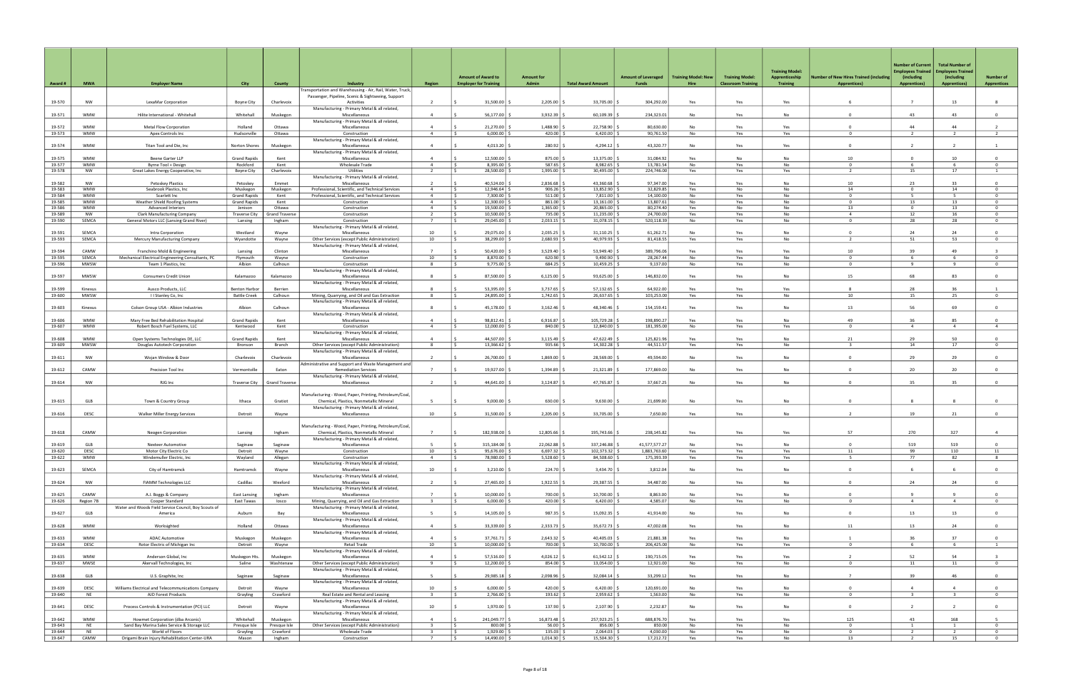|                  |                          |                                                                            |                                             |                           |                                                                                               |                                  | <b>Amount of Award to</b>                            | <b>Amount for</b>         |                            | <b>Amount of Leveraged</b> | <b>Training Model: New</b> | <b>Training Model:</b>    | <b>Training Model:</b><br>Apprenticeship | <b>Number of New Hires Trained (including</b> | <b>Number of Current</b><br><b>Employees Trained</b><br>(including | <b>Total Number of</b><br><b>Employees Trained</b><br>(including | <b>Number of</b>                 |
|------------------|--------------------------|----------------------------------------------------------------------------|---------------------------------------------|---------------------------|-----------------------------------------------------------------------------------------------|----------------------------------|------------------------------------------------------|---------------------------|----------------------------|----------------------------|----------------------------|---------------------------|------------------------------------------|-----------------------------------------------|--------------------------------------------------------------------|------------------------------------------------------------------|----------------------------------|
| Award#           | <b>MWA</b>               | <b>Employer Name</b>                                                       | <b>City</b>                                 | <b>County</b>             | Industry<br>Fransportation and Warehousing - Air, Rail, Water, Truck,                         | <b>Region</b>                    | <b>Employer for Training</b>                         | Admin                     | <b>Total Award Amount</b>  | Funds                      | Hire                       | <b>Classroom Training</b> | <b>Training</b>                          | <b>Apprentices)</b>                           | <b>Apprentices)</b>                                                | <b>Apprentices)</b>                                              | <b>Apprentices</b>               |
| 19-570           | NW                       | LexaMar Corporation                                                        | <b>Boyne City</b>                           | Charlevoix                | Passenger, Pipeline, Scenic & Sightseeing, Support<br>Activities                              | <sup>2</sup>                     | 31,500.00                                            | 2,205.00                  | 33,705.00                  | 304,292.00                 | Yes                        | Yes                       | Yes                                      |                                               | $\overline{7}$                                                     | 13                                                               | 8                                |
| 19-571           | <b>WMW</b>               | Hilite International - Whitehall                                           | Whitehall                                   | Muskegon                  | Manufacturing - Primary Metal & all related,<br>Miscellaneous                                 | $\overline{4}$                   | 56,177.00                                            | 3,932.39                  | 60,109.39                  | 234,323.0                  | No                         | Yes                       | No                                       | $\Omega$                                      | 43                                                                 | 43                                                               | $\Omega$                         |
|                  |                          |                                                                            |                                             |                           | Manufacturing - Primary Metal & all related,                                                  |                                  |                                                      |                           |                            |                            |                            |                           |                                          |                                               |                                                                    |                                                                  |                                  |
| 19-572<br>19-573 | <b>WMW</b><br><b>WMW</b> | Metal Flow Corporation<br>Apex Controls Inc                                | Holland<br>Hudsonville                      | Ottawa<br>Ottawa          | Miscellaneous<br>Construction                                                                 | $\overline{4}$<br>$\overline{4}$ | 21,270.00<br>6,000.00                                | 1,488.90<br>420.00        | 22,758.90<br>6,420.00      | 80,630.00<br>90,761.50     | No<br>No                   | Yes<br>Yes                | Yes<br>Yes                               | $\Omega$<br>$\Omega$                          | 44                                                                 | 44<br>2                                                          | $\overline{2}$<br>$\overline{2}$ |
| 19-574           | <b>WMW</b>               | Titan Tool and Die, Inc.                                                   | Norton Shores                               | Muskegon                  | Manufacturing - Primary Metal & all related,<br>Miscellaneous                                 | $\overline{4}$                   | 4,013.20                                             | 280.92                    | 4,294.12                   | 43,320.77                  | <b>No</b>                  | Yes                       | Yes                                      | $\Omega$                                      | $\overline{2}$                                                     |                                                                  | $\overline{1}$                   |
| 19-575           | <b>WMW</b>               | Beene Garter LLP                                                           | <b>Grand Rapids</b>                         | Kent                      | Manufacturing - Primary Metal & all related,<br>Miscellaneous                                 | $\overline{4}$                   | 12,500.00                                            | 875.00                    | 13,375.00                  | 31,084.92                  | Yes                        | No                        | No                                       | 10                                            | $\mathbf{0}$                                                       | 10                                                               | $\overline{0}$                   |
| 19-577           | <b>WMW</b>               | Byrne Tool + Design                                                        | Rockford                                    | Kent                      | <b>Wholesale Trade</b>                                                                        | $\overline{4}$                   | IS.<br>8,395.00                                      | 587.65                    | 8,982.65                   | 13,781.54                  | No                         | Yes                       | No                                       | $\Omega$                                      | -6                                                                 | -6                                                               | $\overline{0}$                   |
| 19-578           | NW                       | Great Lakes Energy Cooperative, Inc                                        | Boyne City                                  | Charlevoix                | Utilities<br>Manufacturing - Primary Metal & all related,                                     |                                  | 28,500.00                                            | 1,995.00                  | 30,495.00                  | 224,746.00                 | Yes                        | Yes                       | Yes                                      | 2                                             | 15                                                                 | 17                                                               | -1                               |
| 19-582<br>19-583 | NW<br><b>WMW</b>         | <b>Petoskey Plastics</b><br>Seabrook Plastics, Inc.                        | Petoskey<br>Muskegon                        | Emmet<br>Muskegon         | Miscellaneous<br>Professional, Scientific, and Technical Services                             | $\overline{4}$                   | 40,524.00<br>12,946.64<br>l S                        | 2,836.68<br>906.26        | 43,360.68<br>13,852.90     | 97,347.00<br>32,829.85     | Yes<br>Yes                 | Yes<br>No                 | No<br>No                                 | 10<br>14                                      | 23<br>$^{\circ}$                                                   | 33<br>14                                                         | $^{\circ}$<br>$^{\circ}$         |
| 19-584           | <b>WMW</b>               | Scarlett Inc                                                               | <b>Grand Rapids</b>                         | Kent                      | Professional, Scientific, and Technical Services                                              | $\overline{4}$                   | 7,300.00<br>IS.                                      | 511.00                    | 7,811.00                   | 14,100.00                  | No                         | Yes                       | No                                       | $\Omega$                                      | $-5$                                                               | -5                                                               | $\overline{0}$                   |
| 19-585<br>19-586 | <b>WMW</b><br><b>WMW</b> | Weather Shield Roofing Systems<br><b>Advanced Interiors</b>                | <b>Grand Rapids</b><br>Jenison              | Kent<br>Ottawa            | Construction<br>Construction                                                                  | $\overline{4}$<br>$\overline{4}$ | 12,300.00<br>I\$<br>19,500.00<br>I S                 | 861.00<br>1,365.00        | 13,161.00<br>20,865.00     | 13,807.61<br>80,274.40     | No<br>Yes                  | Yes<br>No                 | No<br>No                                 | $^{\circ}$<br>13                              | 13<br>$\Omega$                                                     | 13<br>13                                                         | $\overline{0}$<br>$\overline{0}$ |
| 19-589           | NW                       | <b>Clark Manufacturing Company</b>                                         | <b>Traverse City</b>                        | <b>Grand Traverse</b>     | Construction                                                                                  | $\overline{z}$                   | 10,500.00<br>l s                                     | 735.00                    | 11,235.00                  | 24,700.00                  | Yes                        | Yes                       | No                                       | $\overline{a}$                                | 12                                                                 | 16                                                               | $\Omega$                         |
| 19-590           | SEMCA                    | General Motors LLC (Lansing Grand River)                                   | Lansing                                     | Ingham                    | Construction<br>Manufacturing - Primary Metal & all related,                                  |                                  | 29,045.00                                            | 2,033.15                  | 31,078.15                  | 520,118.39                 | No                         | Yes                       | No                                       | 0                                             | 28                                                                 | 28                                                               | $^{\circ}$                       |
| 19-591           | SEMCA                    | Intra Corporation                                                          | Westland                                    | Wayne                     | Miscellaneous                                                                                 | 10                               | 29,075.00                                            | 2,035.25                  | 31,110.25                  | 61,262.7                   | No                         | Yes                       | No                                       | $\Omega$                                      | 24                                                                 | 24                                                               | $\overline{0}$                   |
| 19-593           | SEMCA                    | Mercury Manufacturing Company                                              | Wyandotte                                   | Wayne                     | Other Services (except Public Administration)<br>Manufacturing - Primary Metal & all related, | 10                               | 38,299.00                                            | 2,680.93                  | 40,979.93                  | 81,418.55                  | Yes                        | Yes                       | No                                       |                                               | 51                                                                 | 53                                                               | $^{\circ}$                       |
| 19-594           | CAMW                     | Franchino Mold & Engineering                                               | Lansing                                     | Clinton                   | Miscellaneous                                                                                 | $\overline{7}$                   | 50,420.00                                            | 3,529.40                  | 53,949.40                  | 389,796.06                 | Yes                        | Yes                       | Yes                                      | 10                                            | 39                                                                 | 49                                                               |                                  |
| 19-595<br>19-596 | SEMCA<br><b>MWSW</b>     | Mechanical Electrical Engineering Consultants, PC<br>Team 1 Plastics, Inc. | Plymouth<br>Albion                          | Wayne<br>Calhoun          | Construction<br>Construction                                                                  | 10<br>-8                         | 8,870.00<br>IS.<br>9,775.00<br>ΙŚ.                   | 620.90<br>684.25          | 9,490.90<br>10,459.25      | 28,267.44<br>9,137.00      | No<br>No                   | Yes<br>Yes                | No<br>No                                 | $\Omega$<br>$\Omega$                          | -6<br>$\overline{q}$                                               | -6<br>9                                                          | $^{\circ}$<br>$\overline{0}$     |
|                  | MWSW                     |                                                                            |                                             |                           | Manufacturing - Primary Metal & all related,                                                  |                                  | 87,500.00                                            | 6,125.00                  | 93,625.00                  |                            |                            |                           |                                          | 15                                            | 68                                                                 | 83                                                               | $\overline{0}$                   |
| 19-597           |                          | <b>Consumers Credit Union</b>                                              | Kalamazoo                                   | Kalamazoo                 | Miscellaneous<br>Manufacturing - Primary Metal & all related,                                 |                                  |                                                      |                           |                            | 146,832.00                 | Yes                        | Yes                       | No                                       |                                               |                                                                    |                                                                  |                                  |
| 19-599<br>19-600 | Kinexus<br>MWSW          | Ausco Products, LLC<br>II Stanley Co, Inc.                                 | <b>Benton Harbor</b><br><b>Battle Creek</b> | <b>Berrien</b><br>Calhoun | Miscellaneous<br>Mining, Quarrying, and Oil and Gas Extraction                                | 8                                | 53,395.00<br>24,895.00<br>l S                        | 3,737.65<br>1,742.65      | 57,132.65<br>26,637.65     | 64,922.00<br>103,253.00    | Yes<br>Yes                 | Yes<br>Yes                | Yes<br>No                                | 10                                            | 28<br>15                                                           | 36<br>25                                                         | $\overline{0}$                   |
|                  |                          |                                                                            |                                             |                           | Manufacturing - Primary Metal & all related,                                                  |                                  |                                                      |                           |                            |                            |                            |                           |                                          |                                               |                                                                    | 69                                                               |                                  |
| 19-603           | Kinexus                  | Colson Group USA - Albion Industries                                       | Albion                                      | Calhoun                   | Miscellaneous<br>Manufacturing - Primary Metal & all related                                  | -8                               | 45,178.00                                            | 3,162.46                  | 48,340.46                  | 154,159.41                 | Yes                        | Yes                       | No                                       | 13                                            | 56                                                                 |                                                                  | $^{\circ}$                       |
| 19-606<br>19-607 | <b>WMW</b><br>WMW        | Mary Free Bed Rehabilitation Hospital<br>Robert Bosch Fuel Systems, LLC    | <b>Grand Rapids</b><br>Kentwood             | Kent<br>Kent              | Miscellaneous<br>Construction                                                                 | $\overline{4}$<br>$\overline{4}$ | 98,812.41<br>12,000.00<br>IS.                        | 6,916.87<br>840.00        | 105,729.28<br>12,840.00    | 198,890.27<br>181,395.00   | Yes<br>No                  | Yes<br>Yes                | No<br>Yes                                | 49<br>$^{\circ}$                              | 36<br>$\overline{4}$                                               | 85<br>$\overline{4}$                                             | $\overline{0}$<br>$\overline{4}$ |
|                  |                          |                                                                            |                                             |                           | Manufacturing - Primary Metal & all related,                                                  |                                  |                                                      |                           |                            |                            |                            |                           |                                          |                                               |                                                                    |                                                                  |                                  |
| 19-608<br>19-609 | <b>WMW</b><br>MWSW       | Open Systems Technologies DE, LLC<br>Douglas Autotech Corporation          | <b>Grand Rapids</b><br>Bronson              | Kent<br>Branch            | Miscellaneous<br>Other Services (except Public Administration)                                | $\Delta$<br>8                    | 44.507.00<br>13,366.62<br>IS.                        | 3,115.49<br>935.66        | 47,622.49<br>14,302.28     | 125,821.96<br>44,511.5     | Yes<br>Yes                 | Yes<br>Yes                | <b>No</b><br>No                          | 21<br>$\mathbf{3}$                            | 29<br>14                                                           | 50<br>17                                                         | $\Omega$<br>$\overline{0}$       |
|                  |                          |                                                                            |                                             |                           | Manufacturing - Primary Metal & all related,                                                  |                                  |                                                      |                           |                            |                            |                            |                           |                                          |                                               |                                                                    |                                                                  |                                  |
| 19-611           | NW                       | Wojan Window & Door                                                        | Charlevoix                                  | Charlevoix                | Miscellaneous<br>Administrative and Support and Waste Management and                          | 2                                | 26,700.00                                            | 1,869.00                  | 28,569.00                  | 49,594.00                  | No                         | Yes                       | No                                       | $\Omega$                                      | 29                                                                 | 29                                                               | $\overline{0}$                   |
| 19-612           | CAMW                     | Precision Tool Inc                                                         | Vermontville                                | Eaton                     | <b>Remediation Services</b><br>Manufacturing - Primary Metal & all related,                   |                                  | 19,927.00                                            | 1,394.89                  | 21,321.89                  | 177,869.00                 | No                         | Yes                       | No                                       | $\Omega$                                      | 20                                                                 | 20                                                               | $^{\circ}$                       |
| 19-614           | NW                       | RJG Inc                                                                    | <b>Traverse City</b>                        | <b>Grand Traverse</b>     | Miscellaneous                                                                                 | $\overline{2}$                   | 44,641.00                                            | 3,124.87                  | 47,765.87                  | 37,667.25                  | No                         | Yes                       | No                                       | $\Omega$                                      | 35                                                                 | 35                                                               | $\mathbf{0}$                     |
|                  |                          |                                                                            |                                             |                           | Manufacturing - Wood, Paper, Printing, Petroleum/Coal,                                        |                                  |                                                      |                           |                            |                            |                            |                           |                                          |                                               |                                                                    |                                                                  |                                  |
| 19-615           | GLB                      | Town & Country Group                                                       | Ithaca                                      | Gratiot                   | Chemical, Plastics, Nonmetallic Mineral<br>Manufacturing - Primary Metal & all related,       |                                  | 9,000.00                                             | 630.00                    | 9,630.00                   | 21,699.00                  | No                         | Yes                       | No                                       | $\Omega$                                      | 8                                                                  | 8                                                                | $\overline{0}$                   |
| 19-616           | DESC                     | Walker Miller Energy Services                                              | Detroit                                     | Wayne                     | Miscellaneous                                                                                 | 10                               | 31,500.00                                            | 2,205.00                  | 33,705.00                  | 7,650.00                   | Yes                        | Yes                       | No                                       | $\overline{2}$                                | 19                                                                 | 21                                                               | $\Omega$                         |
|                  |                          |                                                                            |                                             |                           | Manufacturing - Wood, Paper, Printing, Petroleum/Coal,                                        |                                  |                                                      |                           |                            |                            |                            |                           |                                          |                                               |                                                                    |                                                                  |                                  |
| 19-618           | CAMW                     | <b>Neogen Corporation</b>                                                  | Lansing                                     | Ingham                    | Chemical, Plastics, Nonmetallic Mineral<br>Manufacturing - Primary Metal & all related        | $\overline{7}$                   | 182,938.00                                           | 12,805.66                 | 195,743.66                 | 238,145.82                 | Yes                        | Yes                       | Yes                                      | 57                                            | 270                                                                | 327                                                              | $\Delta$                         |
| 19-619           | GLB                      | <b>Nexteer Automotive</b>                                                  | Saginaw                                     | Saginaw                   | Miscellaneous                                                                                 |                                  | 315,184.00                                           | 22,062.88                 | 337,246.88                 | 41,577,577.27              | No                         | Yes                       | No                                       | $\Omega$                                      | 519                                                                | 519                                                              | $\Omega$                         |
| 19-620<br>19-622 | DESC<br><b>WMW</b>       | Motor City Electric Co<br>Windemuller Electric, Inc                        | Detroit<br>Wayland                          | Wayne<br>Allegan          | Construction<br>Construction                                                                  | 10<br>$\overline{4}$             | 95,676.00 \$<br>$\frac{1}{2}$<br>78,980.00 \$<br>I S | $6,697.32$ \$<br>5,528.60 | 102,373.32 \$<br>84,508.60 | 1,883,763.60<br>175,393.39 | Yes<br>Yes                 | Yes<br>Yes                | Yes<br>Yes                               | 11<br>- 5                                     | 99<br>77                                                           | 110<br>82                                                        | 11<br>$8^{\circ}$                |
|                  |                          |                                                                            |                                             |                           | Manufacturing - Primary Metal & all related,                                                  |                                  |                                                      |                           |                            |                            |                            |                           |                                          |                                               |                                                                    |                                                                  |                                  |
| 19-623           | SEMCA                    | City of Hamtramck                                                          | Hamtramck                                   | Wayne                     | Miscellaneous<br>Manufacturing - Primary Metal & all related,                                 | 10                               | $3,210.00$ \$                                        | 224.70 \$                 | 3,434.70 \$                | 3,812.04                   | No                         | Yes                       | No                                       | $\overline{0}$                                | - 6                                                                | 6                                                                | $\overline{0}$                   |
| 19-624           | NW                       | FIAMM Technologies LLC                                                     | Cadillac                                    | Wexford                   | Miscellaneous<br>Manufacturing - Primary Metal & all related,                                 | $\overline{z}$                   | 27,465.00                                            | 1,922.55                  | 29,387.55                  | 34,487.00                  | No                         | Yes                       | No                                       | $\mathbf 0$                                   | 24                                                                 | 24                                                               | $\overline{0}$                   |
| 19-625           | CAMW                     | A.J. Boggs & Company                                                       | East Lansing                                | Ingham                    | Miscellaneous                                                                                 | $\overline{7}$                   | $10,000.00$ :                                        | 700.00                    | $10.700.00$ $\mid$ 3       | 8,863.00                   | <b>No</b>                  | Yes                       | No                                       | $\Omega$                                      | $\overline{9}$                                                     | $\overline{q}$                                                   | $\overline{0}$                   |
| 19-626           | Region 7B                | Cooper Standard<br>Water and Woods Field Service Council, Boy Scouts of    | East Tawas                                  | losco                     | Mining, Quarrying, and Oil and Gas Extraction<br>Manufacturing - Primary Metal & all related, | $\overline{\mathbf{3}}$          | T\$ 1<br>$6,000.00$ \$                               | $420.00$ \$               | $6,420.00$ \$              | 4,585.07                   | No                         | Yes                       | No                                       | $^{\circ}$                                    | $\overline{4}$                                                     | $\overline{4}$                                                   | $\overline{0}$                   |
| 19-627           | GLB                      | America                                                                    | Auburn                                      | Bay                       | Miscellaneous                                                                                 | -5                               | 14,105.00                                            | 987.35                    | 15,092.35                  | 41,914.00                  | No                         | Yes                       | No                                       | $\overline{0}$                                | 13                                                                 | 13                                                               | $\overline{0}$                   |
| 19-628           | <b>WMW</b>               | Worksighted                                                                | Holland                                     | Ottawa                    | Manufacturing - Primary Metal & all related,<br>Miscellaneous                                 | $\overline{4}$                   | 33,339.00                                            | 2,333.73                  | 35,672.73                  | 47,002.08                  | Yes                        | Yes                       | No                                       | 11                                            | 13                                                                 | 24                                                               | $\overline{0}$                   |
| 19-633           | <b>WMW</b>               | <b>ADAC Automotive</b>                                                     | Muskegon                                    | Muskegon                  | Manufacturing - Primary Metal & all related,<br>Miscellaneous                                 | $\overline{4}$                   | 37,761.71                                            | 2,643.32                  | 40,405.03                  | 21,881.38                  | Yes                        | Yes                       | No                                       |                                               | 36                                                                 | 37                                                               | $\overline{0}$                   |
| 19-634           | <b>DESC</b>              | Rotor Electric of Michigan Inc                                             | Detroit                                     | Wayne                     | Retail Trade                                                                                  | 10                               | 10,000.00<br>l s                                     | 700.00                    | 10,700.00   9              | 206,425.00                 | No                         | Yes                       | Yes                                      | $\Omega$                                      | 6                                                                  | 6                                                                | $\mathbf{1}$                     |
| 19-635           | <b>WMW</b>               | Anderson Global, Inc                                                       | Muskegon Hts.                               | Muskegon                  | Manufacturing - Primary Metal & all related,<br>Miscellaneous                                 | $\overline{a}$                   | 57,516.00                                            | 4,026.12                  | 61,542.12                  | 190,715.05                 | Yes                        | Yes                       | Yes                                      |                                               | 52                                                                 | 54                                                               |                                  |
| 19-637           | MWSE                     | Akervall Technologies, Inc                                                 | Saline                                      | Washtenaw                 | Other Services (except Public Administration)<br>Manufacturing - Primary Metal & all related, | 9                                | 12,200.00<br>$\sim$                                  | 854.00 \$                 | 13,054.00 \$               | 12,921.00                  | No                         | Yes                       | No                                       | $\Omega$                                      | 11                                                                 | 11                                                               | $\overline{0}$                   |
| 19-638           | GLB                      | U.S. Graphite, Inc                                                         | Saginaw                                     | Saginaw                   | Miscellaneous                                                                                 |                                  | 29,985.18                                            | 2,098.96                  | 32,084.14                  | 33,299.12                  | Yes                        | Yes                       | No                                       | $\overline{7}$                                | 39                                                                 | 46                                                               | $\overline{0}$                   |
| 19-639           | <b>DESC</b>              | Williams Electrical and Telecommunications Company                         | Detroit                                     | Wayne                     | Manufacturing - Primary Metal & all related,<br>Miscellaneous                                 | 10                               | $6,000.00$ :                                         | $420.00$ :                | $6,420.00$ \ \$            | 120,691.00                 | No                         | Yes                       | No                                       | $\Omega$                                      | 4                                                                  | 4                                                                | $\overline{0}$                   |
| 19-640           | <b>NE</b>                | AJD Forest Products                                                        | Grayling                                    | Crawford                  | Real Estate and Rental and Leasing                                                            | $\overline{\mathbf{3}}$          | 2,766.00<br>Is.                                      | $193.62$ \$               | $2,959.62$ \$              | 1,563.00                   | No                         | Yes                       | No                                       | $\mathbf{0}$                                  | $\overline{3}$                                                     | $\overline{\mathbf{3}}$                                          | $\overline{0}$                   |
| 19-641           | <b>DESC</b>              | Process Controls & Instrumentation (PCI) LLC                               | Detroit                                     | Wayne                     | Manufacturing - Primary Metal & all related,<br>Miscellaneous                                 | 10                               | 1,970.00                                             | 137.90                    | $2,107.90$ \ \;            | 2,232.87                   | No                         | Yes                       | No                                       | $^{\circ}$                                    | $\overline{2}$                                                     |                                                                  | $\overline{0}$                   |
| 19-642           | <b>WMW</b>               | Howmet Corporation (dba Arconic)                                           | Whitehall                                   | Muskegon                  | Manufacturing - Primary Metal & all related,<br>Miscellaneous                                 | $\overline{4}$                   | 241,049.77                                           | 16,873.48                 | 257,923.25                 | 688.876.70                 | Yes                        | Yes                       | Yes                                      | 125                                           | 43                                                                 | 168                                                              | -5                               |
| 19-643           | <b>NE</b>                | Sand Bay Marina Sales Service & Storage LLC                                | Presque Isle                                | Presque Isle              | Other Services (except Public Administration)                                                 | $\overline{\mathbf{3}}$          | $\vert$ \$<br>$800.00$ \$                            | $56.00$ :                 | 856.00                     | 850.00                     | No                         | Yes                       | No                                       | $\mathbf{0}$                                  | $\overline{1}$                                                     | <sup>1</sup>                                                     | $\overline{0}$                   |
| 19-644<br>19-647 | NE<br>CAMW               | World of Floors<br>Origami Brain Injury Rehabilitation Center-URA          | Grayling<br>Mason                           | Crawford<br>Ingham        | Wholesale Trade<br>Construction                                                               | $\overline{3}$<br>7              | 1,929.00<br>l s<br>14,490.00 \$<br>$\sqrt{5}$        | 135.03<br>$1,014.30$ \$   | 2,064.03<br>15,504.30 \$   | 4,030.00<br>17,212.72      | No<br>Yes                  | Yes<br>Yes                | No<br>No                                 | $\mathsf 0$<br>13                             | $\overline{2}$<br>$\overline{2}$                                   | $\overline{2}$<br>15                                             | $\overline{0}$<br>$\overline{0}$ |
|                  |                          |                                                                            |                                             |                           |                                                                                               |                                  |                                                      |                           |                            |                            |                            |                           |                                          |                                               |                                                                    |                                                                  |                                  |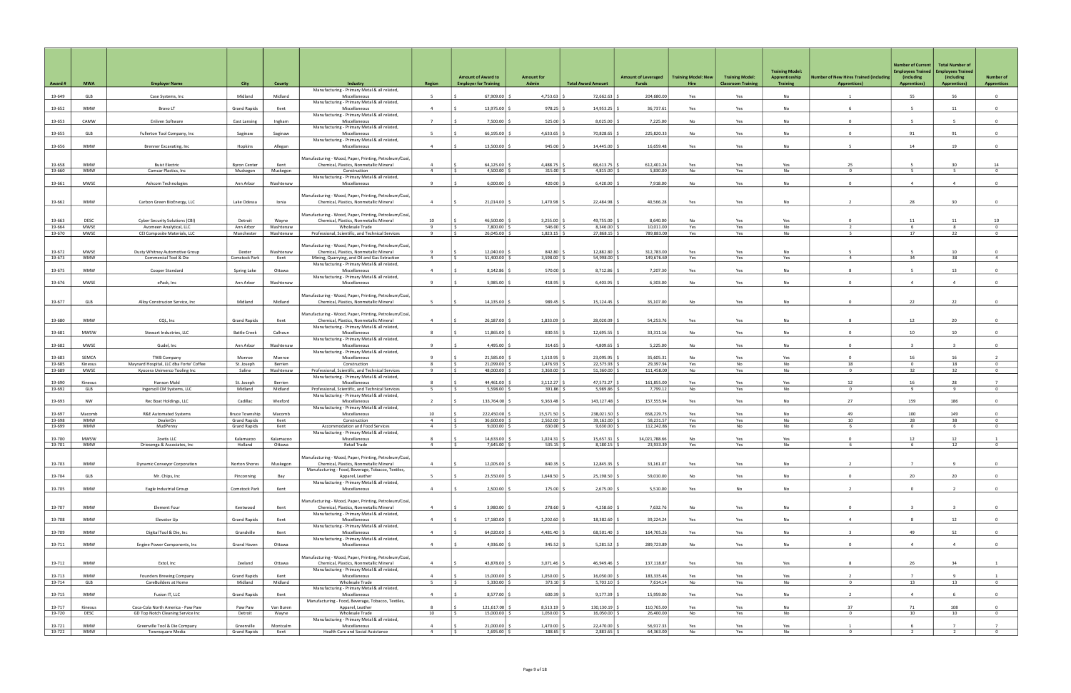| Award #          | <b>MWA</b>                | <b>Employer Name</b>                                                    | City                                       | County               | Industry                                                                                                                                           | <b>Region</b>                    | <b>Amount of Award to</b><br><b>Employer for Training</b> | <b>Amount for</b><br>Admin           | <b>Total Award Amount</b>  | <b>Amount of Leveraged</b><br><b>Funds</b> | <b>Training Model: New</b><br>Hire | <b>Training Model:</b><br><b>Classroom Training</b> | <b>Training Model:</b><br>Apprenticeship<br><b>Training</b> | <b>Number of New Hires Trained (including</b><br><b>Apprentices)</b> | <b>Number of Current</b><br><b>Employees Trained</b><br>(including)<br><b>Apprentices)</b> | <b>Total Number of</b><br><b>Employees Trained</b><br>(including<br><b>Apprentices)</b> | <b>Number of</b><br><b>Apprentices</b> |
|------------------|---------------------------|-------------------------------------------------------------------------|--------------------------------------------|----------------------|----------------------------------------------------------------------------------------------------------------------------------------------------|----------------------------------|-----------------------------------------------------------|--------------------------------------|----------------------------|--------------------------------------------|------------------------------------|-----------------------------------------------------|-------------------------------------------------------------|----------------------------------------------------------------------|--------------------------------------------------------------------------------------------|-----------------------------------------------------------------------------------------|----------------------------------------|
| 19-649           | GLB                       | Case Systems, Inc                                                       | Midland                                    | Midland              | Manufacturing - Primary Metal & all related,<br>Miscellaneous                                                                                      | -5                               | 67,909.00                                                 | 4,753.63                             | 72,662.63                  | 204,680.00                                 | Yes                                | Yes                                                 | No                                                          |                                                                      | 55                                                                                         | 56                                                                                      | $\overline{0}$                         |
|                  |                           |                                                                         |                                            |                      | Manufacturing - Primary Metal & all related,                                                                                                       |                                  |                                                           |                                      |                            |                                            |                                    |                                                     |                                                             |                                                                      |                                                                                            |                                                                                         |                                        |
| 19-652           | <b>WMW</b>                | Bravo LT                                                                | <b>Grand Rapids</b>                        | Kent                 | Miscellaneous<br>Manufacturing - Primary Metal & all related,                                                                                      | $\overline{4}$                   | 13,975.00                                                 | 978.25                               | 14,953.25                  | 36,737.61                                  | Yes                                | Yes                                                 | No                                                          |                                                                      |                                                                                            | 11                                                                                      | $\Omega$                               |
| 19-653           | CAMW                      | Enliven Software                                                        | <b>East Lansing</b>                        | Ingham               | Miscellaneous                                                                                                                                      | $\overline{7}$                   | 7.500.00                                                  | $525.00$ \ \$                        | 8,025.00                   | 7,225.00                                   | No                                 | Yes                                                 | <b>No</b>                                                   | $\Omega$                                                             | -5                                                                                         | -5                                                                                      | $\overline{0}$                         |
| 19-655           | GLB                       | Fullerton Tool Company, Inc                                             | Saginaw                                    | Saginaw              | Manufacturing - Primary Metal & all related,<br>Miscellaneous                                                                                      | - 5                              | 66,195.00                                                 | 4,633.65                             | 70,828.65                  | 225,820.33                                 | No                                 | Yes                                                 | No                                                          | $^{\circ}$                                                           | 91                                                                                         | 91                                                                                      | $\mathbf{0}$                           |
| 19-656           | <b>WMW</b>                | Brenner Excavating, Inc.                                                | Hopkins                                    | Allegan              | Manufacturing - Primary Metal & all related,<br>Miscellaneous                                                                                      | $\overline{4}$                   | 13,500.00                                                 | 945.00                               | 14,445.00                  | 16,659.48                                  | Yes                                | Yes                                                 | No                                                          | -5                                                                   | 14                                                                                         | 19                                                                                      | $\overline{0}$                         |
|                  |                           |                                                                         |                                            |                      |                                                                                                                                                    |                                  |                                                           |                                      |                            |                                            |                                    |                                                     |                                                             |                                                                      |                                                                                            |                                                                                         |                                        |
| 19-658           | <b>WMW</b>                | <b>Buist Electric</b>                                                   | <b>Byron Center</b>                        | Kent                 | Manufacturing - Wood, Paper, Printing, Petroleum/Coal,<br>Chemical, Plastics, Nonmetallic Mineral                                                  | $\overline{4}$                   | 64,125.00                                                 | 4,488.75                             | 68,613.75                  | 612,401.24                                 | Yes                                | Yes                                                 | Yes                                                         | 25                                                                   |                                                                                            | 30                                                                                      | 14                                     |
| 19-660           | <b>WMW</b>                | Camcar Plastics, Inc.                                                   | Muskegon                                   | Muskegon             | Construction<br>Manufacturing - Primary Metal & all related,                                                                                       | $\overline{4}$                   | 4,500.00                                                  | $315.00$ \$                          | 4,815.00                   | 5,830.00                                   | No                                 | Yes                                                 | No                                                          | $\Omega$                                                             | - 5                                                                                        | 5                                                                                       | $\overline{0}$                         |
| 19-661           | <b>MWSE</b>               | Ashcom Technologies                                                     | Ann Arbor                                  | Washtenaw            | Miscellaneous                                                                                                                                      | -9                               | 6,000.00                                                  | 420.00                               | 6,420.00                   | 7,918.00                                   | No                                 | Yes                                                 | No                                                          | $^{\circ}$                                                           | $\overline{4}$                                                                             | $\overline{4}$                                                                          | $\mathbf{0}$                           |
| 19-662           | <b>WMW</b>                | Carbon Green BioEnergy, LLC                                             | Lake Odessa                                | Ionia                | Manufacturing - Wood, Paper, Printing, Petroleum/Coal,<br>Chemical, Plastics, Nonmetallic Mineral                                                  | $\overline{4}$                   | 21,014.00                                                 | 1,470.98                             | 22,484.98                  | 40,566.28                                  | Yes                                | Yes                                                 | No                                                          |                                                                      | 28                                                                                         | 30                                                                                      | $\mathbf{0}$                           |
|                  |                           |                                                                         |                                            |                      | Manufacturing - Wood, Paper, Printing, Petroleum/Coal,                                                                                             |                                  |                                                           |                                      |                            |                                            |                                    |                                                     |                                                             |                                                                      |                                                                                            |                                                                                         |                                        |
| 19-663<br>19-664 | <b>DESC</b><br>MWSE       | <b>Cyber Security Solutions (CBI)</b><br>Avomeen Analytical, LLC        | Detroit<br>Ann Arbor                       | Wayne<br>Washtenaw   | Chemical, Plastics, Nonmetallic Mineral<br><b>Wholesale Trade</b>                                                                                  | 10<br>$\overline{9}$             | 46,500.00<br>7,800.00 \$                                  | 3,255.00<br>$546.00$ \$              | 49,755.00<br>8,346.00      | 8,640.00<br>10,011.00                      | <b>No</b><br>Yes                   | Yes<br>Yes                                          | Yes<br>No                                                   | $\Omega$<br>$\overline{z}$                                           | 11<br>6                                                                                    | 11<br>8                                                                                 | 10<br>$\overline{0}$                   |
| 19-670           | MWSE                      | CEI Composite Materials, LLC                                            | Manchester                                 | Washtenaw            | Professional, Scientific, and Technical Services                                                                                                   | 9                                | $26,045.00$ \$                                            | $1,823.15$ \$                        | 27,868.15                  | 789,883.00                                 | Yes                                | Yes                                                 | No                                                          | -5                                                                   | 17                                                                                         | 22                                                                                      | $\overline{0}$                         |
| 19-672<br>19-673 | <b>MWSE</b><br><b>WMW</b> | Dusty Whitney Automotive Group<br>Commercial Tool & Die                 | Dexter<br>Comstock Park                    | Washtenaw<br>Kent    | Manufacturing - Wood, Paper, Printing, Petroleum/Coal,<br>Chemical, Plastics, Nonmetallic Mineral<br>Mining, Quarrying, and Oil and Gas Extraction | $\overline{4}$                   | 12,040.00<br>51,400.00                                    | 842.80<br>3,598.00                   | 12,882.80<br>54,998.00     | 312,783.00<br>149,676.69                   | Yes<br>Yes                         | Yes<br>Yes                                          | No<br>Yes                                                   | $\overline{4}$                                                       | 34                                                                                         | 10<br>38                                                                                | $\overline{4}$                         |
|                  |                           |                                                                         |                                            |                      | Manufacturing - Primary Metal & all related,                                                                                                       |                                  |                                                           |                                      |                            |                                            |                                    |                                                     |                                                             |                                                                      |                                                                                            |                                                                                         |                                        |
| 19-675           | <b>WMW</b>                | Cooper Standard                                                         | Spring Lake                                | Ottawa               | Miscellaneous<br>Manufacturing - Primary Metal & all related,                                                                                      | $\overline{4}$                   | 8,142.86                                                  | 570.00                               | 8,712.86                   | 7,207.30                                   | Yes                                | Yes                                                 | <b>No</b>                                                   |                                                                      |                                                                                            | 13                                                                                      | $\Omega$                               |
| 19-676           | <b>MWSE</b>               | ePack, Inc                                                              | Ann Arbor                                  | Washtenaw            | Miscellaneous                                                                                                                                      | 9                                | 5,985.00                                                  | 418.95                               | 6,403.95                   | 6,303.00                                   | No                                 | Yes                                                 | No                                                          | $^{\circ}$                                                           | $\overline{4}$                                                                             | $\overline{4}$                                                                          | $\mathbf{0}$                           |
| 19-677           | GLB                       | Alloy Construcion Service, Inc.                                         | Midland                                    | Midland              | Manufacturing - Wood, Paper, Printing, Petroleum/Coal,<br>Chemical, Plastics, Nonmetallic Mineral                                                  | 5                                | 14,135.00                                                 | $989.45$ \$                          | 15,124.45                  | 35,107.00                                  | No                                 | Yes                                                 | No                                                          | $\Omega$                                                             | 22                                                                                         | 22                                                                                      | $\mathbf{0}$                           |
| 19-680           | <b>WMW</b>                | CQL, Inc                                                                | <b>Grand Rapids</b>                        | Kent                 | Manufacturing - Wood, Paper, Printing, Petroleum/Coal,<br>Chemical, Plastics, Nonmetallic Mineral                                                  | $\overline{4}$                   | 26,187.00                                                 | 1,833.09                             | 28,020.09                  | 54,253.76                                  | Yes                                | Yes                                                 | No                                                          |                                                                      | 12                                                                                         | 20                                                                                      | $\Omega$                               |
|                  | <b>MWSW</b>               | Stewart Industries, LLC                                                 | <b>Battle Creek</b>                        |                      | Manufacturing - Primary Metal & all related,                                                                                                       | 8                                | 11,865.00                                                 | 830.55                               | 12,695.55                  | 33,311.16                                  | No                                 |                                                     | No                                                          | $^{\circ}$                                                           | 10                                                                                         | 10                                                                                      | $\overline{0}$                         |
| 19-681           |                           |                                                                         |                                            | Calhoun              | Miscellaneous<br>Manufacturing - Primary Metal & all related,                                                                                      |                                  |                                                           |                                      |                            |                                            |                                    | Yes                                                 |                                                             |                                                                      |                                                                                            |                                                                                         |                                        |
| 19-682           | <b>MWSE</b>               | Gudel, Inc                                                              | Ann Arbor                                  | Washtenaw            | Miscellaneous<br>Manufacturing - Primary Metal & all related,                                                                                      | $\mathbf{q}$                     | 4,495.00                                                  | 314.65                               | 4.809.65                   | 5,225.00                                   | No                                 | Yes                                                 | <b>No</b>                                                   | $\Omega$                                                             |                                                                                            |                                                                                         | $\Omega$                               |
| 19-683           | SEMCA                     | <b>TWB Company</b>                                                      | Monroe                                     | Monroe               | Miscellaneous                                                                                                                                      |                                  | 21,585.00                                                 | 1,510.95                             | 23,095.95                  | 35,605.31                                  | No                                 | Yes                                                 | Yes                                                         | $^{\circ}$                                                           | 16                                                                                         | 16                                                                                      |                                        |
| 19-685<br>19-689 | Kinexus<br>MWSE           | Maynard Hospital, LLC dba Forte' Coffee<br>Kyocera Unimerco Tooling Inc | St. Joseph<br>Saline                       | Berrien<br>Washtenaw | Construction<br>Professional, Scientific, and Technical Services                                                                                   | $\mathbf{R}$<br>-9               | 21,099.00<br>48,000.00 \$                                 | 1,476.93<br>$3,360.00$ $\frac{5}{5}$ | 22,575.93<br>51,360.00     | 29,397.94<br>111,458.00                    | Yes<br>No                          | No<br>Yes                                           | No<br>No                                                    | 18<br>$\mathbf{0}$                                                   | $\Omega$<br>32                                                                             | 18<br>32                                                                                | $\overline{0}$<br>$\overline{0}$       |
|                  |                           |                                                                         |                                            |                      | Manufacturing - Primary Metal & all related,                                                                                                       |                                  |                                                           |                                      |                            |                                            |                                    |                                                     |                                                             |                                                                      |                                                                                            |                                                                                         |                                        |
| 19-690<br>19-692 | Kinexus<br>GLB            | Hanson Mold<br>Ingersoll CM Systems, LLC                                | St. Joseph<br>Midland                      | Berrien<br>Midland   | Miscellaneous<br>Professional, Scientific, and Technical Services                                                                                  | 8<br>5                           | 44,461.00<br>5,598.00 \$                                  | 3,112.27<br>$391.86$ \$              | 47,573.27<br>5,989.86      | 161,855.00<br>7,799.12                     | Yes<br>No                          | Yes<br>Yes                                          | Yes<br>No                                                   | 12<br>$\mathbf{0}$                                                   | 16<br>9                                                                                    | 28<br>9                                                                                 | $\overline{7}$<br>$\overline{0}$       |
| 19-693           | NW                        | Rec Boat Holdings, LLC                                                  | Cadillac                                   | Wexford              | Manufacturing - Primary Metal & all related,<br>Miscellaneous<br>Manufacturing - Primary Metal & all related,                                      | $\overline{2}$                   | 133,764.00                                                | 9,363.48                             | 143,127.48                 | 157,555.94                                 | Yes                                | Yes                                                 | No                                                          | 27                                                                   | 159                                                                                        | 186                                                                                     | $\mathbf{0}$                           |
| 19-697           | Macomb                    | <b>R&amp;E Automated Systems</b>                                        | <b>Bruce Township</b>                      | Macomb               | Miscellaneous                                                                                                                                      | 10                               | 222,450.00                                                | 15,571.50                            | 238,021.50                 | 658,229.75                                 | Yes                                | Yes                                                 | <b>No</b>                                                   | 49                                                                   | 100                                                                                        | 149                                                                                     | $\Omega$                               |
| 19-698<br>19-699 | <b>WMW</b><br><b>WMW</b>  | DealerOn<br>MudPenny                                                    | <b>Grand Rapids</b><br><b>Grand Rapids</b> | Kent<br>Kent         | Construction<br>Accommodation and Food Services                                                                                                    | $\overline{4}$<br>$\overline{4}$ | 36,600.00<br>9,000.00                                     | 2,562.00<br>$630.00$ \$              | 39,162.00<br>9,630.00      | 58,231.57<br>112,242.86                    | Yes<br>Yes                         | Yes<br>No                                           | No<br>No                                                    | 10<br>6                                                              | 28<br>$\overline{0}$                                                                       | 38<br>6                                                                                 | $\overline{0}$<br>$\overline{0}$       |
|                  |                           |                                                                         |                                            |                      | Manufacturing - Primary Metal & all related,                                                                                                       |                                  |                                                           |                                      |                            |                                            |                                    |                                                     |                                                             |                                                                      |                                                                                            |                                                                                         |                                        |
| 19-700<br>19-701 | MWSW<br><b>WMW</b>        | Zoetis LLC<br>Driesenga & Associates, Inc                               | Kalamazoo<br>Holland                       | Kalamazoo<br>Ottawa  | Miscellaneous<br>Retail Trade                                                                                                                      | $\overline{4}$                   | 14,633.00   1<br>7,645.00 \$                              | 1,024.31 S<br>$535.15$ \$            | 15,657.31<br>8,180.15      | 34,021,788.66<br>23,933.39                 | No.<br>Yes                         | Yes<br>Yes                                          | Yes<br>No                                                   | 6                                                                    | 12<br>-6                                                                                   | 12<br>12                                                                                | $\overline{0}$                         |
| 19-703           | <b>WMW</b>                | Dynamic Conveyor Corporation                                            | Norton Shores                              | Muskegon             | Manufacturing - Wood, Paper, Printing, Petroleum/Coal,<br>Chemical, Plastics, Nonmetallic Mineral                                                  | $\overline{4}$                   | 12,005.00                                                 | 840.35                               | 12,845.35                  | 33,161.07                                  | Yes                                | Yes                                                 | No                                                          | $\overline{2}$                                                       | $\overline{7}$                                                                             | $\mathbf{q}$                                                                            | $\overline{0}$                         |
| 19-704           | GLB                       | Mr. Chips, Inc                                                          | Pinconning                                 | Bay                  | Manufacturing - Food, Beverage, Tobacco, Textiles,<br>Apparel, Leather                                                                             | 5                                | 23,550.00 \$                                              | $1,648.50$ \$                        | 25,198.50                  | 59,010.00                                  | No                                 | Yes                                                 | No                                                          | $\overline{0}$                                                       | 20                                                                                         | 20                                                                                      | $\overline{0}$                         |
| 19-705           | <b>WMW</b>                | Eagle Industrial Group                                                  | Comstock Park                              | Kent                 | Manufacturing - Primary Metal & all related,<br>Miscellaneous                                                                                      | $\overline{4}$                   | $2,500.00$ \$                                             | 175.00 \$                            | 2,675.00                   | 5,510.00                                   | Yes                                | No                                                  | <b>No</b>                                                   | $\overline{2}$                                                       | $\overline{0}$                                                                             | $\overline{2}$                                                                          | $\overline{0}$                         |
| 19-707           | <b>WMW</b>                | Element Four                                                            | Kentwood                                   | Kent                 | Manufacturing - Wood, Paper, Printing, Petroleum/Coal,<br>Chemical, Plastics, Nonmetallic Mineral                                                  | $\overline{4}$                   | $3,980.00$ \$                                             | 278.60 \$                            | $4,258.60$ \$              | 7,632.76                                   | No                                 | Yes                                                 | No                                                          | $\Omega$                                                             | $\overline{3}$                                                                             | $\overline{\mathbf{3}}$                                                                 | $\overline{0}$                         |
| 19-708           | <b>WMW</b>                | Elevator Up                                                             | Grand Rapids                               | Kent                 | Manufacturing - Primary Metal & all related,<br>Miscellaneous                                                                                      | $\overline{4}$                   | 17,180.00 \$                                              | 1,202.60                             | 18,382.60                  | 39,224.24                                  | Yes                                | Yes                                                 | No                                                          | $\overline{4}$                                                       | 8                                                                                          | 12                                                                                      | $\overline{0}$                         |
|                  |                           |                                                                         |                                            |                      | Manufacturing - Primary Metal & all related,                                                                                                       |                                  |                                                           |                                      |                            |                                            |                                    |                                                     |                                                             |                                                                      |                                                                                            |                                                                                         |                                        |
| 19-709           | <b>WMW</b>                | Digital Tool & Die, Inc                                                 | Grandville                                 | Kent                 | Miscellaneous<br>Manufacturing - Primary Metal & all related,                                                                                      | $\overline{4}$                   | 64,020.00                                                 | 4,481.40                             | 68,501.40                  | 164,705.26                                 | Yes                                | Yes                                                 | No                                                          | $\overline{3}$                                                       | 49                                                                                         | 52                                                                                      | $\overline{0}$                         |
| 19-711           | <b>WMW</b>                | Engine Power Components, Inc                                            | Grand Haven                                | Ottawa               | Miscellaneous                                                                                                                                      | $\overline{4}$                   | $4,936.00$ \$                                             | $345.52$ \$                          | 5,281.52                   | 289,723.89                                 | No                                 | Yes                                                 | No                                                          | $\mathbf 0$                                                          | $\overline{4}$                                                                             | $\overline{4}$                                                                          | $\overline{0}$                         |
| 19-712           | <b>WMW</b>                | Extol, Inc                                                              | Zeeland                                    | Ottawa               | Manufacturing - Wood, Paper, Printing, Petroleum/Coal,<br>Chemical, Plastics, Nonmetallic Mineral<br>Manufacturing - Primary Metal & all related,  | $\overline{4}$                   | 43,878.00 \$                                              | 3,071.46                             | 46,949.46                  | 137,118.87                                 | Yes                                | Yes                                                 | Yes                                                         | 8                                                                    | 26                                                                                         | 34                                                                                      | $\overline{1}$                         |
| 19-713<br>19-714 | <b>WMW</b><br>GLB         | Founders Brewing Company<br>CareBuilders at Home                        | <b>Grand Rapids</b><br>Midland             | Kent<br>Midland      | Miscellaneous<br>Wholesale Trade                                                                                                                   | $\overline{4}$<br>$5^{\circ}$    | 15,000.00<br>$5,330.00$ \$                                | $1,050.00$ :<br>$373.10$ \$          | 16,050.00<br>$5,703.10$ \$ | 183,335.48<br>7,614.14                     | Yes<br><b>No</b>                   | Yes<br>Yes                                          | Yes<br>No                                                   | $\overline{z}$<br>$\mathbf{0}$                                       | $\overline{7}$<br>13                                                                       | $\overline{9}$<br>13                                                                    | $\overline{1}$<br>$\overline{0}$       |
|                  |                           |                                                                         |                                            |                      | Manufacturing - Primary Metal & all related,                                                                                                       |                                  |                                                           |                                      |                            |                                            |                                    |                                                     |                                                             |                                                                      |                                                                                            |                                                                                         |                                        |
| 19-715           | <b>WMW</b>                | Fusion IT, LLC                                                          | <b>Grand Rapids</b>                        | Kent                 | Miscellaneous<br>Manufacturing - Food, Beverage, Tobacco, Textiles,                                                                                | $\overline{4}$                   | 8,577.00 \$                                               | $600.39$ \$                          | 9,177.39                   | 15,959.00                                  | Yes                                | Yes                                                 | No                                                          | $\overline{2}$                                                       | $\overline{4}$                                                                             | 6                                                                                       | $\overline{0}$                         |
| 19-717           | Kinexus                   | Coca-Cola North America - Paw Paw                                       | Paw Paw                                    | Van Buren            | Apparel, Leather                                                                                                                                   |                                  | 121,617.00                                                | 8,513.19                             | 130,130.19                 | 110,765.00                                 | Yes                                | Yes                                                 | No                                                          | 37                                                                   | 71                                                                                         | 108                                                                                     | $\Omega$                               |
| 19-720           | <b>DESC</b>               | GD Top Notch Cleaning Service Inc                                       | Detroit                                    | Wayne                | Wholesale Trade<br>Manufacturing - Primary Metal & all related,                                                                                    | 10                               | 15,000.00 \$                                              | $1,050.00$ \$                        | 16,050.00                  | 26,400.00                                  | No                                 | Yes                                                 | No                                                          | $\Omega$                                                             | 10                                                                                         | 10                                                                                      | $\overline{0}$                         |
| 19-721           | <b>WMW</b>                | Greenville Tool & Die Company                                           | Greenville                                 | Montcalm             | Miscellaneous                                                                                                                                      | $\overline{4}$                   | $21,000.00$ :                                             | $1,470.00$ \$                        | 22,470.00                  | 56,917.33                                  | Yes                                | Yes                                                 | Yes                                                         |                                                                      |                                                                                            |                                                                                         | $\overline{7}$                         |
| 19-722           | WMW                       | Townsquare Media                                                        | <b>Grand Rapids</b>                        | Kent                 | Health Care and Social Assistance                                                                                                                  | $\overline{4}$                   | $2,695.00$ \$<br>I <                                      | $188.65$ \$                          | $2,883.65$ \$              | 64,363.00                                  | No                                 | Yes                                                 | No                                                          | $\mathbf{0}$                                                         | $\overline{2}$                                                                             | $\overline{2}$                                                                          | $\overline{0}$                         |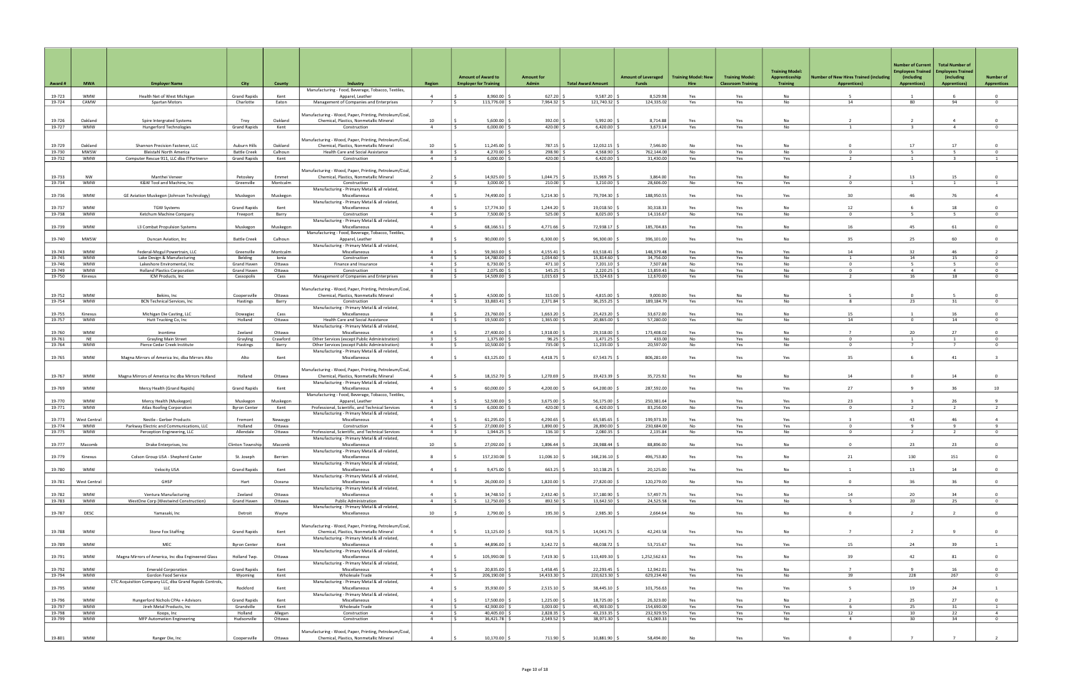| Award #          | <b>MWA</b>               | <b>Employer Name</b>                                                    | City                                       | <b>County</b>      | Industry                                                                                          | <b>Region</b>                    | <b>Amount of Award to</b><br><b>Employer for Training</b> | <b>Amount for</b><br>Admin | <b>Total Award Amount</b> | <b>Amount of Leveraged</b><br>Funds | <b>Training Model: New</b><br>Hire | <b>Training Model:</b><br><b>Classroom Training</b> | <b>Training Model:</b><br>Apprenticeship<br><b>Training</b> | <b>Iumber of New Hires Trained (including</b><br><b>Apprentices)</b> | <b>Number of Current</b><br><b>Imployees Trained</b><br>(including<br><b>Apprentices)</b> | <b>Total Number of</b><br><b>Employees Trained</b><br>(including<br><b>Apprentices)</b> | <b>Number of</b><br><b>Apprentices</b> |
|------------------|--------------------------|-------------------------------------------------------------------------|--------------------------------------------|--------------------|---------------------------------------------------------------------------------------------------|----------------------------------|-----------------------------------------------------------|----------------------------|---------------------------|-------------------------------------|------------------------------------|-----------------------------------------------------|-------------------------------------------------------------|----------------------------------------------------------------------|-------------------------------------------------------------------------------------------|-----------------------------------------------------------------------------------------|----------------------------------------|
|                  |                          |                                                                         |                                            |                    | Manufacturing - Food, Beverage, Tobacco, Textiles,                                                |                                  |                                                           |                            |                           |                                     |                                    |                                                     |                                                             |                                                                      |                                                                                           |                                                                                         |                                        |
| 19-723<br>19-724 | <b>WMW</b><br>CAMW       | Health Net of West Michigan<br>Spartan Motors                           | <b>Grand Rapids</b><br>Charlotte           | Kent<br>Eaton      | Apparel, Leather<br>Management of Companies and Enterprises                                       | $\Delta$<br>$\overline{7}$       | 8,960.00<br>113,776.00 \$                                 | 627.20<br>7,964.32         | 9,587.20<br>121,740.32    | 8,529.98<br>124,335.02              | Yes<br>Yes                         | Yes<br>Yes                                          | No<br>No                                                    | 14                                                                   | $\overline{1}$<br>80                                                                      | 6<br>94                                                                                 | $\overline{0}$<br>$\circ$              |
|                  |                          |                                                                         |                                            |                    |                                                                                                   |                                  |                                                           |                            |                           |                                     |                                    |                                                     |                                                             |                                                                      |                                                                                           |                                                                                         |                                        |
| 19-726           | Oakland                  | Spire Intergrated Systems                                               | Troy                                       | Oakland            | Manufacturing - Wood, Paper, Printing, Petroleum/Coal,<br>Chemical, Plastics, Nonmetallic Mineral | 10                               | 5.600.00                                                  | 392.00                     | 5.992.00                  | 8.714.88                            | Yes                                | Yes                                                 | <b>No</b>                                                   |                                                                      | $\overline{2}$                                                                            |                                                                                         | $\Omega$                               |
| 19-727           | WMW                      | Hungerford Technologies                                                 | <b>Grand Rapids</b>                        | Kent               | Construction                                                                                      | $\overline{4}$                   | $6,000.00$ \$<br>I S.                                     | $420.00$ \$                | 6,420.00                  | 3,673.14                            | Yes                                | Yes                                                 | No                                                          | $\mathbf{1}$                                                         | $\overline{\mathbf{3}}$                                                                   | $\overline{4}$                                                                          | $\overline{0}$                         |
|                  |                          |                                                                         |                                            |                    | Manufacturing - Wood, Paper, Printing, Petroleum/Coal,                                            |                                  |                                                           |                            |                           |                                     |                                    |                                                     |                                                             |                                                                      |                                                                                           |                                                                                         |                                        |
| 19-729           | Oakland                  | Shannon Precision Fastener, LLC                                         | <b>Auburn Hills</b>                        | Oakland            | Chemical, Plastics, Nonmetallic Mineral                                                           | 10                               | 11,245.00                                                 | 787.15                     | 12,032.15                 | 7.546.00                            | <b>No</b>                          | Yes                                                 | <b>No</b>                                                   | $\Omega$                                                             | 17                                                                                        | 17                                                                                      | $\Omega$                               |
| 19-730<br>19-732 | MWSW<br>WMW              | Bleistahl North America<br>Computer Rescue 911, LLC dba ITPartners+     | <b>Battle Creek</b><br><b>Grand Rapids</b> | Calhoun<br>Kent    | Health Care and Social Assistance<br>Construction                                                 | 8<br>$\overline{4}$              | 4,270.00<br>6,000.00                                      | 298.90<br>420.00           | 4,568.90<br>6,420.00      | 762,144.00<br>31,430.00             | No<br>Yes                          | Yes<br>Yes                                          | No<br>Yes                                                   | $\Omega$<br>$\overline{2}$                                           | -5<br><sup>1</sup>                                                                        | -5<br>$\overline{\mathbf{3}}$                                                           | $\mathbf{0}$<br>$\mathbf{1}$           |
|                  |                          |                                                                         |                                            |                    |                                                                                                   |                                  |                                                           |                            |                           |                                     |                                    |                                                     |                                                             |                                                                      |                                                                                           |                                                                                         |                                        |
| 19-733           | <b>NW</b>                | Manthei Veneer                                                          | Petoskey                                   | Emmet              | Manufacturing - Wood, Paper, Printing, Petroleum/Coal,<br>Chemical, Plastics, Nonmetallic Mineral | $\overline{\phantom{a}}$         | 14,925.00                                                 | 1,044.75                   | 15,969.75                 | 3.864.00                            | Yes                                | Yes                                                 | <b>No</b>                                                   |                                                                      | 13                                                                                        | 15                                                                                      | $\Omega$                               |
| 19-734           | <b>WMW</b>               | K&W Tool and Machine, Inc                                               | Greenville                                 | Montcalm           | Construction                                                                                      | $\overline{4}$                   | 3,000.00                                                  | 210.00                     | 3,210.00                  | 28,606.00                           | No                                 | Yes                                                 | Yes                                                         | $^{\circ}$                                                           |                                                                                           | $\mathbf{1}$                                                                            | <sup>1</sup>                           |
| 19-736           | <b>WMW</b>               | GE Aviation Muskegon (Johnson Technology)                               | Muskegon                                   | Muskegon           | Manufacturing - Primary Metal & all related,<br>Miscellaneous                                     | $\Delta$                         | 74.490.00                                                 | 5,214.30                   | 79.704.30                 | 188.950.55                          | Yes                                | Yes                                                 | Yes                                                         | 30                                                                   | 46                                                                                        | 76                                                                                      | $\overline{4}$                         |
|                  |                          |                                                                         |                                            |                    | Manufacturing - Primary Metal & all related,                                                      |                                  |                                                           |                            |                           |                                     |                                    |                                                     |                                                             |                                                                      |                                                                                           |                                                                                         |                                        |
| 19-737           | WMW                      | <b>TGW Systems</b>                                                      | <b>Grand Rapids</b>                        | Kent               | Miscellaneous                                                                                     | $\overline{4}$<br>$\overline{a}$ | 17,774.30<br>7.500.00<br>ı c                              | 1,244.20                   | 19,018.50<br>8,025.00     | 30,318.33                           | Yes                                | Yes                                                 | <b>No</b>                                                   | 12<br>$\Omega$                                                       | 5 <sup>5</sup>                                                                            | 18<br>5 <sup>5</sup>                                                                    | $\Omega$<br>$\overline{0}$             |
| 19-738           | <b>WMW</b>               | Ketchum Machine Company                                                 | Freeport                                   | Barry              | Construction<br>Manufacturing - Primary Metal & all related,                                      |                                  |                                                           | $525.00$ \$                |                           | 14,116.67                           | No                                 | Yes                                                 | No                                                          |                                                                      |                                                                                           |                                                                                         |                                        |
| 19-739           | <b>WMW</b>               | L3 Combat Propulsion Systems                                            | Muskegon                                   | Muskegon           | Miscellaneous                                                                                     | $\overline{a}$                   | 68,166.51                                                 | 4,771.66                   | 72,938.17                 | 185,704.83                          | Yes                                | Yes                                                 | No                                                          | 16                                                                   | 45                                                                                        | 61                                                                                      | $\Omega$                               |
| 19-740           | MWSW                     | Duncan Aviation, Inc                                                    | <b>Battle Creek</b>                        | Calhoun            | Manufacturing - Food, Beverage, Tobacco, Textiles,<br>Apparel, Leather                            | -8                               | 90,000.00                                                 | 6,300.00                   | 96,300.00                 | 396,101.00                          | Yes                                | Yes                                                 | No                                                          | 35                                                                   | 25                                                                                        | 60                                                                                      | $^{\circ}$                             |
|                  |                          |                                                                         |                                            |                    | Manufacturing - Primary Metal & all related,                                                      |                                  |                                                           |                            |                           |                                     |                                    |                                                     |                                                             |                                                                      |                                                                                           |                                                                                         |                                        |
| 19-743<br>19-745 | <b>WMW</b><br>WMW        | Federal-Mogul Powertrain, LLC<br>Lake Design & Manufacturing            | Greenville<br>Belding                      | Montcalm<br>Ionia  | Miscellaneous<br>Construction                                                                     | $\overline{a}$<br>$\overline{4}$ | 59,363.00<br>14,780.00                                    | 4,155.41<br>1,034.60       | 63,518.41<br>15,814.60    | 148,379.48<br>34,756.00             | Yes<br>Yes                         | Yes<br>Yes                                          | Yes<br>No                                                   | 14<br>$\overline{1}$                                                 | 32<br>14                                                                                  | 46<br>15                                                                                | $\overline{0}$                         |
| 19-746           | <b>WMW</b>               | Lakeshore Enviromental, Inc                                             | Grand Haven                                | Ottawa             | Finance and Insurance                                                                             | $\overline{a}$                   | 6,730.00                                                  | 471.10                     | 7,201.10                  | 7.507.88                            | No                                 | Yes                                                 | No                                                          | $\Omega$                                                             | -5                                                                                        | $\overline{5}$                                                                          | $\Omega$                               |
| 19-749<br>19-750 | WMW<br>Kinexus           | <b>Holland Plastics Corporation</b><br>ICM Products, Inc                | Grand Haven<br>Cassopolis                  | Ottawa<br>Cass     | Construction<br>Management of Companies and Enterprises                                           | $\overline{4}$<br>- 8            | $2,075.00$ \$<br>IS.<br>14,509.00                         | $145.25$ \$<br>1,015.63    | 2,220.25<br>15,524.63     | 13,859.43<br>12,670.00              | No<br>Yes                          | Yes<br>Yes                                          | No<br>No                                                    | $^{\circ}$<br>2                                                      | $\overline{4}$<br>16                                                                      | $\overline{4}$<br>18                                                                    | $^{\circ}$<br>$^{\circ}$               |
|                  |                          |                                                                         |                                            |                    |                                                                                                   |                                  |                                                           |                            |                           |                                     |                                    |                                                     |                                                             |                                                                      |                                                                                           |                                                                                         |                                        |
| 19-752           | <b>WMW</b>               | Bekins, Inc                                                             | Coopersville                               | Ottawa             | Manufacturing - Wood, Paper, Printing, Petroleum/Coal,<br>Chemical, Plastics, Nonmetallic Mineral | $\overline{a}$                   | 4,500.00                                                  | 315.00                     | 4,815.00                  | 9,000.00                            | Yes                                | No                                                  | No                                                          |                                                                      | $\Omega$                                                                                  |                                                                                         | $\overline{0}$                         |
| 19-754           | <b>WMW</b>               | <b>BCN Technical Services, Inc</b>                                      | Hastings                                   | Barry              | Construction                                                                                      | $\overline{4}$                   | 33,883.41 \$                                              | 2,371.84                   | 36,255.25                 | 189,184.79                          | Yes                                | Yes                                                 | No                                                          | 8                                                                    | 23                                                                                        | 31                                                                                      | $\overline{0}$                         |
| 19-755           | Kinexus                  | Michigan Die Casting, LLC                                               | Dowagiac                                   | Cass               | Manufacturing - Primary Metal & all related,<br>Miscellaneous                                     | $\mathbf{R}$                     | 23,760.00                                                 | 1,663.20                   | 25,423.20                 | 33,672.00                           | Yes                                | Yes                                                 | <b>No</b>                                                   | 15                                                                   |                                                                                           | 16                                                                                      | $\Omega$                               |
| 19-757           | WMW                      | Hutt Trucking Co, Inc                                                   | Holland                                    | Ottawa             | Health Care and Social Assistance                                                                 | $\overline{4}$                   | 19,500.00 \$                                              | 1,365.00                   | 20,865.00                 | 57,280.00                           | Yes                                | No                                                  | No                                                          | 14                                                                   | $\mathbf{0}$                                                                              | 14                                                                                      | $\circ$                                |
| 19-760           | <b>WMW</b>               |                                                                         |                                            |                    | Manufacturing - Primary Metal & all related,                                                      | $\Delta$                         | 27,400.00                                                 | 1,918.00                   |                           | 173,408.02                          |                                    |                                                     | No                                                          |                                                                      | 20                                                                                        | 27                                                                                      | $\Omega$                               |
| 19-761           | NF                       | Inontime<br><b>Grayling Main Street</b>                                 | Zeeland<br>Grayling                        | Ottawa<br>Crawford | Miscellaneous<br>Other Services (except Public Administration)                                    | $\overline{3}$                   | $1,375.00$ \ \$<br>IS.                                    | $96.25$ \$                 | 29,318.00<br>1,471.25     | 433.00                              | Yes<br>No                          | Yes<br>Yes                                          | No                                                          | $\Omega$                                                             | $\overline{1}$                                                                            | $\overline{1}$                                                                          | $\overline{0}$                         |
| 19-764           | WMW                      | Pierce Cedar Creek Institute                                            | Hastings                                   | Barry              | Other Services (except Public Administration)                                                     | $\overline{4}$                   | 10,500.00 \$<br>ΙŚ                                        | 735.00                     | 11,235.00                 | 20,597.00                           | No                                 | Yes                                                 | No                                                          | $\Omega$                                                             | $\overline{7}$                                                                            | $7^{\circ}$                                                                             | $\overline{0}$                         |
| 19-765           | WMW                      | Magna Mirrors of America Inc, dba Mirrors Alto                          | Alto                                       | Kent               | Manufacturing - Primary Metal & all related,<br>Miscellaneous                                     | $\overline{4}$                   | $63,125.00$ \$                                            | $4,418.75$ \:              | 67,543.75                 | 806,281.69                          | Yes                                | Yes                                                 | Yes                                                         | 35                                                                   | 6                                                                                         | 41                                                                                      | $\overline{\mathbf{3}}$                |
|                  |                          |                                                                         |                                            |                    |                                                                                                   |                                  |                                                           |                            |                           |                                     |                                    |                                                     |                                                             |                                                                      |                                                                                           |                                                                                         |                                        |
| 19-767           | <b>WMW</b>               | Magna Mirrors of America Inc dba Mirrors Holland                        | Holland                                    | Ottawa             | Manufacturing - Wood, Paper, Printing, Petroleum/Coal,<br>Chemical, Plastics, Nonmetallic Mineral | $\overline{4}$                   | 18,152.70                                                 | 1,270.69                   | 19,423.39                 | 35,725.92                           | Yes                                | No                                                  | No                                                          | 14                                                                   | $^{\circ}$                                                                                | 14                                                                                      | $\overline{0}$                         |
|                  |                          |                                                                         |                                            |                    | Manufacturing - Primary Metal & all related,                                                      |                                  |                                                           |                            |                           |                                     |                                    |                                                     |                                                             |                                                                      |                                                                                           |                                                                                         |                                        |
| 19-769           | <b>WMW</b>               | Mercy Health (Grand Rapids)                                             | <b>Grand Rapids</b>                        | Kent               | Miscellaneous<br>Manufacturing - Food, Beverage, Tobacco, Textiles,                               | $\overline{4}$                   | 60,000.00                                                 | 4,200.00                   | 64,200.00                 | 287,592.00                          | Yes                                | Yes                                                 | Yes                                                         | 27                                                                   | $\mathbf{q}$                                                                              | 36                                                                                      | 10                                     |
| 19-770           | <b>WMW</b>               | Mercy Health (Muskegon)                                                 | Muskegon                                   | Muskegon           | Apparel, Leather                                                                                  | $\overline{a}$                   | 52,500.00                                                 | 3,675.00                   | 56,175.00                 | 250,381.64                          | Yes                                | Yes                                                 | Yes                                                         | 23                                                                   |                                                                                           | 26                                                                                      |                                        |
| 19-771           | <b>WMW</b>               | Atlas Roofing Corporation                                               | <b>Byron Center</b>                        | Kent               | Professional, Scientific, and Technical Services<br>Manufacturing - Primary Metal & all related,  | $\overline{4}$                   | 6,000.00                                                  | 420.00                     | 6,420.00                  | 83,256.00                           | No                                 | Yes                                                 | Yes                                                         | $\Omega$                                                             | $\overline{2}$                                                                            | 2                                                                                       | $\overline{2}$                         |
| 19-773           | West Central             | Nestle - Gerber Products                                                | Fremont                                    | Newaygo            | Miscellaneous                                                                                     | $\overline{a}$                   | 61,295.00                                                 | 4,290.65                   | 65,585.65                 | 199,973.39                          | Yes                                | Yes                                                 | Yes                                                         |                                                                      | 43                                                                                        | 46                                                                                      |                                        |
| 19-774<br>19-775 | WMW<br>WMW               | Parkway Electric and Communications, LLC<br>Perception Engineering, LLC | Holland<br>Allendale                       | Ottawa<br>Ottawa   | Construction<br>Professional, Scientific, and Technical Services                                  | $\overline{4}$<br>$\overline{4}$ | 27,000.00<br>$1,944.25$ \$<br>I S.                        | 1,890.00<br>$136.10$ \$    | 28,890.00<br>2,080.35     | 230,684.00<br>2,135.84              | No<br>No                           | Yes<br>Yes                                          | Yes<br>No                                                   | $^{\circ}$<br>$\Omega$                                               | -9<br>$\overline{z}$                                                                      | 9<br>$\overline{2}$                                                                     | - 9<br>$\Omega$                        |
|                  |                          |                                                                         |                                            |                    | Manufacturing - Primary Metal & all related,                                                      |                                  |                                                           |                            |                           |                                     |                                    |                                                     |                                                             |                                                                      |                                                                                           |                                                                                         |                                        |
| 19-777           | Macomb                   | Drake Enterprises, Inc                                                  | linton Township                            | Macomb             | Miscellaneous<br>Manufacturing - Primary Metal & all related,                                     | 10                               | 27,092.00                                                 | 1,896.44                   | 28,988.44                 | 88,896.00                           | No                                 | Yes                                                 | No                                                          | $\Omega$                                                             | 23                                                                                        | 23                                                                                      | $\Omega$                               |
| 19-779           | Kinexus                  | Colson Group USA - Shepherd Caster                                      | St. Joseph                                 | Berrien            | Miscellaneous                                                                                     | -8                               | 157,230.00 \$                                             | 11,006.10                  | 168,236.10                | 496,753.80                          | Yes                                | Yes                                                 | No                                                          | 21                                                                   | 130                                                                                       | 151                                                                                     | $\overline{0}$                         |
| 19-780           | <b>WMW</b>               | Velocity USA                                                            | <b>Grand Rapids</b>                        | Kent               | Manufacturing - Primary Metal & all related,<br>Miscellaneous                                     | $\overline{4}$                   | $9,475.00$ \$                                             | 663.25                     | 10,138.25                 | 20,125.00                           | Yes                                | Yes                                                 | No                                                          | 1                                                                    | 13                                                                                        | 14                                                                                      | $\overline{0}$                         |
|                  |                          |                                                                         |                                            |                    | Manufacturing - Primary Metal & all related,                                                      |                                  |                                                           |                            |                           |                                     |                                    |                                                     |                                                             |                                                                      |                                                                                           |                                                                                         |                                        |
| 19-781           | West Central             | GHSP                                                                    | Hart                                       | Oceana             | Miscellaneous<br>Manufacturing - Primary Metal & all related,                                     | $\overline{4}$                   | 26,000.00 \$                                              | 1,820.00                   | 27,820.00                 | 120,279.00                          | No                                 | Yes                                                 | No                                                          | $\mathbf 0$                                                          | 36                                                                                        | 36                                                                                      | $\overline{0}$                         |
| 19-782           | <b>WMW</b>               | Ventura Manufacturing                                                   | Zeeland                                    | Ottawa             | Miscellaneous                                                                                     | $\overline{4}$                   | 34,748.50 \$                                              | 2,432.40                   | 37,180.90                 | 57,497.75                           | Yes                                | Yes                                                 | No                                                          | 14                                                                   | 20                                                                                        | 34                                                                                      | $\overline{0}$                         |
| 19-783           | <b>WMW</b>               | WestOne Corp (Westwind Construction)                                    | Grand Haven                                | Ottawa             | <b>Public Administration</b>                                                                      | $\overline{4}$                   | 12,750.00 \$                                              | 892.50 \$                  | 13,642.50                 | 24,525.58                           | Yes                                | Yes                                                 | No                                                          | 5                                                                    | 20                                                                                        | 25                                                                                      | $\overline{0}$                         |
| 19-787           | DESC                     | Yamasaki, Inc                                                           | Detroit                                    | Wayne              | Manufacturing - Primary Metal & all related,<br>Miscellaneous                                     | 10                               | $2,790.00$ \$                                             | 195.30                     | 2,985.30                  | 2,664.64                            | No                                 | Yes                                                 | No                                                          | $\mathbf 0$                                                          | $\overline{z}$                                                                            | $\overline{2}$                                                                          | $\overline{0}$                         |
|                  |                          |                                                                         |                                            |                    |                                                                                                   |                                  |                                                           |                            |                           |                                     |                                    |                                                     |                                                             |                                                                      |                                                                                           |                                                                                         |                                        |
| 19-788           | <b>WMW</b>               | <b>Stone Fox Staffing</b>                                               | <b>Grand Rapids</b>                        | Kent               | Manufacturing - Wood, Paper, Printing, Petroleum/Coal,<br>Chemical, Plastics, Nonmetallic Mineral | $\overline{4}$                   | 13,125.00                                                 | 918.75                     | 14,043.75                 | 42,243.58                           | Yes                                | Yes                                                 | No                                                          | $\overline{7}$                                                       | $\overline{2}$                                                                            | 9                                                                                       | $\overline{0}$                         |
|                  |                          |                                                                         |                                            |                    | Manufacturing - Primary Metal & all related,                                                      |                                  |                                                           |                            |                           |                                     |                                    |                                                     |                                                             |                                                                      |                                                                                           |                                                                                         |                                        |
| 19-789           | <b>WMW</b>               | MEC                                                                     | <b>Byron Center</b>                        | Kent               | Miscellaneous<br>Manufacturing - Primary Metal & all related,                                     | $\overline{4}$                   | 44,896.00   9                                             | 3,142.72                   | 48,038.72                 | 53,715.67                           | Yes                                | Yes                                                 | Yes                                                         | 15                                                                   | 24                                                                                        | 39                                                                                      | 1                                      |
| 19-791           | <b>WMW</b>               | Magna Mirrors of America, Inc dba Engineered Glass                      | Holland Twp.                               | Ottawa             | Miscellaneous                                                                                     | $\overline{4}$                   | 105,990.00 \$                                             | 7,419.30                   | 113,409.30                | 1,252,562.63                        | Yes                                | Yes                                                 | No                                                          | 39                                                                   | 42                                                                                        | 81                                                                                      | $\overline{0}$                         |
| 19-792           | <b>WMW</b>               | <b>Emerald Corporation</b>                                              | <b>Grand Rapids</b>                        | Kent               | Manufacturing - Primary Metal & all related,<br>Miscellaneous                                     | $\overline{4}$                   | 20,835.00                                                 | 1,458.45                   | 22,293.45                 | 12,942.01                           | Yes                                | Yes                                                 | No                                                          | $\overline{7}$                                                       | $\mathbf{q}$                                                                              | 16                                                                                      | $\mathbf{0}$                           |
| 19-794           | WMW                      | Gordon Food Service                                                     | Wyoming                                    | Kent               | Wholesale Trade                                                                                   | $\sim$ 4                         | 206,190.00 \$                                             | 14,433.30                  | 220,623.30                | 629,234.40                          | Yes                                | Yes                                                 | No                                                          | 39                                                                   | 228                                                                                       | 267                                                                                     | $\overline{0}$                         |
| 19-795           | <b>WMW</b>               | CTC Acquisition Company LLC, dba Grand Rapids Controls,<br>LLC          | Rockford                                   | Kent               | Manufacturing - Primary Metal & all related,<br>Miscellaneous                                     | $\overline{4}$                   | 35,930.00 \$                                              | 2,515.10                   | 38,445.10                 | 101,756.63                          | Yes                                | Yes                                                 | Yes                                                         |                                                                      | 19                                                                                        | 24                                                                                      | $\mathbf{1}$                           |
|                  |                          |                                                                         |                                            |                    | Manufacturing - Primary Metal & all related,                                                      |                                  |                                                           |                            |                           |                                     |                                    |                                                     |                                                             |                                                                      |                                                                                           |                                                                                         |                                        |
| 19-796<br>19-797 | <b>WMW</b><br><b>WMW</b> | Hungerford Nichols CPAs + Advisors<br>Jireh Metal Products, Inc         | <b>Grand Rapids</b><br>Grandville          | Kent<br>Kent       | Miscellaneous<br><b>Wholesale Trade</b>                                                           | $\overline{4}$<br>$\overline{4}$ | 17,500.00<br>42,900.00 \$                                 | 1,225.00<br>3,003.00       | 18,725.00<br>45,903.00    | 26,323.00<br>154,690.00             | Yes                                | Yes                                                 | No<br>Yes                                                   | $\overline{2}$                                                       | 25<br>25                                                                                  | 27<br>31                                                                                | $\overline{0}$                         |
| 19-798           | <b>WMW</b>               | Koops, Inc                                                              | Holland                                    | Allegan            | Construction                                                                                      | $\overline{4}$                   | IS.<br>40,405.00 \$<br>I S                                | 2,828.35                   | 43,233.35                 | 232,929.55                          | Yes<br>Yes                         | Yes<br>Yes                                          | Yes                                                         | 6<br>12                                                              | 10                                                                                        | 22                                                                                      | $\mathbf{1}$<br>$\overline{4}$         |
| 19-799           | <b>WMW</b>               | <b>MFP Automation Engineering</b>                                       | Hudsonville                                | Ottawa             | Construction                                                                                      | 4                                | $36,421.78$ \$<br>I S                                     | $2,549.52$ \$              | 38,971.30 \$              | 61,069.33                           | Yes                                | Yes                                                 | No                                                          | $\overline{4}$                                                       | 30                                                                                        | 34                                                                                      | $\overline{0}$                         |
|                  |                          |                                                                         |                                            |                    | Manufacturing - Wood, Paper, Printing, Petroleum/Coal,                                            |                                  |                                                           |                            |                           |                                     |                                    |                                                     |                                                             |                                                                      |                                                                                           |                                                                                         |                                        |
| 19-801           | <b>WMW</b>               | Ranger Die, Inc                                                         | Coopersville                               | Ottawa             | Chemical, Plastics, Nonmetallic Mineral                                                           | $\overline{4}$                   | 10,170.00 \$                                              | 711.90 \$                  | 10,881.90 \$              | 58,494.00                           | No                                 | Yes                                                 | Yes                                                         | $\overline{0}$                                                       | $\overline{7}$                                                                            | 7                                                                                       | $\overline{2}$                         |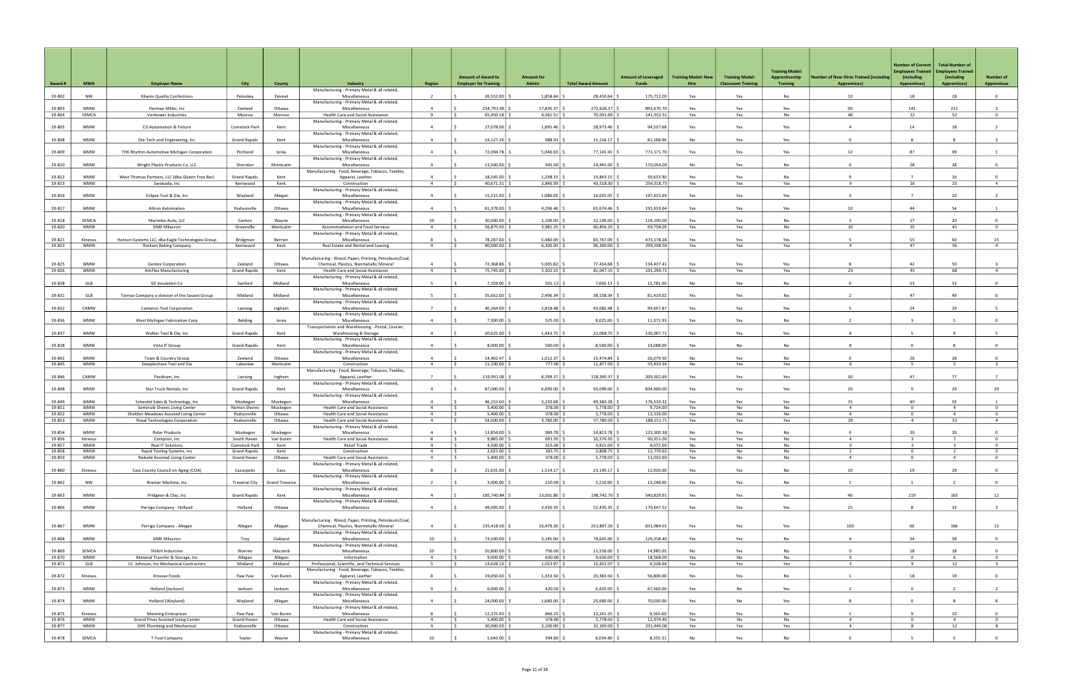|                  |                          |                                                                          |                                    |                       |                                                                                                   |                                  | <b>Amount of Award to</b>         | <b>Amount for</b>          |                           | <b>Amount of Leveraged</b> | <b>Training Model: New</b> | <b>Training Model:</b>    | <b>Training Model:</b><br>Apprenticeship | umber of New Hires Trained (including | <b>Number of Current</b><br><b>Employees Trained</b><br>(including | <b>Total Number of</b><br><b>Employees Trained</b><br>(including | <b>Number of</b>               |
|------------------|--------------------------|--------------------------------------------------------------------------|------------------------------------|-----------------------|---------------------------------------------------------------------------------------------------|----------------------------------|-----------------------------------|----------------------------|---------------------------|----------------------------|----------------------------|---------------------------|------------------------------------------|---------------------------------------|--------------------------------------------------------------------|------------------------------------------------------------------|--------------------------------|
| Award #          | <b>MWA</b>               | <b>Employer Name</b>                                                     | City                               | <b>County</b>         | Industry<br>Manufacturing - Primary Metal & all related,                                          | <b>Region</b>                    | <b>Employer for Training</b>      | Admin                      | <b>Total Award Amount</b> | Funds                      | Hire                       | <b>Classroom Training</b> | <b>Training</b>                          | <b>Apprentices)</b>                   | <b>Apprentices)</b>                                                | <b>Apprentices)</b>                                              | <b>Apprentices</b>             |
| 19-802           | NW                       | Kilwins Quality Confections                                              | Petoskey                           | Emmet                 | Miscellaneous                                                                                     | $\overline{\phantom{a}}$         | 26,552.00                         | 1,858.64                   | 28,410.64                 | 175,712.00                 | Yes                        | Yes                       | No                                       | 10                                    | 18                                                                 | 28                                                               | $\overline{0}$                 |
| 19-803           | <b>WMW</b>               | Herman Miller, Inc.                                                      | Zeeland                            | Ottawa                | Manufacturing - Primary Metal & all related,<br>Miscellaneous                                     | $\overline{a}$                   | 254,791.00                        | 17,835.37                  | 272,626.37                | 893,670.70                 | Yes                        | Yes                       | Yes                                      | 90                                    | 141                                                                | 231                                                              |                                |
| 19-804           | SEMCA                    | Ventower Industries                                                      | Monroe                             | Monroe                | Health Care and Social Assistance<br>Manufacturing - Primary Metal & all related,                 | $\mathbf{q}$                     | 65,450.18                         | 4,581.51                   | 70,031.69                 | 141,552.51                 | Yes                        | Yes                       | <b>No</b>                                | 40                                    | 12                                                                 | 52                                                               | $\mathbf 0$                    |
| 19-805           | <b>WMW</b>               | <b>CG Automation &amp; Fixture</b>                                       | Comstock Park                      | Kent                  | Miscellaneous                                                                                     | $\overline{a}$                   | 27,078.00                         | 1,895.46                   | 28,973.46                 | 94,537.68                  | Yes                        | Yes                       | Yes                                      | $\overline{a}$                        | 14                                                                 | 18                                                               | $\overline{2}$                 |
| 19-808           | <b>WMW</b>               | Die-Tech and Engineering, Inc                                            | <b>Grand Rapids</b>                | Kent                  | Manufacturing - Primary Metal & all related,<br>Miscellaneous                                     | $\overline{a}$                   | 14,127.26                         | 988.91                     | 15,116.17                 | 81,168.96                  | No                         | Yes                       | Yes                                      | $\Omega$                              | 8                                                                  | 8                                                                | $\overline{3}$                 |
| 19-809           | <b>WMW</b>               | THK Rhythm Automotive Michigan Corporation                               | Portland                           | Ionia                 | Manufacturing - Primary Metal & all related,<br>Miscellaneous                                     | $\overline{4}$                   | 72,094.78                         | 5,046.63                   | 77,141.41                 | 771,171.70                 | Yes                        | Yes                       | Yes                                      | 12                                    | 87                                                                 | 99                                                               | 1                              |
|                  |                          |                                                                          |                                    |                       | Manufacturing - Primary Metal & all related,                                                      |                                  |                                   |                            |                           |                            |                            |                           |                                          |                                       |                                                                    |                                                                  |                                |
| 19-810           | <b>WMW</b>               | Wright Plastic Products Co, LLC                                          | Sheridan                           | Montcalm              | Miscellaneous<br>Manufacturing - Food, Beverage, Tobacco, Textiles,                               | $\overline{4}$                   | 13,500.00                         | 945.00                     | 14,445.00                 | 170,054.00                 | No                         | Yes                       | No                                       | $\Omega$                              | 28                                                                 | 28                                                               | $\mathbf{0}$                   |
| 19-812           | <b>WMW</b>               | West Thomas Partners, LLC (dba Gluten Free Bar)                          | <b>Grand Rapids</b>                | Kent                  | Apparel, Leather                                                                                  | $\overline{4}$                   | 18,545.00                         | 1,298.15                   | 19,843.15                 | 39,633.90                  | Yes                        | Yes                       | <b>No</b>                                | 9                                     |                                                                    | 16                                                               | $\Omega$                       |
| 19-813           | WMW                      | Swoboda, Inc                                                             | Kentwood                           | Kent                  | Construction<br>Manufacturing - Primary Metal & all related,                                      | $\overline{4}$                   | 40,671.31 \$                      | 2,846.99                   | 43,518.30                 | 254,318.73                 | Yes                        | Yes                       | Yes                                      |                                       | 16                                                                 | 25                                                               | $\overline{4}$                 |
| 19-816           | <b>WMW</b>               | Eclipse Tool & Die, Inc                                                  | Wayland                            | Allegan               | Miscellaneous<br>Manufacturing - Primary Metal & all related,                                     | $\Delta$                         | 15,515.00                         | 1,086.05                   | 16,601.05                 | 197,615.69                 | Yes                        | Yes                       | Yes                                      |                                       |                                                                    | 10                                                               | $\overline{2}$                 |
| 19-817           | <b>WMW</b>               | Altron Automation                                                        | Hudsonville                        | Ottawa                | Miscellaneous                                                                                     | $\overline{4}$                   | 61,378.00                         | 4,296.46                   | 65,674.46                 | 191,619.64                 | Yes                        | Yes                       | Yes                                      | 10                                    | 44                                                                 | 54                                                               | $\overline{1}$                 |
| 19-818           | SEMCA                    | Marimba Auto, LLC                                                        | Canton                             | Wayne                 | Manufacturing - Primary Metal & all related,<br>Miscellaneous                                     | 10                               | 30,000.00                         | 2,100.00                   | 32,100.00                 | 114,100.00                 | Yes                        | Yes                       | <b>No</b>                                | $\mathbf{R}$                          | 17                                                                 | 20                                                               | $\overline{0}$                 |
| 19-820           | <b>WMW</b>               | <b>DME Milacron</b>                                                      | Greenville                         | Montcalm              | Accommodation and Food Services                                                                   | $\overline{4}$                   | 56,875.00                         | 3,981.25                   | 60,856.25                 | 69,758.05                  | Yes                        | Yes                       | No                                       | 10                                    | 35                                                                 | 45                                                               | $\overline{0}$                 |
| 19-821           | Kinexus                  | Hanson Systems LLC, dba Eagle Technologies Group                         | Bridgman                           | Berrien               | Manufacturing - Primary Metal & all related,<br>Miscellaneous                                     | -8                               | 78,287.00                         | 5,480.09                   | 83,767.09                 | 473,178.28                 | Yes                        | Yes                       | Yes                                      | 5                                     | 55                                                                 | 60                                                               | 15                             |
| 19-823           | WMW                      | Roskam Baking Company                                                    | Kentwood                           | Kent                  | Real Estate and Rental and Leasing                                                                | $\overline{4}$                   | 90,000.00                         | 6,300.00                   | 96,300.00                 | 299,198.50                 | Yes                        | Yes                       | Yes                                      | 9                                     | 47                                                                 | 56                                                               | $\overline{4}$                 |
|                  |                          |                                                                          |                                    |                       | Manufacturing - Wood, Paper, Printing, Petroleum/Coal,                                            |                                  |                                   |                            |                           |                            |                            |                           |                                          |                                       |                                                                    |                                                                  |                                |
| 19-825<br>19-826 | <b>WMW</b><br><b>WMW</b> | <b>Gentex Corporation</b><br>ArtiFlex Manufacturing                      | Zeeland<br><b>Grand Rapids</b>     | Ottawa<br>Kent        | Chemical, Plastics, Nonmetallic Mineral<br>Health Care and Social Assistance                      | $\Delta$<br>$\overline{4}$       | 72,368.86<br>75,745.00            | 5,065.82<br>5,302.15       | 77,434.68<br>81,047.15    | 134,437.41<br>191,299.71   | Yes<br>Yes                 | Yes<br>Yes                | Yes<br>Yes                               | 23                                    | 42<br>45                                                           | 50<br>68                                                         | $\overline{4}$                 |
| 19-828           | GLB                      | <b>GE Insulation Co</b>                                                  | Sanford                            | Midland               | Manufacturing - Primary Metal & all related,<br>Miscellaneous                                     | - 5                              | 7,159.00                          | 501.13                     | 7,660.13                  | 15,781.00                  | No                         | Yes                       | No                                       | $\Omega$                              | 53                                                                 | 53                                                               | $\mathbf{0}$                   |
|                  |                          |                                                                          |                                    |                       | Manufacturing - Primary Metal & all related,                                                      |                                  |                                   |                            |                           |                            |                            |                           |                                          |                                       |                                                                    |                                                                  |                                |
| 19-831           | GLB                      | Tannas Company a division of the Savant Group                            | Midland                            | Midland               | Miscellaneous<br>Manufacturing - Primary Metal & all related,                                     | $\overline{5}$                   | 35,662.00                         | 2,496.34                   | 38,158.34                 | 81,419.02                  | Yes                        | Yes                       | No                                       | $\overline{z}$                        | 47                                                                 | 49                                                               | $\overline{0}$                 |
| 19-832           | CAMW                     | Cameron Tool Corporation                                                 | Lansing                            | Ingham                | Miscellaneous                                                                                     | $\overline{7}$                   | 40,264.00                         | 2,818.48                   | 43,082.48                 | 99,657.87                  | Yes                        | Yes                       | Yes                                      |                                       | 24                                                                 | 29                                                               |                                |
| 19-836           | <b>WMW</b>               | West Michigan Fabrication Corp                                           | Belding                            | Ionia                 | Manufacturing - Primary Metal & all related,<br>Miscellaneous                                     | $\overline{4}$                   | 7,500.00                          | 525.00                     | 8,025.00                  | 11,371.93                  | Yes                        | Yes                       | No                                       |                                       |                                                                    |                                                                  | $\overline{0}$                 |
| 19-837           | <b>WMW</b>               | Walker Tool & Die, Inc                                                   | <b>Grand Rapids</b>                | Kent                  | Transportation and Warehousing - Postal, Courier,<br>Warehousing & Storage                        | $\overline{4}$                   | 20,625.00                         | 1,443.75                   | 22,068.75                 | 136,097.71                 | Yes                        | Yes                       | Yes                                      |                                       | -5                                                                 | 9                                                                | 5                              |
|                  |                          |                                                                          |                                    |                       | Manufacturing - Primary Metal & all related,                                                      |                                  |                                   |                            |                           |                            |                            |                           |                                          |                                       |                                                                    |                                                                  |                                |
| 19-838           | <b>WMW</b>               | Vista IT Group                                                           | <b>Grand Rapids</b>                | Kent                  | Miscellaneous<br>Manufacturing - Primary Metal & all related,                                     | $\Delta$                         | 8,000.00                          | 560.00                     | 8,560.00                  | 14,088.00                  | Yes                        | No                        | No                                       | 8                                     | $\Omega$                                                           | R                                                                | $\Omega$                       |
| 19-842<br>19-845 | <b>WMW</b><br><b>WMW</b> | Town & Country Group<br>Steeplechase Tool and Die                        | Zeeland<br>Lakeview                | Ottawa<br>Montcalm    | Miscellaneous<br>Construction                                                                     | $\overline{4}$                   | 14,462.47<br>11,100.00            | 1,012.37<br>777.00         | 15,474.84<br>11,877.00    | 26,079.50<br>55,433.34     | No<br>No                   | Yes<br>Yes                | No<br>Yes                                | $\Omega$<br>$\Omega$                  | 26                                                                 | 26<br>5.                                                         | $\overline{0}$                 |
|                  |                          |                                                                          |                                    |                       | Manufacturing - Food, Beverage, Tobacco, Textiles,                                                |                                  |                                   |                            |                           |                            |                            |                           |                                          |                                       |                                                                    |                                                                  |                                |
| 19-846           | CAMW                     | Peckham, Inc                                                             | Lansing                            | Ingham                | Apparel, Leather<br>Manufacturing - Primary Metal & all related,                                  | $\overline{7}$                   | 119,991.00 :                      | 8,399.37                   | 128,390.37                | 209,302.69                 | Yes                        | Yes                       | Yes                                      | 30                                    | 47                                                                 | 77                                                               | $\overline{7}$                 |
| 19-848           | <b>WMW</b>               | Star Truck Rentals, Inc.                                                 | <b>Grand Rapids</b>                | Kent                  | Miscellaneous                                                                                     | $\overline{4}$                   | 87,000.00                         | 6,090.00                   | 93,090.00                 | 834,400.00                 | Yes                        | Yes                       | Yes                                      | 20                                    | 9                                                                  | 29                                                               | 29                             |
| 19-849           | <b>WMW</b>               | Scherdel Sales & Technology, Inc                                         | Muskegon                           | Muskegon              | Manufacturing - Primary Metal & all related,<br>Miscellaneous                                     | $\Delta$                         | 46,152.60                         | 3,230.68                   | 49,383.28                 | 176,519.32                 | Yes                        | Yes                       | Yes                                      | 15                                    | 40                                                                 | 55                                                               |                                |
| 19-851           | WMW<br>WMW               | Seminole Shores Living Center                                            | Norton Shores                      | Muskegon              | Health Care and Social Assistance                                                                 | $\overline{4}$<br>$\overline{4}$ | $5,400.00$ \$<br>IS.              | 378.00                     | 5,778.00                  | 9,724.00<br>12,316.00      | Yes                        | No<br>No                  | No<br>No                                 | $\overline{a}$<br>$\overline{4}$      | $\Omega$<br>$^{\circ}$                                             | $\overline{4}$<br>$\overline{4}$                                 | $\overline{0}$<br>$^{\circ}$   |
| 19-852<br>19-853 | WMW                      | Sheldon Meadows Assisted Living Center<br>Royal Technologies Corporation | Hudsonville<br>Hudsonville         | Ottawa<br>Ottawa      | Health Care and Social Assistance<br>Health Care and Social Assistance                            | $\overline{4}$                   | 5,400.00<br>54,000.00             | 378.00<br>3,780.00         | 5,778.00<br>57,780.00     | 188,151.71                 | Yes<br>Yes                 | Yes                       | Yes                                      | 29                                    | $\overline{4}$                                                     | 33                                                               | $\overline{4}$                 |
|                  | <b>WMW</b>               |                                                                          |                                    |                       | Manufacturing - Primary Metal & all related,                                                      | $\overline{4}$                   |                                   |                            |                           |                            | No                         |                           | N <sub>0</sub>                           | $\Omega$                              | 20                                                                 | 20                                                               | $\Omega$                       |
| 19-854<br>19-856 | Kinexus                  | <b>Rolar Products</b><br>Compton, Inc                                    | Muskegon<br>South Haven            | Muskegon<br>Van buren | Miscellaneous<br>Health Care and Social Assistance                                                |                                  | 13,854.00<br>$9,885.00$ $\mid$ \$ | 969.78<br>$691.95$         | 14,823.78<br>10,576.95    | 123,300.38<br>90,351.00    | Yes                        | Yes<br>Yes                | No                                       |                                       |                                                                    |                                                                  |                                |
| 19-857           | <b>WMW</b>               | Real IT Solutions                                                        | Comstock Park                      | Kent                  | Retail Trade                                                                                      | $\overline{4}$                   | 4,500.00 \$<br>l \$               | $315.00$ \$                | 4,815.00                  | 8,072.00                   | No                         | Yes                       | No                                       | $\Omega$                              | $\overline{3}$                                                     | $\overline{\mathbf{3}}$                                          | $\Omega$                       |
| 19-858<br>19-859 | WMW<br>WMW               | Rapid Tooling Systems, Inc<br>Railside Assisted Living Center            | <b>Grand Rapids</b><br>Grand Haven | Kent<br>Ottawa        | Construction<br>Health Care and Social Assistance                                                 | $\overline{4}$<br>$\overline{4}$ | 2,625.00<br>$5,400.00$ \$<br>IS.  | $183.75$ \$<br>$378.00$ \$ | 2,808.75<br>5,778.00      | 12,770.63<br>11,032.60     | Yes<br>Yes                 | No<br>No                  | No<br>No                                 | 2<br>$\overline{4}$                   | $^{\circ}$<br>$\overline{0}$                                       | 2<br>$\overline{4}$                                              | $^{\circ}$<br>$\overline{0}$   |
|                  |                          |                                                                          |                                    |                       | Manufacturing - Primary Metal & all related,                                                      |                                  |                                   |                            |                           |                            |                            |                           |                                          |                                       |                                                                    |                                                                  |                                |
| 19-860           | Kinexus                  | Cass County Council on Aging (COA)                                       | Cassopolis                         | Cass                  | Miscellaneous<br>Manufacturing - Primary Metal & all related,                                     | -8                               | $21,631.00$ \$                    | $1,514.17$ $\mid$          | 23,145.17                 | 12,920.00                  | Yes                        | Yes                       | No                                       | 10                                    | 19                                                                 | 29                                                               | $\mathbf{0}$                   |
| 19-862           | NW                       | Bramer Machine, Inc                                                      | <b>Traverse City</b>               | Grand Traverse        | Miscellaneous                                                                                     | $\overline{2}$                   | $3,000.00$ $\frac{2}{3}$          | $210.00$ \$                | 3,210.00                  | 13,248.00                  | Yes                        | Yes                       | No                                       | 1                                     | $\mathbf{1}$                                                       | $\overline{2}$                                                   | $\overline{0}$                 |
| 19-863           | <b>WMW</b>               | Pridgeon & Clay, Inc                                                     | <b>Grand Rapids</b>                | Kent                  | Manufacturing - Primary Metal & all related,<br>Miscellaneous                                     | $\overline{a}$                   | 185,740.84                        | 13,001.86                  | 198,742.70                | 540,829.91                 | Yes                        | Yes                       | Yes                                      | 46                                    | 119                                                                | 165                                                              | 12                             |
| 19-866           | <b>WMW</b>               | Perrigo Company - Holland                                                | Holland                            | Ottawa                | Manufacturing - Primary Metal & all related,<br>Miscellaneous                                     | $\overline{4}$                   | 49,005.00 \$                      | 3,430.35                   | 52,435.35                 | 170,647.52                 | Yes                        | Yes                       | Yes                                      | 25                                    | 8                                                                  | 33                                                               | $\overline{\mathbf{3}}$        |
|                  |                          |                                                                          |                                    |                       |                                                                                                   |                                  |                                   |                            |                           |                            |                            |                           |                                          |                                       |                                                                    |                                                                  |                                |
| 19-867           | <b>WMW</b>               | Perrigo Company - Allegan                                                | Allegan                            | Allegan               | Manufacturing - Wood, Paper, Printing, Petroleum/Coal,<br>Chemical, Plastics, Nonmetallic Mineral | $\overline{4}$                   | 235,418.00                        | 16,479.26                  | 251,897.26                | 831,984.01                 | Yes                        | Yes                       | Yes                                      | 100                                   | 66                                                                 | 166                                                              | 13                             |
|                  |                          |                                                                          |                                    |                       | Manufacturing - Primary Metal & all related,                                                      |                                  |                                   |                            |                           |                            |                            |                           |                                          |                                       |                                                                    |                                                                  |                                |
| 19-868           | <b>WMW</b>               | <b>DME Milacron</b>                                                      | Troy                               | Oakland               | Miscellaneous<br>Manufacturing - Primary Metal & all related,                                     | 10                               | 73,500.00 \$                      | 5,145.00                   | 78,645.00                 | 126,358.40                 | Yes                        | Yes                       | No                                       | $\overline{4}$                        | 54                                                                 | 58                                                               | $\overline{0}$                 |
| 19-869<br>19-870 | SEMCA<br><b>WMW</b>      | Shiloh Industries<br>Material Transfer & Storage, Inc                    | Warren<br>Allegan                  | Macomb<br>Allegan     | Miscellaneous<br>Information                                                                      | 10<br>$\overline{4}$             | 10,800.00<br>$9,000.00$ \$<br>IS. | 756.00<br>$630.00$ \$      | 11,556.00<br>9,630.00     | 14,985.05<br>18,568.00     | No<br>Yes                  | Yes<br>No                 | No<br>No                                 | $\Omega$<br>6                         | 18<br>$\overline{0}$                                               | 18<br>6                                                          | $\mathbf{0}$<br>$\overline{0}$ |
| 19-871           | GLB                      | J.E. Johnson, Inc Mechanical Contractors                                 | Midland                            | Midland               | Professional, Scientific, and Technical Services                                                  | - 5                              | $14,628.10$ \$                    | $1,023.97$ \$              | 15,652.07                 | 6,528.06                   | Yes                        | Yes                       | Yes                                      | $\overline{\mathbf{3}}$               | 9                                                                  | 12                                                               | $\overline{\mathbf{3}}$        |
| 19-872           |                          |                                                                          |                                    |                       | Manufacturing - Food, Beverage, Tobacco, Textiles,                                                | -8                               | 19,050.00   9                     | 1,333.50                   | 20,383.50                 | 56,800.00                  |                            |                           | <b>No</b>                                |                                       | 18                                                                 | 19                                                               | $\overline{0}$                 |
|                  | Kinexus                  | Knouse Foods                                                             | Paw Paw                            | Van Buren             | Apparel, Leather<br>Manufacturing - Primary Metal & all related,                                  |                                  |                                   |                            |                           |                            | Yes                        | Yes                       |                                          |                                       |                                                                    |                                                                  |                                |
| 19-873           | WMW                      | Holland (Jackson)                                                        | Jackson                            | Jackson               | Miscellaneous<br>Manufacturing - Primary Metal & all related,                                     | -9                               | 6,000.00                          | 420.00                     | 6,420.00                  | 67,560.00                  | Yes                        | No                        | Yes                                      | $\overline{2}$                        | $\mathbf{0}$                                                       | $\overline{2}$                                                   | $\overline{2}$                 |
| 19-874           | <b>WMW</b>               | Holland (Wayland)                                                        | Wayland                            | Allegan               | Miscellaneous                                                                                     | $\overline{4}$                   | $24,000.00$ $\mid$ \$             | 1,680.00                   | 25,680.00 \$              | 70,030.00                  | Yes                        | No                        | Yes                                      | 8                                     | $\mathbf{0}$                                                       | 8                                                                | 8                              |
| 19-875           | Kinexus                  | <b>Manning Enterprises</b>                                               | Paw Paw                            | Van Buren             | Manufacturing - Primary Metal & all related,<br>Miscellaneous                                     | 8                                | 12,375.00 \$                      | 866.25                     | 13,241.25                 | 9,565.60                   | Yes                        | Yes                       | No                                       | 1                                     | $\mathbf{q}$                                                       | 10                                                               | $\overline{0}$                 |
| 19-876<br>19-877 | WMW<br><b>WMW</b>        | Grand Pines Assisted Living Center<br>DHE Plumbing and Mechanical        | Grand Haven<br>Hudsonville         | Ottawa<br>Ottawa      | Health Care and Social Assistance<br>Construction                                                 | $\overline{4}$<br>$\overline{4}$ | 5,400.00<br>$30,000.00$ $\mid$ 3  | 378.00<br>2,100.00         | 5,778.00<br>32,100.00     | 12,974.40<br>231,440.00    | Yes<br>Yes                 | No<br>Yes                 | No<br>Yes                                | $\overline{4}$<br>$\overline{4}$      | $\mathbf 0$<br>8 <sup>2</sup>                                      | 4<br>12                                                          | $\overline{0}$<br>8            |
|                  |                          |                                                                          |                                    |                       | Manufacturing - Primary Metal & all related,                                                      |                                  |                                   |                            |                           |                            |                            |                           |                                          |                                       |                                                                    |                                                                  |                                |
| 19-878           | SEMCA                    | T-Tool Company                                                           | Taylor                             | Wayne                 | Miscellaneous                                                                                     | 10                               | $5,640.00$ \$                     | 394.80 \$                  | 6,034.80                  | 8,355.31                   | No                         | Yes                       | No                                       | $\mathbf 0$                           |                                                                    |                                                                  | $\mathbf{0}$                   |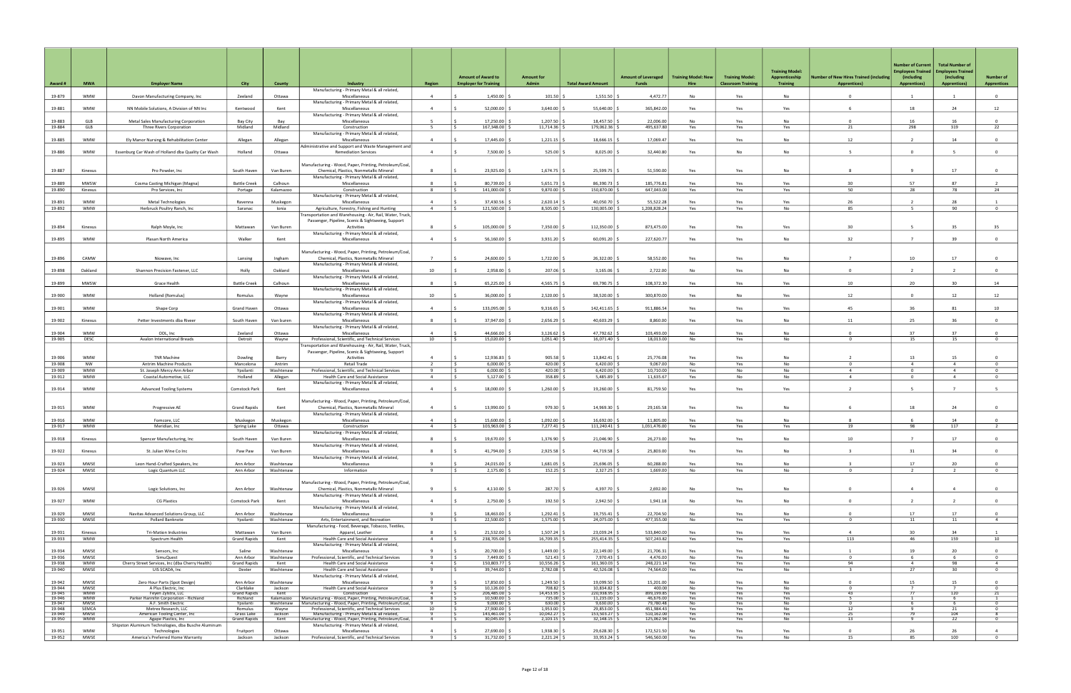|                  |                           |                                                                   |                                   |                        |                                                                                                                  |                     | <b>Amount of Award to</b>                | <b>Amount for</b>          |                               | <b>Amount of Leveraged</b> | <b>Training Model: New</b> | <b>Training Model:</b>   | <b>Training Model:</b><br>Apprenticeship | <b>Number of New Hires Trained (including</b> | Number of Current<br><b>Employees Trained</b><br>(including | <b>Total Number of</b><br><b>Employees Trained</b><br>(including | <b>Number of</b>                 |
|------------------|---------------------------|-------------------------------------------------------------------|-----------------------------------|------------------------|------------------------------------------------------------------------------------------------------------------|---------------------|------------------------------------------|----------------------------|-------------------------------|----------------------------|----------------------------|--------------------------|------------------------------------------|-----------------------------------------------|-------------------------------------------------------------|------------------------------------------------------------------|----------------------------------|
| Award#           | <b>MWA</b>                | <b>Employer Name</b>                                              | City                              | <b>County</b>          | Industry<br>Manufacturing - Primary Metal & all related,                                                         | Region              | <b>Employer for Training</b>             | Admin                      | <b>Total Award Amount</b>     | <b>Funds</b>               | <b>Hire</b>                | <b>Classroom Trainin</b> | <b>Training</b>                          | <b>Apprentices)</b>                           | <b>Apprentices)</b>                                         | <b>Apprentices)</b>                                              | <b>Apprentices</b>               |
| 19-879           | <b>WMW</b>                | Davon Manufacturing Company, Inc                                  | Zeeland                           | Ottawa                 | Miscellaneous                                                                                                    | $\overline{4}$      | 1,450.00                                 | 101.50                     | 1,551.50                      | 4,472.77                   | No                         | Yes                      | No                                       | $\Omega$                                      | $\overline{1}$                                              |                                                                  | $\overline{0}$                   |
| 19-881           | <b>WMW</b>                | NN Mobile Solutions. A Division of NN Inc.                        | Kentwood                          | Kent                   | Manufacturing - Primary Metal & all related,<br>Miscellaneous                                                    | $\overline{4}$      | 52,000.00                                | 3,640.00                   | 55,640.00                     | 365,842.00                 | Yes                        | Yes                      | Yes                                      |                                               | 18                                                          | 24                                                               | 12                               |
| 19-883           | GLB                       | Metal Sales Manufacturing Corporation                             | Bay City                          | Bav                    | Manufacturing - Primary Metal & all related,<br>Miscellaneous                                                    | - 5                 | 17,250.00                                | 1,207.50                   | 18,457.50                     | 22,006.00                  | No                         | Yes                      | <b>No</b>                                | $\Omega$                                      | 16                                                          | 16                                                               | $\Omega$                         |
| 19-884           | GLB                       | Three Rivers Corporation                                          | Midland                           | Midland                | Construction                                                                                                     | 5                   | 167,348.00<br>IS.                        | 11,714.36                  | 179,062.36 \$                 | 495,637.80                 | Yes                        | Yes                      | Yes                                      | 21                                            | 298                                                         | 319                                                              | 22                               |
| 19-885           | <b>WMW</b>                | Ely Manor Nursing & Rehabilitation Center                         | Allegan                           | Allegan                | Manufacturing - Primary Metal & all related,<br>Miscellaneous                                                    | $\Delta$            | 17,445.00                                | 1,221.15                   | 18,666.15                     | 17,069.47                  | Yes                        | Yes                      | <b>No</b>                                | 12                                            | $\overline{z}$                                              | 14                                                               | $\overline{0}$                   |
| 19-886           | <b>WMW</b>                | Essenburg Car Wash of Holland dba Quality Car Wash                |                                   | Ottawa                 | Administrative and Support and Waste Management and<br><b>Remediation Services</b>                               | $\overline{4}$      | 7,500.00                                 | 525.00                     | 8,025.00                      | 32,440.80                  | Yes                        | No                       | No                                       |                                               | $\Omega$                                                    |                                                                  | $\mathbf{0}$                     |
|                  |                           |                                                                   | Holland                           |                        |                                                                                                                  |                     |                                          |                            |                               |                            |                            |                          |                                          |                                               |                                                             |                                                                  |                                  |
| 19-887           | Kinexus                   | Pro Powder, Inc                                                   | South Haven                       | Van Buren              | Manufacturing - Wood, Paper, Printing, Petroleum/Coal,<br>Chemical, Plastics, Nonmetallic Mineral                |                     | 23,925.00                                | 1,674.75                   | 25,599.75 \$                  | 51,590.00                  | Yes                        | Yes                      | <b>No</b>                                |                                               |                                                             | 17                                                               | $\Omega$                         |
|                  |                           |                                                                   |                                   |                        | Manufacturing - Primary Metal & all related,                                                                     |                     |                                          |                            |                               |                            |                            |                          |                                          |                                               |                                                             |                                                                  |                                  |
| 19-889<br>19-890 | MWSW<br>Kinexus           | Cosma Casting Michigan (Magna)<br>Pro Services, Inc               | <b>Battle Creek</b><br>Portage    | Calhoun<br>Kalamazoo   | Miscellaneous<br>Construction                                                                                    | 8<br>- 8            | 80,739.00<br>141,000.00                  | 5,651.73<br>9,870.00       | 86,390.73<br>150,870.00       | 185,776.81<br>647,043.00   | Yes<br>Yes                 | Yes<br>Yes               | Yes<br>Yes                               | 30<br>50                                      | 57<br>28                                                    | 87<br>78                                                         | 24                               |
| 19-891           | <b>WMW</b>                | <b>Metal Technologies</b>                                         | Ravenna                           | Muskegon               | Manufacturing - Primary Metal & all related,<br>Miscellaneous                                                    | $\overline{4}$      | 37,430.56                                | 2,620.14                   | 40,050.70                     | 55,522.28                  | Yes                        | Yes                      | Yes                                      | 26                                            | $\overline{2}$                                              | 28                                                               |                                  |
| 19-892           | WMW                       | Herbruck Poultry Ranch, Inc                                       | Saranac                           | Ionia                  | Agriculture, Forestry, Fishing and Hunting                                                                       | $\overline{4}$      | 121,500.00                               | 8,505.00                   | 130,005.00                    | 1,208,828.24               | Yes                        | Yes                      | No                                       | 85                                            | - 5                                                         | 90                                                               | $\overline{0}$                   |
|                  |                           |                                                                   |                                   |                        | Fransportation and Warehousing - Air, Rail, Water, Truck,<br>Passenger, Pipeline, Scenic & Sightseeing, Support  |                     |                                          |                            |                               |                            |                            |                          |                                          |                                               |                                                             |                                                                  |                                  |
| 19-894           | Kinexus                   | Ralph Moyle, Inc                                                  | Mattawan                          | Van Buren              | Activities                                                                                                       |                     | 105,000.00                               | 7,350.00                   | 112,350.00                    | 873,475.00                 | Yes                        | Yes                      | Yes                                      | 30                                            | -5                                                          | 35                                                               | 35                               |
| 19-895           | <b>WMW</b>                | Plasan North America                                              | Walker                            | Kent                   | Manufacturing - Primary Metal & all related,<br>Miscellaneous                                                    | $\overline{4}$      | 56,160.00                                | 3,931.20                   | 60,091.20 \$                  | 227,620.77                 | Yes                        | Yes                      | No                                       | 32                                            | $\overline{7}$                                              | 39                                                               | $\overline{0}$                   |
|                  |                           |                                                                   |                                   |                        | Manufacturing - Wood, Paper, Printing, Petroleum/Coal,                                                           |                     |                                          |                            |                               |                            |                            |                          |                                          |                                               |                                                             |                                                                  |                                  |
| 19-896           | CAMW                      | Niowave, Inc                                                      | Lansing                           | Ingham                 | Chemical, Plastics, Nonmetallic Mineral                                                                          | $\overline{7}$      | 24,600.00                                | 1,722.00                   | 26,322.00                     | 58,552.00                  | Yes                        | Yes                      | No                                       |                                               | 10                                                          | 17                                                               | $\mathbf{0}$                     |
| 19-898           | Oakland                   | Shannon Precision Fastener, LLC                                   | Holly                             | Oakland                | Manufacturing - Primary Metal & all related,<br>Miscellaneous                                                    | 10                  | 2,958.00                                 | 207.06                     | 3,165.06                      | 2,722.00                   | No                         | Yes                      | <b>No</b>                                | $\overline{0}$                                | $\overline{2}$                                              | $\overline{2}$                                                   | $\overline{0}$                   |
|                  | MWSW                      |                                                                   |                                   |                        | Manufacturing - Primary Metal & all related,                                                                     | - 8                 | 65,225.00                                | 4,565.75                   |                               | 108,372.30                 |                            |                          |                                          | 10                                            | 20                                                          | 30                                                               |                                  |
| 19-899           |                           | Grace Health                                                      | <b>Battle Creek</b>               | Calhoun                | Miscellaneous<br>Manufacturing - Primary Metal & all related,                                                    |                     |                                          |                            | 69,790.75                     |                            | Yes                        | Yes                      | Yes                                      |                                               |                                                             |                                                                  | 14                               |
| 19-900           | <b>WMW</b>                | Holland (Romulus)                                                 | Romulus                           | Wayne                  | Miscellaneous<br>Manufacturing - Primary Metal & all related,                                                    | 10                  | 36,000.00                                | 2,520.00                   | 38,520.00                     | 300,870.00                 | Yes                        | No                       | Yes                                      | 12                                            | $\overline{0}$                                              | 12                                                               | 12                               |
| 19-901           | <b>WMW</b>                | Shape Corp                                                        | Grand Haven                       | Ottawa                 | Miscellaneous                                                                                                    | $\overline{a}$      | 133,095.00                               | 9,316.65                   | 142,411.65                    | 911,886.54                 | Yes                        | Yes                      | Yes                                      | 45                                            | 36                                                          | 81                                                               | 10                               |
| 19-902           | Kinexus                   | Petter Investments dba Riveer                                     | South Haven                       | Van buren              | Manufacturing - Primary Metal & all related,<br>Miscellaneous                                                    | - 8                 | 37,947.00                                | 2,656.29                   | 40,603.29                     | 8,860.00                   | Yes                        | Yes                      | No                                       | 11                                            | 25                                                          | 36                                                               | $\mathbf{0}$                     |
| 19-904           | <b>WMW</b>                | ODL, Inc                                                          | Zeeland                           | Ottawa                 | Manufacturing - Primary Metal & all related,<br>Miscellaneous                                                    | $\overline{4}$      | 44,666.00                                | 3,126.62                   | 47,792.62                     | 103.493.00                 | No                         | Yes                      | <b>No</b>                                | $\Omega$                                      | 37                                                          | 37                                                               | $\Omega$                         |
| 19-905           | DESC                      | Avalon International Breads                                       | Detroit                           | Wayne                  | Professional, Scientific, and Technical Services                                                                 | 10                  | 15,020.00<br>l S                         | 1,051.40                   | 16,071.40 \$                  | 18,013.00                  | No                         | Yes                      | No                                       | $\mathbf{0}$                                  | 15                                                          | 15                                                               | $\overline{0}$                   |
|                  |                           |                                                                   |                                   |                        | ransportation and Warehousing - Air, Rail, Water, Truck,<br>Passenger, Pipeline, Scenic & Sightseeing, Support   |                     |                                          |                            |                               |                            |                            |                          |                                          |                                               |                                                             |                                                                  |                                  |
| 19-906           | <b>WMW</b>                | <b>TNR Machine</b>                                                | Dowling                           | Barry                  | Activities                                                                                                       | $\overline{a}$      | 12,936.83                                | 905.58                     | 13,842.41 \$                  | 25,776.08                  | Yes                        | Yes                      | No                                       |                                               | 13                                                          | 15                                                               | $\Omega$                         |
| 19-908<br>19-909 | NW<br><b>WMW</b>          | Antrim Machine Products<br>St. Joseph Mercy Ann Arbor             | Mancelona<br>Ypsilanti            | Antrim<br>Washtenaw    | Retail Trade<br>Professional, Scientific, and Technical Services                                                 | - 9                 | 6,000.00<br>6,000.00<br>IS.              | 420.00<br>420.00           | 6,420.00<br>$6,420.00$ 9      | 9,067.00<br>10,710.00      | No.<br>Yes                 | Yes<br>No                | No<br>No                                 | $\Omega$<br>$\overline{4}$                    | $\overline{a}$<br>$\overline{0}$                            | $\overline{4}$<br>$\overline{4}$                                 | $\overline{0}$<br>$\overline{0}$ |
| 19-912           | <b>WMW</b>                | Coastal Automotive, LLC                                           | Holland                           | Allegan                | Health Care and Social Assistance                                                                                | $\overline{4}$      | 5,127.00<br>l S                          | 358.89                     | 5,485.89                      | 11,635.67                  | Yes                        | No                       | <b>No</b>                                | $\overline{4}$                                | $\Omega$                                                    | $\overline{4}$                                                   | $\overline{0}$                   |
| 19-914           | <b>WMW</b>                | <b>Advanced Tooling Systems</b>                                   | Comstock Park                     | Kent                   | Manufacturing - Primary Metal & all related,<br>Miscellaneous                                                    | $\overline{4}$      | 18,000.00                                | 1,260.00                   | 19,260.00 \$                  | 81,759.50                  | Yes                        | Yes                      | Yes                                      |                                               |                                                             |                                                                  | 5                                |
|                  |                           |                                                                   |                                   |                        | Manufacturing - Wood, Paper, Printing, Petroleum/Coal                                                            |                     |                                          |                            |                               |                            |                            |                          |                                          |                                               |                                                             |                                                                  |                                  |
| 19-915           | <b>WMW</b>                | Progressive AE                                                    | <b>Grand Rapids</b>               | Kent                   | Chemical, Plastics, Nonmetallic Mineral                                                                          | $\overline{4}$      | 13,990.00                                | 979.30                     | 14,969.30                     | 29,165.58                  | Yes                        | Yes                      | No                                       |                                               | 18                                                          | 24                                                               | $\Omega$                         |
| 19-916           | <b>WMW</b>                | Fomcore, LLC                                                      | Muskegon                          | Muskegon               | Manufacturing - Primary Metal & all related,<br>Miscellaneous                                                    | $\overline{4}$      | 15,600.00                                | 1,092.00                   | 16,692.00                     | 11,805.00                  | Yes                        | Yes                      | <b>No</b>                                | 8                                             | -6                                                          | 14                                                               | $\overline{0}$                   |
| 19-917           | <b>WMW</b>                | Meridian, Inc.                                                    | Spring Lake                       | Ottawa                 | Construction                                                                                                     | $\overline{4}$      | 103,963.00<br>IS.                        | 7,277.41                   | $111,240.41$ \$               | 1,031,476.00               | Yes                        | Yes                      | Yes                                      | 19                                            | 98                                                          | 117                                                              | $\overline{2}$                   |
| 19-918           | Kinexus                   | Spencer Manufacturing, Inc.                                       | South Haven                       | Van Buren              | Manufacturing - Primary Metal & all related,<br>Miscellaneous                                                    |                     | IS.<br>19,670.00                         | 1,376.90 S                 | 21,046.90   \$                | 26,273.00                  | Yes                        | Yes                      | No.                                      |                                               |                                                             | 17                                                               |                                  |
| 19-922           | Kinexus                   | St. Julian Wine Co Inc                                            | Paw Paw                           | Van Buren              | Manufacturing - Primary Metal & all related,<br>Miscellaneous                                                    | -8                  | 41,794.00                                | 2,925.58                   | 44,719.58 \$                  | 25,803.00                  | Yes                        | Yes                      | No                                       |                                               | 31                                                          | 34                                                               | $\Omega$                         |
|                  |                           |                                                                   |                                   |                        | Manufacturing - Primary Metal & all related,                                                                     |                     |                                          |                            |                               |                            |                            |                          |                                          |                                               |                                                             |                                                                  |                                  |
| 19-923<br>19-924 | MWSE<br>MWSE              | Leon Hand-Crafted Speakers, Inc.<br>Logic Quantum LLC             | Ann Arbor<br>Ann Arbor            | Washtenaw<br>Washtenaw | Miscellaneous<br>Information                                                                                     | 9<br>- 9            | 24,015.00<br>2,175.00                    | 1,681.05<br>$152.25$ \$    | 25,696.05<br>$2,327.25$ \$    | 60,288.00<br>1,669.00      | Yes<br>No                  | Yes<br>Yes               | No<br>No                                 | $\overline{3}$<br>$^{\circ}$                  | 17<br>-2                                                    | 20<br>$\overline{2}$                                             | $\overline{0}$<br>$\overline{0}$ |
|                  |                           |                                                                   |                                   |                        | Manufacturing - Wood, Paper, Printing, Petroleum/Coal,                                                           |                     |                                          |                            |                               |                            |                            |                          |                                          |                                               |                                                             |                                                                  |                                  |
| 19-926           | MWSE                      | Logic Solutions, Inc                                              | Ann Arbor                         | Washtenaw              | Chemical, Plastics, Nonmetallic Mineral                                                                          | $\overline{9}$      | $4,110.00$ :                             | 287.70 \$                  | 4,397.70 \$                   | 2,692.00                   | No                         | Yes                      | No                                       | $\overline{0}$                                | $\overline{4}$                                              | $\overline{a}$                                                   | $\overline{0}$                   |
| 19-927           | <b>WMW</b>                | <b>CG Plastics</b>                                                | Comstock Park                     | Kent                   | Manufacturing - Primary Metal & all related,<br>Miscellaneous                                                    | $\overline{4}$      | 2,750.00                                 | $192.50$ \$                | $2,942.50$ \$                 | 1,941.18                   | No                         | Yes                      | No                                       | $\overline{0}$                                | $\overline{2}$                                              | $\overline{2}$                                                   | $\overline{0}$                   |
|                  |                           | Navitas Advanced Solutions Group, LLC                             |                                   |                        | Manufacturing - Primary Metal & all related,                                                                     | $\mathbf{q}$        |                                          |                            |                               |                            |                            |                          |                                          |                                               |                                                             |                                                                  | $\Omega$                         |
| 19-929<br>19-930 | MWSE<br>MWSE              | Pollard Banknote                                                  | Ann Arbor<br>Ypsilanti            | Washtenaw<br>Washtenaw | Miscellaneous<br>Arts, Entertainment, and Recreation                                                             | 9                   | 18,463.00<br>22,500.00<br>IS.            | 1,292.41<br>$1,575.00$ \$  | 19,755.41<br>24,075.00 \$     | 22,704.50<br>477,355.00    | No<br>No                   | Yes<br>Yes               | No<br>Yes                                | $\mathbf 0$<br>$\mathbf{0}$                   | 17<br>11                                                    | 17<br>11                                                         | 4                                |
| 19-931           | Kinexus                   | <b>Tri-Mation Industries</b>                                      | Mattawan                          | Van Buren              | Manufacturing - Food, Beverage, Tobacco, Textiles,<br>Apparel, Leather                                           | 8                   | 21,532.00                                | 1,507.24                   | 23,039.24 \$                  | 533,840.00                 | Yes                        | Yes                      | Yes                                      | $\overline{4}$                                | 30                                                          | 34                                                               |                                  |
| 19-933           | <b>WMW</b>                | Spectrum Health                                                   | <b>Grand Rapids</b>               | Kent                   | Health Care and Social Assistance                                                                                | $\overline{4}$      | 238,705.00<br>IS.                        | $16,709.35$ \$             | 255,414.35 \$                 | 507,243.82                 | Yes                        | Yes                      | Yes                                      | 113                                           | 46                                                          | 159                                                              | 10                               |
| 19-934           | MWSE                      | Sensors, Inc.                                                     | Saline                            | Washtenaw              | Manufacturing - Primary Metal & all related,<br>Miscellaneous                                                    | - 9                 | 20,700.00                                | 1,449.00                   | 22,149.00 \$                  | 21,706.31                  | Yes                        | Yes                      | No                                       | 1                                             | 19                                                          | 20                                                               | $\mathbf{0}$                     |
| 19-936           | MWSE                      | SimuQuest                                                         | Ann Arbor                         | Washtenaw              | Professional, Scientific, and Technical Services                                                                 | 9                   | 7,449.00<br>I\$.                         | $521.43$ \$                | 7,970.43 \$                   | 4,476.00                   | No                         | Yes                      | No                                       | $\mathbf{0}$                                  | 6                                                           | 6                                                                | $\overline{0}$                   |
| 19-938<br>19-940 | <b>WMW</b><br>MWSE        | Cherry Street Services, Inc (dba Cherry Health)<br>UIS SCADA, Inc | <b>Grand Rapids</b><br>Dexter     | Kent<br>Washtenaw      | Health Care and Social Assistance<br>Health Care and Social Assistance                                           | $\overline{4}$<br>9 | 150,803.77<br>I S<br>39,744.00 \$<br>I S | 10,556.26<br>2,782.08 \$   | 161,360.03 \$<br>42,526.08 \$ | 248,221.14<br>74,564.00    | Yes<br>Yes                 | Yes<br>Yes               | Yes<br>No                                | 94<br>$\overline{\mathbf{3}}$                 | $\overline{4}$<br>27                                        | 98<br>30                                                         | $\overline{4}$<br>$\overline{0}$ |
|                  |                           |                                                                   |                                   |                        | Manufacturing - Primary Metal & all related,                                                                     |                     |                                          |                            |                               |                            |                            |                          |                                          |                                               |                                                             |                                                                  |                                  |
| 19-942<br>19-944 | MWSE<br>MWSE              | Zero Hour Parts (Spot Design)<br>A Plus Electric, Inc             | Ann Arbor<br>Clarklake            | Washtenaw<br>Jackson   | Miscellaneous<br>Health Care and Social Assistance                                                               | $\mathbf{q}$<br>9   | 17,850.00<br>10,126.00                   | 1,249.50<br>708.82 \$      | 19,099.50<br>10,834.82 \$     | 15,201.00<br>400.00        | No<br>No                   | Yes<br>Yes               | No<br>No                                 | $\mathbf 0$<br>$\mathbf{0}$                   | 15<br>$\overline{7}$                                        | 15<br>7                                                          | $\Omega$<br>$\overline{0}$       |
| 19-945           | <b>WMW</b>                | Feyen Zylstra, LLC                                                | <b>Grand Rapids</b>               | Kent                   | Construction                                                                                                     |                     | I \$<br>206,485.00<br>IS.                | 14,453.95 \$               | 220,938.95                    | 899,199.85                 | Yes                        | <b>Yes</b>               | Yes                                      | $-43$                                         | 77                                                          | 120                                                              | $\overline{21}$                  |
| 19-946<br>19-947 | <b>WMW</b><br>MWSE        | Parker Hannifin Corporation - Richland<br>A.F. Smith Electric     | Richland<br>Ypsilanti             | Kalamazoo<br>Washtenaw | Manufacturing - Wood, Paper, Printing, Petroleum/Coal,<br>Manufacturing - Wood, Paper, Printing, Petroleum/Coal, |                     | 10,500.00<br>I><br>9,000.00              | $735.00$ \$<br>$630.00$ \$ | $11,235.00$ \$<br>9,630.00    | 46,676.00<br>79,780.48     | Yes<br>No.                 | Yes<br>Yes               | Yes<br>No.                               | 5                                             |                                                             | 6<br>$6 -$                                                       | <b>1</b><br>ত                    |
| 19-948           | SEMCA                     | Metrex Research, LLC                                              | Romulus                           | Wavne                  | Professional, Scientific, and Technical Services                                                                 | 10                  | 27,900.00<br>ΙS                          | 1,953.00                   | 29,853.00                     | 451,984.43                 | Yes                        | Yes                      | No                                       | 12                                            | - 9                                                         | 21                                                               | $\overline{0}$                   |
| 19-949<br>19-950 | <b>MWSE</b><br><b>WMW</b> | American Tooling Center, Inc.<br>Agape Plastics, Inc              | Grass Lake<br><b>Grand Rapids</b> | Jackson<br>Kent        | Manufacturing - Primary Metal & all related,<br>Manufacturing - Wood, Paper, Printing, Petroleum/Coal,           |                     | 143,461.00<br>30,045.00                  | 10,042.27<br>2,103.15      | 153,503.27 \$<br>32,148.15    | 510,162.00<br>125,062.94   | <b>Yes</b><br><b>Yes</b>   | Yes<br><b>Yes</b>        | <b>Yes</b><br>N <sub>o</sub>             | 25<br>13                                      | -79                                                         | 104<br>22                                                        | -8                               |
|                  |                           | Shipston Aluminum Technologies, dba Busche Aluminum               |                                   |                        | Manufacturing - Primary Metal & all related,                                                                     |                     |                                          |                            |                               |                            |                            |                          |                                          |                                               |                                                             |                                                                  |                                  |
| 19-951           | <b>WMW</b>                | Technologies                                                      | Fruitport                         | Ottawa                 | Miscellaneous                                                                                                    | $\overline{4}$      | 27,690.00                                | 1,938.30                   | 29,628.30 \$                  | 172,521.50                 | No                         | Yes                      | Yes                                      | $\overline{0}$                                | 26                                                          | 26                                                               | $\overline{4}$                   |
| 19-952           | MWSE                      | America's Preferred Home Warranty                                 | Jackson                           | Jackson                | Professional, Scientific, and Technical Services                                                                 | 9                   | l \$<br>31,732.00 \$                     | $2,221.24$ \$              | 33,953.24 \$                  | 546,560.00                 | Yes                        | Yes                      | No                                       | 15                                            | 85                                                          | 100                                                              | $\overline{0}$                   |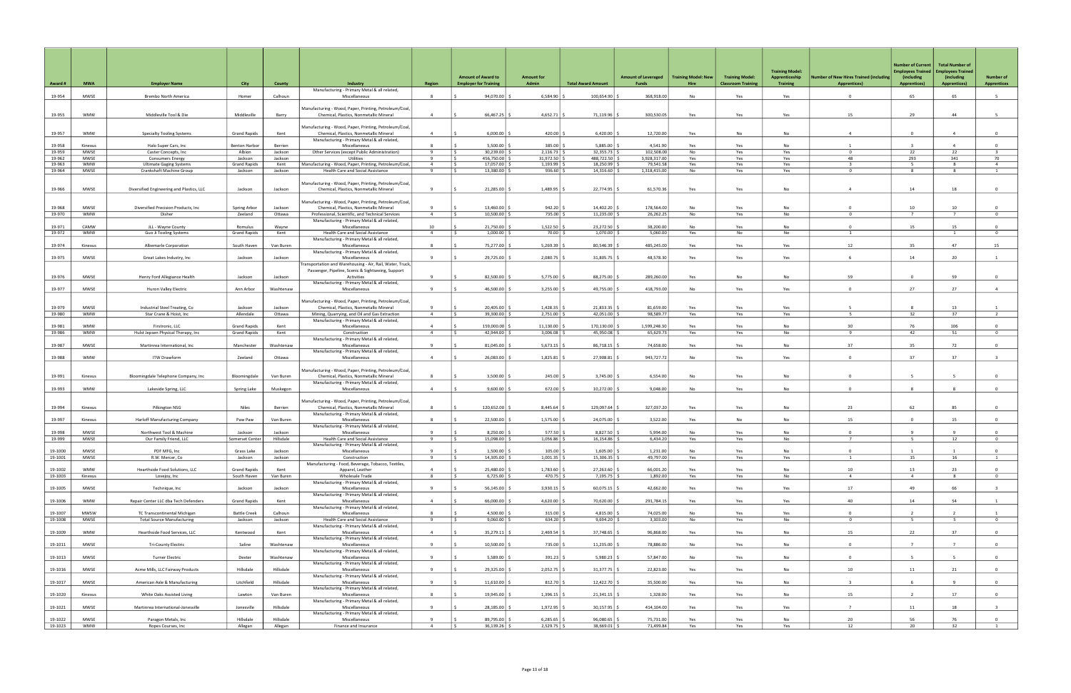|                  |                           |                                                          |                                     |                    |                                                                                                   |                                  |                                                           |                                       |                           |                                     |                                    |                                                     | <b>Training Model:</b>            |                                                              | <b>Number of Current</b><br><b>Employees Trained</b> | <b>Total Number of</b><br><b>Employees Trained</b> |                                        |
|------------------|---------------------------|----------------------------------------------------------|-------------------------------------|--------------------|---------------------------------------------------------------------------------------------------|----------------------------------|-----------------------------------------------------------|---------------------------------------|---------------------------|-------------------------------------|------------------------------------|-----------------------------------------------------|-----------------------------------|--------------------------------------------------------------|------------------------------------------------------|----------------------------------------------------|----------------------------------------|
| Award #          | <b>MWA</b>                | <b>Employer Name</b>                                     | City                                | County             | Industry                                                                                          | <b>Region</b>                    | <b>Amount of Award to</b><br><b>Employer for Training</b> | Amount for<br>Admin                   | <b>Total Award Amount</b> | <b>Amount of Leveraged</b><br>Funds | <b>Training Model: New</b><br>Hire | <b>Training Model:</b><br><b>Classroom Training</b> | Apprenticeship<br><b>Training</b> | umber of New Hires Trained (including<br><b>Apprentices)</b> | (including<br><b>Apprentices)</b>                    | (including<br><b>Apprentices)</b>                  | <b>Number of</b><br><b>Apprentices</b> |
| 19-954           | MWSE                      | Brembo North America                                     | Homer                               | Calhoun            | Manufacturing - Primary Metal & all related,<br>Miscellaneous                                     | 8                                | 94,070.00                                                 | $6,584.90$ :                          | 100,654.90                | 368,918.00                          | No                                 | Yes                                                 | Yes                               | $\Omega$                                                     | 65                                                   | 65                                                 | 5                                      |
|                  |                           |                                                          |                                     |                    |                                                                                                   |                                  |                                                           |                                       |                           |                                     |                                    |                                                     |                                   |                                                              |                                                      |                                                    |                                        |
| 19-955           | <b>WMW</b>                | Middleville Tool & Die                                   | Middleville                         | Barry              | Manufacturing - Wood, Paper, Printing, Petroleum/Coal,<br>Chemical, Plastics, Nonmetallic Mineral | $\overline{4}$                   | 66,467.25                                                 | 4,652.71                              | 71,119.96                 | 300,530.05                          | Yes                                | Yes                                                 | Yes                               | 15                                                           | 29                                                   | 44                                                 | -5                                     |
|                  |                           |                                                          |                                     |                    | Manufacturing - Wood, Paper, Printing, Petroleum/Coal,                                            |                                  |                                                           |                                       |                           |                                     |                                    |                                                     |                                   |                                                              |                                                      |                                                    |                                        |
| 19-957           | <b>WMW</b>                | <b>Specialty Tooling Systems</b>                         | <b>Grand Rapids</b>                 | Kent               | Chemical, Plastics, Nonmetallic Mineral<br>Manufacturing - Primary Metal & all related,           | $\overline{4}$                   | 6,000.00                                                  | 420.00                                | 6,420.00                  | 12,720.00                           | Yes                                | No                                                  | No                                | $\overline{4}$                                               | $\Omega$                                             | $\overline{4}$                                     | $\overline{0}$                         |
| 19-958           | Kinexus                   | Halo Super Cars, Inc.                                    | <b>Benton Harbor</b>                | Berrien            | Miscellaneous                                                                                     | 8                                | $5,500.00$ $\mid$ \$                                      | $385.00$ \$                           | 5,885.00                  | 4,541.90                            | Yes                                | Yes                                                 | No                                |                                                              | $\overline{3}$                                       | $\overline{a}$                                     | $\overline{0}$                         |
| 19-959<br>19-962 | MWSE<br>MWSE              | Caster Concepts, Inc<br><b>Consumers Energy</b>          | Albion<br>Jackson                   | Jackson<br>Jackson | Other Services (except Public Administration)<br>Utilities                                        | 9<br>$\mathbf{q}$                | 30,239.00<br>456,750.00                                   | $2,116.73$ \$<br>31,972.50            | 32,355.73<br>488,722.50   | 102,508.00<br>3,928,317.00          | No<br>Yes                          | Yes<br>Yes                                          | Yes<br>Yes                        | $^{\circ}$<br>48                                             | 22<br>293                                            | 22<br>341                                          | $\overline{\mathbf{3}}$<br>70          |
| 19-963           | <b>WMW</b>                | <b>Ultimate Gaging Systems</b>                           | <b>Grand Rapids</b>                 | Kent               | Manufacturing - Wood, Paper, Printing, Petroleum/Coal                                             | $\overline{4}$                   | 17,057.00                                                 | 1,193.99                              | 18,250.99                 | 79,541.58                           | Yes                                | Yes                                                 | Yes                               | $\overline{\mathbf{3}}$                                      | 5 <sup>5</sup>                                       | 8                                                  | $\overline{4}$                         |
| 19-964           | MWSE                      | Crankshaft Machine Group                                 | Jackson                             | Jackson            | Health Care and Social Assistance                                                                 | 9                                | 13,380.00 \$                                              | $936.60$ \$                           | 14,316.60                 | 1,318,415.00                        | No                                 | Yes                                                 | Yes                               | $\mathbf{0}$                                                 | 8                                                    | 8                                                  | $\mathbf{1}$                           |
| 19-966           | MWSE                      | Diversified Engineering and Plastics, LLC                | Jackson                             | Jackson            | Manufacturing - Wood, Paper, Printing, Petroleum/Coal,<br>Chemical, Plastics, Nonmetallic Mineral | -9                               | 21,285.00                                                 |                                       | 22,774.95 \$              | 61,570.36                           | Yes                                | Yes                                                 | No                                | $\overline{4}$                                               | 14                                                   | 18                                                 | $\overline{0}$                         |
|                  |                           |                                                          |                                     |                    | Manufacturing - Wood, Paper, Printing, Petroleum/Coal,                                            |                                  |                                                           |                                       |                           |                                     |                                    |                                                     |                                   |                                                              |                                                      |                                                    |                                        |
| 19-968<br>19-970 | <b>MWSE</b><br><b>WMW</b> | Diversified Precision Products, Inc.<br>Disher           | Spring Arbor<br>Zeeland             | Jackson<br>Ottawa  | Chemical, Plastics, Nonmetallic Mineral<br>Professional, Scientific, and Technical Services       | $\overline{4}$                   | 13,460.00<br>$10.500.00$ $\pm$                            | 942.20<br>735.00                      | 14,402.20<br>11,235.00    | 178,564.00<br>26,262.25             | No<br>No                           | Yes<br>Yes                                          | No<br>No                          | $\Omega$                                                     | 10<br>$\overline{7}$                                 | 10<br>$\overline{7}$                               | $\Omega$<br>$\Omega$                   |
|                  |                           |                                                          |                                     |                    | Manufacturing - Primary Metal & all related,                                                      |                                  |                                                           |                                       |                           |                                     |                                    |                                                     |                                   |                                                              |                                                      |                                                    |                                        |
| 19-971<br>19-972 | CAMW<br><b>WMW</b>        | JLL - Wayne County                                       | Romulus                             | Wayne<br>Kent      | Miscellaneous                                                                                     | 10<br>$\overline{4}$             | 21,750.00<br>1,000.00                                     | 1,522.50<br>70.00 \$                  | 23,272.50<br>1,070.00     | 38,200.00<br>5,060.00               | No                                 | Yes<br>No                                           | No<br>No                          | $\overline{1}$                                               | 15                                                   | 15<br>$\mathbf{1}$                                 | $^{\circ}$<br>$\overline{0}$           |
|                  |                           | Guo Ji Tooling Systems                                   | <b>Grand Rapids</b>                 |                    | Health Care and Social Assistance<br>Manufacturing - Primary Metal & all related,                 |                                  |                                                           |                                       |                           |                                     | Yes                                |                                                     |                                   |                                                              |                                                      |                                                    |                                        |
| 19-974           | Kinexus                   | Albemarle Corporation                                    | South Haven                         | Van Buren          | Miscellaneous                                                                                     |                                  | 75,277.00                                                 | 5,269.39                              | 80,546.39                 | 485,245.00                          | Yes                                | Yes                                                 | Yes                               | 12                                                           | 35                                                   | 47                                                 | 15                                     |
| 19-975           | <b>MWSE</b>               | Great Lakes Industry, Inc                                | Jackson                             | Jackson            | Manufacturing - Primary Metal & all related,<br>Miscellaneous                                     | $\mathbf{q}$                     | 29,725.00                                                 | 2,080.75                              | 31,805.75                 | 48,578.30                           | Yes                                | Yes                                                 | Yes                               | 6                                                            | 14                                                   | 20                                                 | 1                                      |
|                  |                           |                                                          |                                     |                    | Fransportation and Warehousing - Air, Rail, Water, Truck,                                         |                                  |                                                           |                                       |                           |                                     |                                    |                                                     |                                   |                                                              |                                                      |                                                    |                                        |
| 19-976           | MWSE                      | Henry Ford Allegiance Health                             | Jackson                             | Jackson            | Passenger, Pipeline, Scenic & Sightseeing, Support<br>Activities                                  |                                  | 82,500.00                                                 | 5,775.00                              | 88,275.00                 | 289,260.00                          | Yes                                | No                                                  | No                                | 59                                                           | $\Omega$                                             | 59                                                 | $\mathbf{0}$                           |
|                  |                           |                                                          |                                     |                    | Manufacturing - Primary Metal & all related,                                                      |                                  |                                                           |                                       |                           |                                     |                                    |                                                     |                                   |                                                              |                                                      |                                                    |                                        |
| 19-977           | MWSE                      | Huron Valley Electric                                    | Ann Arbor                           | Washtenaw          | Miscellaneous                                                                                     | 9                                | 46,500.00   9                                             | 3,255.00                              | 49,755.00                 | 418,793.00                          | No                                 | Yes                                                 | Yes                               | $\Omega$                                                     | 27                                                   | 27                                                 | $\overline{4}$                         |
|                  |                           |                                                          |                                     |                    | Manufacturing - Wood, Paper, Printing, Petroleum/Coal,                                            |                                  |                                                           |                                       |                           |                                     |                                    |                                                     |                                   |                                                              |                                                      |                                                    |                                        |
| 19-979<br>19-980 | MWSE<br><b>WMW</b>        | Industrial Steel Treating, Co<br>Star Crane & Hoist, Inc | Jackson<br>Allendale                | Jackson<br>Ottawa  | Chemical, Plastics, Nonmetallic Mineral<br>Mining, Quarrying, and Oil and Gas Extraction          | <b>q</b><br>$\overline{4}$       | 20,405.00<br>39,300.00                                    | 1,428.35<br>2,751.00                  | 21,833.35<br>42,051.00    | 81,659.00<br>98,589.77              | Yes<br>Yes                         | Yes<br>Yes                                          | Yes<br>Yes                        | -5                                                           | 8<br>32                                              | 13<br>37                                           | $\overline{2}$                         |
|                  |                           |                                                          |                                     |                    | Manufacturing - Primary Metal & all related,                                                      |                                  |                                                           |                                       |                           |                                     |                                    |                                                     |                                   |                                                              |                                                      |                                                    |                                        |
| 19-981<br>19-986 | <b>WMW</b><br><b>WMW</b>  | Firstronic, LLC<br>Hulst Jepsen Physical Therapy, Inc    | Grand Rapids<br><b>Grand Rapids</b> | Kent<br>Kent       | Miscellaneous<br>Construction                                                                     | $\overline{4}$<br>$\overline{a}$ | 159,000.00<br>42,944.00                                   | $11,130.00$ $\frac{8}{3}$<br>3,006.08 | 170,130.00<br>45,950.08   | 1,599,248.30<br>65,629.73           | Yes<br>Yes                         | Yes<br>Yes                                          | No<br>No                          | 30<br>$\mathbf{q}$                                           | 76<br>42                                             | 106<br>51                                          | $\overline{0}$<br>$\overline{0}$       |
|                  |                           |                                                          |                                     |                    | Manufacturing - Primary Metal & all related,                                                      |                                  |                                                           |                                       |                           |                                     |                                    |                                                     |                                   |                                                              |                                                      |                                                    |                                        |
| 19-987           | MWSE                      | Martinrea International, Inc                             | Manchester                          | Washtenaw          | Miscellaneous<br>Manufacturing - Primary Metal & all related,                                     | -9                               | 81,045.00                                                 | 5,673.15                              | 86,718.15                 | 74,658.00                           | Yes                                | Yes                                                 | <b>No</b>                         | 37                                                           | 35                                                   | 72                                                 | $\overline{0}$                         |
| 19-988           | <b>WMW</b>                | <b>ITW Drawform</b>                                      | Zeeland                             | Ottawa             | Miscellaneous                                                                                     | $\overline{4}$                   | $26,083.00$ :                                             | 1,825.81                              | 27,908.81                 | 943,727.72                          | No                                 | Yes                                                 | Yes                               | $\Omega$                                                     | 37                                                   | 37                                                 | $\overline{\mathbf{3}}$                |
|                  |                           |                                                          |                                     |                    | Manufacturing - Wood, Paper, Printing, Petroleum/Coal,                                            |                                  |                                                           |                                       |                           |                                     |                                    |                                                     |                                   |                                                              |                                                      |                                                    |                                        |
| 19-991           | Kinexus                   | Bloomingdale Telephone Company, Inc                      | Bloomingdale                        | Van Buren          | Chemical, Plastics, Nonmetallic Mineral                                                           | 8                                | 3,500.00                                                  | 245.00 \$                             | 3,745.00                  | 6,554.00                            | No                                 | Yes                                                 | No                                | $\Omega$                                                     | -5                                                   | $\overline{5}$                                     | $\overline{0}$                         |
| 19-993           | <b>WMW</b>                | Lakeside Spring, LLC                                     | Spring Lake                         | Muskegon           | Manufacturing - Primary Metal & all related,<br>Miscellaneous                                     | $\overline{4}$                   | 9,600.00                                                  | $672.00$ \$                           | 10,272.00                 | 9,048.00                            | No                                 | Yes                                                 | <b>No</b>                         | $\Omega$                                                     | 8                                                    | $\mathbf{g}$                                       | $\overline{0}$                         |
|                  |                           |                                                          |                                     |                    |                                                                                                   |                                  |                                                           |                                       |                           |                                     |                                    |                                                     |                                   |                                                              |                                                      |                                                    |                                        |
| 19-994           | Kinexus                   | Pilkington NSG                                           | Niles                               | Berrien            | Manufacturing - Wood, Paper, Printing, Petroleum/Coal<br>Chemical, Plastics, Nonmetallic Mineral  | $\mathbf{R}$                     | 120,652.00                                                | $8,445.64$ :                          | 129,097.64                | 327,037.20                          | Yes                                | Yes                                                 | No                                | 23                                                           | 62                                                   | 85                                                 | $\Omega$                               |
|                  |                           |                                                          |                                     |                    | Manufacturing - Primary Metal & all related,                                                      |                                  |                                                           |                                       |                           |                                     |                                    |                                                     |                                   |                                                              |                                                      |                                                    |                                        |
| 19-997           | Kinexus                   | Harloff Manufacturing Company                            | Paw Paw                             | Van Buren          | Miscellaneous<br>Manufacturing - Primary Metal & all related,                                     | 8                                | 22,500.00                                                 | 1,575.00                              | 24,075.00                 | 3,522.00                            | Yes                                | No                                                  | <b>No</b>                         | 15                                                           | $\mathbf 0$                                          | 15                                                 | $\mathbf{0}$                           |
| 19-998           | <b>MWSE</b>               | Northwest Tool & Machine                                 | Jackson                             | Jackson            | Miscellaneous                                                                                     | 9                                | 8,250.00                                                  | $577.50$ \ \;                         | 8,827.50                  | 5,994.00                            | No                                 | Yes                                                 | <b>No</b>                         | $\Omega$                                                     | $\mathbf{q}$                                         |                                                    | $\Omega$                               |
| 19-999           | MWSE                      | Our Family Friend, LL                                    | Somerset Center                     | Hillsdale          | Health Care and Social Assistance                                                                 |                                  | 15,098.00   \$                                            | $1,056.86$                            | 16,154.86                 | 6,434.20                            | Yes                                | Yes                                                 | No                                |                                                              |                                                      |                                                    |                                        |
| 19-1000          | MWSE                      | PDF MFG, Inc                                             | Grass Lake                          | Jackson            | Manufacturing - Primary Metal & all related,<br>Miscellaneous                                     | -9                               | $1,500.00$ \ \;                                           | $105.00$ \$                           | 1,605.00                  | 1,231.00                            | No                                 | Yes                                                 | No                                | $\circ$                                                      | $\overline{1}$                                       | $\overline{1}$                                     | $\overline{0}$                         |
| 19-1001          | MWSE                      | R.W. Mercer, Co                                          | Jackson                             | Jackson            | Construction                                                                                      | - 9                              | 14,305.00                                                 | $1,001.35$ \$                         | 15,306.35                 | 49,797.00                           | Yes                                | Yes                                                 | Yes                               | 1                                                            | 15                                                   | 16                                                 | $\overline{1}$                         |
| 19-1002          | <b>WMW</b>                | Hearthside Food Solutions, LLC                           | <b>Grand Rapids</b>                 | Kent               | Manufacturing - Food, Beverage, Tobacco, Textiles,<br>Apparel, Leather                            | $\overline{4}$                   | 25,480.00                                                 | $1,783.60$ \$                         | 27,263.60                 | 66,001.20                           | Yes                                | Yes                                                 | No                                | 10                                                           | 13                                                   | 23                                                 | $\mathbf{0}$                           |
| 19-1003          | Kinexus                   | Lovejoy, Inc                                             | South Haven                         | Van Buren          | Wholesale Trade                                                                                   | 8                                | 6,725.00                                                  | 470.75 \$                             | 7,195.75                  | 1,892.00                            | Yes                                | Yes                                                 | No                                | $\overline{4}$                                               | $\overline{4}$                                       | 8                                                  | $\overline{0}$                         |
| 19-1005          | MWSE                      | Technique, Inc                                           | Jackson                             | Jackson            | Manufacturing - Primary Metal & all related,<br>Miscellaneous                                     | -9                               | 56,145.00                                                 | $3,930.15$ \$                         | 60,075.15                 | 42,662.00                           | Yes                                | Yes                                                 | Yes                               | 17                                                           | 49                                                   | 66                                                 | $\overline{\mathbf{3}}$                |
|                  |                           |                                                          |                                     |                    | Manufacturing - Primary Metal & all related,                                                      |                                  |                                                           |                                       |                           |                                     |                                    |                                                     |                                   |                                                              |                                                      |                                                    |                                        |
| 19-1006          | <b>WMW</b>                | Repair Center LLC dba Tech Defenders                     | <b>Grand Rapids</b>                 | Kent               | Miscellaneous<br>Manufacturing - Primary Metal & all related,                                     | $\overline{4}$                   | 66,000.00                                                 | $4,620.00$ \ \$                       | 70,620.00                 | 291,784.15                          | Yes                                | Yes                                                 | Yes                               | 40                                                           | 14                                                   | 54                                                 | 1                                      |
| 19-1007          | <b>MWSW</b>               | TC Transcontinental Michigan                             | <b>Battle Creek</b>                 | Calhoun            | Miscellaneous                                                                                     | $\mathbf{R}$                     | 4,500.00 $\vert$ \$                                       | $315.00$ \$                           | 4,815.00                  | 74,025.00                           | No                                 | Yes                                                 | Yes                               | $\Omega$                                                     | $\overline{2}$                                       | $\overline{2}$                                     | $\overline{1}$                         |
| 19-1008          | MWSE                      | <b>Total Source Manufacturing</b>                        | Jackson                             | Jackson            | Health Care and Social Assistance<br>Manufacturing - Primary Metal & all related,                 | 9                                | $9,060.00$ \$                                             | $634.20$ \$                           | $9,694.20$ \$             | 3,303.00                            | No                                 | Yes                                                 | No                                | $\mathbf{0}$                                                 | 5                                                    | 5 <sub>5</sub>                                     | $\overline{0}$                         |
| 19-1009          | <b>WMW</b>                | Hearthside Food Services, LLC                            | Kentwood                            | Kent               | Miscellaneous                                                                                     | $\overline{a}$                   | 35,279.11                                                 | 2,469.54                              | 37,748.65                 | 96,868.00                           | Yes                                | Yes                                                 | No                                | 15                                                           | 22                                                   | 37                                                 | $\overline{0}$                         |
| 19-1011          | <b>MWSE</b>               | <b>Tri-County Electric</b>                               | Saline                              | Washtenaw          | Manufacturing - Primary Metal & all related,<br>Miscellaneous                                     | -9                               | 10,500.00                                                 | 735.00                                | 11,235.00                 | 78,886.00                           | No                                 | Yes                                                 | No                                | $\circ$                                                      | $\overline{7}$                                       | $\overline{7}$                                     | $\overline{0}$                         |
|                  |                           |                                                          |                                     |                    | Manufacturing - Primary Metal & all related,                                                      |                                  |                                                           |                                       |                           |                                     |                                    |                                                     |                                   |                                                              |                                                      |                                                    |                                        |
| 19-1013          | MWSE                      | <b>Turner Electric</b>                                   | Dexter                              | Washtenaw          | Miscellaneous<br>Manufacturing - Primary Metal & all related,                                     | -9                               | $5,589.00$ \$                                             | $391.23$ \$                           | $5,980.23$ \$             | 57,847.00                           | No                                 | Yes                                                 | No                                | $\circ$                                                      | - 5                                                  | - 5                                                | $\overline{0}$                         |
| 19-1016          | MWSE                      | Acme Mills, LLC Fairway Products                         | Hillsdale                           | Hillsdale          | Miscellaneous                                                                                     | -9                               | 29,325.00                                                 | $2,052.75$ \$                         | 31,377.75                 | 22,823.00                           | Yes                                | Yes                                                 | No                                | 10                                                           | 11                                                   | 21                                                 | $\overline{0}$                         |
| 19-1017          | <b>MWSE</b>               | American Axle & Manufacturing                            | Litchfield                          | Hillsdale          | Manufacturing - Primary Metal & all related,<br>Miscellaneous                                     | $\mathbf{q}$                     | 11,610.00                                                 | 812.70                                | 12,422.70                 | 35,500.00                           | Yes                                | Yes                                                 | No                                | $\overline{\mathbf{3}}$                                      | 6                                                    | 9                                                  | $\overline{0}$                         |
|                  |                           |                                                          |                                     |                    | Manufacturing - Primary Metal & all related,                                                      |                                  |                                                           |                                       |                           |                                     |                                    |                                                     |                                   |                                                              |                                                      |                                                    |                                        |
| 19-1020          | Kinexus                   | White Oaks Assisted Living                               | Lawton                              | Van Buren          | Miscellaneous<br>Manufacturing - Primary Metal & all related,                                     | 8                                | 19,945.00 \$                                              | $1,396.15$ \$                         | 21,341.15                 | 1,328.00                            | Yes                                | Yes                                                 | No                                | 15                                                           | $\overline{2}$                                       | 17                                                 | $\overline{0}$                         |
| 19-1021          | MWSE                      | Martinrea International-Jonesville                       | Jonesville                          | Hillsdale          | Miscellaneous                                                                                     | $\mathbf{q}$                     | 28,185.00                                                 | $1,972.95$ \$                         | 30,157.95                 | 414,104.00                          | Yes                                | Yes                                                 | Yes                               | $\overline{7}$                                               | 11                                                   | 18                                                 | $\overline{\mathbf{3}}$                |
| 19-1022          | <b>MWSE</b>               | Paragon Metals, Inc                                      | Hillsdale                           | Hillsdale          | Manufacturing - Primary Metal & all related,<br>Miscellaneous                                     |                                  | 89,795.00                                                 | 6,285.65                              | 96,080.65                 | 75,731.00                           | Yes                                | Yes                                                 | No                                | 20                                                           | 56                                                   | 76                                                 | $\mathbf{0}$                           |
| 19-1023          | <b>WMW</b>                | Ropes Courses, Inc                                       | Allegan                             | Allegan            | Finance and Insurance                                                                             | $\overline{4}$                   | 36,139.26<br>IS.                                          | $2,529.75$ \$                         | 38,669.01 \$              | 71,499.84                           | Yes                                | Yes                                                 | Yes                               | 12                                                           | 20                                                   | 32                                                 | $\mathbf{1}$                           |
|                  |                           |                                                          |                                     |                    |                                                                                                   |                                  |                                                           |                                       |                           |                                     |                                    |                                                     |                                   |                                                              |                                                      |                                                    |                                        |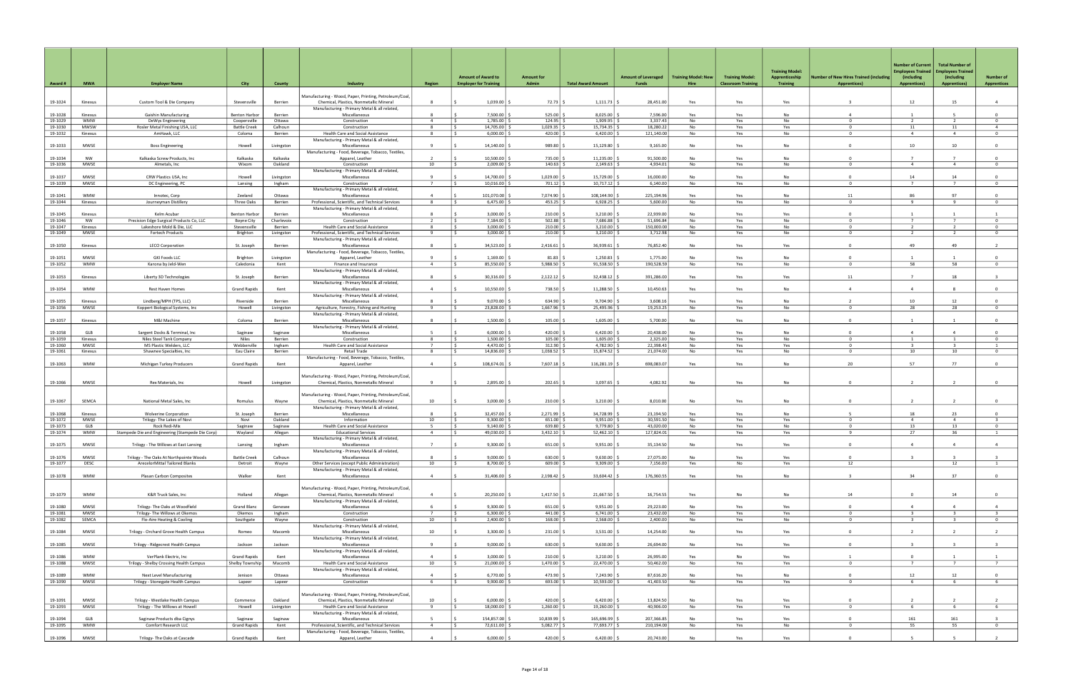| Award #            | <b>MWA</b>            | <b>Employer Name</b>                                         | <b>City</b>                          | <b>County</b>             | Industry                                                                                               | <b>Region</b>                  | <b>Amount of Award to</b><br><b>Employer for Training</b> | <b>Amount for</b><br>Admin | <b>Total Award Amount</b> | <b>Amount of Leveraged</b><br>Funds | <b>Training Model: New</b><br>Hire | <b>Training Model:</b><br><b>Classroom Training</b> | <b>Training Model:</b><br>Apprenticeship<br><b>Training</b> | <b>Number of New Hires Trained (including</b><br><b>Apprentices)</b> | <b>Number of Current</b><br>mployees Trained<br>(including<br><b>Apprentices)</b> | <b>Total Number of</b><br><b>Employees Trained</b><br>(including<br><b>Apprentices)</b> | <b>Number of</b><br><b>Apprentices</b>    |
|--------------------|-----------------------|--------------------------------------------------------------|--------------------------------------|---------------------------|--------------------------------------------------------------------------------------------------------|--------------------------------|-----------------------------------------------------------|----------------------------|---------------------------|-------------------------------------|------------------------------------|-----------------------------------------------------|-------------------------------------------------------------|----------------------------------------------------------------------|-----------------------------------------------------------------------------------|-----------------------------------------------------------------------------------------|-------------------------------------------|
|                    |                       |                                                              |                                      |                           | Manufacturing - Wood, Paper, Printing, Petroleum/Coal,                                                 |                                |                                                           |                            |                           |                                     |                                    |                                                     |                                                             |                                                                      |                                                                                   |                                                                                         |                                           |
| 19-1024            | Kinexus               | Custom Tool & Die Company                                    | Stevensville                         | Berrien                   | Chemical, Plastics, Nonmetallic Mineral<br>Manufacturing - Primary Metal & all related,                | 8                              | 1,039.00                                                  | 72.73                      | 1,111.73                  | 28,451.00                           | Yes                                | Yes                                                 | Yes                                                         |                                                                      | 12                                                                                | 15                                                                                      | $\overline{4}$                            |
| 19-1028<br>19-1029 | Kinexus<br><b>WMW</b> | Gaishin Manufacturing<br>DeWys Engineering                   | <b>Benton Harbor</b><br>Coopersville | Berrien<br>Ottawa         | Miscellaneous<br>Construction                                                                          | $\mathbf{R}$<br>$\overline{4}$ | 7,500.00<br>1,785.00                                      | 525.00<br>124.95           | 8,025.00<br>1.909.95      | 7,596.00<br>3.337.43                | Yes<br>No.                         | Yes<br>Yes                                          | <b>No</b><br>No                                             | $\Delta$<br>$\Omega$                                                 | $\overline{z}$                                                                    | $\overline{2}$                                                                          | $\Omega$<br>$\Omega$                      |
| 19-1030            | MWSW                  | Rosler Metal Finishing USA, LLC                              | <b>Battle Creek</b>                  | Calhoun                   | Construction                                                                                           | 8                              | 14,705.00 \$<br>IS.                                       | 1,029.35                   | 15,734.35                 | 18,280.22                           | No                                 | Yes                                                 | Yes                                                         | $\Omega$                                                             | 11                                                                                | 11                                                                                      | $\overline{4}$                            |
| 19-1032            | Kinexus               | AmHawk, LLC                                                  | Coloma                               | Berrien                   | <b>Health Care and Social Assistance</b><br>Manufacturing - Primary Metal & all related,               |                                | 6,000.00                                                  | 420.00                     | 6,420.00                  | 121,140.00                          | No                                 | Yes                                                 | No                                                          | $\Omega$                                                             | $\overline{4}$                                                                    | $\overline{4}$                                                                          | $^{\circ}$                                |
| 19-1033            | MWSE                  | <b>Boss Engineering</b>                                      | Howell                               | Livingston                | Miscellaneous                                                                                          | - 9                            | 14,140.00                                                 | 989.80                     | 15,129.80                 | 9,165.00                            | No                                 | Yes                                                 | <b>No</b>                                                   | $\Omega$                                                             | 10                                                                                | 10 <sup>1</sup>                                                                         | $\Omega$                                  |
| 19-1034            | NW                    | Kalkaska Screw Products, Inc.                                | Kalkaska                             | Kalkaska                  | Manufacturing - Food, Beverage, Tobacco, Textiles,<br>Apparel, Leather                                 | $\overline{\phantom{a}}$       | 10,500.00                                                 | 735.00                     | 11,235.00                 | 91,500.00                           | <b>No</b>                          | Yes                                                 | No                                                          | $\Omega$                                                             | $\overline{7}$                                                                    | $\overline{7}$                                                                          | $\overline{0}$                            |
| 19-1036            | MWSE                  | Almetals, Inc.                                               | Wixom                                | Oakland                   | Construction                                                                                           | 10                             | $2,009.00$ \ \$                                           | $140.63$ \$                | 2,149.63                  | 4,934.01                            | No                                 | Yes                                                 | No                                                          | $\Omega$                                                             | $\overline{4}$                                                                    | $\overline{4}$                                                                          | $\overline{0}$                            |
| 19-1037            | MWSE                  | CRW Plastics USA, Inc.                                       | Howell                               | Livingston                | Manufacturing - Primary Metal & all related,<br>Miscellaneous                                          | 9                              | 14,700.00                                                 | 1,029.00                   | 15,729.00                 | 16,000.00                           | No                                 | Yes                                                 | <b>No</b>                                                   | $\Omega$                                                             | 14                                                                                | 14                                                                                      | $\Omega$                                  |
| 19-1039            | MWSE                  | DC Engineering, PC                                           | Lansing                              | Ingham                    | Construction                                                                                           | $\overline{7}$                 | $10,016.00$ $\mid$ \$                                     | 701.12                     | 10,717.12                 | 6,140.00                            | No                                 | Yes                                                 | No                                                          | $\Omega$                                                             | $\overline{7}$                                                                    | $7\overline{ }$                                                                         | $^{\circ}$                                |
| 19-1041            | <b>WMW</b>            | Innotec, Corp                                                | Zeeland                              | Ottawa                    | Manufacturing - Primary Metal & all related,<br>Miscellaneous                                          | $\Delta$                       | 101.070.00                                                | 7.074.90                   | 108.144.90                | 225,194.96                          | Yes                                | Yes                                                 | <b>No</b>                                                   | 11                                                                   | 86                                                                                | 97                                                                                      | $\overline{0}$                            |
| 19-1044            | Kinexus               | Journeyman Distillery                                        | Three Oaks                           | Berrien                   | Professional, Scientific, and Technical Services                                                       | 8                              | $6,475.00$ \$                                             | $453.25$ \$                | 6,928.25                  | 5,600.00                            | No                                 | Yes                                                 | No                                                          | $^{\circ}$                                                           | -9                                                                                | -9                                                                                      | $\overline{0}$                            |
| 19-1045            | Kinexus               | Kelm Acubar                                                  | <b>Benton Harbor</b>                 | Berrien                   | Manufacturing - Primary Metal & all related,<br>Miscellaneous                                          | $\mathbf{R}$                   | 3,000.00                                                  | 210.00                     | 3,210.00                  | 22,939.00                           | No                                 | Yes                                                 | Yes                                                         | $\Omega$                                                             | $\blacksquare$                                                                    |                                                                                         | $\overline{1}$                            |
| 19-1046            | <b>NW</b>             | Precision Edge Surgical Products Co, LLC                     | Boyne City                           | Charlevoix                | Construction                                                                                           | $\overline{z}$                 | 7,184.00                                                  | 502.88                     | 7,686.88                  | 51,696.84                           | No                                 | Yes                                                 | No                                                          | $\Omega$                                                             | $\overline{7}$                                                                    | $\overline{7}$                                                                          | $^{\circ}$                                |
| 19-1047<br>19-1049 | Kinexus<br>MWSE       | Lakeshore Mold & Die, LLC<br>Fortech Products                | Stevensville<br>Brighton             | Berrien<br>Livingston     | Health Care and Social Assistance<br>Professional, Scientific, and Technical Services                  | - 8<br>9                       | 3,000.00<br>$3,000.00$ \$                                 | 210.00<br>$210.00$ \$      | 3,210.00<br>3,210.00      | 150,000.00<br>3,712.98              | No<br>No                           | Yes<br>Yes                                          | No<br>No                                                    | $\Omega$<br>$\Omega$                                                 | $\overline{2}$<br>$\overline{2}$                                                  | $\overline{2}$<br>$\overline{2}$                                                        | $\overline{0}$<br>$\overline{0}$          |
|                    |                       |                                                              |                                      |                           | Manufacturing - Primary Metal & all related,                                                           |                                |                                                           |                            |                           |                                     |                                    |                                                     |                                                             |                                                                      |                                                                                   |                                                                                         |                                           |
| 19-1050            | Kinexus               | <b>LECO Corporation</b>                                      | St. Joseph                           | <b>Berrien</b>            | Miscellaneous<br>Manufacturing - Food, Beverage, Tobacco, Textiles,                                    |                                | 34.523.00                                                 | 2.416.61                   | 36.939.61                 | 76,852.40                           | <b>No</b>                          | Yes                                                 | Yes                                                         | $\Omega$                                                             | 49                                                                                | 49                                                                                      |                                           |
| 19-1051            | <b>MWSE</b>           | <b>GKI Foods LLC</b>                                         | Brighton                             | Livingston                | Apparel, Leather                                                                                       |                                | 1,169.00                                                  | 81.83                      | 1,250.83                  | 1,775.00                            | No                                 | Yes                                                 | No                                                          |                                                                      |                                                                                   |                                                                                         | $\overline{0}$                            |
| 19-1052            | <b>WMW</b>            | Karona by Jeld-Wen                                           | Caledonia                            | Kent                      | Finance and Insurance<br>Manufacturing - Primary Metal & all related,                                  | $\overline{a}$                 | 85,550.00                                                 | 5,988.50                   | 91,538.50                 | 190,528.59                          | No                                 | Yes                                                 | No                                                          | $\Omega$                                                             | 58                                                                                | 58                                                                                      | $\Omega$                                  |
| 19-1053            | Kinexus               | Liberty 3D Technologies                                      | St. Joseph                           | Berrien                   | Miscellaneous                                                                                          | -8                             | 30,316.00                                                 | 2,122.12                   | 32,438.12                 | 391,286.00                          | Yes                                | Yes                                                 | Yes                                                         | 11                                                                   | $\overline{7}$                                                                    | 18                                                                                      |                                           |
| 19-1054            | <b>WMW</b>            | Rest Haven Homes                                             | <b>Grand Rapids</b>                  | Kent                      | Manufacturing - Primary Metal & all related,<br>Miscellaneous                                          | $\overline{a}$                 | 10,550.00                                                 | 738.50                     | 11,288.50                 | 10,450.63                           | Yes                                | Yes                                                 | <b>No</b>                                                   | $\Delta$                                                             | $\Delta$                                                                          | 8                                                                                       | $\overline{0}$                            |
|                    |                       |                                                              |                                      |                           | Manufacturing - Primary Metal & all related,                                                           |                                |                                                           |                            |                           |                                     |                                    |                                                     |                                                             |                                                                      |                                                                                   |                                                                                         |                                           |
| 19-1055<br>19-1056 | Kinexus<br>MWSE       | Lindberg/MPH (TPS, LLC)<br>Koppert Biological Systems, Inc   | Riverside<br>Howell                  | Berrien<br>Livingston     | Miscellaneous<br>Agriculture, Forestry, Fishing and Hunting                                            | 9                              | 9,070.00<br>23,828.00 \$<br>ΙŚ                            | 634.90<br>1,667.96         | 9,704.90<br>25,495.96     | 3,608.16<br>19,253.25               | Yes<br>No                          | Yes<br>Yes                                          | <b>No</b><br>No                                             | $^{\circ}$                                                           | 10<br>28                                                                          | 12<br>28                                                                                | $\Omega$<br>$\overline{0}$                |
|                    |                       |                                                              |                                      |                           | Manufacturing - Primary Metal & all related,                                                           |                                |                                                           |                            |                           |                                     |                                    |                                                     |                                                             |                                                                      |                                                                                   |                                                                                         |                                           |
| 19-1057            | Kinexus               | M&I Machine                                                  | Coloma                               | <b>Berrien</b>            | Miscellaneous<br>Manufacturing - Primary Metal & all related,                                          | 8                              | 1.500.00                                                  | 105.00                     | 1,605.00                  | 5,700.00                            | No                                 | Yes                                                 | <b>No</b>                                                   |                                                                      |                                                                                   |                                                                                         | $\overline{0}$                            |
| 19-1058            | GLB                   | Sargent Docks & Terminal, Inc                                | Saginaw                              | Saginaw                   | Miscellaneous                                                                                          |                                | 6,000.00                                                  | 420.00                     | 6,420.00                  | 20,438.00                           | No                                 | Yes                                                 | No                                                          | $\Omega$                                                             | $\overline{4}$                                                                    | $\overline{4}$                                                                          | $\overline{0}$                            |
| 19-1059            | Kinexus<br>MWSE       | Niles Steel Tank Company                                     | Niles<br>Webberville                 | Berrien                   | Construction                                                                                           | -8<br>$\overline{7}$           | 1,500.00<br>IS.                                           | 105.00                     | 1,605.00<br>4.782.90      | 2,325.00                            | No<br>No.                          | Yes                                                 | No                                                          | $\Omega$<br>$\Omega$                                                 | $\overline{1}$<br>$\overline{3}$                                                  | $\overline{1}$<br>$\overline{3}$                                                        | $\overline{0}$<br>$\overline{1}$          |
| 19-1060<br>19-1061 | Kinexus               | MS Plastic Welders, LLC<br>Shawnee Specialties, Inc.         | Eau Claire                           | Ingham<br>Berrien         | Health Care and Social Assistance<br>Retail Trade                                                      | -8                             | 4,470.00 \$<br>14,836.00                                  | 312.90<br>1,038.52         | 15,874.52                 | 22,398.43<br>21,074.00              | No                                 | Yes<br>Yes                                          | Yes<br>No                                                   | $\Omega$                                                             | 10                                                                                | 10                                                                                      | $^{\circ}$                                |
| 19-1063            | <b>WMW</b>            |                                                              | <b>Grand Rapids</b>                  |                           | Manufacturing - Food, Beverage, Tobacco, Textiles,                                                     | $\overline{4}$                 | 108,674.01                                                | 7,607.18                   | 116,281.19                | 698,083.07                          |                                    |                                                     | No                                                          | 20                                                                   | 57                                                                                | 77                                                                                      | $\overline{0}$                            |
|                    |                       | Michigan Turkey Producers                                    |                                      | Kent                      | Apparel, Leather                                                                                       |                                |                                                           |                            |                           |                                     | Yes                                | Yes                                                 |                                                             |                                                                      |                                                                                   |                                                                                         |                                           |
| 19-1066            | <b>MWSE</b>           | Rex Materials, Inc                                           | Howell                               | Livingston                | Manufacturing - Wood, Paper, Printing, Petroleum/Coal,<br>Chemical, Plastics, Nonmetallic Mineral      | 9                              | 2,895.00                                                  | 202.65                     | 3,097.65                  | 4,082.92                            | No                                 | Yes                                                 | No                                                          | $\Omega$                                                             | $\overline{2}$                                                                    | $\overline{z}$                                                                          | $\overline{0}$                            |
|                    |                       |                                                              |                                      |                           |                                                                                                        |                                |                                                           |                            |                           |                                     |                                    |                                                     |                                                             |                                                                      |                                                                                   |                                                                                         |                                           |
| 19-1067            | SEMCA                 | National Metal Sales, Inc                                    | Romulus                              | Wayne                     | Manufacturing - Wood, Paper, Printing, Petroleum/Coal,<br>Chemical, Plastics, Nonmetallic Mineral      | 10                             | 3,000.00                                                  | 210.00                     | 3,210.00                  | 8,010.00                            | No                                 | Yes                                                 | No                                                          | $\Omega$                                                             | $\overline{2}$                                                                    |                                                                                         | $\overline{0}$                            |
|                    |                       |                                                              |                                      |                           | Manufacturing - Primary Metal & all related,                                                           |                                |                                                           |                            |                           |                                     |                                    |                                                     |                                                             |                                                                      |                                                                                   |                                                                                         |                                           |
| 19-1068<br>19-1072 | Kinexus<br>MWSE       | <b>Wolverine Corporation</b><br>Trilogy- The Lakes of Novi   | St. Joseph<br>Novi                   | <b>Berrien</b><br>Oakland | Miscellaneous<br>Information                                                                           | $\mathbf{R}$<br>10             | 32,457.00<br>9,300.00                                     | 2,271.99<br>651.00         | 34,728.99<br>9,951.00     | 23,194.50<br>30,591.50              | Yes<br>No                          | Yes<br>Yes                                          | <b>No</b><br>Yes                                            | $\Omega$                                                             | 18<br>$\overline{4}$                                                              | 23<br>$\overline{4}$                                                                    | $\Omega$<br>3                             |
| 19-1073            | GLB                   | Rock Redi-Mix                                                | Saginaw                              | Saginaw                   | Health Care and Social Assistance                                                                      | - 5                            | 9,140.00                                                  | 639.80                     | 9,779.80                  | 43,020.00                           | No                                 | Yes                                                 | No                                                          | $^{\circ}$                                                           | 13                                                                                | 13                                                                                      | $^{\circ}$                                |
| 19-1074            | <b>WMW</b>            | Stampede Die and Engineering (Stampede Die Corp)             | Wayland                              | Allegan                   | <b>Educational Services</b>                                                                            | $\overline{4}$                 | 49,030.00 \$<br>I S.                                      | 3,432.10                   | 52,462.10                 | 127,824.01                          | Yes                                | Yes                                                 | Yes                                                         | 9                                                                    | 27                                                                                | 36                                                                                      |                                           |
| 19-1075            | MWSE                  | Trilogy - The Willows at East Lansing                        | Lansing                              | Ingham                    | Manufacturing - Primary Metal & all related,<br>Miscellaneous                                          | $\overline{7}$                 | $9,300.00$ $\approx$                                      | $651.00$ \$                | 9,951.00                  | 35,134.50                           | No                                 | Yes                                                 | Yes                                                         | $\Omega$                                                             | $\overline{4}$                                                                    | $\overline{a}$                                                                          | $\overline{4}$                            |
| 19-1076            | MWSE                  | Trilogy - The Oaks At Northpointe Woods                      | <b>Battle Creek</b>                  | Calhoun                   | Manufacturing - Primary Metal & all related,<br>Miscellaneous                                          |                                | $9,000.00$ \$                                             | $630.00$ \$                | 9,630.00                  | 27,075.00                           | No                                 | Yes                                                 | Yes                                                         | $\mathbf 0$                                                          |                                                                                   |                                                                                         |                                           |
| 19-1077            | DESC                  | ArecelorMittal Tailored Blanks                               | Detroit                              | Wayne                     | Other Services (except Public Administration)                                                          | 10                             | 8,700.00 \$                                               | $609.00$ \$                | 9,309.00                  | 7,156.00                            | Yes                                | No                                                  | Yes                                                         | 12                                                                   |                                                                                   | 12                                                                                      | $\overline{1}$                            |
|                    | <b>WMW</b>            |                                                              |                                      |                           | Manufacturing - Primary Metal & all related,                                                           |                                | 31,406.00 \$                                              | $2,198.42$ \$              | 33,604.42 \$              | 176,360.55                          |                                    |                                                     | No                                                          |                                                                      | 34                                                                                | 37                                                                                      | $\overline{0}$                            |
| 19-1078            |                       | Plasan Carbon Composites                                     | Walker                               | Kent                      | Miscellaneous                                                                                          | $\overline{4}$                 |                                                           |                            |                           |                                     | Yes                                | Yes                                                 |                                                             |                                                                      |                                                                                   |                                                                                         |                                           |
| 19-1079            | <b>WMW</b>            | K&R Truck Sales, Inc                                         | Holland                              | Allegan                   | Manufacturing - Wood, Paper, Printing, Petroleum/Coal,<br>Chemical, Plastics, Nonmetallic Mineral      | $\overline{4}$                 | 20,250.00                                                 | 1,417.50                   | 21,667.50                 | 16,754.55                           | Yes                                | No                                                  | No                                                          | 14                                                                   | $\mathbf{0}$                                                                      | 14                                                                                      | $\overline{0}$                            |
|                    |                       |                                                              |                                      |                           | Manufacturing - Primary Metal & all related,                                                           |                                |                                                           |                            |                           |                                     |                                    |                                                     |                                                             |                                                                      |                                                                                   |                                                                                         |                                           |
| 19-1080            | MWSE                  | Trilogy- The Oaks at Woodfield                               | Grand Blanc                          | Genesee                   | Miscellaneous                                                                                          | -6                             | $9,300.00$ \$                                             | $651.00$ \$                | $9,951.00$ \$             | 29,223.00                           | No                                 | Yes                                                 | Yes                                                         | $\mathbf{0}$                                                         | $\overline{4}$                                                                    | $\overline{4}$                                                                          | $\overline{4}$                            |
| 19-1081<br>19-1082 | MWSE<br>SEMCA         | Trilogy- The Willows at Okemos<br>Flo-Aire Heating & Cooling | Okemos<br>Southgate                  | Ingham<br>Wayne           | Construction<br>Construction                                                                           | $\overline{7}$<br>10           | $6,300.00$ \$<br>IS.<br>$2,400.00$ \$                     | $441.00$ \$<br>$168.00$ \$ | $6,741.00$ \;<br>2,568.00 | 23,432.00<br>2,400.00               | No<br>No                           | Yes<br>Yes                                          | Yes<br>No                                                   | $\mathbf{0}$<br>$\mathbf{0}$                                         | $\overline{\mathbf{3}}$<br>$\overline{\mathbf{3}}$                                | $\overline{\mathbf{3}}$<br>$\overline{\mathbf{3}}$                                      | $\overline{\mathbf{3}}$<br>$\overline{0}$ |
|                    |                       |                                                              |                                      |                           | Manufacturing - Primary Metal & all related,                                                           |                                |                                                           |                            |                           |                                     |                                    |                                                     |                                                             |                                                                      |                                                                                   |                                                                                         |                                           |
| 19-1084            | MWSE                  | Trilogy - Orchard Grove Health Campus                        | Romeo                                | Macomb                    | Miscellaneous<br>Manufacturing - Primary Metal & all related,                                          | 10                             | $3,300.00$ $\frac{3}{2}$                                  | 231.00                     | 3,531.00                  | 14,254.00                           | No                                 | Yes                                                 | Yes                                                         | $\mathbf 0$                                                          | $\overline{z}$                                                                    | $\overline{2}$                                                                          | $\overline{2}$                            |
| 19-1085            | MWSE                  | Trilogy - Ridgecrest Health Campus                           | Jackson                              | Jackson                   | Miscellaneous                                                                                          | - 9                            | $9,000.00$ \$                                             | $630.00$ \ \$              | 9,630.00                  | 26,694.00                           | No                                 | Yes                                                 | Yes                                                         | $\mathbf 0$                                                          | $\overline{\mathbf{3}}$                                                           | $\mathbf{3}$                                                                            | $\overline{\mathbf{3}}$                   |
| 19-1086            | <b>WMW</b>            | VerPlank Electric, Inc                                       | <b>Grand Rapids</b>                  | Kent                      | Manufacturing - Primary Metal & all related,<br>Miscellaneous                                          | $\Delta$                       | $3,000.00$ $\frac{2}{3}$                                  | $210.00$ \$                | $3,210.00$ \;             | 26,995.00                           | Yes                                | No                                                  | Yes                                                         | $\overline{1}$                                                       | $\Omega$                                                                          | $\overline{1}$                                                                          | 1                                         |
| 19-1088            | MWSE                  | Trilogy - Shelby Crossing Health Campus                      | Shelby Township                      | Macomb                    | Health Care and Social Assistance                                                                      | 10                             | 21,000.00 \$<br>I S.                                      | $1,470.00$ \$              | 22,470.00                 | 50,462.00                           | No                                 | Yes                                                 | Yes                                                         | $\mathbf{0}$                                                         | 7                                                                                 | 7                                                                                       | 7                                         |
| 19-1089            | WMW                   | Next Level Manufacturing                                     | Jenison                              | Ottawa                    | Manufacturing - Primary Metal & all related,<br>Miscellaneous                                          | $\overline{4}$                 | 6,770.00                                                  | 473.90                     | 7,243.90                  | 87,616.20                           | No                                 | Yes                                                 | No                                                          | $\mathbf 0$                                                          | 12                                                                                | 12                                                                                      | $\overline{0}$                            |
| 19-1090            | <b>MWSE</b>           | Trilogy - Stonegate Health Campus                            | Lapeer                               | Lapeer                    | Construction                                                                                           | 6                              | $9,900.00$ \$<br>IS.                                      | 693.00 \$                  | 10,593.00                 | 41,403.50                           | No                                 | Yes                                                 | Yes                                                         | $\mathbf{0}$                                                         | 6                                                                                 | 6 <sup>7</sup>                                                                          | $6\overline{6}$                           |
|                    |                       |                                                              |                                      |                           | Manufacturing - Wood, Paper, Printing, Petroleum/Coal,                                                 |                                |                                                           |                            |                           |                                     |                                    |                                                     |                                                             |                                                                      |                                                                                   |                                                                                         |                                           |
| 19-1091            | MWSE                  | Trilogy - Westlake Health Campus                             | Commerce                             | Oakland                   | Chemical, Plastics, Nonmetallic Mineral                                                                | 10                             | 6,000.00                                                  | 420.00                     | 6,420.00                  | 13,824.50                           | No                                 | Yes                                                 | Yes                                                         | $\mathbf 0$                                                          | $\overline{2}$                                                                    | $\overline{2}$                                                                          | $\overline{2}$                            |
| 19-1093            | MWSE                  | Trilogy - The Willows at Howell                              | Howell                               | Livingston                | Health Care and Social Assistance<br>Manufacturing - Primary Metal & all related,                      | 9                              | 18,000.00 \$                                              | $1,260.00$ :               | 19,260.00                 | 40,906.00                           | No                                 | Yes                                                 | Yes                                                         | $\mathbf 0$                                                          | - 6                                                                               | 6                                                                                       | 6                                         |
| 19-1094            | GLB                   | Saginaw Products dba Cignys                                  | Saginaw                              | Saginaw                   | Miscellaneous                                                                                          | -5                             | 154,857.00 \$                                             | 10,839.99                  | 165,696.99                | 207,366.85                          | No                                 | Yes                                                 | Yes                                                         | $\mathbf 0$                                                          | 161                                                                               | 161                                                                                     | $\overline{\mathbf{3}}$                   |
| 19-1095            | <b>WMW</b>            | Comfort Research LLC                                         | <b>Grand Rapids</b>                  | Kent                      | Professional, Scientific, and Technical Services<br>Manufacturing - Food, Beverage, Tobacco, Textiles, | $\overline{4}$                 | 72,611.00 \$                                              | 5,082.77                   | 77,693.77                 | 210,194.00                          | No                                 | Yes                                                 | No                                                          | $^{\circ}$                                                           | 55                                                                                | 55                                                                                      | $\overline{0}$                            |
| 19-1096            | <b>MWSE</b>           | Trilogy- The Oaks at Cascade                                 | <b>Grand Rapids</b>                  | Kent                      | Apparel, Leather                                                                                       | $\overline{4}$                 | $6,000.00$ \$                                             | 420.00 \$                  | $6,420.00$ \$             | 20,743.00                           | No                                 | Yes                                                 | Yes                                                         | $\overline{0}$                                                       |                                                                                   | 5                                                                                       | $\overline{2}$                            |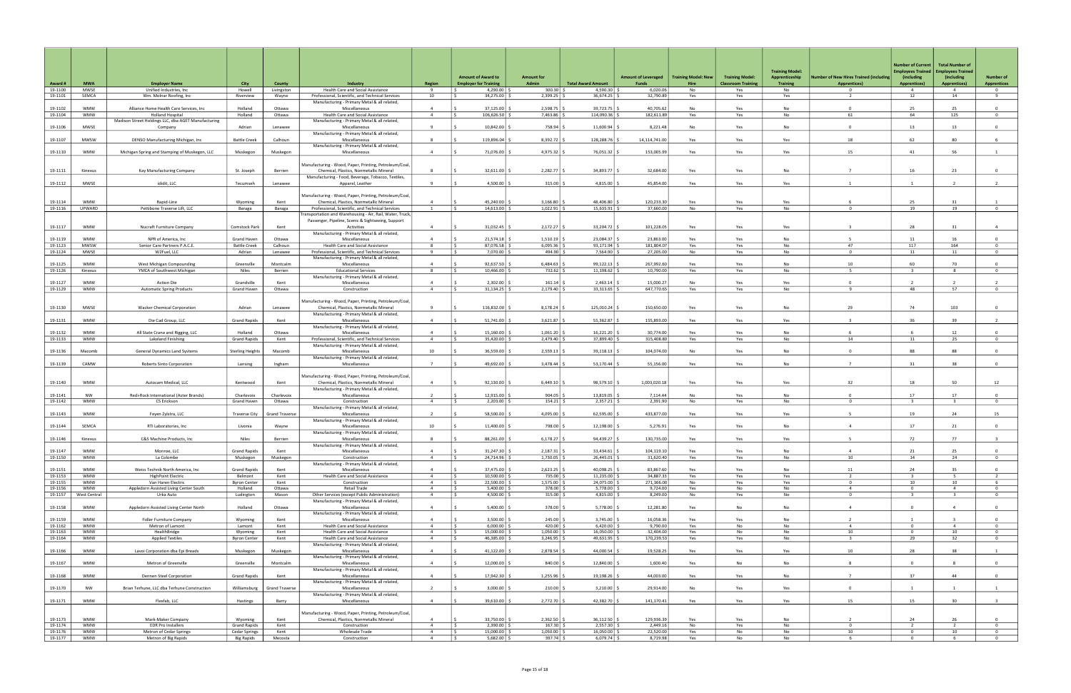|                    |                            |                                                                     |                                    |                       |                                                                                                               |                                  |                                                           |                              |                            |                                     |                                           |                                                     | <b>Training Model:</b>            |                                                               | <b>Number of Current</b><br><b>Employees Trained</b> | <b>Total Number of</b><br><b>Employees Trained</b> |                                        |
|--------------------|----------------------------|---------------------------------------------------------------------|------------------------------------|-----------------------|---------------------------------------------------------------------------------------------------------------|----------------------------------|-----------------------------------------------------------|------------------------------|----------------------------|-------------------------------------|-------------------------------------------|-----------------------------------------------------|-----------------------------------|---------------------------------------------------------------|------------------------------------------------------|----------------------------------------------------|----------------------------------------|
| Award #            | <b>MWA</b>                 | <b>Employer Name</b>                                                | City                               | County                | Industry                                                                                                      | <b>Region</b>                    | <b>Amount of Award to</b><br><b>Employer for Training</b> | <b>Amount for</b><br>Admin   | <b>Total Award Amount</b>  | <b>Amount of Leveraged</b><br>Funds | <b>Training Model: New</b><br><b>Hire</b> | <b>Training Model:</b><br><b>Classroom Training</b> | Apprenticeship<br><b>Training</b> | lumber of New Hires Trained (including<br><b>Apprentices)</b> | (including<br><b>Apprentices)</b>                    | (including<br><b>Apprentices)</b>                  | <b>Number of</b><br><b>Apprentices</b> |
| 19-1100<br>19-1101 | MWSE<br>SEMCA              | Unified Industries, Inc.<br>Wm. Molnar Roofing, Inc                 | Howell<br>Riverview                | Livingston<br>Wayne   | Health Care and Social Assistance<br>Professional, Scientific, and Technical Services                         | -9<br>10                         | 4,290.00 $\vert$ \$<br>34,275.00                          | $300.30$ \$<br>2,399.25      | 4,590.30<br>36,674.25      | 6,020.06<br>32,790.89               | No<br>Yes                                 | Yes<br>Yes                                          | No<br>Yes                         | $\mathbf{0}$<br>2                                             | $\overline{4}$<br>12                                 | $\overline{4}$<br>14                               | $\overline{0}$<br>9                    |
|                    |                            |                                                                     |                                    |                       | Manufacturing - Primary Metal & all related,                                                                  |                                  |                                                           |                              |                            |                                     |                                           |                                                     |                                   |                                                               |                                                      |                                                    |                                        |
| 19-1102<br>19-1104 | <b>WMW</b><br><b>WMW</b>   | Alliance Home Health Care Services, Inc.<br><b>Holland Hospital</b> | Holland<br>Holland                 | Ottawa<br>Ottawa      | Miscellaneous<br>Health Care and Social Assistance                                                            | $\Delta$<br>$\overline{4}$       | 37,125.00<br>106,626.50                                   | 2,598.75<br>7,463.86         | 39,723.75<br>114,090.36    | 40.705.62<br>182,611.89             | <b>No</b><br>Yes                          | Yes<br>Yes                                          | <b>No</b><br>No                   | $\Omega$<br>61                                                | 25<br>64                                             | 25<br>125                                          | $\Omega$<br>$\overline{0}$             |
| 19-1106            | <b>MWSE</b>                | Madison Street Holdings LLC, dba AGET Manufacturing<br>Company      | Adrian                             | Lenawee               | Manufacturing - Primary Metal & all related,<br>Miscellaneous                                                 | <b>q</b>                         | 10,842.00                                                 | 758.94                       | 11,600.94                  | 8,221.48                            | No                                        | Yes                                                 | No                                | $^{\circ}$                                                    | 13                                                   | 13                                                 | $\overline{0}$                         |
| 19-1107            | <b>MWSW</b>                | DENSO Manufacturing Michigan, Inc                                   | <b>Battle Creek</b>                | Calhoun               | Manufacturing - Primary Metal & all related,<br>Miscellaneous                                                 | 8                                | 119,896.04                                                | 8,392.72                     | 128,288.76                 | 14,114,741.00                       | Yes                                       | Yes                                                 | Yes                               | 18                                                            | 62                                                   | 80                                                 | 6                                      |
|                    |                            |                                                                     |                                    |                       | Manufacturing - Primary Metal & all related,                                                                  |                                  |                                                           |                              |                            |                                     |                                           |                                                     |                                   |                                                               |                                                      |                                                    |                                        |
| 19-1110            | <b>WMW</b>                 | Michigan Spring and Stamping of Muskegon, LLC                       | Muskegon                           | Muskegon              | Miscellaneous                                                                                                 | $\mathbf{A}$                     | 71,076.00                                                 | 4,975.32                     | 76,051.32                  | 153,005.99                          | Yes                                       | Yes                                                 | Yes                               | 15                                                            | 41                                                   | 56                                                 |                                        |
| 19-1111            | Kinexus                    | Kay Manufacturing Company                                           | St. Joseph                         | Berrien               | Manufacturing - Wood, Paper, Printing, Petroleum/Coal,<br>Chemical, Plastics, Nonmetallic Mineral             | -8                               | 32,611.00                                                 | 2,282.77                     | 34,893.77                  | 32,684.00                           | Yes                                       | Yes                                                 | No                                | $\overline{7}$                                                | 16                                                   | 23                                                 | $\Omega$                               |
| 19-1112            | <b>MWSE</b>                | ididit, LLC                                                         | Tecumseh                           | Lenawee               | Manufacturing - Food, Beverage, Tobacco, Textiles,<br>Apparel, Leather                                        | $\mathbf{q}$                     | 4,500.00                                                  | 315.00                       | 4,815.00                   | 45,854.00                           | Yes                                       | Yes                                                 | Yes                               | $\overline{1}$                                                | $\overline{1}$                                       |                                                    |                                        |
|                    |                            |                                                                     |                                    |                       |                                                                                                               |                                  |                                                           |                              |                            |                                     |                                           |                                                     |                                   |                                                               |                                                      |                                                    |                                        |
| 19-1114            | <b>WMW</b>                 | Rapid-Line                                                          | Wyoming                            | Kent                  | Manufacturing - Wood, Paper, Printing, Petroleum/Coal,<br>Chemical, Plastics, Nonmetallic Mineral             | $\Delta$                         | 45,240.00                                                 | 3,166.80                     | 48,406.80                  | 120,233.30                          | Yes                                       | Yes                                                 | Yes                               |                                                               | 25                                                   | 31                                                 |                                        |
| 19-1116            | UPWARD                     | Pettibone Traverse Lift, LLC                                        | Baraga                             | Baraga                | Professional, Scientific, and Technical Services<br>Fransportation and Warehousing - Air, Rail, Water, Truck, | $\overline{1}$                   | 14,613.00                                                 | 1,022.91                     | 15,635.91                  | 37.660.00                           | No                                        | Yes                                                 | No                                | $\Omega$                                                      | 19                                                   | 19                                                 | $\overline{0}$                         |
|                    | <b>WMW</b>                 |                                                                     |                                    | Kent                  | Passenger, Pipeline, Scenic & Sightseeing, Support                                                            | $\Delta$                         | 31,032.45                                                 | 2,172.27                     | 33,204.72                  | 101,228.05                          | Yes                                       |                                                     | Yes                               |                                                               | 28                                                   | 31                                                 | $\overline{4}$                         |
| 19-1117            |                            | Nucraft Furniture Company                                           | Comstock Park                      |                       | Activities<br>Manufacturing - Primary Metal & all related,                                                    |                                  |                                                           |                              |                            |                                     |                                           | Yes                                                 |                                   |                                                               |                                                      |                                                    |                                        |
| 19-1119<br>19-1123 | <b>WMW</b><br><b>MWSW</b>  | NPR of America, Inc.<br>Senior Care Partners P.A.C.E.               | Grand Haven<br><b>Battle Creek</b> | Ottawa<br>Calhoun     | Miscellaneous<br>Health Care and Social Assistance                                                            | $\overline{4}$<br>8              | 21,574.18<br>87,076.58                                    | 1,510.19<br>6,095.36         | 23,084.37<br>93,171.94     | 23,863.00<br>181,804.07             | Yes<br>Yes                                | Yes<br>Yes                                          | No<br>No                          | 47                                                            | 11<br>117                                            | 16<br>164                                          | $\Omega$<br>$\overline{0}$             |
| 19-1124            | MWSE                       | W2Fuel, LLC                                                         | Adrian                             | Lenawee               | Professional, Scientific, and Technical Services<br>Manufacturing - Primary Metal & all related,              | -9                               | 7,070.00 \$                                               | $494.90$ \$                  | 7,564.90                   | 27,205.00                           | No                                        | Yes                                                 | No                                | $\Omega$                                                      | 11                                                   | 11                                                 | $\overline{0}$                         |
| 19-1125            | <b>WMW</b>                 | West Michigan Compounding                                           | Greenville                         | Montcalm              | Miscellaneous                                                                                                 |                                  | 92,637.50                                                 | 6,484.63                     | 99,122.13                  | 267,992.60                          | Yes                                       | Yes                                                 | No                                | 10                                                            | 60                                                   | 70                                                 | $\Omega$                               |
| 19-1126            | Kinexus                    | YMCA of Southwest Michigan                                          | Niles                              | Berrien               | <b>Educational Services</b><br>Manufacturing - Primary Metal & all related,                                   | 8                                | 10,466.00                                                 | 732.62                       | 11,198.62                  | 10,790.00                           | Yes                                       | Yes                                                 | No                                | -5                                                            | $\mathbf{3}$                                         | 8                                                  | $\overline{0}$                         |
| 19-1127<br>19-1129 | <b>WMW</b><br><b>WMW</b>   | <b>Action Die</b><br><b>Automatic Spring Products</b>               | Grandville<br>Grand Haven          | Kent<br>Ottawa        | Miscellaneous<br>Construction                                                                                 | $\Delta$<br>$\overline{4}$       | 2,302.00<br>31,134.25                                     | $161.14$ \$<br>2,179.40      | 2,463.14<br>33,313.65      | 15,000.27<br>647,770.65             | No<br>Yes                                 | Yes<br>Yes                                          | Yes<br>No                         | $\Omega$<br>9                                                 | $\overline{2}$<br>48                                 | 57                                                 | $\overline{2}$<br>$\overline{0}$       |
|                    |                            |                                                                     |                                    |                       | Manufacturing - Wood, Paper, Printing, Petroleum/Coal,                                                        |                                  |                                                           |                              |                            |                                     |                                           |                                                     |                                   |                                                               |                                                      |                                                    |                                        |
| 19-1130            | <b>MWSE</b>                | <b>Wacker Chemical Corporation</b>                                  | Adrian                             | Lenawee               | Chemical, Plastics, Nonmetallic Mineral                                                                       |                                  | 116,832.00                                                | 8,178.24                     | 125,010.24                 | 150,650.00                          | Yes                                       | Yes                                                 | <b>No</b>                         | 29                                                            | 74                                                   | 103                                                | $\Omega$                               |
| 19-1131            | <b>WMW</b>                 | Die Cad Group, LLC                                                  | <b>Grand Rapids</b>                | Kent                  | Manufacturing - Primary Metal & all related,<br>Miscellaneous                                                 | $\overline{4}$                   | 51,741.00                                                 | 3,621.87                     | 55,362.87                  | 155,893.00                          | Yes                                       | Yes                                                 | Yes                               |                                                               | 36                                                   | 39                                                 |                                        |
| 19-1132            | <b>WMW</b>                 | All State Crane and Rigging, LLC                                    | Holland                            | Ottawa                | Manufacturing - Primary Metal & all related,<br>Miscellaneous                                                 | $\Delta$                         | 15.160.00                                                 | 1.061.20                     | 16,221.20                  | 30.774.00                           | Yes                                       | Yes                                                 | <b>No</b>                         |                                                               | -6                                                   | 12                                                 | $\overline{0}$                         |
| 19-1133            | <b>WMW</b>                 | Lakeland Finishing                                                  | <b>Grand Rapids</b>                | Kent                  | Professional, Scientific, and Technical Services                                                              | $\overline{4}$                   | 35,420.00 \$                                              | $2,479.40$ \$                | 37,899.40                  | 315,408.80                          | Yes                                       | Yes                                                 | No                                | 14                                                            | 11                                                   | 25                                                 | $\overline{0}$                         |
| 19-1136            | Macomb                     | General Dynamics Land Systems                                       | <b>Sterling Heights</b>            | Macomb                | Manufacturing - Primary Metal & all related,<br>Miscellaneous                                                 | 10                               | 36,559.00                                                 | 2,559.13                     | 39,118.13                  | 104,074.00                          | No                                        | Yes                                                 | <b>No</b>                         | $\Omega$                                                      | 88                                                   | 88                                                 | $\Omega$                               |
| 19-1139            | CAMW                       | Roberts Sinto Corporation                                           | Lansing                            | Ingham                | Manufacturing - Primary Metal & all related,<br>Miscellaneous                                                 | $\overline{7}$                   | 49,692.00                                                 | 3,478.44                     | 53,170.44                  | 55,156.00                           | Yes                                       | Yes                                                 | No                                | $\overline{7}$                                                | 31                                                   | 38                                                 | $\Omega$                               |
|                    |                            |                                                                     |                                    |                       | Manufacturing - Wood, Paper, Printing, Petroleum/Coal,                                                        |                                  |                                                           |                              |                            |                                     |                                           |                                                     |                                   |                                                               |                                                      |                                                    |                                        |
| 19-1140            | <b>WMW</b>                 | Autocam Medical, LLC                                                | Kentwood                           | Kent                  | Chemical, Plastics, Nonmetallic Mineral<br>Manufacturing - Primary Metal & all related,                       | $\Delta$                         | 92,130.00                                                 | 6.449.10                     | 98.579.10                  | 1,003,020.18                        | Yes                                       | Yes                                                 | Yes                               | 32                                                            | 18                                                   | 50                                                 | 12                                     |
| 19-1141            | NW                         | Redi-Rock International (Aster Brands)                              | Charlevoix                         | Charlevoix            | Miscellaneous                                                                                                 |                                  | 12,915.00                                                 | 904.05                       | 13,819.05                  | 7,114.44                            | No                                        | Yes                                                 | No                                | $^{\circ}$                                                    | 17                                                   | 17                                                 | $\Omega$                               |
| 19-1142            | <b>WMW</b>                 | CS Erickson                                                         | <b>Grand Haven</b>                 | Ottawa                | Construction<br>Manufacturing - Primary Metal & all related,                                                  | $\Delta$                         | 2,203.00                                                  | $154.21$ \$                  | 2,357.21                   | 2,391.90                            | No                                        | Yes                                                 | No                                | $\Omega$                                                      | $\mathbf{R}$                                         | $\mathbf{R}$                                       | $\overline{0}$                         |
| 19-1143            | <b>WMW</b>                 | Feyen Zylstra, LLC                                                  | <b>Traverse City</b>               | <b>Grand Traverse</b> | Miscellaneous<br>Manufacturing - Primary Metal & all related,                                                 |                                  | 58,500.00                                                 | 4,095.00                     | 62,595.00                  | 433,877.00                          | Yes                                       | Yes                                                 | Yes                               |                                                               | 19                                                   | 24                                                 | 15                                     |
| 19-1144            | SEMCA                      | RTI Laboratories, Inc                                               | Livonia                            | Wayne                 | Miscellaneous                                                                                                 | 10                               | 11,400.00   9                                             | 798.00 \$                    | 12,198.00                  | 5,276.91                            | Yes                                       | Yes                                                 | No                                | $\overline{4}$                                                | 17                                                   | 21                                                 | $\overline{0}$                         |
| 19-1146            | Kinexus                    | C&S Machine Products, Inc                                           | Niles                              | Berrien               | Manufacturing - Primary Metal & all related,<br>Miscellaneous                                                 |                                  | 88,261.00 \$                                              | 6,178.27                     | 94,439.27                  | 130,735.00                          | Yes.                                      | Yes                                                 | Yes.                              |                                                               |                                                      |                                                    |                                        |
| 19-1147            | <b>WMW</b>                 | Monroe, LLC                                                         | <b>Grand Rapids</b>                | Kent                  | Manufacturing - Primary Metal & all related,<br>Miscellaneous                                                 | $\overline{a}$                   | $31,247.30$ \$                                            | 2,187.31                     | 33,434.61                  | 104,119.10                          | Yes                                       | Yes                                                 | No                                | $\overline{4}$                                                | 21                                                   | 25                                                 | $\Omega$                               |
| 19-1150            | <b>WMW</b>                 | La Colombe                                                          | Muskegon                           | Muskegon              | Construction<br>Manufacturing - Primary Metal & all related,                                                  | $\overline{4}$                   | 24,714.96 \$                                              | $1,730.05$ \$                | 26,445.01                  | 31,620.40                           | Yes                                       | Yes                                                 | No                                | 10                                                            | 14                                                   | 24                                                 | $\overline{0}$                         |
| 19-1151<br>19-1153 | <b>WMW</b><br><b>WMW</b>   | Weiss Technik North America, Inc.<br><b>HighPoint Electric</b>      | <b>Grand Rapids</b><br>Belmont     | Kent<br>Kent          | Miscellaneous<br>Health Care and Social Assistance                                                            | $\overline{4}$<br>$\overline{4}$ | 37,475.00<br>$10,500.00$ \$                               | 2,623.25<br>735.00 \$        | 40,098.25<br>11,235.00     | 83,867.60<br>34,887.33              | Yes<br>Yes                                | Yes<br>Yes                                          | No<br>Yes                         | 11<br>$\overline{2}$                                          | 24<br>$\overline{\mathbf{3}}$                        | 35<br>5                                            | $\Omega$<br>$\overline{2}$             |
| 19-1155            | <b>WMW</b>                 | Van Haren Electric                                                  | <b>Byron Center</b>                | Kent                  | Construction                                                                                                  | $\overline{4}$                   | 22,500.00 \$                                              | $1,575.00$ \$                | 24,075.00                  | 271,366.00                          | No                                        | Yes                                                 | Yes                               | $\mathbf{0}$                                                  | 10                                                   | 10                                                 | 6                                      |
| 19-1156<br>19-1157 | <b>WMW</b><br>West Central | Appledorn Assisted Living Center South<br>Urka Auto                 | Holland                            | Ottawa                | Retail Trade<br>Other Services (except Public Administration)                                                 | $\overline{4}$<br>$\overline{4}$ | $5,400.00$ $\mid$ \$<br>4,500.00 \$                       | 378.00 \$<br>$315.00$ \$     | 5,778.00<br>4,815.00       | 9,724.00<br>8,249.00                | Yes                                       | No                                                  | No<br>No                          | $\overline{4}$<br>$\mathbf{0}$                                | $\overline{0}$<br>$\overline{\mathbf{3}}$            | $\overline{4}$                                     | $\overline{0}$                         |
|                    |                            |                                                                     | Ludington                          | Mason                 | Manufacturing - Primary Metal & all related,                                                                  |                                  |                                                           |                              |                            |                                     | No                                        | Yes                                                 |                                   |                                                               |                                                      | $\overline{\mathbf{3}}$                            | $\overline{0}$                         |
| 19-1158            | <b>WMW</b>                 | Appledorn Assisted Living Center North                              | Holland                            | Ottawa                | Miscellaneous<br>Manufacturing - Primary Metal & all related,                                                 | $\overline{4}$                   | 5,400.00                                                  | 378.00 \$                    | 5,778.00                   | 12,281.80                           | Yes                                       | No                                                  | <b>No</b>                         | $\overline{4}$                                                | $\Omega$                                             | $\overline{4}$                                     | $\overline{0}$                         |
| 19-1159<br>19-1162 | <b>WMW</b><br><b>WMW</b>   | <b>Fidler Furniture Company</b><br>Metron of Lamont                 | Wyoming<br>Lamont                  | Kent<br>Kent          | Miscellaneous<br>Health Care and Social Assistance                                                            | $\overline{4}$<br>$\Delta$       | 3,500.00<br>6,000.00                                      | 245.00<br>$420.00$ \$        | 3,745.00<br>6,420.00       | 16,058.36<br>9,790.00               | Yes<br>Yes                                | Yes<br>No                                           | No<br>No                          | $\overline{4}$                                                | $\overline{0}$                                       | $\overline{4}$                                     | $\Omega$<br>$\overline{0}$             |
| 19-1163            | <b>WMW</b>                 | HealthBridge                                                        | Wyoming                            | Kent                  | Health Care and Social Assistance                                                                             | $\overline{4}$                   | 15,000.00 \$                                              | $1,050.00$ \$                | 16,050.00                  | 32,404.00                           | Yes                                       | No                                                  | No                                | 10                                                            | $\overline{0}$                                       | 10                                                 | $\overline{0}$                         |
| 19-1164            | <b>WMW</b>                 | <b>Applied Textiles</b>                                             | <b>Byron Center</b>                | Kent                  | Health Care and Social Assistance                                                                             | $\overline{4}$                   | 46,385.00 \$                                              | $3,246.95$ \$                | 49,631.95                  | 170,239.53                          | Yes                                       | Yes                                                 | No                                | $\overline{\mathbf{3}}$                                       | 29                                                   | 32                                                 | $\overline{0}$                         |
| 19-1166            | <b>WMW</b>                 | Lavoi Corporation dba Epi Breads                                    | Muskegon                           | Muskegon              | Manufacturing - Primary Metal & all related,<br>Miscellaneous                                                 | $\overline{4}$                   | $41,122.00$ :                                             | 2,878.54                     | 44,000.54                  | 19,528.25                           | Yes                                       | Yes                                                 | Yes                               | 10                                                            | 28                                                   | 38                                                 |                                        |
| 19-1167            | <b>WMW</b>                 | Metron of Greenville                                                | Greenville                         | Montcalm              | Manufacturing - Primary Metal & all related,<br>Miscellaneous                                                 | $\overline{4}$                   | 12,000.00                                                 | 840.00                       | 12,840.00                  | 1,600.40                            | Yes                                       | No                                                  | No                                | $\mathbf{g}$                                                  | $\overline{0}$                                       | 8                                                  | $\overline{0}$                         |
| 19-1168            | <b>WMW</b>                 | Dennen Steel Corporation                                            | <b>Grand Rapids</b>                | Kent                  | Manufacturing - Primary Metal & all related,<br>Miscellaneous                                                 | $\Delta$                         | 17,942.30                                                 | 1,255.96                     | 19,198.26                  | 44,003.00                           | Yes                                       | Yes                                                 | No                                | $\overline{7}$                                                | 37                                                   | 44                                                 | $\overline{0}$                         |
|                    |                            |                                                                     |                                    |                       | Manufacturing - Primary Metal & all related,                                                                  |                                  |                                                           |                              |                            |                                     |                                           |                                                     |                                   |                                                               |                                                      |                                                    |                                        |
| 19-1170            | NW                         | Brian Terhune, LLC dba Terhune Construction                         | Williamsburg                       | <b>Grand Traverse</b> | Miscellaneous<br>Manufacturing - Primary Metal & all related,                                                 | <sup>2</sup>                     | 3,000.00                                                  | $210.00$ \$                  | 3,210.00                   | 29,914.00                           | No                                        | Yes                                                 | Yes                               | $\mathbf 0$                                                   |                                                      |                                                    | 1                                      |
| 19-1171            | <b>WMW</b>                 | Flexfab, LLC                                                        | Hastings                           | Barry                 | Miscellaneous                                                                                                 | $\overline{4}$                   | 39,610.00 \$                                              | 2,772.70                     | 42,382.70                  | 141,170.41                          | Yes                                       | Yes                                                 | Yes                               | 15                                                            | 15                                                   | 30 <sup>2</sup>                                    | $\overline{\mathbf{3}}$                |
| 19-1173            | <b>WMW</b>                 | Mark-Maker Company                                                  | Wyoming                            | Kent                  | Manufacturing - Wood, Paper, Printing, Petroleum/Coal,<br>Chemical, Plastics, Nonmetallic Mineral             | $\overline{4}$                   | 33,750.00                                                 | 2,362.50                     | 36,112.50                  | 129,936.39                          | Yes                                       | Yes                                                 | No                                | $\overline{z}$                                                | 24                                                   | 26                                                 | $\Omega$                               |
| 19-1174            | <b>WMW</b>                 | <b>EDR Pro Installers</b>                                           | <b>Grand Rapids</b>                | Kent                  | Construction                                                                                                  | $\overline{4}$                   | 2,390.00                                                  | $167.30$ \$                  | 2,557.30                   | 2,449.16                            | No                                        | Yes                                                 | No                                | 0                                                             | $\overline{2}$                                       | $\overline{2}$                                     | $\overline{0}$                         |
| 19-1176<br>19-1177 | <b>WMW</b><br>WMW          | Metron of Cedar Springs<br>Metron of Big Rapids                     | Cedar Springs<br>Big Rapids        | Kent<br>Mecosta       | Wholesale Trade<br>Construction                                                                               | $\overline{4}$<br>$\overline{4}$ | 15,000.00 \$<br>$5,682.00$ \$                             | $1,050.00$ \$<br>$397.74$ \$ | 16,050.00<br>$6,079.74$ \$ | 22,520.00<br>8,719.98               | Yes<br>Yes                                | No<br>No                                            | No<br>No                          | 10<br>6                                                       | $\overline{0}$<br>$\mathbf 0$                        | 10<br>6                                            | $\overline{0}$<br>$\overline{0}$       |
|                    |                            |                                                                     |                                    |                       |                                                                                                               |                                  |                                                           |                              |                            |                                     |                                           |                                                     |                                   |                                                               |                                                      |                                                    |                                        |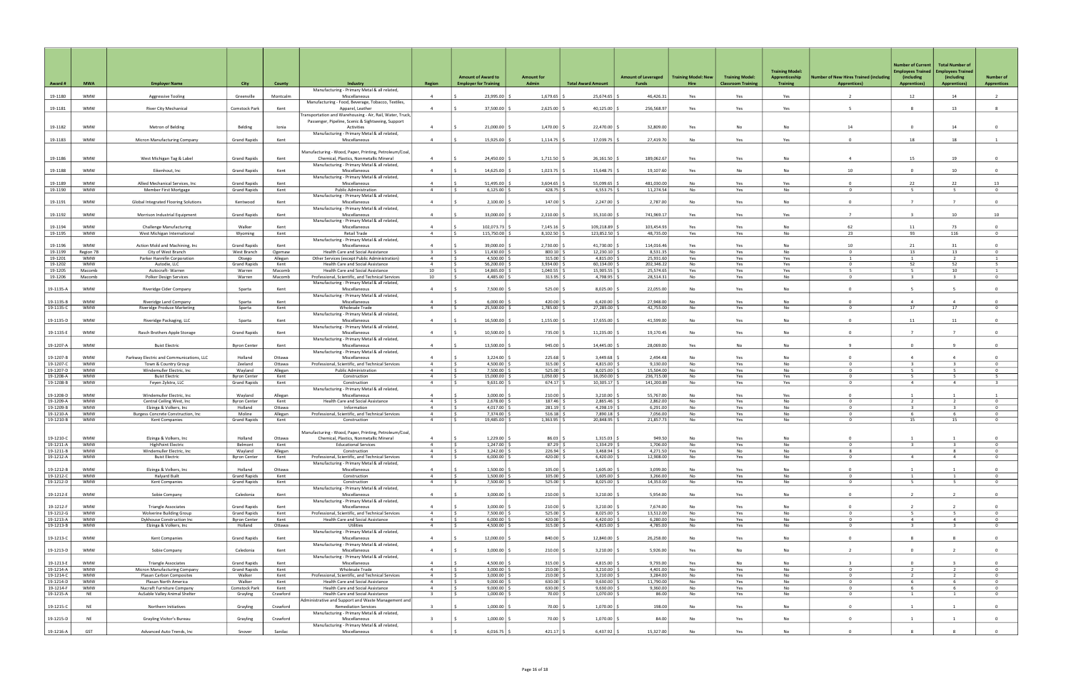|                        |                          |                                                                  |                                            |                   |                                                                                                  |                                           | <b>Amount of Award to</b>            | Amount for               |                                 | <b>Amount of Leveraged</b> | <b>Training Model: New</b> | <b>Training Model:</b>    | <b>Training Model:</b><br>Apprenticeship | <b>Number of New Hires Trained (including</b> | <b>Number of Current</b><br><b>Employees Trained</b><br>(including | <b>Total Number of</b><br><b>Employees Trained</b><br>(including | <b>Number of</b>                 |
|------------------------|--------------------------|------------------------------------------------------------------|--------------------------------------------|-------------------|--------------------------------------------------------------------------------------------------|-------------------------------------------|--------------------------------------|--------------------------|---------------------------------|----------------------------|----------------------------|---------------------------|------------------------------------------|-----------------------------------------------|--------------------------------------------------------------------|------------------------------------------------------------------|----------------------------------|
| Award#                 | <b>MWA</b>               | <b>Employer Name</b>                                             | <b>City</b>                                | County            | Industry                                                                                         | <b>Region</b>                             | <b>Employer for Training</b>         | <b>Admin</b>             | <b>Total Award Amount</b>       | <b>Funds</b>               | Hire                       | <b>Classroom Training</b> | <b>Training</b>                          | <b>Apprentices)</b>                           | <b>Apprentices)</b>                                                | <b>Apprentices)</b>                                              | <b>Apprentices</b>               |
| 19-1180                | <b>WMW</b>               | Aggressive Tooling                                               | Greenville                                 | Montcalm          | Manufacturing - Primary Metal & all related,<br>Miscellaneous                                    | $\overline{a}$                            | 23,995.00                            | 1,679.65                 | 25,674.65                       | 46,426.31                  | Yes                        | Yes                       | Yes                                      |                                               | 12                                                                 | 14                                                               | $\overline{2}$                   |
|                        |                          |                                                                  |                                            |                   | Manufacturing - Food, Beverage, Tobacco, Textiles,                                               |                                           |                                      |                          |                                 |                            |                            |                           |                                          |                                               |                                                                    |                                                                  |                                  |
| 19-1181                | <b>WMW</b>               | <b>River City Mechanical</b>                                     | Comstock Park                              | Kent              | Apparel, Leather<br>Fransportation and Warehousing - Air, Rail, Water, Truck,                    | 4                                         | 37,500.00                            | 2,625.00                 | 40,125.00                       | 256,568.97                 | Yes                        | Yes                       | Yes                                      |                                               |                                                                    | 13                                                               |                                  |
|                        |                          |                                                                  |                                            |                   | Passenger, Pipeline, Scenic & Sightseeing, Support                                               |                                           |                                      |                          |                                 |                            |                            |                           |                                          |                                               |                                                                    |                                                                  |                                  |
| 19-1182                | <b>WMW</b>               | Metron of Belding                                                | Belding                                    | Ionia             | Activities<br>Manufacturing - Primary Metal & all related,                                       | $\overline{4}$                            | 21,000.00                            | 1,470.00                 | 22,470.00                       | 32,809.00                  | Yes                        | No                        | No                                       | 14                                            | $\overline{0}$                                                     | 14                                                               | $\mathbf{0}$                     |
| 19-1183                | <b>WMW</b>               | Micron Manufacturing Company                                     | <b>Grand Rapids</b>                        | Kent              | Miscellaneous                                                                                    | $\overline{4}$                            | 15,925.00                            | 1,114.75                 | 17,039.75 \$                    | 27,419.70                  | No                         | Yes                       | Yes                                      | $\Omega$                                      | 18                                                                 | 18                                                               |                                  |
|                        |                          |                                                                  |                                            |                   | Manufacturing - Wood, Paper, Printing, Petroleum/Coal,                                           |                                           |                                      |                          |                                 |                            |                            |                           |                                          |                                               |                                                                    |                                                                  |                                  |
| 19-1186                | WMW                      | West Michigan Tag & Label                                        | <b>Grand Rapids</b>                        | Kent              | Chemical, Plastics, Nonmetallic Mineral                                                          | $\overline{4}$                            | 24,450.00                            | 1,711.50                 | 26,161.50                       | 189,062.67                 | Yes                        | Yes                       | No                                       | $\Delta$                                      | 15                                                                 | 19                                                               | $\overline{0}$                   |
| 19-1188                | <b>WMW</b>               | Eikenhout, Inc                                                   | <b>Grand Rapids</b>                        | Kent              | Manufacturing - Primary Metal & all related,<br>Miscellaneous                                    | $\overline{4}$                            | 14,625.00                            | 1,023.75                 | 15,648.75                       | 19,107.60                  | Yes                        | No                        | No                                       | 10                                            | $\overline{0}$                                                     | 10                                                               | $\mathbf{0}$                     |
|                        |                          |                                                                  |                                            |                   | Manufacturing - Primary Metal & all related,                                                     |                                           |                                      |                          |                                 |                            |                            |                           |                                          |                                               |                                                                    |                                                                  |                                  |
| 19-1189                | <b>WMW</b><br>WMW        | Allied Mechanical Services, Inc                                  | <b>Grand Rapids</b><br><b>Grand Rapids</b> | Kent<br>Kent      | Miscellaneous<br><b>Public Administration</b>                                                    | $\Delta$<br>$\overline{4}$                | 51,495.00                            | 3,604.65                 | 55,099.65                       | 481,030.00                 | No<br>No                   | Yes                       | Yes<br><b>No</b>                         | $\Omega$<br>$\Omega$                          | 22<br>- 5                                                          | 22                                                               | 13<br>$\overline{0}$             |
| 19-1190                |                          | Member First Mortgage                                            |                                            |                   | Manufacturing - Primary Metal & all related,                                                     |                                           | 6,125.00<br>IS.                      | $428.75$ \$              | 6,553.75                        | 11,274.54                  |                            | Yes                       |                                          |                                               |                                                                    | 5                                                                |                                  |
| 19-1191                | <b>WMW</b>               | Global Integrated Flooring Solutions                             | Kentwood                                   | Kent              | Miscellaneous                                                                                    | $\overline{4}$                            | 2,100.00                             | 147.00                   | 2,247.00                        | 2,787.00                   | No                         | Yes                       | No                                       | $^{\circ}$                                    |                                                                    |                                                                  | $\overline{0}$                   |
| 19-1192                | <b>WMW</b>               | Morrison Industrial Equipment                                    | <b>Grand Rapids</b>                        | Kent              | Manufacturing - Primary Metal & all related,<br>Miscellaneous                                    | $\overline{a}$                            | 33,000.00                            | 2,310.00                 | 35,310.00                       | 741,969.1                  | Yes                        | Yes                       | Yes                                      | $\overline{7}$                                | $\mathbf{R}$                                                       | 10                                                               | 10                               |
|                        |                          |                                                                  |                                            |                   | Manufacturing - Primary Metal & all related,                                                     |                                           |                                      |                          |                                 |                            |                            |                           |                                          |                                               |                                                                    |                                                                  |                                  |
| 19-1194<br>19-1195     | <b>WMW</b><br><b>WMW</b> | <b>Challenge Manufacturing</b><br>West Michigan International    | Walker<br>Wyoming                          | Kent<br>Kent      | Miscellaneous<br>Retail Trade                                                                    | $\sim$                                    | 102,073.73<br>115,750.00<br>l S      | 7,145.16<br>8,102.50     | 109,218.89<br>123,852.50 \$     | 103,454.93<br>48,735.00    | Yes<br>Yes                 | Yes<br>Yes                | No<br>No                                 | 62<br>23                                      | -11<br>93                                                          | 73<br>116                                                        | $\Omega$<br>$\overline{0}$       |
|                        |                          |                                                                  |                                            |                   | Manufacturing - Primary Metal & all related,                                                     |                                           |                                      |                          |                                 |                            |                            |                           |                                          |                                               |                                                                    |                                                                  |                                  |
| 19-1196                | <b>WMW</b>               | Action Mold and Machining, Inc.                                  | <b>Grand Rapids</b>                        | Kent              | Miscellaneous                                                                                    | $\overline{4}$<br>$\overline{\mathbf{3}}$ | 39,000,00                            | 2,730.00<br>800.10       | 41,730.00                       | 114,016.46<br>8,531.35     | Yes<br>No                  | Yes<br>Yes                | <b>No</b><br>No                          | 10 <sup>1</sup><br>$\mathbf{0}$               | 21                                                                 | 31                                                               | $\Omega$<br>$\overline{0}$       |
| 19-1199<br>19-1201     | Region 7B<br>WMW         | City of West Branch<br>Parker Hannifin Corporation               | West Branch<br>Otsego                      | Ogemaw<br>Allegan | Health Care and Social Assistance<br>Other Services (except Public Administration)               | $\overline{4}$                            | I\$.<br>11,430.00<br>4,500.00<br>IS. | 315.00                   | 12,230.10<br>4,815.00           | 25,931.60                  | Yes                        | Yes                       | Yes                                      | -1.                                           | 13<br>1                                                            | 13<br>$\overline{z}$                                             | 1                                |
| 19-1202                | <b>WMW</b>               | Autodie, LLC                                                     | <b>Grand Rapids</b>                        | Kent              | Health Care and Social Assistance                                                                | $\overline{4}$                            | 56,200.00<br>I S.                    | 3,934.00                 | 60,134.00 \$                    | 202,346.22                 | No.                        | Yes                       | Yes                                      | $\Omega$                                      | 52                                                                 | 52                                                               | 5 <sup>5</sup>                   |
| 19-1205                | Macomb                   | Autocraft-Warren                                                 | Warren                                     | Macomb            | Health Care and Social Assistance                                                                | 10                                        | 14,865.00<br>IS.                     | 1,040.55                 | 15,905.55                       | 25,574.65                  | Yes                        | Yes                       | Yes                                      | -5                                            | - 5                                                                | 10                                                               | <sup>1</sup>                     |
| 19-1206                | Macomb                   | Polker Design Services                                           | Warren                                     | Macomb            | Professional, Scientific, and Technical Services<br>Manufacturing - Primary Metal & all related, | 10                                        | 4,485.00<br>ΙŚ.                      | 313.95                   | 4,798.95                        | 28,514.3                   | No                         | Yes                       | No                                       | $\mathbf{0}$                                  | $\overline{3}$                                                     | $\mathbf{B}$                                                     | $\overline{0}$                   |
| 19-1135-A              | <b>WMW</b>               | Riveridge Cider Company                                          | Sparta                                     | Kent              | Miscellaneous                                                                                    | $\overline{4}$                            | 7,500.00                             | 525.00                   | 8,025.00                        | 22,055.00                  | No                         | Yes                       | <b>No</b>                                | $\Omega$                                      |                                                                    |                                                                  | $\Omega$                         |
| 19-1135-B              | <b>WMW</b>               | Riveridge Land Company                                           | Sparta                                     | Kent              | Manufacturing - Primary Metal & all related,<br>Miscellaneous                                    | $\overline{a}$                            | 6,000.00                             | 420.00                   | 6,420.00                        | 27,948.00                  | No                         | Yes                       | No                                       | $\Omega$                                      | $\overline{4}$                                                     | $\overline{a}$                                                   | $\overline{0}$                   |
| 19-1135-C              | <b>WMW</b>               | Riveridge Produce Marketing                                      | Sparta                                     | Kent              | <b>Wholesale Trade</b>                                                                           | $\overline{4}$                            | 25,500.00<br>IS.                     | 1,785.00                 | 27,285.00                       | 42,755.00                  | No                         | Yes                       | No                                       | $^{\circ}$                                    | 17                                                                 | 17                                                               | $\overline{0}$                   |
| 19-1135-D              | <b>WMW</b>               | Riveridge Packaging, LLC                                         | Sparta                                     | Kent              | Manufacturing - Primary Metal & all related,<br>Miscellaneous                                    | $\overline{4}$                            | 16,500.00                            | 1,155.00                 | 17,655.00                       | 41,599.00                  | No                         | Yes                       | <b>No</b>                                | $\Omega$                                      | 11                                                                 | 11                                                               | $\mathbf{0}$                     |
|                        |                          |                                                                  |                                            |                   | Manufacturing - Primary Metal & all related,                                                     |                                           |                                      |                          |                                 |                            |                            |                           |                                          |                                               |                                                                    |                                                                  |                                  |
| 19-1135-E              | <b>WMW</b>               | Rasch Brothers Apple Storage                                     | <b>Grand Rapids</b>                        | Kent              | Miscellaneous<br>Manufacturing - Primary Metal & all related,                                    | $\Delta$                                  | 10,500.00                            | 735.00                   | 11,235.00                       | 19,170.45                  | No                         | Yes                       | No                                       | $\Omega$                                      | $\overline{7}$                                                     | $\overline{7}$                                                   | $\overline{0}$                   |
| 19-1207-A              | <b>WMW</b>               | <b>Buist Electric</b>                                            | <b>Byron Center</b>                        | Kent              | Miscellaneous                                                                                    | $\overline{4}$                            | 13,500.00                            | 945.00                   | 14,445.00                       | 28,069.00                  | Yes                        | No                        | No                                       |                                               | $\overline{0}$                                                     |                                                                  | $\Omega$                         |
|                        |                          |                                                                  |                                            |                   | Manufacturing - Primary Metal & all related,                                                     |                                           |                                      |                          |                                 |                            |                            |                           |                                          |                                               |                                                                    |                                                                  |                                  |
| 19-1207-B<br>19-1207-C | WMW<br><b>WMW</b>        | Parkway Electric and Communications, LLC<br>Town & Country Group | Holland<br>Zeeland                         | Ottawa<br>Ottawa  | Miscellaneous<br>Professional, Scientific, and Technical Services                                | $\Delta$<br>$\overline{4}$                | 3,224.00<br>4,500.00<br>IS.          | 225.68<br>$315.00$ :     | $3,449.68$ \$<br>$4,815.00$ \ 3 | 2,494.48<br>9,130.00       | No<br>No                   | Yes<br>Yes                | No<br>No                                 | $\Omega$<br>$\Omega$                          | $\overline{a}$<br>$\overline{\mathbf{3}}$                          | $\Delta$<br>$\overline{3}$                                       | $\Omega$<br>$\overline{0}$       |
| 19-1207-D              | <b>WMW</b>               | Windemuller Electric, Inc.                                       | Wayland                                    | Allegan           | <b>Public Administration</b>                                                                     | $\overline{4}$                            | 7,500.00<br>l S                      | 525.00                   | 8,025.00                        | 15,504.00                  | No                         | Yes                       | No                                       | $\mathbf{0}$                                  | -5                                                                 | -5                                                               | $\overline{0}$                   |
| 19-1208-A              | WMW                      | <b>Buist Electric</b>                                            | <b>Byron Center</b>                        | Kent              | Construction                                                                                     | $\overline{4}$                            | 15,000.00<br>IS.                     | 1,050.00                 | 16,050.00                       | 236,715.00                 | No                         | Yes                       | Yes                                      | $\mathbf{0}$                                  | 5                                                                  | 5                                                                | 5                                |
| 19-1208-B              | <b>WMW</b>               | Feyen Zylstra, LLC                                               | <b>Grand Rapids</b>                        | Kent              | Construction                                                                                     | $\overline{4}$                            | 9,631.00<br>ΙŚ.                      | 674.17                   | 10,305.17                       | 141,200.89                 | No                         | Yes                       | Yes                                      | $\mathbf{0}$                                  | $\overline{4}$                                                     | $\overline{4}$                                                   | $\overline{3}$                   |
|                        |                          |                                                                  |                                            |                   | Manufacturing - Primary Metal & all related,                                                     |                                           |                                      |                          |                                 |                            |                            |                           |                                          |                                               |                                                                    |                                                                  |                                  |
| 19-1208-D              | <b>WMW</b>               | Windemuller Electric, Inc.                                       | Wayland                                    | Allegan           | Miscellaneous                                                                                    |                                           | 3,000.00                             | 210.00                   | $3,210.00$ \$                   | 55,767.00                  | No                         | Yes                       | Yes                                      | $\Omega$                                      | $\overline{1}$                                                     |                                                                  | $\overline{1}$                   |
| 19-1209-A<br>19-1209-B | <b>WMW</b><br><b>WMW</b> | Central Ceiling West, Inc                                        | <b>Byron Center</b><br>Holland             | Kent              | Health Care and Social Assistance<br>Information                                                 | $\overline{4}$<br>$\overline{4}$          | l S<br>2,678.00<br>4,017.00          | 187.46<br>281.19         | 2,865.46<br>4,298.19            | 2,862.00<br>6,291.00       | No                         | Yes                       | No<br><b>No</b>                          | $\mathbf{0}$<br>$\Omega$                      | $\overline{z}$<br>$\mathbf{3}$                                     | $\overline{z}$<br>$\mathbf{B}$                                   | $\overline{0}$<br>$\overline{0}$ |
| 19-1210-A              | <b>WMW</b>               | Elzinga & Volkers, Inc<br>Burgess Concrete Construction, Inc.    | Moline                                     | Ottawa<br>Allegan | Professional, Scientific, and Technical Services                                                 | $\overline{4}$                            | IS.<br>7,374.00<br>IS.               | 516.18                   | 7,890.18 \$                     | 7,056.00                   | No<br>No                   | Yes<br>Yes                | <b>No</b>                                | $\Omega$                                      | - 6                                                                | 6                                                                | $\overline{0}$                   |
| 19-1210-B              | <b>WMW</b>               | Kent Companies                                                   | <b>Grand Rapids</b>                        | Kent              | Construction                                                                                     | $\overline{4}$                            | 19,485.00<br>∣ \$                    | 1,363.95                 | 20,848.95                       | 21,857.73                  | No                         | Yes                       | No                                       | $\mathbf{0}$                                  | 15                                                                 | 15                                                               | $\overline{0}$                   |
|                        |                          |                                                                  |                                            |                   |                                                                                                  |                                           |                                      |                          |                                 |                            |                            |                           |                                          |                                               |                                                                    |                                                                  |                                  |
|                        |                          |                                                                  |                                            |                   | Manufacturing - Wood, Paper, Printing, Petroleum/Coal,                                           |                                           |                                      |                          |                                 |                            |                            |                           |                                          |                                               |                                                                    |                                                                  |                                  |
| 19-1210-C<br>19-1211-A | <b>WMW</b><br>WMW        | Eizinga & Volkers, Inc<br><b>HighPoint Electric</b>              | Holland<br>Belmont                         | ottawa<br>Kent    | Chemical, Plastics, Nonmetallic Mineral<br><b>Educational Services</b>                           | $\overline{4}$                            | 1,229.00<br>1,247.00<br>I\$.         | 86.03   \$<br>$87.29$ \$ | $1,315.03$ \$<br>$1,334.29$ \$  | 949.50<br>1,706.00         | NO.<br>No                  | <b>Yes</b><br>Yes         | NO.<br>No                                | $\mathbf{0}$                                  | $\overline{\mathbf{3}}$                                            | $\overline{\mathbf{3}}$                                          | $\overline{0}$                   |
| 19-1211-B              | <b>WMW</b>               | Windemuller Electric, Inc.                                       | Wayland                                    | Allegan           | Construction                                                                                     | $\overline{4}$                            | I\$<br>3,242.00                      | 226.94                   | 3,468.94                        | 4,271.50                   | Yes                        | No                        | No                                       | 8                                             |                                                                    | 8                                                                | $\overline{0}$                   |
| 19-1212-A              | WMW                      | <b>Buist Electric</b>                                            | <b>Byron Center</b>                        | Kent              | Professional, Scientific, and Technical Services                                                 | $\sim$                                    | 6,000.00<br>IS.                      | $420.00$ \$              | $6,420.00$ \$                   | 12,908.00                  | No                         | Yes                       | No                                       | $\overline{0}$                                | $\overline{4}$                                                     | $\overline{4}$                                                   | $\overline{0}$                   |
|                        |                          |                                                                  |                                            |                   | Manufacturing - Primary Metal & all related,                                                     |                                           |                                      |                          |                                 |                            |                            |                           |                                          |                                               |                                                                    |                                                                  |                                  |
| 19-1212-B              | <b>WMW</b>               | Elzinga & Volkers, Inc                                           | Holland                                    | Ottawa            | Miscellaneous                                                                                    | $\overline{4}$                            | 1,500.00                             | 105.00                   | 1,605.00                        | 3,099.00                   | No                         | Yes                       | No                                       | $\mathbf{0}$                                  |                                                                    |                                                                  | $\Omega$                         |
| 19-1212-C              | <b>WMW</b>               | <b>Halyard Built</b>                                             | <b>Grand Rapids</b>                        | Kent              | Construction                                                                                     | $\overline{4}$                            | 1,500.00<br>I S                      | 105.00                   | $1,605.00$ \ 3                  | 3,266.00                   | No                         | Yes                       | No                                       | $\Omega$                                      | <sup>1</sup>                                                       | 1                                                                | $\overline{0}$                   |
| 19-1212-D              | <b>WMW</b>               | Kent Companies                                                   | <b>Grand Rapids</b>                        | Kent              | Construction<br>Manufacturing - Primary Metal & all related,                                     | $\overline{4}$                            | I\$<br>7,500.00                      | $525.00$ \$              | $8,025.00$ \$                   | 14,353.00                  | No                         | Yes                       | No                                       | $\overline{0}$                                | 5                                                                  | $5^{\circ}$                                                      | $\overline{0}$                   |
| 19-1212-E              | <b>WMW</b>               | Sobie Company                                                    | Caledonia                                  | Kent              | Miscellaneous                                                                                    | $\overline{a}$                            | 3,000.00                             | 210.00                   | $3,210.00$ \$                   | 5,954.00                   | No                         | Yes                       | No                                       | $\overline{0}$                                | $\overline{2}$                                                     | $\overline{2}$                                                   | $\overline{0}$                   |
|                        |                          |                                                                  |                                            |                   | Manufacturing - Primary Metal & all related,                                                     |                                           |                                      |                          |                                 |                            |                            |                           |                                          |                                               |                                                                    |                                                                  |                                  |
| 19-1212-F<br>19-1212-G | <b>WMW</b><br><b>WMW</b> | <b>Triangle Associates</b><br>Wolverine Building Group           | <b>Grand Rapids</b><br><b>Grand Rapids</b> | Kent<br>Kent      | Miscellaneous<br>Professional, Scientific, and Technical Services                                | $\overline{4}$<br>$\overline{4}$          | 3,000.00<br>7,500.00<br>l \$         | 210.00<br>$525.00$ \$    | 3,210.00<br>$8,025.00$ \$       | 7,674.00<br>13,512.00      | No<br>No                   | Yes<br>Yes                | <b>No</b><br>No                          | $\Omega$<br>$\mathbf{0}$                      | 5 <sup>5</sup>                                                     | 5                                                                | $\Omega$<br>$\overline{0}$       |
| 19-1213-A              | <b>WMW</b>               | Dykhouse Construction Inc                                        | <b>Byron Center</b>                        | Kent              | Health Care and Social Assistance                                                                | $\overline{4}$                            | I\$<br>6,000.00                      | $420.00$ \$              | $6,420.00$ \$                   | 6,280.00                   | No                         | Yes                       | No                                       | $\mathbf 0$                                   | $\overline{4}$                                                     | $\overline{4}$                                                   | $\overline{0}$                   |
| 19-1213-B              | <b>WMW</b>               | Elzinga & Volkers, Inc                                           | Holland                                    | Ottawa            | Utilities                                                                                        | $\overline{4}$                            | 4,500.00<br>IS.                      | 315.00                   | 4,815.00                        | 4,785.00                   | No                         | Yes                       | No                                       | $\mathbf{0}$                                  | $\overline{\mathbf{3}}$                                            | $\overline{\mathbf{3}}$                                          | $\overline{0}$                   |
|                        |                          |                                                                  |                                            |                   | Manufacturing - Primary Metal & all related,                                                     | $\overline{4}$                            |                                      |                          |                                 |                            |                            |                           |                                          | $\overline{0}$                                |                                                                    |                                                                  |                                  |
| 19-1213-C              | <b>WMW</b>               | Kent Companies                                                   | <b>Grand Rapids</b>                        | Kent              | Miscellaneous<br>Manufacturing - Primary Metal & all related,                                    |                                           | 12,000.00                            | $840.00$ \ \$            | 12,840.00 \$                    | 26,258.00                  | No                         | Yes                       | No                                       |                                               | 8                                                                  | -8                                                               | $\overline{0}$                   |
| 19-1213-D              | <b>WMW</b>               | Sobie Company                                                    | Caledonia                                  | Kent              | Miscellaneous                                                                                    | $\overline{a}$                            | 3,000.00                             | 210.00                   | $3,210.00$ \$                   | 5,926.00                   | Yes                        | No                        | No                                       | $\overline{2}$                                | $\overline{0}$                                                     | $\overline{2}$                                                   | $\overline{0}$                   |
| 19-1213-E              | <b>WMW</b>               | <b>Triangle Associates</b>                                       | <b>Grand Rapids</b>                        | Kent              | Manufacturing - Primary Metal & all related,<br>Miscellaneous                                    | $\overline{a}$                            | 4,500.00                             | 315.00                   | $4,815.00$ \ \$                 | 9,793.00                   | Yes                        | No                        | No                                       |                                               | $\overline{0}$                                                     |                                                                  | $\Omega$                         |
| 19-1214-A              | WMW                      | Micron Manufacturing Company                                     | <b>Grand Rapids</b>                        | Kent              | Wholesale Trade                                                                                  | $\overline{4}$                            | l s<br>3,000.00                      | $210.00$ \$              | $3,210.00$ \$                   | 4,401.00                   | No                         | Yes                       | No                                       | $\mathbf{0}$                                  | $\overline{2}$                                                     | $\overline{2}$                                                   | $\overline{0}$                   |
| 19-1214-C              | <b>WMW</b>               | Plasan Carbon Composites                                         | Walker                                     | Kent              | Professional, Scientific, and Technical Services                                                 | $\overline{4}$                            | 3,000.00<br>I S                      | 210.00                   | $3,210.00$ \$                   | 3,284.00                   | No                         | Yes                       | No                                       | $\mathbf{0}$                                  | $\overline{2}$                                                     | $\overline{2}$                                                   | $\overline{0}$                   |
| 19-1214-D              | <b>WMW</b>               | Plasan North America                                             | Walker                                     | Kent              | Health Care and Social Assistance                                                                | $\overline{4}$                            | 9,000.00<br>l \$                     | 630.00                   | $9,630.00$ \$                   | 11,790.00                  | No                         | Yes                       | No                                       | $\mathbf{0}$                                  | 6                                                                  | 6                                                                | $\overline{0}$                   |
| 19-1214-F              | WMW                      | Nucraft Furniture Company                                        | Comstock Park                              | Kent              | Health Care and Social Assistance                                                                | $\overline{4}$                            | I\$.<br>9,000.00                     | $630.00$ \$              | $9,630.00$ \$                   | 9,360.00                   | No                         | Yes                       | No                                       | $\mathbf 0$                                   | 6                                                                  | 6                                                                | $\overline{0}$                   |
| 19-1215-A              | <b>NE</b>                | AuSable Valley Animal Shelter                                    | Grayling                                   | Crawford          | Health Care and Social Assistance                                                                | $\overline{\mathbf{3}}$                   | 1,000.00<br>IS.                      | 70.00                    | 1,070.00                        | 86.00                      | No                         | Yes                       | No                                       | $\mathbf 0$                                   | $\mathbf{1}$                                                       | $\mathbf{1}$                                                     | $\overline{0}$                   |
| 19-1215-C              | NE                       | Northern Initiatives                                             | Grayling                                   | Crawford          | Administrative and Support and Waste Management and<br><b>Remediation Services</b>               | $\overline{\mathbf{3}}$                   | $1,000.00$ :                         | $70.00$ \$               | $1,070.00$ \$                   | 198.00                     | No                         | Yes                       | No                                       | $\overline{0}$                                | $\mathbf{1}$                                                       |                                                                  | $\overline{0}$                   |
|                        |                          |                                                                  |                                            |                   | Manufacturing - Primary Metal & all related,                                                     |                                           |                                      |                          |                                 |                            |                            |                           |                                          |                                               |                                                                    |                                                                  |                                  |
| 19-1215-D              | <b>NE</b>                | Grayling Visitor's Bureau                                        | Grayling                                   | Crawford          | Miscellaneous<br>Manufacturing - Primary Metal & all related,                                    | $\overline{3}$                            | 1,000.00                             | 70.00                    | 1,070.00                        | 84.00                      | No                         | Yes                       | No                                       | $\overline{0}$                                | $\overline{1}$                                                     |                                                                  | $\overline{0}$                   |
| 19-1216-A              | GST                      | Advanced Auto Trends, Inc                                        | Snover                                     | Sanilac           | Miscellaneous                                                                                    | - 6                                       | $6,016.75$ \$                        | $421.17$ \$              | $6,437.92$ \$                   | 15,327.00                  | No                         | Yes                       | No                                       | $\overline{0}$                                | 8                                                                  | 8                                                                | $\overline{0}$                   |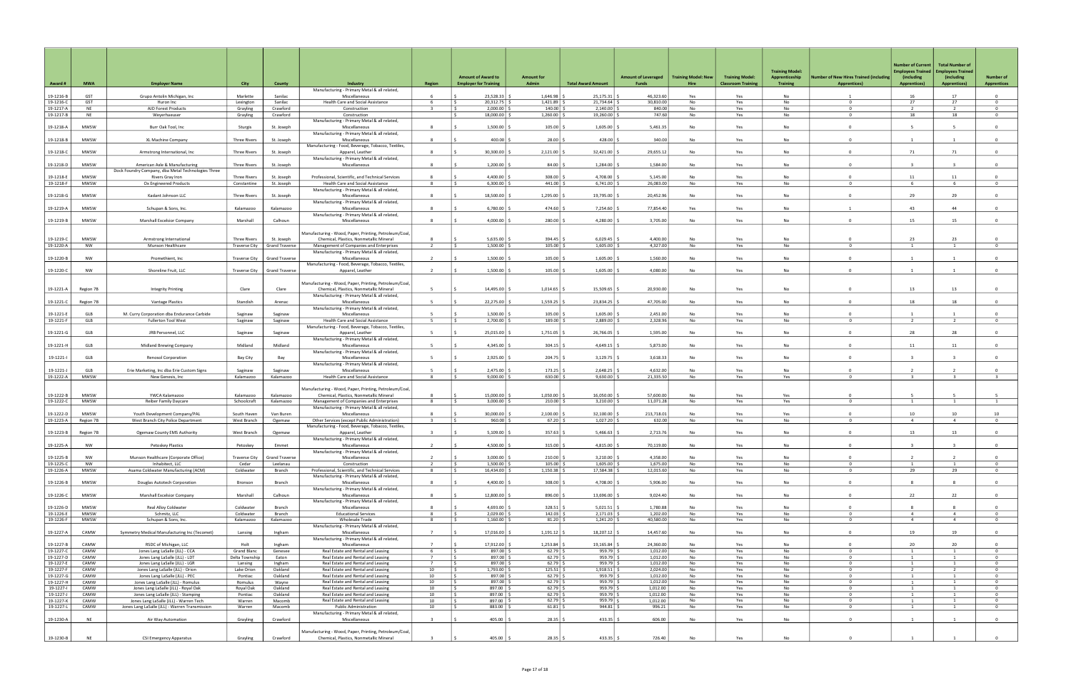|                        |                 |                                                                               |                            |                       |                                                                                                  |                          | <b>Amount of Award to</b>                      | <b>Amount for</b>              |                            | <b>Amount of Leveraged</b> | <b>Training Model: New</b> | <b>Training Model:</b>    | <b>Training Model:</b><br>Apprenticeship | <b>Number of New Hires Trained (including</b> | <b>Number of Current</b><br>Employees Trained<br>(including | <b>Total Number of</b><br><b>Employees Trained</b><br>(including | <b>Number of</b>                 |
|------------------------|-----------------|-------------------------------------------------------------------------------|----------------------------|-----------------------|--------------------------------------------------------------------------------------------------|--------------------------|------------------------------------------------|--------------------------------|----------------------------|----------------------------|----------------------------|---------------------------|------------------------------------------|-----------------------------------------------|-------------------------------------------------------------|------------------------------------------------------------------|----------------------------------|
| Award#                 | <b>MWA</b>      | <b>Employer Name</b>                                                          | City                       | <b>County</b>         | Industry                                                                                         | <b>Region</b>            | <b>Employer for Training</b>                   | Admin                          | <b>Total Award Amount</b>  | <b>Funds</b>               | Hire                       | <b>Classroom Training</b> | <b>Training</b>                          | <b>Apprentices)</b>                           | <b>Apprentices)</b>                                         | <b>Apprentices)</b>                                              | <b>Apprentices</b>               |
| 19-1216-B              | GST             | Grupo Antolin Michigan, Inc                                                   | Marlette                   | Sanilac               | Manufacturing - Primary Metal & all related,<br>Miscellaneous                                    |                          | 23,528.33                                      | 1,646.98                       | 25,175.31                  | 46,323.60                  | Yes                        | Yes                       | <b>No</b>                                |                                               | 16                                                          | 17                                                               | $\Omega$                         |
| 19-1216-C              | GST             | Huron Inc                                                                     | Lexington                  | Sanilac               | Health Care and Social Assistance                                                                | 6                        | 20,312.75<br>I S                               | 1,421.89                       | 21,734.64                  | 30,810.00                  | No                         | Yes                       | No                                       | $\Omega$                                      | 27                                                          | 27                                                               | $^{\circ}$                       |
| 19-1217-A<br>19-1217-B | NE<br><b>NE</b> | AJD Forest Products<br>Weyerhaeuser                                           | Grayling                   | Crawford<br>Crawford  | Construction                                                                                     | $\overline{\mathbf{3}}$  | 2,000.00<br>IS.<br>18,000.00                   | 140.00<br>1,260.00             | 2,140.00<br>19,260.00      | 840.00<br>747.60           | No                         | Yes                       | No<br>No                                 | $^{\circ}$<br>$\Omega$                        | $\overline{2}$<br>18                                        | 2<br>18                                                          | $\overline{0}$<br>$\Omega$       |
|                        |                 |                                                                               | Grayling                   |                       | Construction<br>Manufacturing - Primary Metal & all related,                                     |                          |                                                |                                |                            |                            | No                         | Yes                       |                                          |                                               |                                                             |                                                                  |                                  |
| 19-1218-A              | MWSW            | Burr Oak Tool, Inc                                                            | Sturgis                    | St. Joseph            | Miscellaneous                                                                                    | -8                       | $1,500.00$ :                                   | 105.00                         | $1,605.00$ $\mid$ 3        | 5,461.35                   | No                         | Yes                       | No                                       | $\Omega$                                      | -5                                                          |                                                                  | $\overline{0}$                   |
| 19-1218-B              | <b>MWSW</b>     | XL Machine Company                                                            | <b>Three Rivers</b>        | St. Joseph            | Manufacturing - Primary Metal & all related,<br>Miscellaneous                                    | $\mathbf{R}$             | 400.00                                         | 28.00                          | 428.00                     | 340.00                     | No                         | Yes                       | No                                       | $\Omega$                                      | $\overline{1}$                                              | $\overline{1}$                                                   | $\overline{0}$                   |
|                        |                 |                                                                               |                            |                       | Manufacturing - Food, Beverage, Tobacco, Textiles                                                |                          |                                                |                                |                            |                            |                            |                           |                                          |                                               |                                                             |                                                                  |                                  |
| 19-1218-C              | MWSW            | Armstrong International, Inc                                                  | <b>Three Rivers</b>        | St. Joseph            | Apparel, Leather                                                                                 | -8                       | 30,300.00                                      | 2,121.00                       | 32,421.00                  | 29,655.12                  | No                         | Yes                       | No                                       |                                               | 71                                                          | 71                                                               | $^{\circ}$                       |
| 19-1218-D              | <b>MWSW</b>     | American Axle & Manufacturing                                                 | <b>Three Rivers</b>        | St. Joseph            | Manufacturing - Primary Metal & all related,<br>Miscellaneous                                    | 8                        | 1,200.00                                       | 84.00                          | 1,284.00                   | 1,584.00                   | No                         | Yes                       | No                                       | $\Omega$                                      | $\mathbf{R}$                                                |                                                                  | $\overline{0}$                   |
|                        |                 | Dock Foundry Company, dba Metal Technologies Three                            |                            |                       |                                                                                                  |                          |                                                |                                |                            |                            |                            |                           |                                          |                                               |                                                             |                                                                  |                                  |
| 19-1218-E              | MWSW            | Rivers Gray Iron                                                              | <b>Three Rivers</b>        | St. Joseph            | Professional, Scientific, and Technical Services                                                 | -8                       | 4,400.00                                       | 308.00                         | 4,708.00                   | 5,145.00                   | No                         | Yes                       | No                                       | $\Omega$                                      | 11                                                          | 11                                                               | $\Omega$                         |
| 19-1218-F              | MWSW            | Ox Engineered Products                                                        | Constantine                | St. Joseph            | Health Care and Social Assistance<br>Manufacturing - Primary Metal & all related,                | 8                        | l s<br>6,300.00                                | 441.00                         | 6,741.00                   | 26,083.00                  | No                         | Yes                       | No                                       | $\Omega$                                      | -6                                                          | 6                                                                | $^{\circ}$                       |
| 19-1218-G              | <b>MWSW</b>     | Kadant Johnson LLC                                                            | <b>Three Rivers</b>        | St. Joseph            | Miscellaneous                                                                                    | -8                       | 18,500.00                                      | 1,295.00                       | 19.795.00                  | 20.452.96                  | <b>No</b>                  | Yes                       | <b>No</b>                                | $\Omega$                                      | 29                                                          | 29                                                               | $\Omega$                         |
|                        |                 |                                                                               |                            |                       | Manufacturing - Primary Metal & all related,                                                     |                          |                                                |                                |                            |                            |                            |                           |                                          |                                               |                                                             |                                                                  |                                  |
| 19-1219-A              | MWSW            | Schupan & Sons, Inc.                                                          | Kalamazoo                  | Kalamazoo             | Miscellaneous<br>Manufacturing - Primary Metal & all related,                                    | -8                       | 6,780.00                                       | 474.60                         | 7,254.60                   | 77,854.40                  | Yes                        | Yes                       | No                                       |                                               | 43                                                          | 44                                                               | $^{\circ}$                       |
| 19-1219-B              | <b>MWSW</b>     | Marshall Excelsior Company                                                    | Marshall                   | Calhoun               | Miscellaneous                                                                                    | -8                       | $4,000.00$ :                                   | 280.00                         | $4,280.00$ \$              | 3,705.00                   | <b>No</b>                  | Yes                       | <b>No</b>                                | $\Omega$                                      | 15                                                          | 15                                                               | $\overline{0}$                   |
|                        |                 |                                                                               |                            |                       |                                                                                                  |                          |                                                |                                |                            |                            |                            |                           |                                          |                                               |                                                             |                                                                  |                                  |
| 19-1219-C              | <b>MWSW</b>     | Armstrong International                                                       | <b>Three Rivers</b>        | St. Joseph            | Manufacturing - Wood, Paper, Printing, Petroleum/Coal<br>Chemical, Plastics, Nonmetallic Mineral | -8                       | 5,635.00                                       | 394.45                         | 6,029.45                   | 4,400.00                   | No                         | Yes                       | No                                       |                                               | 23                                                          | 23                                                               | $\Omega$                         |
| 19-1220-A              | NW              | Munson Healthcare                                                             | <b>Traverse City</b>       | <b>Grand Traverse</b> | Management of Companies and Enterprises                                                          | $\overline{\phantom{a}}$ | 1,500.00<br>ΙŚ.                                | 105.00                         | 1,605.00                   | 4,327.00                   | No                         | Yes                       | No                                       | $\Omega$                                      | $\overline{1}$                                              | $\overline{1}$                                                   | $\Omega$                         |
|                        |                 |                                                                               |                            |                       | Manufacturing - Primary Metal & all related,                                                     |                          |                                                |                                |                            |                            |                            |                           |                                          |                                               |                                                             |                                                                  |                                  |
| 19-1220-B              | NW              | Promethient, Inc                                                              | <b>Traverse City</b>       | Grand Traverse        | Miscellaneous<br>Manufacturing - Food, Beverage, Tobacco, Textiles,                              | $\overline{2}$           | 1,500.00                                       | 105.00                         | 1,605.00                   | 1,560.00                   | No                         | Yes                       | No                                       | $\Omega$                                      |                                                             |                                                                  | $\overline{0}$                   |
| 19-1220-C              | <b>NW</b>       | Shoreline Fruit, LLC                                                          | Traverse City              | <b>Grand Traverse</b> | Apparel, Leather                                                                                 | $\overline{2}$           | $1,500.00$   9                                 | 105.00                         | $1,605.00$ $\mid$ 3        | 4.080.00                   | <b>No</b>                  | Yes                       | <b>No</b>                                | $\Omega$                                      | $\overline{1}$                                              | $\overline{1}$                                                   | $\mathbf{0}$                     |
|                        |                 |                                                                               |                            |                       |                                                                                                  |                          |                                                |                                |                            |                            |                            |                           |                                          |                                               |                                                             |                                                                  |                                  |
| 19-1221-A              | Region 7B       | <b>Integrity Printing</b>                                                     | Clare                      | Clare                 | Manufacturing - Wood, Paper, Printing, Petroleum/Coal<br>Chemical, Plastics, Nonmetallic Mineral | - 5                      | 14,495.00                                      | 1,014.65                       | 15,509.65                  | 20,930.00                  | No                         | Yes                       | No                                       | $\Omega$                                      | 13                                                          | 13                                                               | $\overline{0}$                   |
|                        |                 |                                                                               |                            |                       | Manufacturing - Primary Metal & all related,                                                     |                          |                                                |                                |                            |                            |                            |                           |                                          |                                               |                                                             |                                                                  |                                  |
| 19-1221-C              | Region 7B       | <b>Vantage Plastics</b>                                                       | Standish                   | Arenac                | Miscellaneous                                                                                    | - 5                      | 22,275.00                                      | 1,559.25                       | 23,834.25                  | 47,705.00                  | No                         | Yes                       | No                                       | $\Omega$                                      | 18                                                          | 18                                                               | $^{\circ}$                       |
| 19-1221-E              | GLB             | M. Curry Corporation dba Endurance Carbide                                    | Saginaw                    | Saginaw               | Manufacturing - Primary Metal & all related,<br>Miscellaneous                                    | -5                       | 1,500.00                                       | 105.00                         | 1,605.00                   | 2,451.00                   | No                         | Yes                       | No                                       | $\Omega$                                      |                                                             |                                                                  | $\Omega$                         |
| 19-1221-F              | GLB             | <b>Fullerton Tool West</b>                                                    | Saginaw                    | Saginaw               | Health Care and Social Assistance                                                                |                          | 2,700.00                                       | 189.00                         | 2,889.00                   | 2,328.96                   | No                         | Yes                       | No                                       | 0                                             | 2                                                           | 2                                                                | $\mathbf 0$                      |
|                        |                 |                                                                               |                            |                       | Manufacturing - Food, Beverage, Tobacco, Textiles                                                |                          |                                                |                                |                            |                            |                            |                           |                                          |                                               |                                                             |                                                                  |                                  |
| 19-1221-G              | GLB             | JRB Personnel, LLC                                                            | Saginaw                    | Saginaw               | Apparel, Leather<br>Manufacturing - Primary Metal & all related,                                 | - 5                      | 25,015.00                                      | 1,751.05                       | 26,766.05                  | 1,595.00                   | No                         | Yes                       | No                                       | $\Omega$                                      | 28                                                          | 28                                                               | $\overline{0}$                   |
| 19-1221-H              | GLB             | Midland Brewing Company                                                       | Midland                    | Midland               | Miscellaneous                                                                                    | $\overline{\phantom{a}}$ | 4,345.00                                       | 304.15                         | 4,649.15                   | 5,873.00                   | <b>No</b>                  | Yes                       | <b>No</b>                                | $\Omega$                                      | 11                                                          | 11                                                               | $\Omega$                         |
|                        |                 |                                                                               |                            |                       | Manufacturing - Primary Metal & all related,                                                     |                          |                                                |                                |                            |                            |                            |                           |                                          |                                               |                                                             |                                                                  |                                  |
| 19-1221-1              | GLB             | <b>Renosol Corporation</b>                                                    | Bay City                   | Bay                   | Miscellaneous<br>Manufacturing - Primary Metal & all related,                                    | - 5                      | 2,925.00                                       | 204.75                         | $3,129.75$ \$              | 3,618.33                   | No                         | Yes                       | No                                       | $\Omega$                                      | $\overline{3}$                                              |                                                                  | $\overline{0}$                   |
| 19-1221-J              | GLB             | Erie Marketing, Inc dba Erie Custom Signs                                     | Saginaw                    | Saginaw               | Miscellaneous                                                                                    | -5                       | 2,475.00                                       | 173.25                         | 2,648.25                   | 4.632.00                   | No                         | Yes                       | <b>No</b>                                | $\Omega$                                      | $\overline{2}$                                              | $\overline{z}$                                                   | $\Omega$                         |
| 19-1222-A              | MWSW            | New Genesis, Inc                                                              | Kalamazoo                  | Kalamazoo             | Health Care and Social Assistance                                                                | -8                       | Is.<br>9,000.00                                | 630.00                         | 9,630.00                   | 21,335.50                  | No                         | Yes                       | Yes                                      | $\Omega$                                      | $\overline{3}$                                              | $\overline{\mathbf{3}}$                                          | $\overline{3}$                   |
|                        |                 |                                                                               |                            |                       | Manufacturing - Wood, Paper, Printing, Petroleum/Coal,                                           |                          |                                                |                                |                            |                            |                            |                           |                                          |                                               |                                                             |                                                                  |                                  |
| 19-1222-B              | <b>MWSW</b>     | YWCA Kalamazoo                                                                | Kalamazoo                  | Kalamazoo             | Chemical, Plastics, Nonmetallic Mineral                                                          | -8                       | 15,000.00                                      | 1,050.00                       | 16,050.00                  | 57,600.00                  | No                         | Yes                       | Yes                                      | $\Omega$                                      |                                                             |                                                                  |                                  |
| 19-1222-C              | MWSW            | Reiber Family Daycare                                                         | Schoolcraft                | Kalamazoo             | Management of Companies and Enterprises<br>Manufacturing - Primary Metal & all related,          | 8                        | 3,000.00<br>IS.                                | 210.00                         | 3,210.00                   | 11,071.28                  | No                         | Yes                       | Yes                                      | $\Omega$                                      | $\overline{1}$                                              | 1                                                                | <sup>1</sup>                     |
| 19-1222-D              | MWSW            | Youth Development Company/PAL                                                 | South Haven                | Van Buren             | Miscellaneous                                                                                    |                          | 30,000.00                                      | 2,100.00                       | 32,100.00                  | 213,718.0                  | No                         | Yes                       | Yes                                      | $\Omega$                                      | 10                                                          | 10                                                               | 10                               |
| 19-1223-A              | Region 7B       | West Branch City Police Department                                            | West Branch                | Ogemaw                | Other Services (except Public Administration)                                                    | $\overline{3}$           | 960.00<br>l S                                  | 67.20                          | 1,027.20                   | 632.00                     | No                         | Yes                       | No                                       | $\Omega$                                      | $\overline{4}$                                              | $\overline{4}$                                                   | $\Omega$                         |
| 19-1223-B              | Region 7B       | Ogemaw County EMS Authority                                                   | West Branch                | Ogemaw                | Manufacturing - Food, Beverage, Tobacco, Textiles<br>Apparel, Leather                            | $\overline{\mathbf{3}}$  | 5,109.00                                       | 357.63                         | 5,466.63                   | 2,713.76                   | No                         | Yes                       | No                                       | $\Omega$                                      | 13                                                          | 13                                                               | $\Omega$                         |
|                        |                 |                                                                               |                            |                       | Manufacturing - Primary Metal & all related,                                                     |                          |                                                |                                |                            |                            |                            |                           |                                          |                                               |                                                             |                                                                  |                                  |
| 19-1225-A              | NW              | Petoskey Plastics                                                             | Petoskey                   | Emmet                 | Miscellaneous                                                                                    | $\overline{2}$           | 4,500.00                                       | 315.00                         | 4,815.00                   | 70,119.00                  | No                         | Yes                       | No                                       | $\Omega$                                      | $\mathbf{R}$                                                |                                                                  | $\Omega$                         |
| 19-1225-B              | <b>NW</b>       | Munson Healthcare (Corporate Office)                                          | <b>Traverse City</b>       | <b>Grand Traverse</b> | Manufacturing - Primary Metal & all related,<br>Miscellaneous                                    | $\overline{\phantom{a}}$ | 3,000.00                                       | 210.00                         | 3,210.00                   | 4,358.00                   | No                         | Yes                       | No                                       | $\Omega$                                      | $\overline{2}$                                              | $\overline{2}$                                                   | $\Omega$                         |
| 19-1225-C              | NW              | Inhabitect, LLC                                                               | Cedar                      | Leelanau              | Construction                                                                                     | $\overline{2}$           | $\vert$ \$<br>$1,500.00$   :                   | $105.00$ \$                    | $1,605.00$ :               | 1,675.00                   | No                         | Yes                       | No                                       | $^{\circ}$                                    | $\overline{1}$                                              | 1                                                                | $\overline{0}$                   |
| 19-1226-A              | MWSW            | Asama Coldwater Manufacturing (ACM)                                           | Coldwater                  | Branch                | Professional, Scientific, and Technical Services                                                 | - 8                      | 16,434.00<br>IS.                               | 1,150.38                       | 17,584.38                  | 12,015.60                  | No                         | Yes                       | No                                       | $^{\circ}$                                    | 29                                                          | 29                                                               | $\overline{0}$                   |
| 19-1226-B              | MWSW            | Douglas Autotech Corporation                                                  | Bronson                    | Branch                | Manufacturing - Primary Metal & all related,<br>Miscellaneous                                    | 8                        | 4,400.00                                       | 308.00                         | 4,708.00                   | 5,906.00                   | No                         | Yes                       | No                                       | $^{\circ}$                                    | 8                                                           | 8                                                                | $\mathbf{0}$                     |
|                        |                 |                                                                               |                            |                       | Manufacturing - Primary Metal & all related,                                                     |                          |                                                |                                |                            |                            |                            |                           |                                          |                                               |                                                             |                                                                  |                                  |
| 19-1226-C              | MWSW            | Marshall Excelsior Company                                                    | Marshall                   | Calhoun               | Miscellaneous                                                                                    | $\mathbf{R}$             | 12,800.00                                      | 896.00                         | 13,696.00                  | 9,024.40                   | No                         | Yes                       | No                                       | $\Omega$                                      | 22                                                          | 22                                                               | $\overline{0}$                   |
| 19-1226-D              | MWSW            | Real Alloy Coldwater                                                          | Coldwater                  | Branch                | Manufacturing - Primary Metal & all related,<br>Miscellaneous                                    | -8                       | $4,693.00$ :                                   | 328.51                         | $5,021.51$ \$              | 1,780.88                   | No                         | Yes                       | No                                       | $\Omega$                                      | 8                                                           | 8                                                                | $\overline{0}$                   |
| 19-1226-E              | MWSW            | Schmitz, LLC                                                                  | Coldwater                  | Branch                | <b>Educational Services</b>                                                                      | $\mathbf{R}$             | 2,029.00<br>l s                                | 142.03                         | 2,171.03                   | 1,202.00                   | No                         | Yes                       | No                                       | $\mathbf 0$                                   | $\overline{4}$                                              | $\overline{4}$                                                   | $\mathbf{0}$                     |
| 19-1226-F              | MWSW            | Schupan & Sons, Inc.                                                          | Kalamazoo                  | Kalamazoo             | Wholesale Trade                                                                                  | - 8                      | 1,160.00<br>I S                                | $81.20$ \$                     | $1,241.20$ \$              | 40,580.00                  | No                         | Yes                       | No                                       | $^{\circ}$                                    | $\overline{4}$                                              | $\overline{4}$                                                   | $\overline{0}$                   |
| 19-1227-A              | CAMW            | Symmetry Medical Manufacturing Inc (Tecomet)                                  | Lansing                    | Ingham                | Manufacturing - Primary Metal & all related,<br>Miscellaneous                                    | $\overline{7}$           | 17,016.00                                      | 1,191.12                       | 18,207.12                  | 14,457.60                  | No                         | Yes                       | No                                       | $^{\circ}$                                    | 19                                                          | 19                                                               | $\overline{0}$                   |
|                        |                 |                                                                               |                            |                       | Manufacturing - Primary Metal & all related,                                                     |                          |                                                |                                |                            |                            |                            |                           |                                          |                                               |                                                             |                                                                  |                                  |
| 19-1227-B<br>19-1227-C | CAMW<br>CAMW    | RSDC of Michigan, LLC<br>Jones Lang LaSalle (JLL) - CCA                       | Holt<br><b>Grand Blanc</b> | Ingham<br>Genesee     | Miscellaneous<br>Real Estate and Rental and Leasing                                              | $\overline{7}$<br>6      | 17,912.00<br>897.00<br>IS.                     | 1,253.84<br>$62.79$ \$         | 19,165.84<br>959.79 \$     | 24,360.00<br>1,012.00      | No<br>No                   | Yes<br>Yes                | No<br>No                                 | $\Omega$<br>$^{\circ}$                        | 20<br>$\overline{1}$                                        | 20<br>1                                                          | $\Omega$<br>$\overline{0}$       |
| 19-1227-D              | CAMW            | Jones Lang LaSalle (JLL) - LDT                                                | Delta Township             | Eaton                 | Real Estate and Rental and Leasing                                                               | $\overline{7}$           | 897.00<br>I S                                  | $62.79$ :                      | 959.79                     | 1,012.00                   | No                         | Yes                       | No                                       | $^{\circ}$                                    | 1                                                           | 1                                                                | $\overline{0}$                   |
| 19-1227-E              | CAMW            | Jones Lang LaSalle (JLL) - LGR                                                | Lansing                    | Ingham                | Real Estate and Rental and Leasing                                                               | $\overline{7}$           | 897.00<br>l s                                  | 62.79                          | 959.79                     | 1,012.00                   | No                         | Yes                       | No                                       | $\mathbf 0$                                   | $\overline{1}$                                              | 1                                                                | $\overline{0}$                   |
| 19-1227-F<br>19-1227-G | CAMW<br>CAMW    | Jones Lang LaSalle (JLL) - Orion<br>Jones Lang LaSalle (JLL) - PEC            | Lake Orion<br>Pontiac      | Oakland<br>Oakland    | Real Estate and Rental and Leasing<br>Real Estate and Rental and Leasing                         | 10<br>10                 | 1,793.00<br>$\vert$ \$<br>897.00<br>IS.        | $125.51$ \$<br>$62.79$ \$      | $1,918.51$ \$<br>959.79 \$ | 2,024.00<br>1,012.00       | No<br>No                   | Yes<br>Yes                | No<br>No                                 | $^{\circ}$<br>$^{\circ}$                      | $\overline{2}$<br>$\overline{1}$                            | $\overline{2}$<br>1                                              | $\overline{0}$<br>$\overline{0}$ |
| 19-1227-H              | CAMW            | Jones Lang LaSalle (JLL) - Romulus                                            | Romulus                    | Wayne                 | Real Estate and Rental and Leasing                                                               | 10                       | 897.00<br>l s                                  | 62.79                          | 959.79                     | 1,012.00                   | No                         | Yes                       | No                                       | $^{\circ}$                                    | $\overline{1}$                                              | 1                                                                | $^{\circ}$                       |
| 19-1227-1              | CAMW            | Jones Lang LaSalle (JLL) - Royal Oak                                          | Royal Oak                  | Oakland               | Real Estate and Rental and Leasing                                                               | 10                       | 897.00  <br>I S                                | $62.79$ \$                     | $959.79$ \$                | 1,012.00                   | No                         | Yes                       | No                                       | $^{\circ}$                                    | 1                                                           | -1                                                               | $\overline{0}$                   |
| 19-1227-J<br>19-1227-K | CAMW<br>CAMW    | Jones Lang LaSalle (JLL) - Stamping<br>Jones Lang LaSalle (JLL) - Warren Tech | Pontiac<br>Warren          | Oakland<br>Macomb     | Real Estate and Rental and Leasing<br>Real Estate and Rental and Leasing                         | 10<br>10                 | 897.00<br>l s<br>l s<br>$897.00$ $\frac{5}{7}$ | 62.79<br>$62.79$ $\frac{2}{5}$ | 959.79<br>959.79           | 1,012.00<br>1,012.00       | No<br>No                   | Yes<br>Yes                | No<br>No                                 | $^{\circ}$<br>$\mathbf 0$                     | $\overline{1}$<br><sup>1</sup>                              | 1<br>1                                                           | $\overline{0}$<br>$\overline{0}$ |
| 19-1227-L              | CAMW            | Jones Lang LaSalle (JLL) - Warren Transmission                                | Warren                     | Macomb                | Public Administration                                                                            | 10                       | 883.00<br>IS.                                  | $61.81$ \$                     | 944.81 \                   | 996.21                     | No                         | Yes                       | No                                       | $^{\circ}$                                    | 1                                                           | <sup>1</sup>                                                     | $\mathbf 0$                      |
|                        |                 |                                                                               |                            |                       | Manufacturing - Primary Metal & all related,                                                     |                          |                                                |                                |                            |                            |                            |                           |                                          |                                               |                                                             |                                                                  |                                  |
| 19-1230-A              | <b>NE</b>       | Air Way Automation                                                            | Grayling                   | Crawford              | Miscellaneous                                                                                    | $\overline{3}$           | $405.00$ S                                     | $28.35$ \$                     | 433.35 \                   | 606.00                     | No                         | Yes                       | No                                       | $\Omega$                                      | $\overline{1}$                                              | $\overline{1}$                                                   | $\overline{0}$                   |
|                        |                 |                                                                               |                            |                       | Manufacturing - Wood, Paper, Printing, Petroleum/Coal,                                           |                          |                                                |                                |                            |                            |                            |                           |                                          |                                               |                                                             |                                                                  |                                  |
| 19-1230-B              | <b>NE</b>       | CSI Emergency Apparatus                                                       | Grayling                   | Crawford              | Chemical, Plastics, Nonmetallic Mineral                                                          | $\mathbf{R}$             | $405.00$ \ \$                                  | $28.35$ \$                     | $433.35$ \$                | 726.40                     | No                         | Yes                       | No                                       | $\Omega$                                      |                                                             |                                                                  | $\overline{0}$                   |